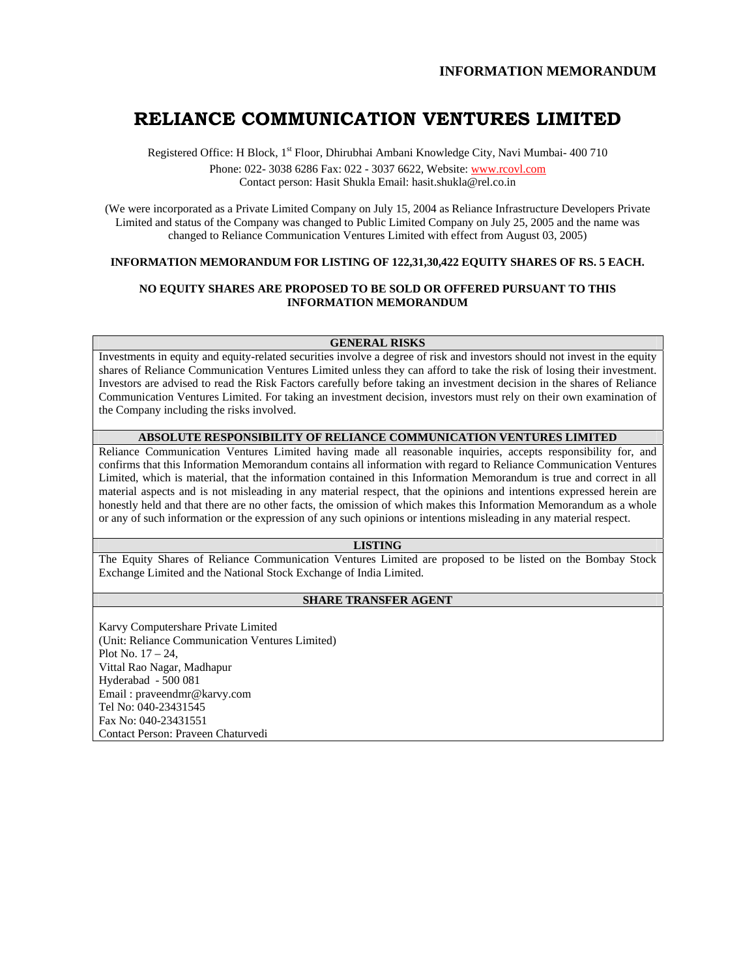# **RELIANCE COMMUNICATION VENTURES LIMITED**

Registered Office: H Block, 1<sup>st</sup> Floor, Dhirubhai Ambani Knowledge City, Navi Mumbai- 400 710 Phone: 022- 3038 6286 Fax: 022 - 3037 6622, Website: www.rcovl.com Contact person: Hasit Shukla Email: hasit.shukla@rel.co.in

(We were incorporated as a Private Limited Company on July 15, 2004 as Reliance Infrastructure Developers Private Limited and status of the Company was changed to Public Limited Company on July 25, 2005 and the name was changed to Reliance Communication Ventures Limited with effect from August 03, 2005)

# **INFORMATION MEMORANDUM FOR LISTING OF 122,31,30,422 EQUITY SHARES OF RS. 5 EACH.**

## **NO EQUITY SHARES ARE PROPOSED TO BE SOLD OR OFFERED PURSUANT TO THIS INFORMATION MEMORANDUM**

**GENERAL RISKS** 

Investments in equity and equity-related securities involve a degree of risk and investors should not invest in the equity shares of Reliance Communication Ventures Limited unless they can afford to take the risk of losing their investment. Investors are advised to read the Risk Factors carefully before taking an investment decision in the shares of Reliance Communication Ventures Limited. For taking an investment decision, investors must rely on their own examination of the Company including the risks involved.

## **ABSOLUTE RESPONSIBILITY OF RELIANCE COMMUNICATION VENTURES LIMITED**

Reliance Communication Ventures Limited having made all reasonable inquiries, accepts responsibility for, and confirms that this Information Memorandum contains all information with regard to Reliance Communication Ventures Limited, which is material, that the information contained in this Information Memorandum is true and correct in all material aspects and is not misleading in any material respect, that the opinions and intentions expressed herein are honestly held and that there are no other facts, the omission of which makes this Information Memorandum as a whole or any of such information or the expression of any such opinions or intentions misleading in any material respect.

## **LISTING**

The Equity Shares of Reliance Communication Ventures Limited are proposed to be listed on the Bombay Stock Exchange Limited and the National Stock Exchange of India Limited.

## **SHARE TRANSFER AGENT**

Karvy Computershare Private Limited (Unit: Reliance Communication Ventures Limited) Plot No. 17 – 24, Vittal Rao Nagar, Madhapur Hyderabad - 500 081 Email : praveendmr@karvy.com Tel No: 040-23431545 Fax No: 040-23431551 Contact Person: Praveen Chaturvedi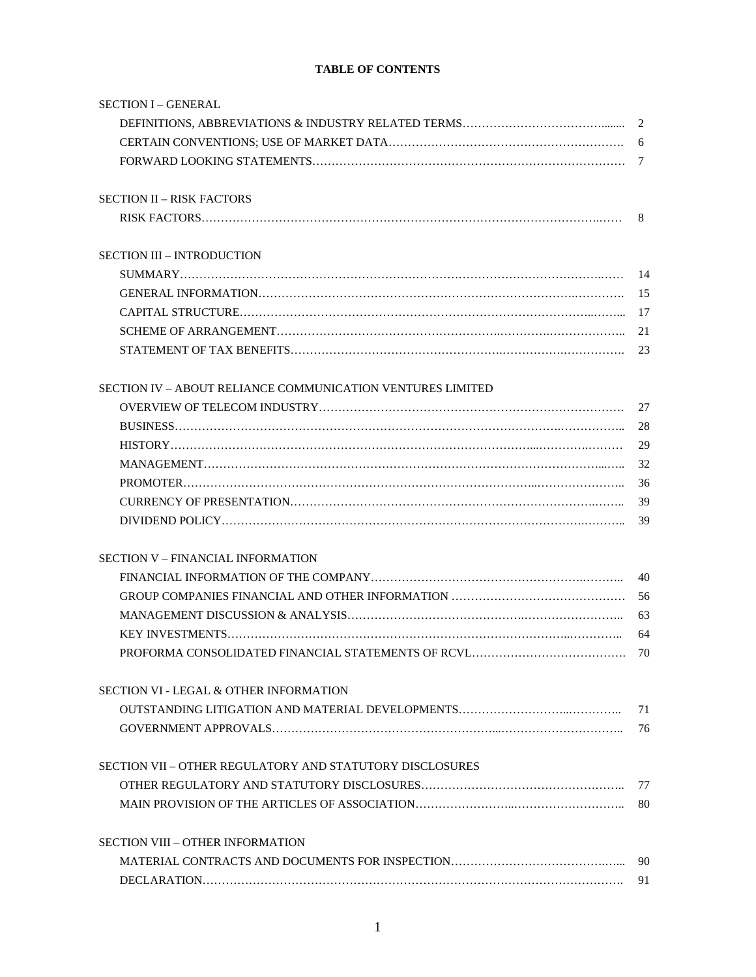# **TABLE OF CONTENTS**

| <b>SECTION I - GENERAL</b>                                 |    |
|------------------------------------------------------------|----|
|                                                            |    |
|                                                            |    |
|                                                            |    |
| <b>SECTION II - RISK FACTORS</b>                           |    |
|                                                            | 8  |
| <b>SECTION III - INTRODUCTION</b>                          |    |
|                                                            |    |
|                                                            | 15 |
|                                                            |    |
|                                                            | 21 |
|                                                            | 23 |
| SECTION IV – ABOUT RELIANCE COMMUNICATION VENTURES LIMITED |    |
|                                                            | 27 |
|                                                            | 28 |
|                                                            | 29 |
|                                                            | 32 |
|                                                            | 36 |
|                                                            | 39 |
|                                                            | 39 |
| <b>SECTION V - FINANCIAL INFORMATION</b>                   |    |
|                                                            | 40 |
|                                                            | 56 |
|                                                            | 63 |
|                                                            | 64 |
| PROFORMA CONSOLIDATED FINANCIAL STATEMENTS OF RCVL<br>70   |    |
| <b>SECTION VI - LEGAL &amp; OTHER INFORMATION</b>          |    |
|                                                            | 71 |
|                                                            | 76 |
| SECTION VII – OTHER REGULATORY AND STATUTORY DISCLOSURES   |    |
|                                                            | 77 |
|                                                            | 80 |
| <b>SECTION VIII - OTHER INFORMATION</b>                    |    |
|                                                            | 90 |
|                                                            | 91 |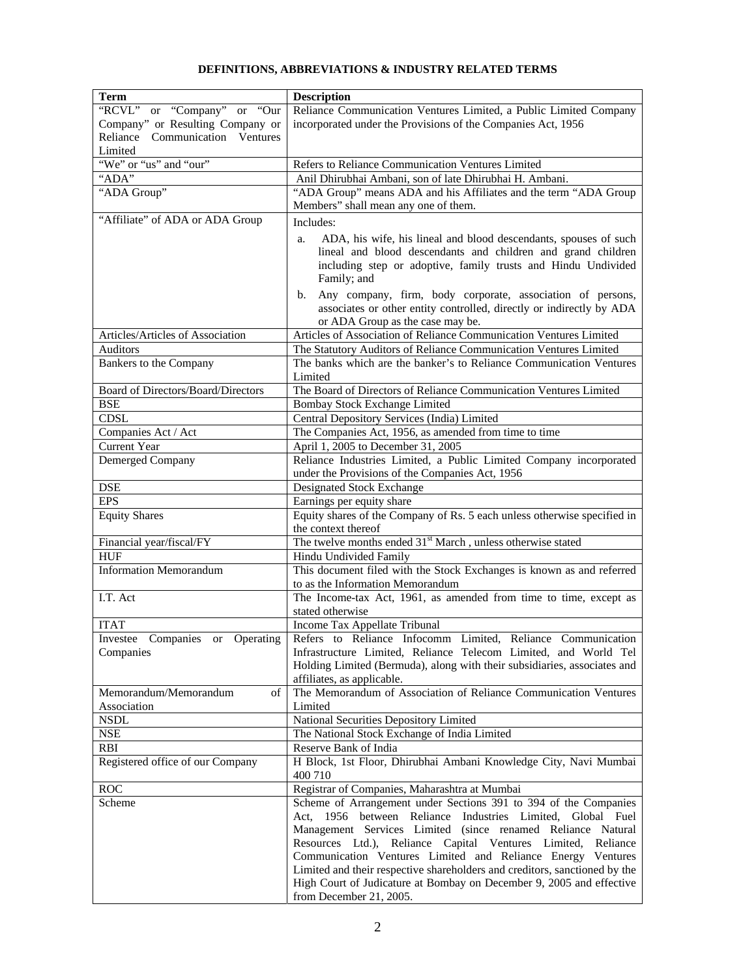# **DEFINITIONS, ABBREVIATIONS & INDUSTRY RELATED TERMS**

| <b>Term</b>                               | <b>Description</b>                                                         |
|-------------------------------------------|----------------------------------------------------------------------------|
| "RCVL" or "Company" or "Our               | Reliance Communication Ventures Limited, a Public Limited Company          |
| Company" or Resulting Company or          | incorporated under the Provisions of the Companies Act, 1956               |
| Reliance Communication Ventures           |                                                                            |
| Limited                                   |                                                                            |
| "We" or "us" and "our"                    |                                                                            |
|                                           | Refers to Reliance Communication Ventures Limited                          |
| "ADA"                                     | Anil Dhirubhai Ambani, son of late Dhirubhai H. Ambani.                    |
| "ADA Group"                               | "ADA Group" means ADA and his Affiliates and the term "ADA Group           |
|                                           | Members" shall mean any one of them.                                       |
| "Affiliate" of ADA or ADA Group           | Includes:                                                                  |
|                                           | ADA, his wife, his lineal and blood descendants, spouses of such<br>a.     |
|                                           | lineal and blood descendants and children and grand children               |
|                                           | including step or adoptive, family trusts and Hindu Undivided              |
|                                           | Family; and                                                                |
|                                           | Any company, firm, body corporate, association of persons,<br>b.           |
|                                           | associates or other entity controlled, directly or indirectly by ADA       |
|                                           | or ADA Group as the case may be.                                           |
| Articles/Articles of Association          | Articles of Association of Reliance Communication Ventures Limited         |
| <b>Auditors</b>                           | The Statutory Auditors of Reliance Communication Ventures Limited          |
| Bankers to the Company                    | The banks which are the banker's to Reliance Communication Ventures        |
|                                           | Limited                                                                    |
| <b>Board of Directors/Board/Directors</b> | The Board of Directors of Reliance Communication Ventures Limited          |
| <b>BSE</b>                                | <b>Bombay Stock Exchange Limited</b>                                       |
| <b>CDSL</b>                               | Central Depository Services (India) Limited                                |
| Companies Act / Act                       | The Companies Act, 1956, as amended from time to time                      |
| <b>Current Year</b>                       | April 1, 2005 to December 31, 2005                                         |
| Demerged Company                          | Reliance Industries Limited, a Public Limited Company incorporated         |
|                                           | under the Provisions of the Companies Act, 1956                            |
| <b>DSE</b>                                | <b>Designated Stock Exchange</b>                                           |
| <b>EPS</b>                                | Earnings per equity share                                                  |
| <b>Equity Shares</b>                      | Equity shares of the Company of Rs. 5 each unless otherwise specified in   |
|                                           | the context thereof                                                        |
| Financial year/fiscal/FY                  | The twelve months ended 31 <sup>st</sup> March, unless otherwise stated    |
| <b>HUF</b>                                | Hindu Undivided Family                                                     |
| <b>Information Memorandum</b>             | This document filed with the Stock Exchanges is known as and referred      |
|                                           | to as the Information Memorandum                                           |
| I.T. Act                                  | The Income-tax Act, 1961, as amended from time to time, except as          |
|                                           | stated otherwise                                                           |
| <b>ITAT</b>                               | Income Tax Appellate Tribunal                                              |
| Investee Companies or Operating           | Refers to Reliance Infocomm Limited, Reliance Communication                |
| Companies                                 | Infrastructure Limited, Reliance Telecom Limited, and World Tel            |
|                                           | Holding Limited (Bermuda), along with their subsidiaries, associates and   |
|                                           | affiliates, as applicable.                                                 |
| Memorandum/Memorandum<br>of               | The Memorandum of Association of Reliance Communication Ventures           |
| Association                               | Limited                                                                    |
| <b>NSDL</b>                               | National Securities Depository Limited                                     |
| <b>NSE</b>                                | The National Stock Exchange of India Limited                               |
| <b>RBI</b>                                | Reserve Bank of India                                                      |
| Registered office of our Company          | H Block, 1st Floor, Dhirubhai Ambani Knowledge City, Navi Mumbai           |
|                                           | 400 710                                                                    |
| <b>ROC</b>                                | Registrar of Companies, Maharashtra at Mumbai                              |
| Scheme                                    | Scheme of Arrangement under Sections 391 to 394 of the Companies           |
|                                           | Act, 1956 between Reliance Industries Limited, Global Fuel                 |
|                                           | Management Services Limited (since renamed Reliance Natural                |
|                                           | Resources Ltd.), Reliance Capital Ventures Limited,<br>Reliance            |
|                                           | Communication Ventures Limited and Reliance Energy Ventures                |
|                                           | Limited and their respective shareholders and creditors, sanctioned by the |
|                                           | High Court of Judicature at Bombay on December 9, 2005 and effective       |
|                                           | from December 21, 2005.                                                    |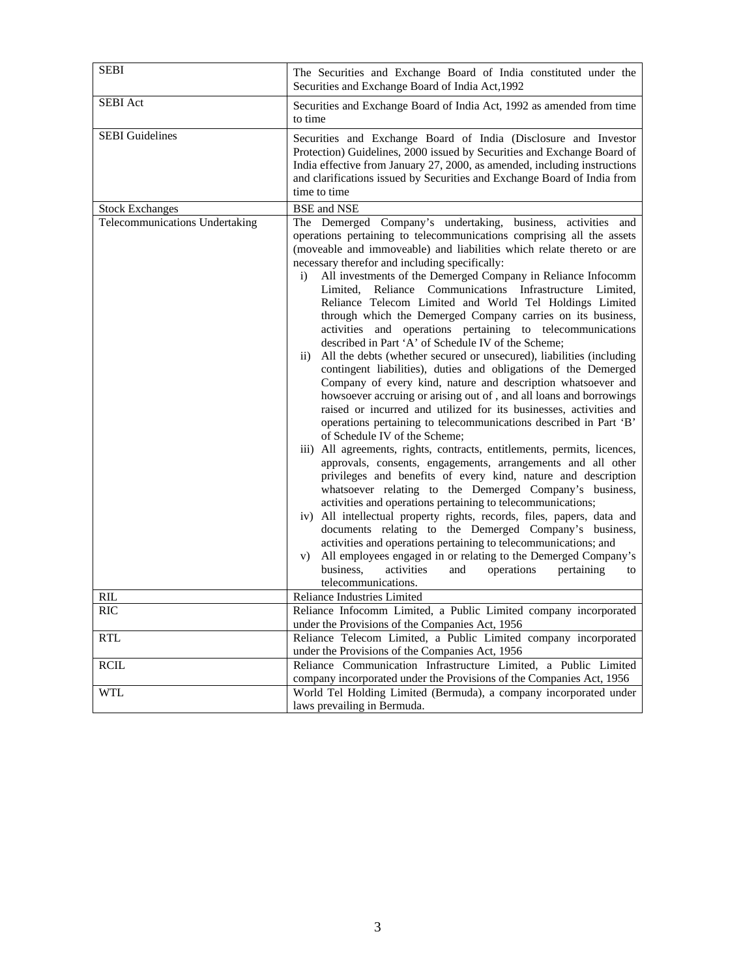| <b>SEBI</b>                    | The Securities and Exchange Board of India constituted under the<br>Securities and Exchange Board of India Act, 1992                                                                                                                                                                                                                                                                                                                                                                                                                                                                                                                                                                                                                                                                                                                                                                                                                                                                                                                                                                                                                                                                                                                                                                                                                                                                                                                                                                                                                                                                                                                                                                                                                                                                                                            |  |  |
|--------------------------------|---------------------------------------------------------------------------------------------------------------------------------------------------------------------------------------------------------------------------------------------------------------------------------------------------------------------------------------------------------------------------------------------------------------------------------------------------------------------------------------------------------------------------------------------------------------------------------------------------------------------------------------------------------------------------------------------------------------------------------------------------------------------------------------------------------------------------------------------------------------------------------------------------------------------------------------------------------------------------------------------------------------------------------------------------------------------------------------------------------------------------------------------------------------------------------------------------------------------------------------------------------------------------------------------------------------------------------------------------------------------------------------------------------------------------------------------------------------------------------------------------------------------------------------------------------------------------------------------------------------------------------------------------------------------------------------------------------------------------------------------------------------------------------------------------------------------------------|--|--|
| <b>SEBI</b> Act                | Securities and Exchange Board of India Act, 1992 as amended from time<br>to time                                                                                                                                                                                                                                                                                                                                                                                                                                                                                                                                                                                                                                                                                                                                                                                                                                                                                                                                                                                                                                                                                                                                                                                                                                                                                                                                                                                                                                                                                                                                                                                                                                                                                                                                                |  |  |
| <b>SEBI</b> Guidelines         | Securities and Exchange Board of India (Disclosure and Investor<br>Protection) Guidelines, 2000 issued by Securities and Exchange Board of<br>India effective from January 27, 2000, as amended, including instructions<br>and clarifications issued by Securities and Exchange Board of India from<br>time to time                                                                                                                                                                                                                                                                                                                                                                                                                                                                                                                                                                                                                                                                                                                                                                                                                                                                                                                                                                                                                                                                                                                                                                                                                                                                                                                                                                                                                                                                                                             |  |  |
| <b>Stock Exchanges</b>         | <b>BSE</b> and NSE                                                                                                                                                                                                                                                                                                                                                                                                                                                                                                                                                                                                                                                                                                                                                                                                                                                                                                                                                                                                                                                                                                                                                                                                                                                                                                                                                                                                                                                                                                                                                                                                                                                                                                                                                                                                              |  |  |
| Telecommunications Undertaking | The Demerged Company's undertaking, business, activities and<br>operations pertaining to telecommunications comprising all the assets<br>(moveable and immoveable) and liabilities which relate thereto or are<br>necessary therefor and including specifically:<br>All investments of the Demerged Company in Reliance Infocomm<br>$\mathbf{i}$<br>Limited, Reliance Communications Infrastructure Limited,<br>Reliance Telecom Limited and World Tel Holdings Limited<br>through which the Demerged Company carries on its business,<br>activities and operations pertaining to telecommunications<br>described in Part 'A' of Schedule IV of the Scheme;<br>All the debts (whether secured or unsecured), liabilities (including<br>$\rm ii)$<br>contingent liabilities), duties and obligations of the Demerged<br>Company of every kind, nature and description whatsoever and<br>howsoever accruing or arising out of, and all loans and borrowings<br>raised or incurred and utilized for its businesses, activities and<br>operations pertaining to telecommunications described in Part 'B'<br>of Schedule IV of the Scheme;<br>iii) All agreements, rights, contracts, entitlements, permits, licences,<br>approvals, consents, engagements, arrangements and all other<br>privileges and benefits of every kind, nature and description<br>whatsoever relating to the Demerged Company's business,<br>activities and operations pertaining to telecommunications;<br>iv) All intellectual property rights, records, files, papers, data and<br>documents relating to the Demerged Company's business,<br>activities and operations pertaining to telecommunications; and<br>All employees engaged in or relating to the Demerged Company's<br>V)<br>business,<br>activities<br>operations<br>pertaining<br>and<br>to |  |  |
|                                | telecommunications.                                                                                                                                                                                                                                                                                                                                                                                                                                                                                                                                                                                                                                                                                                                                                                                                                                                                                                                                                                                                                                                                                                                                                                                                                                                                                                                                                                                                                                                                                                                                                                                                                                                                                                                                                                                                             |  |  |
| RIL                            | Reliance Industries Limited                                                                                                                                                                                                                                                                                                                                                                                                                                                                                                                                                                                                                                                                                                                                                                                                                                                                                                                                                                                                                                                                                                                                                                                                                                                                                                                                                                                                                                                                                                                                                                                                                                                                                                                                                                                                     |  |  |
| <b>RIC</b>                     | Reliance Infocomm Limited, a Public Limited company incorporated<br>under the Provisions of the Companies Act, 1956                                                                                                                                                                                                                                                                                                                                                                                                                                                                                                                                                                                                                                                                                                                                                                                                                                                                                                                                                                                                                                                                                                                                                                                                                                                                                                                                                                                                                                                                                                                                                                                                                                                                                                             |  |  |
| <b>RTL</b>                     | Reliance Telecom Limited, a Public Limited company incorporated<br>under the Provisions of the Companies Act, 1956                                                                                                                                                                                                                                                                                                                                                                                                                                                                                                                                                                                                                                                                                                                                                                                                                                                                                                                                                                                                                                                                                                                                                                                                                                                                                                                                                                                                                                                                                                                                                                                                                                                                                                              |  |  |
| <b>RCIL</b>                    | Reliance Communication Infrastructure Limited, a Public Limited                                                                                                                                                                                                                                                                                                                                                                                                                                                                                                                                                                                                                                                                                                                                                                                                                                                                                                                                                                                                                                                                                                                                                                                                                                                                                                                                                                                                                                                                                                                                                                                                                                                                                                                                                                 |  |  |
|                                | company incorporated under the Provisions of the Companies Act, 1956                                                                                                                                                                                                                                                                                                                                                                                                                                                                                                                                                                                                                                                                                                                                                                                                                                                                                                                                                                                                                                                                                                                                                                                                                                                                                                                                                                                                                                                                                                                                                                                                                                                                                                                                                            |  |  |
| <b>WTL</b>                     | World Tel Holding Limited (Bermuda), a company incorporated under                                                                                                                                                                                                                                                                                                                                                                                                                                                                                                                                                                                                                                                                                                                                                                                                                                                                                                                                                                                                                                                                                                                                                                                                                                                                                                                                                                                                                                                                                                                                                                                                                                                                                                                                                               |  |  |
|                                | laws prevailing in Bermuda.                                                                                                                                                                                                                                                                                                                                                                                                                                                                                                                                                                                                                                                                                                                                                                                                                                                                                                                                                                                                                                                                                                                                                                                                                                                                                                                                                                                                                                                                                                                                                                                                                                                                                                                                                                                                     |  |  |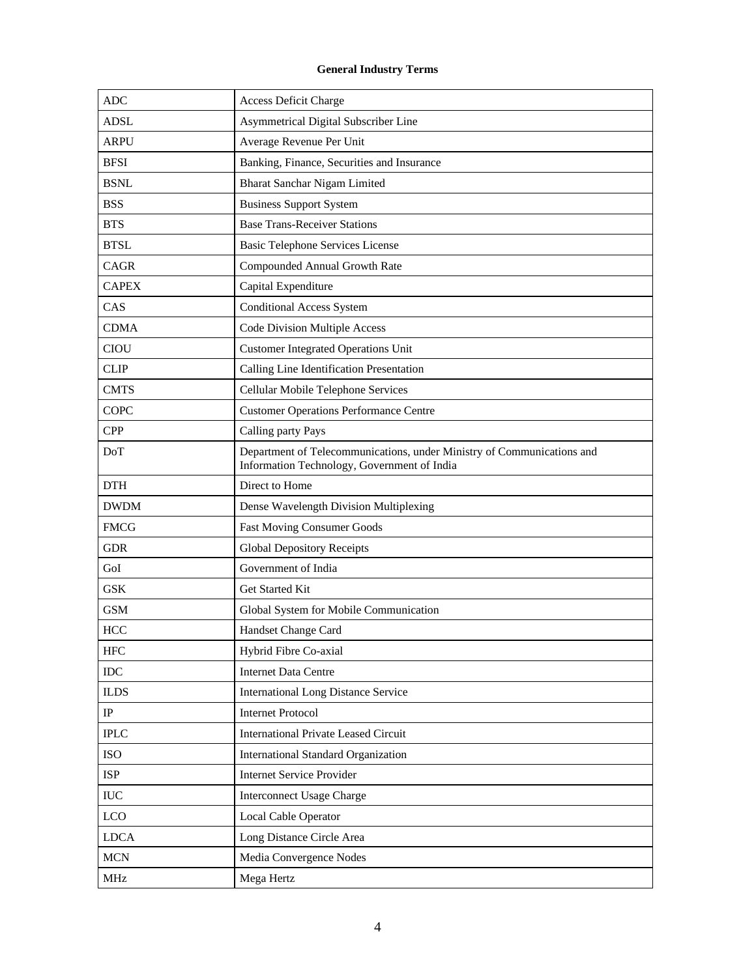# **General Industry Terms**

| <b>ADC</b>   | <b>Access Deficit Charge</b>                                                                                          |
|--------------|-----------------------------------------------------------------------------------------------------------------------|
| <b>ADSL</b>  | Asymmetrical Digital Subscriber Line                                                                                  |
| <b>ARPU</b>  | Average Revenue Per Unit                                                                                              |
| <b>BFSI</b>  | Banking, Finance, Securities and Insurance                                                                            |
| <b>BSNL</b>  | Bharat Sanchar Nigam Limited                                                                                          |
| <b>BSS</b>   | <b>Business Support System</b>                                                                                        |
| <b>BTS</b>   | <b>Base Trans-Receiver Stations</b>                                                                                   |
| <b>BTSL</b>  | <b>Basic Telephone Services License</b>                                                                               |
| CAGR         | Compounded Annual Growth Rate                                                                                         |
| <b>CAPEX</b> | Capital Expenditure                                                                                                   |
| CAS          | <b>Conditional Access System</b>                                                                                      |
| <b>CDMA</b>  | <b>Code Division Multiple Access</b>                                                                                  |
| <b>CIOU</b>  | <b>Customer Integrated Operations Unit</b>                                                                            |
| <b>CLIP</b>  | Calling Line Identification Presentation                                                                              |
| <b>CMTS</b>  | Cellular Mobile Telephone Services                                                                                    |
| COPC         | <b>Customer Operations Performance Centre</b>                                                                         |
| <b>CPP</b>   | Calling party Pays                                                                                                    |
| DoT          | Department of Telecommunications, under Ministry of Communications and<br>Information Technology, Government of India |
| <b>DTH</b>   | Direct to Home                                                                                                        |
| <b>DWDM</b>  | Dense Wavelength Division Multiplexing                                                                                |
| <b>FMCG</b>  | <b>Fast Moving Consumer Goods</b>                                                                                     |
| <b>GDR</b>   | <b>Global Depository Receipts</b>                                                                                     |
| GoI          | Government of India                                                                                                   |
| <b>GSK</b>   | Get Started Kit                                                                                                       |
| <b>GSM</b>   | Global System for Mobile Communication                                                                                |
| <b>HCC</b>   | Handset Change Card                                                                                                   |
| <b>HFC</b>   | Hybrid Fibre Co-axial                                                                                                 |
| $\rm{IDC}$   | <b>Internet Data Centre</b>                                                                                           |
| <b>ILDS</b>  | <b>International Long Distance Service</b>                                                                            |
| $_{\rm IP}$  | <b>Internet Protocol</b>                                                                                              |
| <b>IPLC</b>  | <b>International Private Leased Circuit</b>                                                                           |
| <b>ISO</b>   | International Standard Organization                                                                                   |
| <b>ISP</b>   | <b>Internet Service Provider</b>                                                                                      |
| $\rm IUC$    | <b>Interconnect Usage Charge</b>                                                                                      |
| LCO          | Local Cable Operator                                                                                                  |
| <b>LDCA</b>  | Long Distance Circle Area                                                                                             |
| <b>MCN</b>   | Media Convergence Nodes                                                                                               |
| $\rm MHz$    | Mega Hertz                                                                                                            |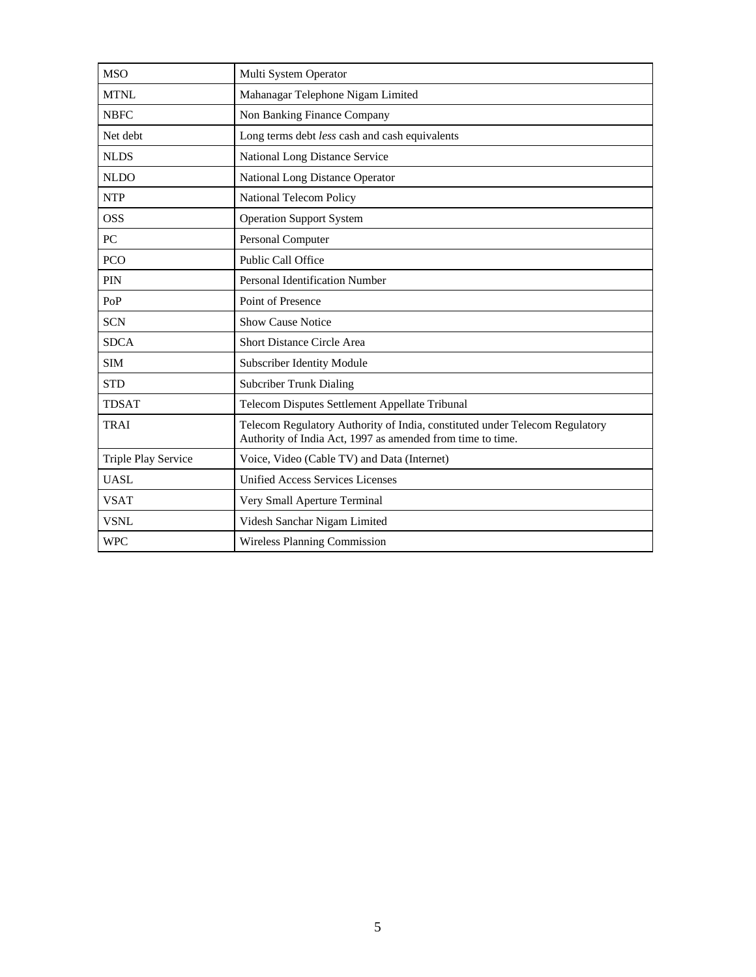| <b>MSO</b>                 | Multi System Operator                                                                                                                     |  |  |
|----------------------------|-------------------------------------------------------------------------------------------------------------------------------------------|--|--|
| <b>MTNL</b>                | Mahanagar Telephone Nigam Limited                                                                                                         |  |  |
| <b>NBFC</b>                | Non Banking Finance Company                                                                                                               |  |  |
| Net debt                   | Long terms debt less cash and cash equivalents                                                                                            |  |  |
| <b>NLDS</b>                | National Long Distance Service                                                                                                            |  |  |
| <b>NLDO</b>                | <b>National Long Distance Operator</b>                                                                                                    |  |  |
| <b>NTP</b>                 | National Telecom Policy                                                                                                                   |  |  |
| <b>OSS</b>                 | <b>Operation Support System</b>                                                                                                           |  |  |
| PC                         | Personal Computer                                                                                                                         |  |  |
| <b>PCO</b>                 | Public Call Office                                                                                                                        |  |  |
| PIN                        | Personal Identification Number                                                                                                            |  |  |
| PoP                        | Point of Presence                                                                                                                         |  |  |
| <b>SCN</b>                 | <b>Show Cause Notice</b>                                                                                                                  |  |  |
| <b>SDCA</b>                | <b>Short Distance Circle Area</b>                                                                                                         |  |  |
| <b>SIM</b>                 | Subscriber Identity Module                                                                                                                |  |  |
| <b>STD</b>                 | <b>Subcriber Trunk Dialing</b>                                                                                                            |  |  |
| <b>TDSAT</b>               | Telecom Disputes Settlement Appellate Tribunal                                                                                            |  |  |
| <b>TRAI</b>                | Telecom Regulatory Authority of India, constituted under Telecom Regulatory<br>Authority of India Act, 1997 as amended from time to time. |  |  |
| <b>Triple Play Service</b> | Voice, Video (Cable TV) and Data (Internet)                                                                                               |  |  |
| <b>UASL</b>                | <b>Unified Access Services Licenses</b>                                                                                                   |  |  |
| <b>VSAT</b>                | Very Small Aperture Terminal                                                                                                              |  |  |
| <b>VSNL</b>                | Videsh Sanchar Nigam Limited                                                                                                              |  |  |
| <b>WPC</b>                 | Wireless Planning Commission                                                                                                              |  |  |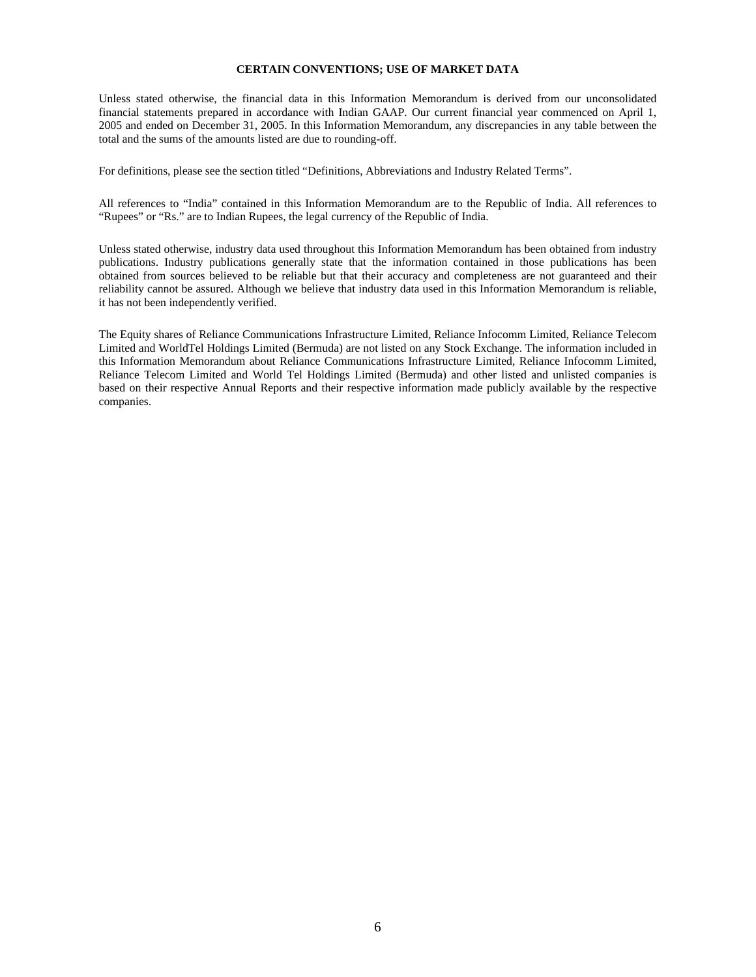## **CERTAIN CONVENTIONS; USE OF MARKET DATA**

Unless stated otherwise, the financial data in this Information Memorandum is derived from our unconsolidated financial statements prepared in accordance with Indian GAAP. Our current financial year commenced on April 1, 2005 and ended on December 31, 2005. In this Information Memorandum, any discrepancies in any table between the total and the sums of the amounts listed are due to rounding-off.

For definitions, please see the section titled "Definitions, Abbreviations and Industry Related Terms".

All references to "India" contained in this Information Memorandum are to the Republic of India. All references to "Rupees" or "Rs." are to Indian Rupees, the legal currency of the Republic of India.

Unless stated otherwise, industry data used throughout this Information Memorandum has been obtained from industry publications. Industry publications generally state that the information contained in those publications has been obtained from sources believed to be reliable but that their accuracy and completeness are not guaranteed and their reliability cannot be assured. Although we believe that industry data used in this Information Memorandum is reliable, it has not been independently verified.

The Equity shares of Reliance Communications Infrastructure Limited, Reliance Infocomm Limited, Reliance Telecom Limited and WorldTel Holdings Limited (Bermuda) are not listed on any Stock Exchange. The information included in this Information Memorandum about Reliance Communications Infrastructure Limited, Reliance Infocomm Limited, Reliance Telecom Limited and World Tel Holdings Limited (Bermuda) and other listed and unlisted companies is based on their respective Annual Reports and their respective information made publicly available by the respective companies.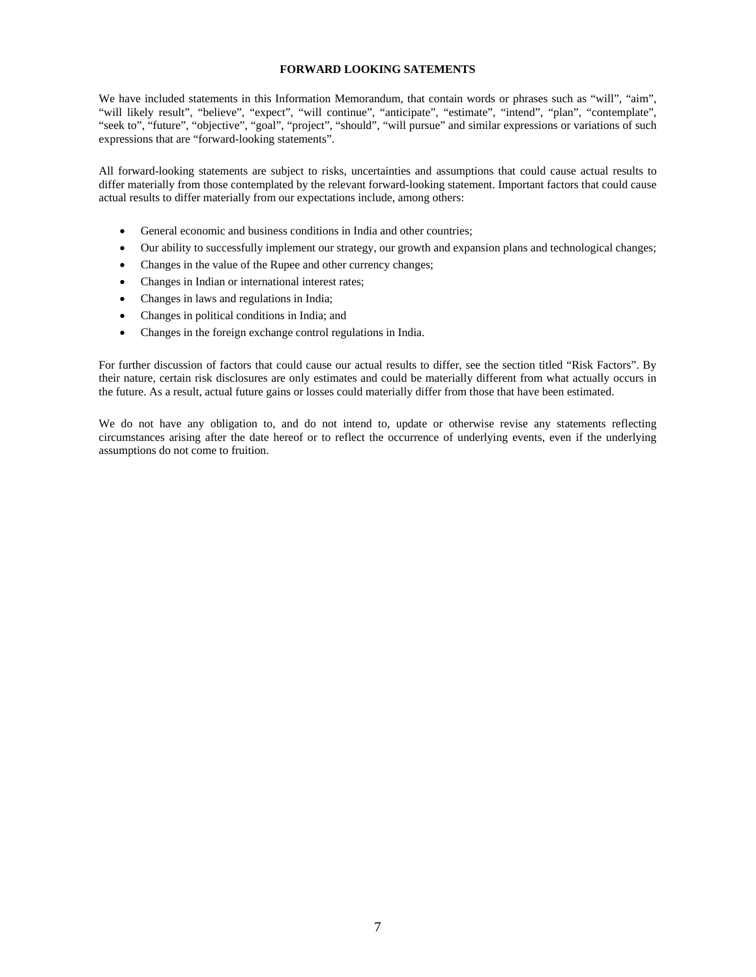## **FORWARD LOOKING SATEMENTS**

We have included statements in this Information Memorandum, that contain words or phrases such as "will", "aim", "will likely result", "believe", "expect", "will continue", "anticipate", "estimate", "intend", "plan", "contemplate", "seek to", "future", "objective", "goal", "project", "should", "will pursue" and similar expressions or variations of such expressions that are "forward-looking statements".

All forward-looking statements are subject to risks, uncertainties and assumptions that could cause actual results to differ materially from those contemplated by the relevant forward-looking statement. Important factors that could cause actual results to differ materially from our expectations include, among others:

- General economic and business conditions in India and other countries;
- Our ability to successfully implement our strategy, our growth and expansion plans and technological changes;
- Changes in the value of the Rupee and other currency changes;
- Changes in Indian or international interest rates;
- Changes in laws and regulations in India;
- Changes in political conditions in India; and
- Changes in the foreign exchange control regulations in India.

For further discussion of factors that could cause our actual results to differ, see the section titled "Risk Factors". By their nature, certain risk disclosures are only estimates and could be materially different from what actually occurs in the future. As a result, actual future gains or losses could materially differ from those that have been estimated.

We do not have any obligation to, and do not intend to, update or otherwise revise any statements reflecting circumstances arising after the date hereof or to reflect the occurrence of underlying events, even if the underlying assumptions do not come to fruition.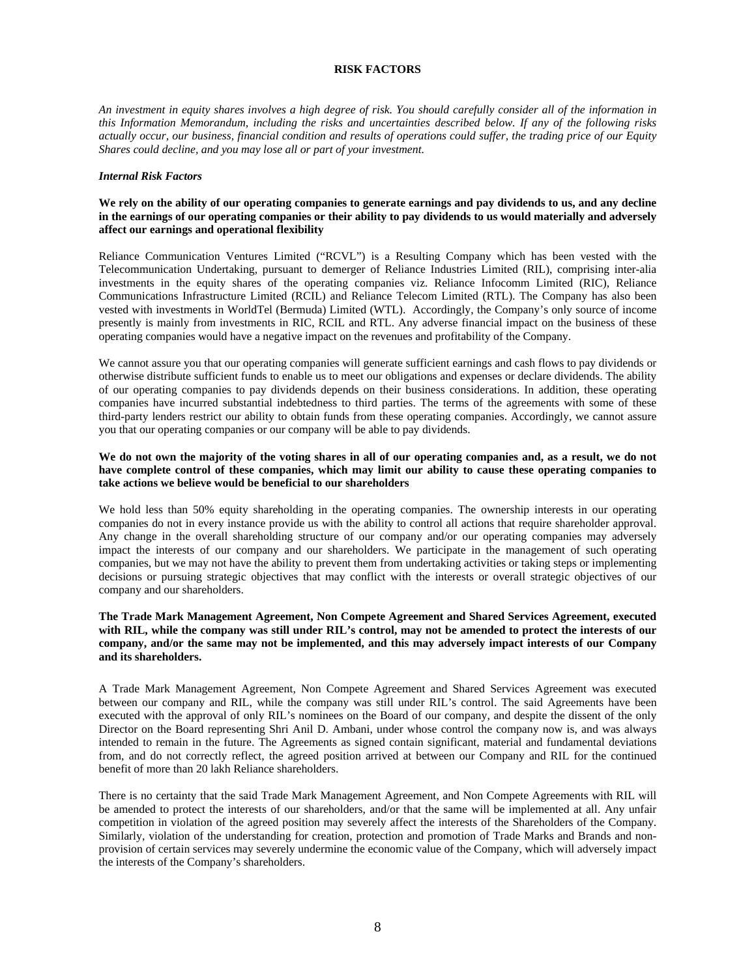## **RISK FACTORS**

*An investment in equity shares involves a high degree of risk. You should carefully consider all of the information in this Information Memorandum, including the risks and uncertainties described below. If any of the following risks actually occur, our business, financial condition and results of operations could suffer, the trading price of our Equity Shares could decline, and you may lose all or part of your investment.* 

#### *Internal Risk Factors*

## **We rely on the ability of our operating companies to generate earnings and pay dividends to us, and any decline in the earnings of our operating companies or their ability to pay dividends to us would materially and adversely affect our earnings and operational flexibility**

Reliance Communication Ventures Limited ("RCVL") is a Resulting Company which has been vested with the Telecommunication Undertaking, pursuant to demerger of Reliance Industries Limited (RIL), comprising inter-alia investments in the equity shares of the operating companies viz. Reliance Infocomm Limited (RIC), Reliance Communications Infrastructure Limited (RCIL) and Reliance Telecom Limited (RTL). The Company has also been vested with investments in WorldTel (Bermuda) Limited (WTL). Accordingly, the Company's only source of income presently is mainly from investments in RIC, RCIL and RTL. Any adverse financial impact on the business of these operating companies would have a negative impact on the revenues and profitability of the Company.

We cannot assure you that our operating companies will generate sufficient earnings and cash flows to pay dividends or otherwise distribute sufficient funds to enable us to meet our obligations and expenses or declare dividends. The ability of our operating companies to pay dividends depends on their business considerations. In addition, these operating companies have incurred substantial indebtedness to third parties. The terms of the agreements with some of these third-party lenders restrict our ability to obtain funds from these operating companies. Accordingly, we cannot assure you that our operating companies or our company will be able to pay dividends.

#### We do not own the majority of the voting shares in all of our operating companies and, as a result, we do not **have complete control of these companies, which may limit our ability to cause these operating companies to take actions we believe would be beneficial to our shareholders**

We hold less than 50% equity shareholding in the operating companies. The ownership interests in our operating companies do not in every instance provide us with the ability to control all actions that require shareholder approval. Any change in the overall shareholding structure of our company and/or our operating companies may adversely impact the interests of our company and our shareholders. We participate in the management of such operating companies, but we may not have the ability to prevent them from undertaking activities or taking steps or implementing decisions or pursuing strategic objectives that may conflict with the interests or overall strategic objectives of our company and our shareholders.

#### **The Trade Mark Management Agreement, Non Compete Agreement and Shared Services Agreement, executed with RIL, while the company was still under RIL's control, may not be amended to protect the interests of our company, and/or the same may not be implemented, and this may adversely impact interests of our Company and its shareholders.**

A Trade Mark Management Agreement, Non Compete Agreement and Shared Services Agreement was executed between our company and RIL, while the company was still under RIL's control. The said Agreements have been executed with the approval of only RIL's nominees on the Board of our company, and despite the dissent of the only Director on the Board representing Shri Anil D. Ambani, under whose control the company now is, and was always intended to remain in the future. The Agreements as signed contain significant, material and fundamental deviations from, and do not correctly reflect, the agreed position arrived at between our Company and RIL for the continued benefit of more than 20 lakh Reliance shareholders.

There is no certainty that the said Trade Mark Management Agreement, and Non Compete Agreements with RIL will be amended to protect the interests of our shareholders, and/or that the same will be implemented at all. Any unfair competition in violation of the agreed position may severely affect the interests of the Shareholders of the Company. Similarly, violation of the understanding for creation, protection and promotion of Trade Marks and Brands and nonprovision of certain services may severely undermine the economic value of the Company, which will adversely impact the interests of the Company's shareholders.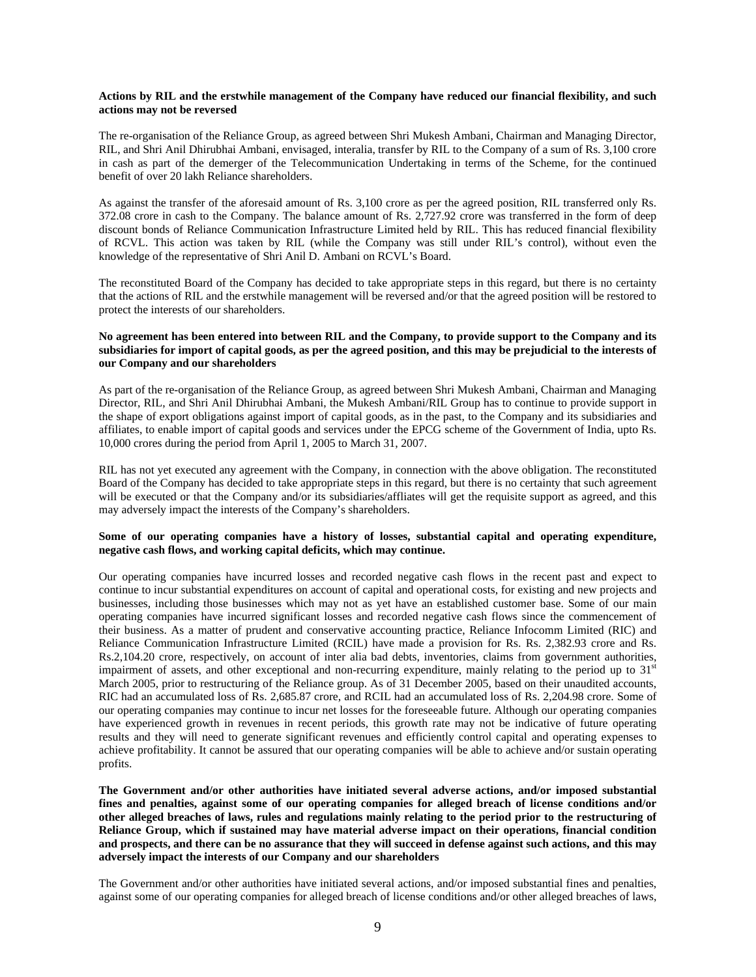#### **Actions by RIL and the erstwhile management of the Company have reduced our financial flexibility, and such actions may not be reversed**

The re-organisation of the Reliance Group, as agreed between Shri Mukesh Ambani, Chairman and Managing Director, RIL, and Shri Anil Dhirubhai Ambani, envisaged, interalia, transfer by RIL to the Company of a sum of Rs. 3,100 crore in cash as part of the demerger of the Telecommunication Undertaking in terms of the Scheme, for the continued benefit of over 20 lakh Reliance shareholders.

As against the transfer of the aforesaid amount of Rs. 3,100 crore as per the agreed position, RIL transferred only Rs. 372.08 crore in cash to the Company. The balance amount of Rs. 2,727.92 crore was transferred in the form of deep discount bonds of Reliance Communication Infrastructure Limited held by RIL. This has reduced financial flexibility of RCVL. This action was taken by RIL (while the Company was still under RIL's control), without even the knowledge of the representative of Shri Anil D. Ambani on RCVL's Board.

The reconstituted Board of the Company has decided to take appropriate steps in this regard, but there is no certainty that the actions of RIL and the erstwhile management will be reversed and/or that the agreed position will be restored to protect the interests of our shareholders.

#### **No agreement has been entered into between RIL and the Company, to provide support to the Company and its subsidiaries for import of capital goods, as per the agreed position, and this may be prejudicial to the interests of our Company and our shareholders**

As part of the re-organisation of the Reliance Group, as agreed between Shri Mukesh Ambani, Chairman and Managing Director, RIL, and Shri Anil Dhirubhai Ambani, the Mukesh Ambani/RIL Group has to continue to provide support in the shape of export obligations against import of capital goods, as in the past, to the Company and its subsidiaries and affiliates, to enable import of capital goods and services under the EPCG scheme of the Government of India, upto Rs. 10,000 crores during the period from April 1, 2005 to March 31, 2007.

RIL has not yet executed any agreement with the Company, in connection with the above obligation. The reconstituted Board of the Company has decided to take appropriate steps in this regard, but there is no certainty that such agreement will be executed or that the Company and/or its subsidiaries/affliates will get the requisite support as agreed, and this may adversely impact the interests of the Company's shareholders.

## **Some of our operating companies have a history of losses, substantial capital and operating expenditure, negative cash flows, and working capital deficits, which may continue.**

Our operating companies have incurred losses and recorded negative cash flows in the recent past and expect to continue to incur substantial expenditures on account of capital and operational costs, for existing and new projects and businesses, including those businesses which may not as yet have an established customer base. Some of our main operating companies have incurred significant losses and recorded negative cash flows since the commencement of their business. As a matter of prudent and conservative accounting practice, Reliance Infocomm Limited (RIC) and Reliance Communication Infrastructure Limited (RCIL) have made a provision for Rs. Rs. 2,382.93 crore and Rs. Rs.2,104.20 crore, respectively, on account of inter alia bad debts, inventories, claims from government authorities, impairment of assets, and other exceptional and non-recurring expenditure, mainly relating to the period up to  $31<sup>st</sup>$ March 2005, prior to restructuring of the Reliance group. As of 31 December 2005, based on their unaudited accounts, RIC had an accumulated loss of Rs. 2,685.87 crore, and RCIL had an accumulated loss of Rs. 2,204.98 crore. Some of our operating companies may continue to incur net losses for the foreseeable future. Although our operating companies have experienced growth in revenues in recent periods, this growth rate may not be indicative of future operating results and they will need to generate significant revenues and efficiently control capital and operating expenses to achieve profitability. It cannot be assured that our operating companies will be able to achieve and/or sustain operating profits.

**The Government and/or other authorities have initiated several adverse actions, and/or imposed substantial fines and penalties, against some of our operating companies for alleged breach of license conditions and/or other alleged breaches of laws, rules and regulations mainly relating to the period prior to the restructuring of Reliance Group, which if sustained may have material adverse impact on their operations, financial condition and prospects, and there can be no assurance that they will succeed in defense against such actions, and this may adversely impact the interests of our Company and our shareholders** 

The Government and/or other authorities have initiated several actions, and/or imposed substantial fines and penalties, against some of our operating companies for alleged breach of license conditions and/or other alleged breaches of laws,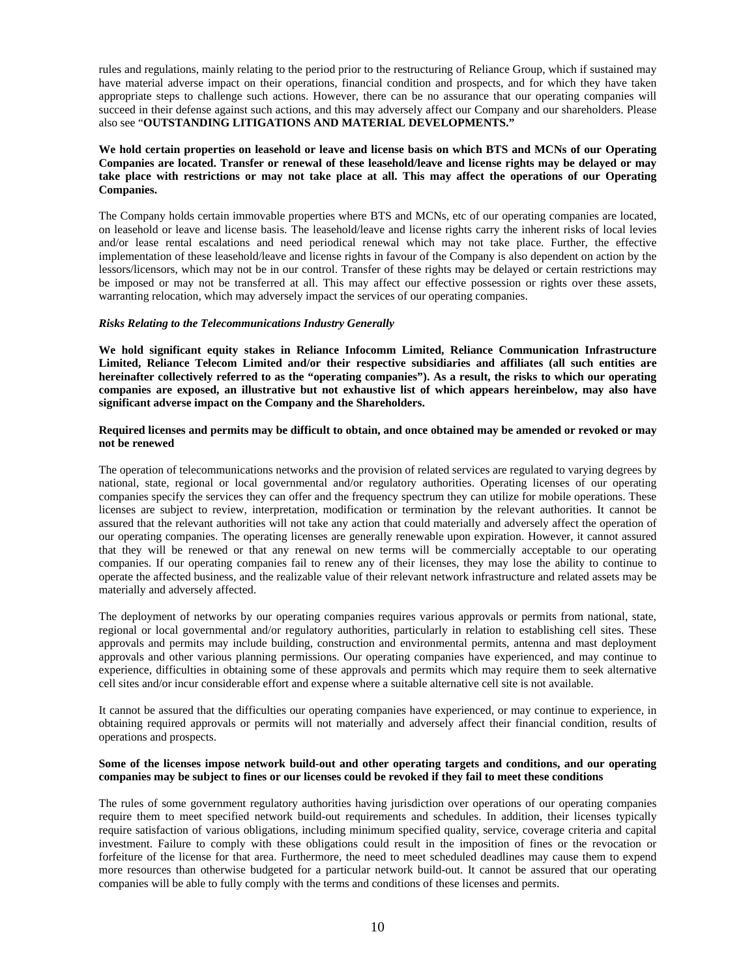rules and regulations, mainly relating to the period prior to the restructuring of Reliance Group, which if sustained may have material adverse impact on their operations, financial condition and prospects, and for which they have taken appropriate steps to challenge such actions. However, there can be no assurance that our operating companies will succeed in their defense against such actions, and this may adversely affect our Company and our shareholders. Please also see "**OUTSTANDING LITIGATIONS AND MATERIAL DEVELOPMENTS."**

## **We hold certain properties on leasehold or leave and license basis on which BTS and MCNs of our Operating Companies are located. Transfer or renewal of these leasehold/leave and license rights may be delayed or may take place with restrictions or may not take place at all. This may affect the operations of our Operating Companies.**

The Company holds certain immovable properties where BTS and MCNs, etc of our operating companies are located, on leasehold or leave and license basis. The leasehold/leave and license rights carry the inherent risks of local levies and/or lease rental escalations and need periodical renewal which may not take place. Further, the effective implementation of these leasehold/leave and license rights in favour of the Company is also dependent on action by the lessors/licensors, which may not be in our control. Transfer of these rights may be delayed or certain restrictions may be imposed or may not be transferred at all. This may affect our effective possession or rights over these assets, warranting relocation, which may adversely impact the services of our operating companies.

#### *Risks Relating to the Telecommunications Industry Generally*

**We hold significant equity stakes in Reliance Infocomm Limited, Reliance Communication Infrastructure Limited, Reliance Telecom Limited and/or their respective subsidiaries and affiliates (all such entities are hereinafter collectively referred to as the "operating companies"). As a result, the risks to which our operating companies are exposed, an illustrative but not exhaustive list of which appears hereinbelow, may also have significant adverse impact on the Company and the Shareholders.** 

#### **Required licenses and permits may be difficult to obtain, and once obtained may be amended or revoked or may not be renewed**

The operation of telecommunications networks and the provision of related services are regulated to varying degrees by national, state, regional or local governmental and/or regulatory authorities. Operating licenses of our operating companies specify the services they can offer and the frequency spectrum they can utilize for mobile operations. These licenses are subject to review, interpretation, modification or termination by the relevant authorities. It cannot be assured that the relevant authorities will not take any action that could materially and adversely affect the operation of our operating companies. The operating licenses are generally renewable upon expiration. However, it cannot assured that they will be renewed or that any renewal on new terms will be commercially acceptable to our operating companies. If our operating companies fail to renew any of their licenses, they may lose the ability to continue to operate the affected business, and the realizable value of their relevant network infrastructure and related assets may be materially and adversely affected.

The deployment of networks by our operating companies requires various approvals or permits from national, state, regional or local governmental and/or regulatory authorities, particularly in relation to establishing cell sites. These approvals and permits may include building, construction and environmental permits, antenna and mast deployment approvals and other various planning permissions. Our operating companies have experienced, and may continue to experience, difficulties in obtaining some of these approvals and permits which may require them to seek alternative cell sites and/or incur considerable effort and expense where a suitable alternative cell site is not available.

It cannot be assured that the difficulties our operating companies have experienced, or may continue to experience, in obtaining required approvals or permits will not materially and adversely affect their financial condition, results of operations and prospects.

#### **Some of the licenses impose network build-out and other operating targets and conditions, and our operating companies may be subject to fines or our licenses could be revoked if they fail to meet these conditions**

The rules of some government regulatory authorities having jurisdiction over operations of our operating companies require them to meet specified network build-out requirements and schedules. In addition, their licenses typically require satisfaction of various obligations, including minimum specified quality, service, coverage criteria and capital investment. Failure to comply with these obligations could result in the imposition of fines or the revocation or forfeiture of the license for that area. Furthermore, the need to meet scheduled deadlines may cause them to expend more resources than otherwise budgeted for a particular network build-out. It cannot be assured that our operating companies will be able to fully comply with the terms and conditions of these licenses and permits.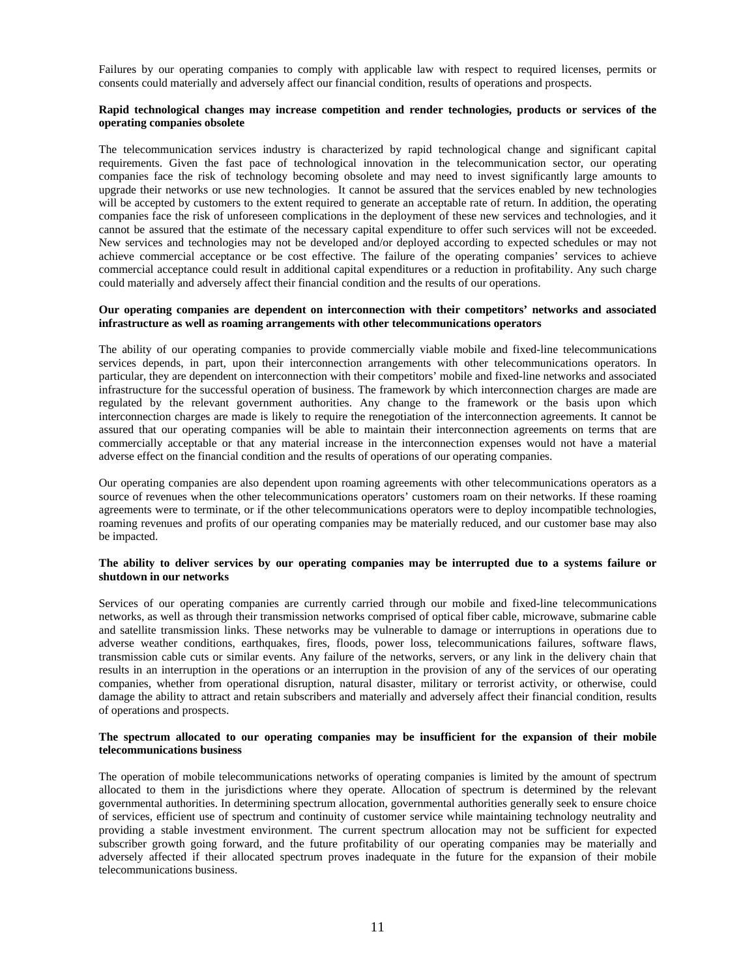Failures by our operating companies to comply with applicable law with respect to required licenses, permits or consents could materially and adversely affect our financial condition, results of operations and prospects.

#### **Rapid technological changes may increase competition and render technologies, products or services of the operating companies obsolete**

The telecommunication services industry is characterized by rapid technological change and significant capital requirements. Given the fast pace of technological innovation in the telecommunication sector, our operating companies face the risk of technology becoming obsolete and may need to invest significantly large amounts to upgrade their networks or use new technologies. It cannot be assured that the services enabled by new technologies will be accepted by customers to the extent required to generate an acceptable rate of return. In addition, the operating companies face the risk of unforeseen complications in the deployment of these new services and technologies, and it cannot be assured that the estimate of the necessary capital expenditure to offer such services will not be exceeded. New services and technologies may not be developed and/or deployed according to expected schedules or may not achieve commercial acceptance or be cost effective. The failure of the operating companies' services to achieve commercial acceptance could result in additional capital expenditures or a reduction in profitability. Any such charge could materially and adversely affect their financial condition and the results of our operations.

## **Our operating companies are dependent on interconnection with their competitors' networks and associated infrastructure as well as roaming arrangements with other telecommunications operators**

The ability of our operating companies to provide commercially viable mobile and fixed-line telecommunications services depends, in part, upon their interconnection arrangements with other telecommunications operators. In particular, they are dependent on interconnection with their competitors' mobile and fixed-line networks and associated infrastructure for the successful operation of business. The framework by which interconnection charges are made are regulated by the relevant government authorities. Any change to the framework or the basis upon which interconnection charges are made is likely to require the renegotiation of the interconnection agreements. It cannot be assured that our operating companies will be able to maintain their interconnection agreements on terms that are commercially acceptable or that any material increase in the interconnection expenses would not have a material adverse effect on the financial condition and the results of operations of our operating companies.

Our operating companies are also dependent upon roaming agreements with other telecommunications operators as a source of revenues when the other telecommunications operators' customers roam on their networks. If these roaming agreements were to terminate, or if the other telecommunications operators were to deploy incompatible technologies, roaming revenues and profits of our operating companies may be materially reduced, and our customer base may also be impacted.

#### **The ability to deliver services by our operating companies may be interrupted due to a systems failure or shutdown in our networks**

Services of our operating companies are currently carried through our mobile and fixed-line telecommunications networks, as well as through their transmission networks comprised of optical fiber cable, microwave, submarine cable and satellite transmission links. These networks may be vulnerable to damage or interruptions in operations due to adverse weather conditions, earthquakes, fires, floods, power loss, telecommunications failures, software flaws, transmission cable cuts or similar events. Any failure of the networks, servers, or any link in the delivery chain that results in an interruption in the operations or an interruption in the provision of any of the services of our operating companies, whether from operational disruption, natural disaster, military or terrorist activity, or otherwise, could damage the ability to attract and retain subscribers and materially and adversely affect their financial condition, results of operations and prospects.

#### **The spectrum allocated to our operating companies may be insufficient for the expansion of their mobile telecommunications business**

The operation of mobile telecommunications networks of operating companies is limited by the amount of spectrum allocated to them in the jurisdictions where they operate. Allocation of spectrum is determined by the relevant governmental authorities. In determining spectrum allocation, governmental authorities generally seek to ensure choice of services, efficient use of spectrum and continuity of customer service while maintaining technology neutrality and providing a stable investment environment. The current spectrum allocation may not be sufficient for expected subscriber growth going forward, and the future profitability of our operating companies may be materially and adversely affected if their allocated spectrum proves inadequate in the future for the expansion of their mobile telecommunications business.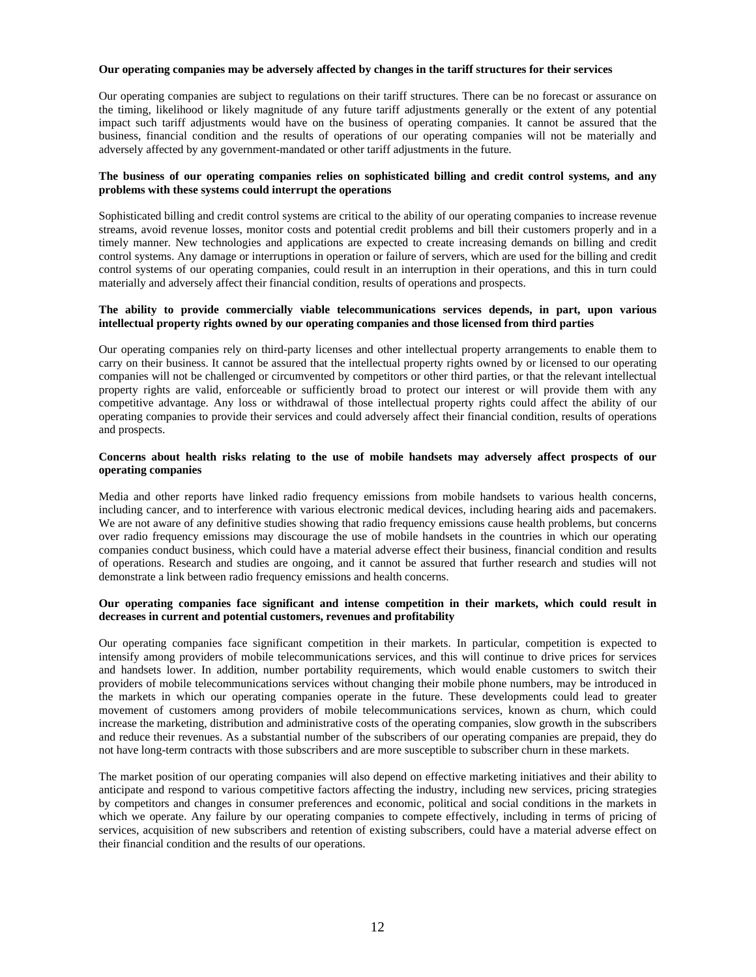#### **Our operating companies may be adversely affected by changes in the tariff structures for their services**

Our operating companies are subject to regulations on their tariff structures. There can be no forecast or assurance on the timing, likelihood or likely magnitude of any future tariff adjustments generally or the extent of any potential impact such tariff adjustments would have on the business of operating companies. It cannot be assured that the business, financial condition and the results of operations of our operating companies will not be materially and adversely affected by any government-mandated or other tariff adjustments in the future.

#### **The business of our operating companies relies on sophisticated billing and credit control systems, and any problems with these systems could interrupt the operations**

Sophisticated billing and credit control systems are critical to the ability of our operating companies to increase revenue streams, avoid revenue losses, monitor costs and potential credit problems and bill their customers properly and in a timely manner. New technologies and applications are expected to create increasing demands on billing and credit control systems. Any damage or interruptions in operation or failure of servers, which are used for the billing and credit control systems of our operating companies, could result in an interruption in their operations, and this in turn could materially and adversely affect their financial condition, results of operations and prospects.

## **The ability to provide commercially viable telecommunications services depends, in part, upon various intellectual property rights owned by our operating companies and those licensed from third parties**

Our operating companies rely on third-party licenses and other intellectual property arrangements to enable them to carry on their business. It cannot be assured that the intellectual property rights owned by or licensed to our operating companies will not be challenged or circumvented by competitors or other third parties, or that the relevant intellectual property rights are valid, enforceable or sufficiently broad to protect our interest or will provide them with any competitive advantage. Any loss or withdrawal of those intellectual property rights could affect the ability of our operating companies to provide their services and could adversely affect their financial condition, results of operations and prospects.

#### **Concerns about health risks relating to the use of mobile handsets may adversely affect prospects of our operating companies**

Media and other reports have linked radio frequency emissions from mobile handsets to various health concerns, including cancer, and to interference with various electronic medical devices, including hearing aids and pacemakers. We are not aware of any definitive studies showing that radio frequency emissions cause health problems, but concerns over radio frequency emissions may discourage the use of mobile handsets in the countries in which our operating companies conduct business, which could have a material adverse effect their business, financial condition and results of operations. Research and studies are ongoing, and it cannot be assured that further research and studies will not demonstrate a link between radio frequency emissions and health concerns.

#### **Our operating companies face significant and intense competition in their markets, which could result in decreases in current and potential customers, revenues and profitability**

Our operating companies face significant competition in their markets. In particular, competition is expected to intensify among providers of mobile telecommunications services, and this will continue to drive prices for services and handsets lower. In addition, number portability requirements, which would enable customers to switch their providers of mobile telecommunications services without changing their mobile phone numbers, may be introduced in the markets in which our operating companies operate in the future. These developments could lead to greater movement of customers among providers of mobile telecommunications services, known as churn, which could increase the marketing, distribution and administrative costs of the operating companies, slow growth in the subscribers and reduce their revenues. As a substantial number of the subscribers of our operating companies are prepaid, they do not have long-term contracts with those subscribers and are more susceptible to subscriber churn in these markets.

The market position of our operating companies will also depend on effective marketing initiatives and their ability to anticipate and respond to various competitive factors affecting the industry, including new services, pricing strategies by competitors and changes in consumer preferences and economic, political and social conditions in the markets in which we operate. Any failure by our operating companies to compete effectively, including in terms of pricing of services, acquisition of new subscribers and retention of existing subscribers, could have a material adverse effect on their financial condition and the results of our operations.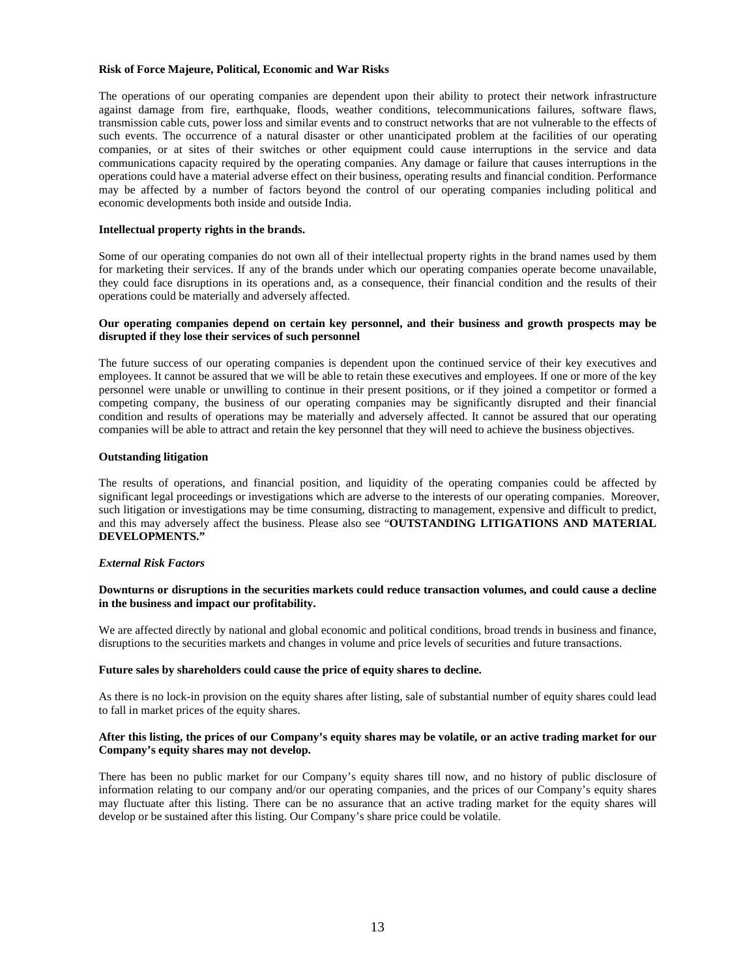#### **Risk of Force Majeure, Political, Economic and War Risks**

The operations of our operating companies are dependent upon their ability to protect their network infrastructure against damage from fire, earthquake, floods, weather conditions, telecommunications failures, software flaws, transmission cable cuts, power loss and similar events and to construct networks that are not vulnerable to the effects of such events. The occurrence of a natural disaster or other unanticipated problem at the facilities of our operating companies, or at sites of their switches or other equipment could cause interruptions in the service and data communications capacity required by the operating companies. Any damage or failure that causes interruptions in the operations could have a material adverse effect on their business, operating results and financial condition. Performance may be affected by a number of factors beyond the control of our operating companies including political and economic developments both inside and outside India.

#### **Intellectual property rights in the brands.**

Some of our operating companies do not own all of their intellectual property rights in the brand names used by them for marketing their services. If any of the brands under which our operating companies operate become unavailable, they could face disruptions in its operations and, as a consequence, their financial condition and the results of their operations could be materially and adversely affected.

#### **Our operating companies depend on certain key personnel, and their business and growth prospects may be disrupted if they lose their services of such personnel**

The future success of our operating companies is dependent upon the continued service of their key executives and employees. It cannot be assured that we will be able to retain these executives and employees. If one or more of the key personnel were unable or unwilling to continue in their present positions, or if they joined a competitor or formed a competing company, the business of our operating companies may be significantly disrupted and their financial condition and results of operations may be materially and adversely affected. It cannot be assured that our operating companies will be able to attract and retain the key personnel that they will need to achieve the business objectives.

#### **Outstanding litigation**

The results of operations, and financial position, and liquidity of the operating companies could be affected by significant legal proceedings or investigations which are adverse to the interests of our operating companies. Moreover, such litigation or investigations may be time consuming, distracting to management, expensive and difficult to predict, and this may adversely affect the business. Please also see "**OUTSTANDING LITIGATIONS AND MATERIAL DEVELOPMENTS."**

## *External Risk Factors*

#### **Downturns or disruptions in the securities markets could reduce transaction volumes, and could cause a decline in the business and impact our profitability.**

We are affected directly by national and global economic and political conditions, broad trends in business and finance, disruptions to the securities markets and changes in volume and price levels of securities and future transactions.

#### **Future sales by shareholders could cause the price of equity shares to decline.**

As there is no lock-in provision on the equity shares after listing, sale of substantial number of equity shares could lead to fall in market prices of the equity shares.

#### **After this listing, the prices of our Company's equity shares may be volatile, or an active trading market for our Company's equity shares may not develop.**

There has been no public market for our Company's equity shares till now, and no history of public disclosure of information relating to our company and/or our operating companies, and the prices of our Company's equity shares may fluctuate after this listing. There can be no assurance that an active trading market for the equity shares will develop or be sustained after this listing. Our Company's share price could be volatile.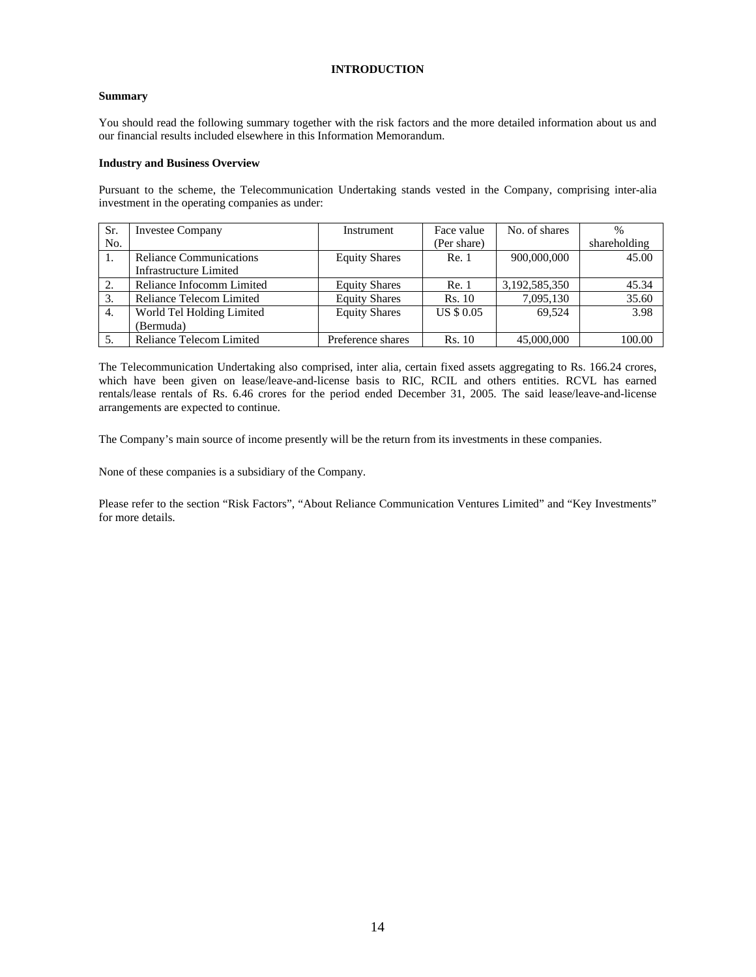## **INTRODUCTION**

## **Summary**

You should read the following summary together with the risk factors and the more detailed information about us and our financial results included elsewhere in this Information Memorandum.

## **Industry and Business Overview**

Pursuant to the scheme, the Telecommunication Undertaking stands vested in the Company, comprising inter-alia investment in the operating companies as under:

| Sr. | <b>Investee Company</b>        | Instrument           | Face value        | No. of shares | $\frac{0}{0}$ |
|-----|--------------------------------|----------------------|-------------------|---------------|---------------|
| No. |                                |                      | (Per share)       |               | shareholding  |
| 1.  | <b>Reliance Communications</b> | <b>Equity Shares</b> | Re. 1             | 900,000,000   | 45.00         |
|     | <b>Infrastructure Limited</b>  |                      |                   |               |               |
| 2.  | Reliance Infocomm Limited      | <b>Equity Shares</b> | Re. 1             | 3,192,585,350 | 45.34         |
| 3.  | Reliance Telecom Limited       | <b>Equity Shares</b> | <b>Rs.</b> 10     | 7,095,130     | 35.60         |
| 4.  | World Tel Holding Limited      | <b>Equity Shares</b> | <b>US \$ 0.05</b> | 69.524        | 3.98          |
|     | (Bermuda)                      |                      |                   |               |               |
| 5.  | Reliance Telecom Limited       | Preference shares    | Rs. 10            | 45,000,000    | 100.00        |

The Telecommunication Undertaking also comprised, inter alia, certain fixed assets aggregating to Rs. 166.24 crores, which have been given on lease/leave-and-license basis to RIC, RCIL and others entities. RCVL has earned rentals/lease rentals of Rs. 6.46 crores for the period ended December 31, 2005. The said lease/leave-and-license arrangements are expected to continue.

The Company's main source of income presently will be the return from its investments in these companies.

None of these companies is a subsidiary of the Company.

Please refer to the section "Risk Factors", "About Reliance Communication Ventures Limited" and "Key Investments" for more details.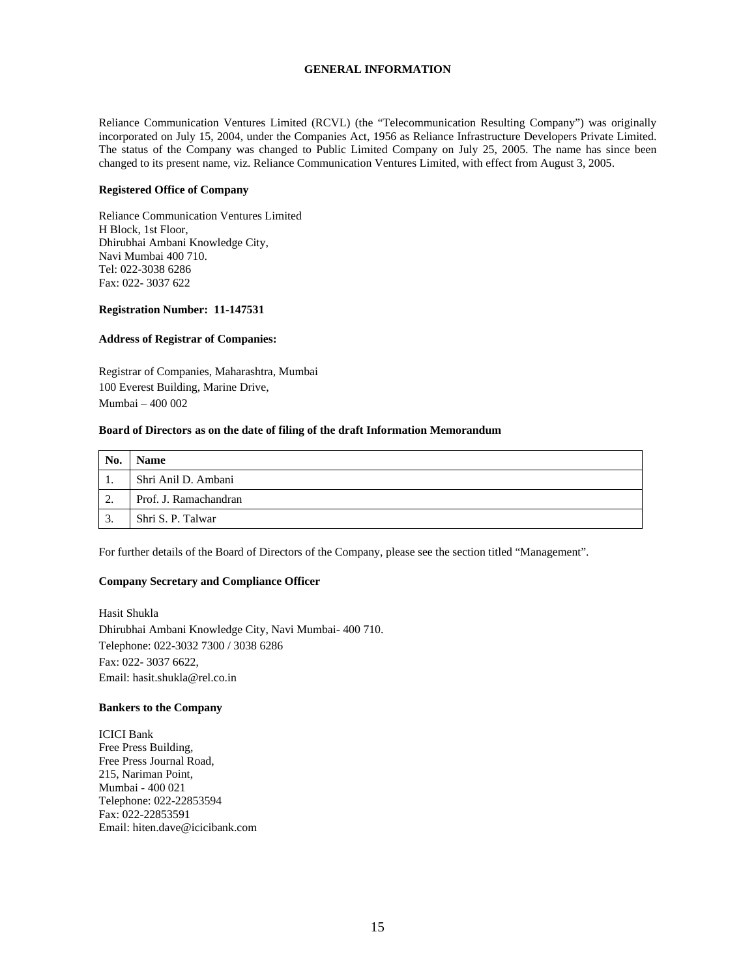## **GENERAL INFORMATION**

Reliance Communication Ventures Limited (RCVL) (the "Telecommunication Resulting Company") was originally incorporated on July 15, 2004, under the Companies Act, 1956 as Reliance Infrastructure Developers Private Limited. The status of the Company was changed to Public Limited Company on July 25, 2005. The name has since been changed to its present name, viz. Reliance Communication Ventures Limited, with effect from August 3, 2005.

## **Registered Office of Company**

Reliance Communication Ventures Limited H Block, 1st Floor, Dhirubhai Ambani Knowledge City, Navi Mumbai 400 710. Tel: 022-3038 6286 Fax: 022- 3037 622

## **Registration Number: 11-147531**

## **Address of Registrar of Companies:**

Registrar of Companies, Maharashtra, Mumbai 100 Everest Building, Marine Drive, Mumbai – 400 002

## **Board of Directors as on the date of filing of the draft Information Memorandum**

| No. | <b>Name</b>           |
|-----|-----------------------|
|     | Shri Anil D. Ambani   |
| ി   | Prof. J. Ramachandran |
|     | Shri S. P. Talwar     |

For further details of the Board of Directors of the Company, please see the section titled "Management".

# **Company Secretary and Compliance Officer**

Hasit Shukla Dhirubhai Ambani Knowledge City, Navi Mumbai- 400 710. Telephone: 022-3032 7300 / 3038 6286 Fax: 022- 3037 6622, Email: hasit.shukla@rel.co.in

## **Bankers to the Company**

ICICI Bank Free Press Building, Free Press Journal Road, 215, Nariman Point, Mumbai - 400 021 Telephone: 022-22853594 Fax: 022-22853591 Email: hiten.dave@icicibank.com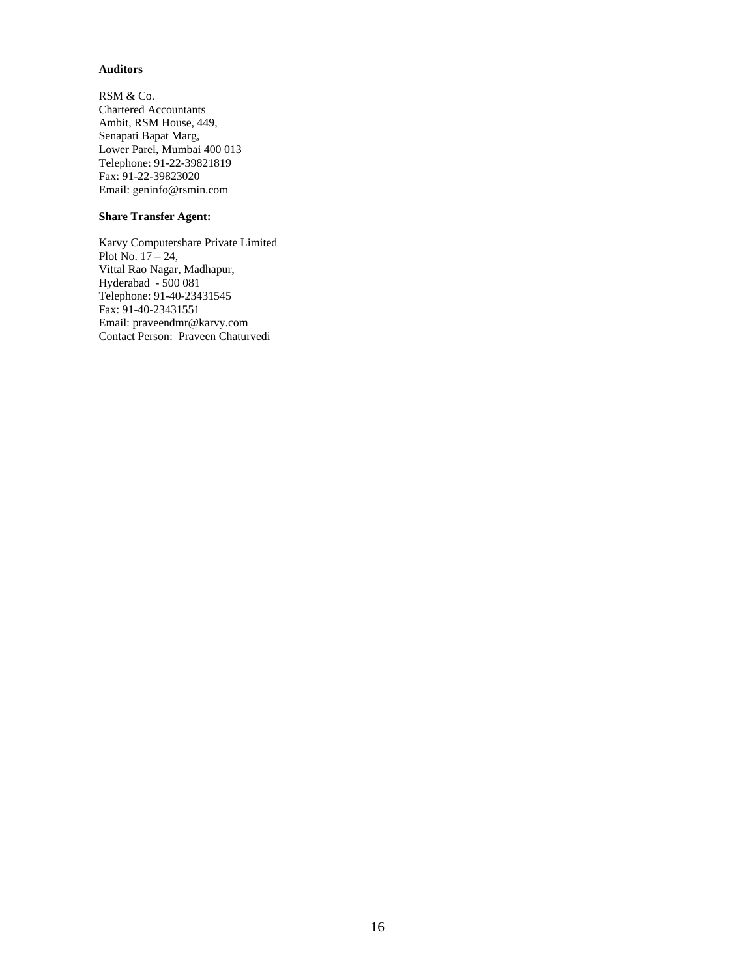## **Auditors**

RSM & Co. Chartered Accountants Ambit, RSM House, 449, Senapati Bapat Marg, Lower Parel, Mumbai 400 013 Telephone: 91-22-39821819 Fax: 91-22-39823020 Email: geninfo@rsmin.com

## **Share Transfer Agent:**

Karvy Computershare Private Limited Plot No. 17 – 24, Vittal Rao Nagar, Madhapur, Hyderabad - 500 081 Telephone: 91-40-23431545 Fax: 91-40-23431551 Email: praveendmr@karvy.com Contact Person: Praveen Chaturvedi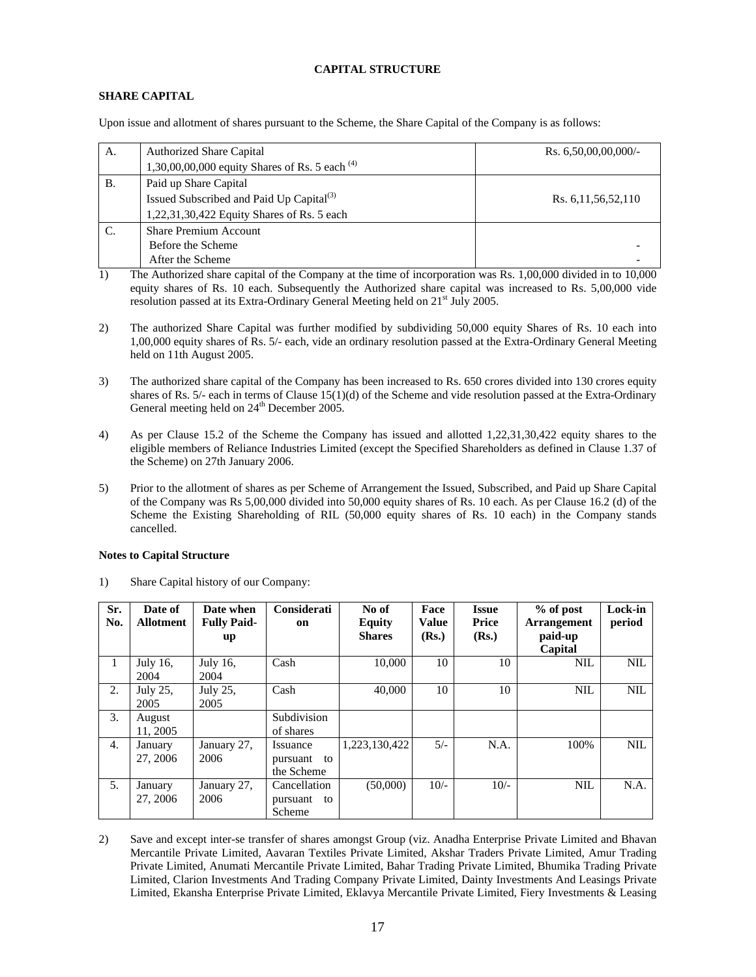## **CAPITAL STRUCTURE**

# **SHARE CAPITAL**

Upon issue and allotment of shares pursuant to the Scheme, the Share Capital of the Company is as follows:

| А.           | <b>Authorized Share Capital</b>                      | Rs. $6,50,00,00,000/$ - |
|--------------|------------------------------------------------------|-------------------------|
|              | 1,30,00,00,000 equity Shares of Rs. 5 each $^{(4)}$  |                         |
| Β.           | Paid up Share Capital                                |                         |
|              | Issued Subscribed and Paid Up Capital <sup>(3)</sup> | Rs. 6, 11, 56, 52, 110  |
|              | 1,22,31,30,422 Equity Shares of Rs. 5 each           |                         |
| $\mathbf{C}$ | <b>Share Premium Account</b>                         |                         |
|              | Before the Scheme                                    |                         |
|              | After the Scheme                                     |                         |

1) The Authorized share capital of the Company at the time of incorporation was Rs. 1,00,000 divided in to 10,000 equity shares of Rs. 10 each. Subsequently the Authorized share capital was increased to Rs. 5,00,000 vide resolution passed at its Extra-Ordinary General Meeting held on 21<sup>st</sup> July 2005.

- 2) The authorized Share Capital was further modified by subdividing 50,000 equity Shares of Rs. 10 each into 1,00,000 equity shares of Rs. 5/- each, vide an ordinary resolution passed at the Extra-Ordinary General Meeting held on 11th August 2005.
- 3) The authorized share capital of the Company has been increased to Rs. 650 crores divided into 130 crores equity shares of Rs. 5/- each in terms of Clause 15(1)(d) of the Scheme and vide resolution passed at the Extra-Ordinary General meeting held on 24<sup>th</sup> December 2005.
- 4) As per Clause 15.2 of the Scheme the Company has issued and allotted 1,22,31,30,422 equity shares to the eligible members of Reliance Industries Limited (except the Specified Shareholders as defined in Clause 1.37 of the Scheme) on 27th January 2006.
- 5) Prior to the allotment of shares as per Scheme of Arrangement the Issued, Subscribed, and Paid up Share Capital of the Company was Rs 5,00,000 divided into 50,000 equity shares of Rs. 10 each. As per Clause 16.2 (d) of the Scheme the Existing Shareholding of RIL (50,000 equity shares of Rs. 10 each) in the Company stands cancelled.

## **Notes to Capital Structure**

1) Share Capital history of our Company:

| Sr.<br>No.       | Date of<br><b>Allotment</b> | Date when<br><b>Fully Paid-</b> | <b>Considerati</b><br>on                 | No of<br><b>Equity</b> | Face<br><b>Value</b> | <b>Issue</b><br>Price | % of post<br><b>Arrangement</b> | Lock-in<br>period |
|------------------|-----------------------------|---------------------------------|------------------------------------------|------------------------|----------------------|-----------------------|---------------------------------|-------------------|
|                  |                             | up                              |                                          | <b>Shares</b>          | (Rs.)                | (Rs.)                 | paid-up<br>Capital              |                   |
| 1                | July 16,<br>2004            | July 16.<br>2004                | Cash                                     | 10,000                 | 10                   | 10                    | <b>NIL</b>                      | <b>NIL</b>        |
| $\overline{2}$ . | July $25$ .<br>2005         | July $25$ .<br>2005             | Cash                                     | 40,000                 | 10                   | 10                    | <b>NIL</b>                      | <b>NIL</b>        |
| 3.               | August<br>11, 2005          |                                 | Subdivision<br>of shares                 |                        |                      |                       |                                 |                   |
| 4.               | January<br>27, 2006         | January 27,<br>2006             | Issuance<br>pursuant to<br>the Scheme    | 1,223,130,422          | $5/-$                | N.A.                  | 100%                            | <b>NIL</b>        |
| 5.               | January<br>27, 2006         | January 27,<br>2006             | Cancellation<br>pursuant<br>to<br>Scheme | (50,000)               | $10/-$               | $10/-$                | <b>NIL</b>                      | N.A.              |

2) Save and except inter-se transfer of shares amongst Group (viz. Anadha Enterprise Private Limited and Bhavan Mercantile Private Limited, Aavaran Textiles Private Limited, Akshar Traders Private Limited, Amur Trading Private Limited, Anumati Mercantile Private Limited, Bahar Trading Private Limited, Bhumika Trading Private Limited, Clarion Investments And Trading Company Private Limited, Dainty Investments And Leasings Private Limited, Ekansha Enterprise Private Limited, Eklavya Mercantile Private Limited, Fiery Investments & Leasing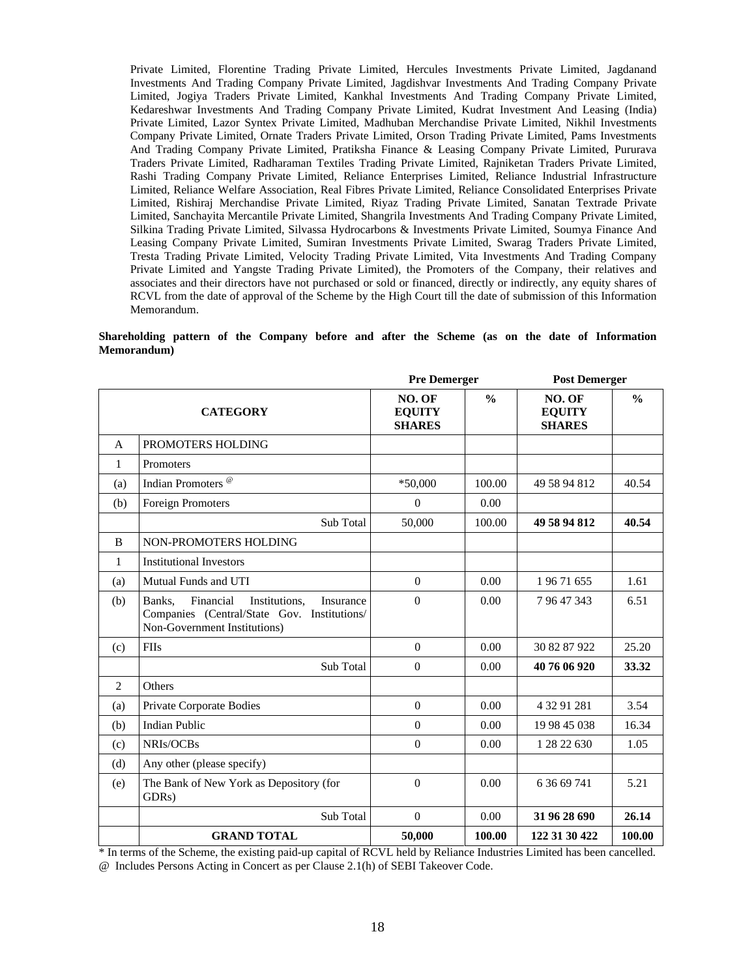Private Limited, Florentine Trading Private Limited, Hercules Investments Private Limited, Jagdanand Investments And Trading Company Private Limited, Jagdishvar Investments And Trading Company Private Limited, Jogiya Traders Private Limited, Kankhal Investments And Trading Company Private Limited, Kedareshwar Investments And Trading Company Private Limited, Kudrat Investment And Leasing (India) Private Limited, Lazor Syntex Private Limited, Madhuban Merchandise Private Limited, Nikhil Investments Company Private Limited, Ornate Traders Private Limited, Orson Trading Private Limited, Pams Investments And Trading Company Private Limited, Pratiksha Finance & Leasing Company Private Limited, Pururava Traders Private Limited, Radharaman Textiles Trading Private Limited, Rajniketan Traders Private Limited, Rashi Trading Company Private Limited, Reliance Enterprises Limited, Reliance Industrial Infrastructure Limited, Reliance Welfare Association, Real Fibres Private Limited, Reliance Consolidated Enterprises Private Limited, Rishiraj Merchandise Private Limited, Riyaz Trading Private Limited, Sanatan Textrade Private Limited, Sanchayita Mercantile Private Limited, Shangrila Investments And Trading Company Private Limited, Silkina Trading Private Limited, Silvassa Hydrocarbons & Investments Private Limited, Soumya Finance And Leasing Company Private Limited, Sumiran Investments Private Limited, Swarag Traders Private Limited, Tresta Trading Private Limited, Velocity Trading Private Limited, Vita Investments And Trading Company Private Limited and Yangste Trading Private Limited), the Promoters of the Company, their relatives and associates and their directors have not purchased or sold or financed, directly or indirectly, any equity shares of RCVL from the date of approval of the Scheme by the High Court till the date of submission of this Information Memorandum.

#### **Shareholding pattern of the Company before and after the Scheme (as on the date of Information Memorandum)**

|     |                                                                                                                                  | <b>Pre Demerger</b>                      |               | <b>Post Demerger</b>                     |               |
|-----|----------------------------------------------------------------------------------------------------------------------------------|------------------------------------------|---------------|------------------------------------------|---------------|
|     | <b>CATEGORY</b>                                                                                                                  | NO. OF<br><b>EQUITY</b><br><b>SHARES</b> | $\frac{0}{0}$ | NO. OF<br><b>EQUITY</b><br><b>SHARES</b> | $\frac{0}{0}$ |
| A   | PROMOTERS HOLDING                                                                                                                |                                          |               |                                          |               |
| 1   | Promoters                                                                                                                        |                                          |               |                                          |               |
| (a) | Indian Promoters <sup>@</sup>                                                                                                    | $*50,000$                                | 100.00        | 49 58 94 812                             | 40.54         |
| (b) | <b>Foreign Promoters</b>                                                                                                         | $\mathbf{0}$                             | 0.00          |                                          |               |
|     | Sub Total                                                                                                                        | 50,000                                   | 100.00        | 49 58 94 812                             | 40.54         |
| B   | <b>NON-PROMOTERS HOLDING</b>                                                                                                     |                                          |               |                                          |               |
| 1   | <b>Institutional Investors</b>                                                                                                   |                                          |               |                                          |               |
| (a) | Mutual Funds and UTI                                                                                                             | $\mathbf{0}$                             | 0.00          | 19671655                                 | 1.61          |
| (b) | Financial<br>Institutions.<br>Banks.<br>Insurance<br>Companies (Central/State Gov. Institutions/<br>Non-Government Institutions) | $\boldsymbol{0}$                         | 0.00          | 79647343                                 | 6.51          |
| (c) | <b>FIIs</b>                                                                                                                      | $\Omega$                                 | 0.00          | 30 82 87 922                             | 25.20         |
|     | Sub Total                                                                                                                        | $\theta$                                 | 0.00          | 40 76 06 920                             | 33.32         |
| 2   | Others                                                                                                                           |                                          |               |                                          |               |
| (a) | Private Corporate Bodies                                                                                                         | $\boldsymbol{0}$                         | 0.00          | 4 32 91 281                              | 3.54          |
| (b) | <b>Indian Public</b>                                                                                                             | $\boldsymbol{0}$                         | 0.00          | 19 98 45 038                             | 16.34         |
| (c) | NRIs/OCBs                                                                                                                        | $\theta$                                 | 0.00          | 1 28 22 630                              | 1.05          |
| (d) | Any other (please specify)                                                                                                       |                                          |               |                                          |               |
| (e) | The Bank of New York as Depository (for<br>GDRs)                                                                                 | $\theta$                                 | 0.00          | 6 36 69 741                              | 5.21          |
|     | Sub Total                                                                                                                        | $\boldsymbol{0}$                         | 0.00          | 31 96 28 690                             | 26.14         |
|     | <b>GRAND TOTAL</b>                                                                                                               | 50,000                                   | 100.00        | 122 31 30 422                            | 100.00        |

\* In terms of the Scheme, the existing paid-up capital of RCVL held by Reliance Industries Limited has been cancelled. @ Includes Persons Acting in Concert as per Clause 2.1(h) of SEBI Takeover Code.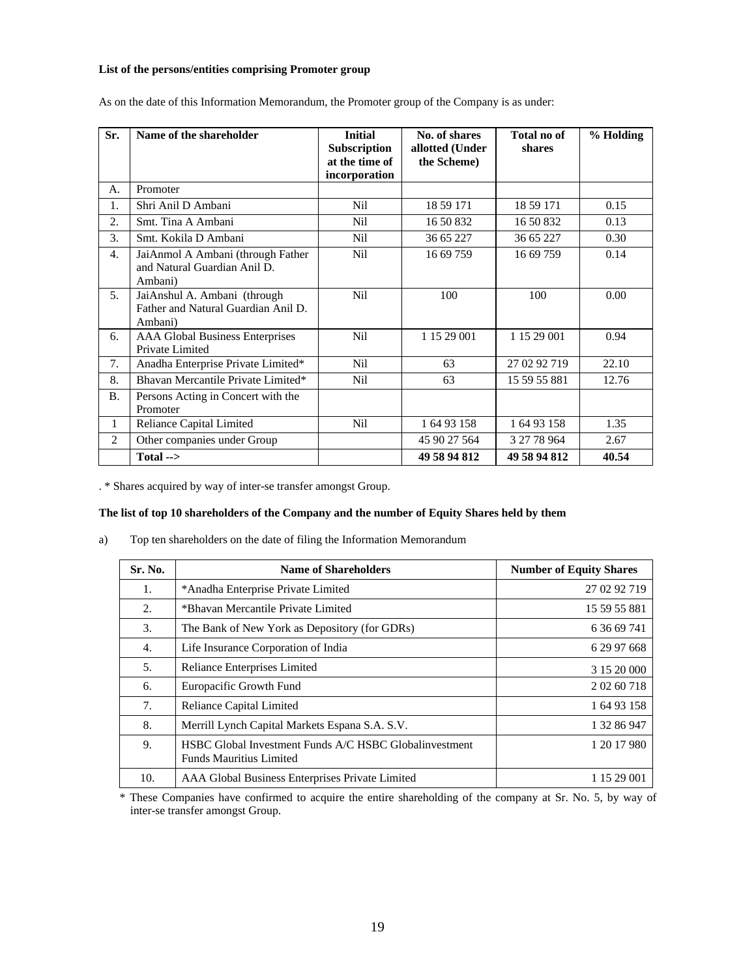## **List of the persons/entities comprising Promoter group**

| Sr.            | Name of the shareholder                                                        | <b>Initial</b><br><b>Subscription</b><br>at the time of<br>incorporation | No. of shares<br>allotted (Under<br>the Scheme) | Total no of<br>shares | % Holding |
|----------------|--------------------------------------------------------------------------------|--------------------------------------------------------------------------|-------------------------------------------------|-----------------------|-----------|
| А.             | Promoter                                                                       |                                                                          |                                                 |                       |           |
| 1.             | Shri Anil D Ambani                                                             | N <sub>i</sub> l                                                         | 18 59 171                                       | 18 59 171             | 0.15      |
| 2.5            | Smt. Tina A Ambani                                                             | Nil                                                                      | 16 50 832                                       | 16 50 832             | 0.13      |
| 3.             | Smt. Kokila D Ambani                                                           | Nil                                                                      | 36 65 227                                       | 36 65 227             | 0.30      |
| 4.             | JaiAnmol A Ambani (through Father<br>and Natural Guardian Anil D.<br>Ambani)   | <b>Nil</b>                                                               | 16 69 759                                       | 16 69 759             | 0.14      |
| 5.             | JaiAnshul A. Ambani (through<br>Father and Natural Guardian Anil D.<br>Ambani) | N <sub>i</sub> l                                                         | 100                                             | 100                   | 0.00      |
| 6.             | <b>AAA Global Business Enterprises</b><br>Private Limited                      | Nil                                                                      | 1 15 29 001                                     | 1 15 29 001           | 0.94      |
| 7.             | Anadha Enterprise Private Limited*                                             | <b>Nil</b>                                                               | 63                                              | 27 02 92 719          | 22.10     |
| 8.             | Bhavan Mercantile Private Limited*                                             | Nil                                                                      | 63                                              | 15 59 55 881          | 12.76     |
| <b>B.</b>      | Persons Acting in Concert with the<br>Promoter                                 |                                                                          |                                                 |                       |           |
| 1              | Reliance Capital Limited                                                       | Nil                                                                      | 1 64 93 158                                     | 1 64 93 158           | 1.35      |
| $\overline{2}$ | Other companies under Group                                                    |                                                                          | 45 90 27 564                                    | 3 27 78 964           | 2.67      |
|                | Total $\rightarrow$                                                            |                                                                          | 49 58 94 812                                    | 49 58 94 812          | 40.54     |

As on the date of this Information Memorandum, the Promoter group of the Company is as under:

. \* Shares acquired by way of inter-se transfer amongst Group.

## **The list of top 10 shareholders of the Company and the number of Equity Shares held by them**

a) Top ten shareholders on the date of filing the Information Memorandum

| Sr. No. | <b>Name of Shareholders</b>                                                              | <b>Number of Equity Shares</b> |
|---------|------------------------------------------------------------------------------------------|--------------------------------|
| 1.      | *Anadha Enterprise Private Limited                                                       | 27 02 92 719                   |
| 2.      | *Bhavan Mercantile Private Limited                                                       | 15 59 55 881                   |
| 3.      | The Bank of New York as Depository (for GDRs)                                            | 6 36 69 741                    |
| 4.      | Life Insurance Corporation of India                                                      | 6 29 97 668                    |
| 5.      | Reliance Enterprises Limited                                                             | 3 15 20 000                    |
| 6.      | Europacific Growth Fund                                                                  | 2 02 60 718                    |
| 7.      | Reliance Capital Limited                                                                 | 1 64 93 158                    |
| 8.      | Merrill Lynch Capital Markets Espana S.A. S.V.                                           | 1 32 86 947                    |
| 9.      | HSBC Global Investment Funds A/C HSBC Globalinvestment<br><b>Funds Mauritius Limited</b> | 1 20 17 980                    |
| 10.     | AAA Global Business Enterprises Private Limited                                          | 1 15 29 001                    |

\* These Companies have confirmed to acquire the entire shareholding of the company at Sr. No. 5, by way of inter-se transfer amongst Group.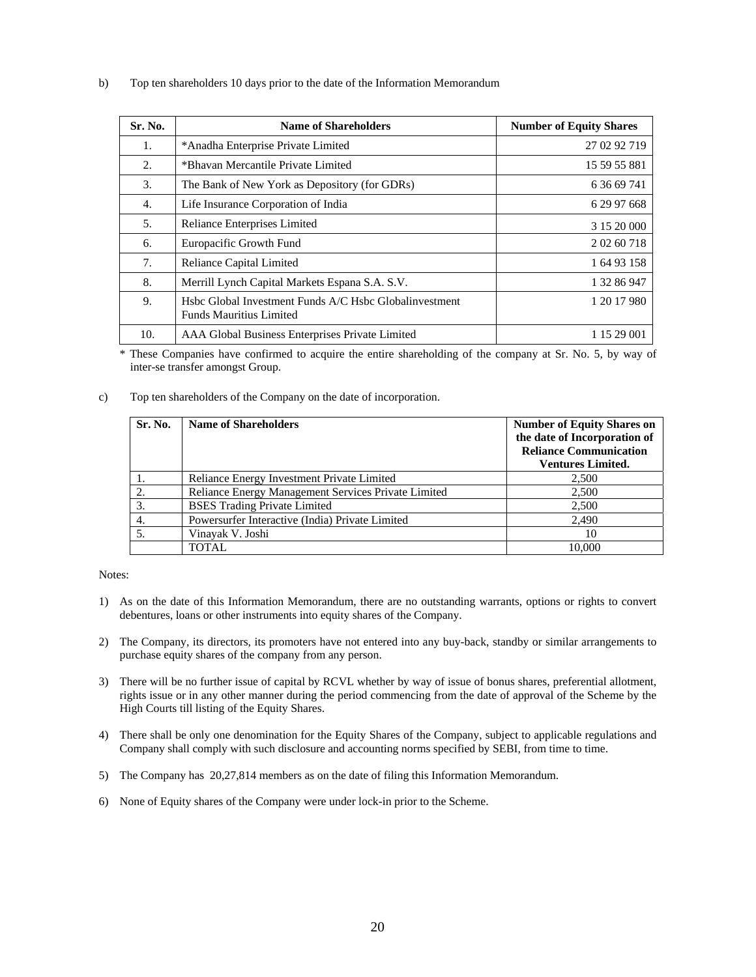b) Top ten shareholders 10 days prior to the date of the Information Memorandum

| Sr. No. | <b>Name of Shareholders</b>                                                              | <b>Number of Equity Shares</b> |
|---------|------------------------------------------------------------------------------------------|--------------------------------|
| 1.      | *Anadha Enterprise Private Limited                                                       | 27 02 92 719                   |
| 2.      | *Bhavan Mercantile Private Limited                                                       | 15 59 55 881                   |
| 3.      | The Bank of New York as Depository (for GDRs)                                            | 6 36 69 741                    |
| 4.      | Life Insurance Corporation of India                                                      | 6 29 97 668                    |
| .5.     | Reliance Enterprises Limited                                                             | 3 15 20 000                    |
| 6.      | Europacific Growth Fund                                                                  | 2 02 60 718                    |
| 7.      | Reliance Capital Limited                                                                 | 1 64 93 158                    |
| 8.      | Merrill Lynch Capital Markets Espana S.A. S.V.                                           | 1 32 86 947                    |
| 9.      | Hsbc Global Investment Funds A/C Hsbc Globalinvestment<br><b>Funds Mauritius Limited</b> | 1 20 17 980                    |
| 10.     | AAA Global Business Enterprises Private Limited                                          | 1 15 29 001                    |

\* These Companies have confirmed to acquire the entire shareholding of the company at Sr. No. 5, by way of inter-se transfer amongst Group.

c) Top ten shareholders of the Company on the date of incorporation.

| Sr. No. | <b>Name of Shareholders</b>                         | <b>Number of Equity Shares on</b><br>the date of Incorporation of<br><b>Reliance Communication</b><br><b>Ventures Limited.</b> |
|---------|-----------------------------------------------------|--------------------------------------------------------------------------------------------------------------------------------|
|         | Reliance Energy Investment Private Limited          | 2,500                                                                                                                          |
|         | Reliance Energy Management Services Private Limited | 2,500                                                                                                                          |
| 3.      | <b>BSES</b> Trading Private Limited                 | 2,500                                                                                                                          |
| 4.      | Powersurfer Interactive (India) Private Limited     | 2,490                                                                                                                          |
|         | Vinayak V. Joshi                                    | 10                                                                                                                             |
|         | <b>TOTAL</b>                                        | 10.000                                                                                                                         |

Notes:

- 1) As on the date of this Information Memorandum, there are no outstanding warrants, options or rights to convert debentures, loans or other instruments into equity shares of the Company.
- 2) The Company, its directors, its promoters have not entered into any buy-back, standby or similar arrangements to purchase equity shares of the company from any person.
- 3) There will be no further issue of capital by RCVL whether by way of issue of bonus shares, preferential allotment, rights issue or in any other manner during the period commencing from the date of approval of the Scheme by the High Courts till listing of the Equity Shares.
- 4) There shall be only one denomination for the Equity Shares of the Company, subject to applicable regulations and Company shall comply with such disclosure and accounting norms specified by SEBI, from time to time.
- 5) The Company has 20,27,814 members as on the date of filing this Information Memorandum.
- 6) None of Equity shares of the Company were under lock-in prior to the Scheme.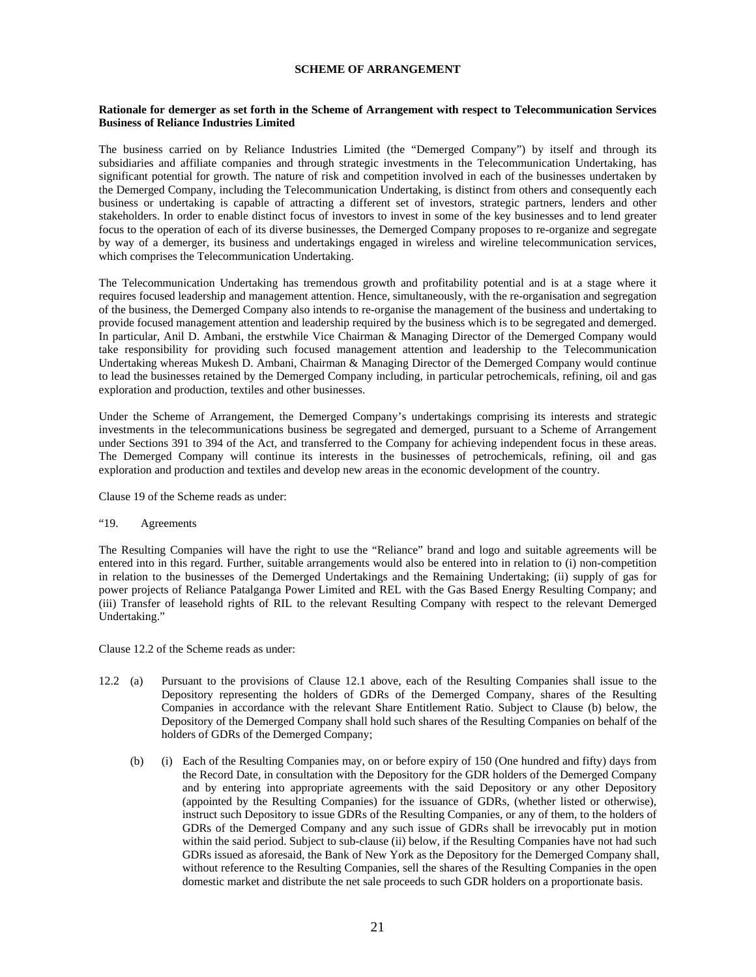## **SCHEME OF ARRANGEMENT**

#### **Rationale for demerger as set forth in the Scheme of Arrangement with respect to Telecommunication Services Business of Reliance Industries Limited**

The business carried on by Reliance Industries Limited (the "Demerged Company") by itself and through its subsidiaries and affiliate companies and through strategic investments in the Telecommunication Undertaking, has significant potential for growth. The nature of risk and competition involved in each of the businesses undertaken by the Demerged Company, including the Telecommunication Undertaking, is distinct from others and consequently each business or undertaking is capable of attracting a different set of investors, strategic partners, lenders and other stakeholders. In order to enable distinct focus of investors to invest in some of the key businesses and to lend greater focus to the operation of each of its diverse businesses, the Demerged Company proposes to re-organize and segregate by way of a demerger, its business and undertakings engaged in wireless and wireline telecommunication services, which comprises the Telecommunication Undertaking.

The Telecommunication Undertaking has tremendous growth and profitability potential and is at a stage where it requires focused leadership and management attention. Hence, simultaneously, with the re-organisation and segregation of the business, the Demerged Company also intends to re-organise the management of the business and undertaking to provide focused management attention and leadership required by the business which is to be segregated and demerged. In particular, Anil D. Ambani, the erstwhile Vice Chairman & Managing Director of the Demerged Company would take responsibility for providing such focused management attention and leadership to the Telecommunication Undertaking whereas Mukesh D. Ambani, Chairman & Managing Director of the Demerged Company would continue to lead the businesses retained by the Demerged Company including, in particular petrochemicals, refining, oil and gas exploration and production, textiles and other businesses.

Under the Scheme of Arrangement, the Demerged Company's undertakings comprising its interests and strategic investments in the telecommunications business be segregated and demerged, pursuant to a Scheme of Arrangement under Sections 391 to 394 of the Act, and transferred to the Company for achieving independent focus in these areas. The Demerged Company will continue its interests in the businesses of petrochemicals, refining, oil and gas exploration and production and textiles and develop new areas in the economic development of the country.

Clause 19 of the Scheme reads as under:

## "19. Agreements

The Resulting Companies will have the right to use the "Reliance" brand and logo and suitable agreements will be entered into in this regard. Further, suitable arrangements would also be entered into in relation to (i) non-competition in relation to the businesses of the Demerged Undertakings and the Remaining Undertaking; (ii) supply of gas for power projects of Reliance Patalganga Power Limited and REL with the Gas Based Energy Resulting Company; and (iii) Transfer of leasehold rights of RIL to the relevant Resulting Company with respect to the relevant Demerged Undertaking."

Clause 12.2 of the Scheme reads as under:

- 12.2 (a) Pursuant to the provisions of Clause 12.1 above, each of the Resulting Companies shall issue to the Depository representing the holders of GDRs of the Demerged Company, shares of the Resulting Companies in accordance with the relevant Share Entitlement Ratio. Subject to Clause (b) below, the Depository of the Demerged Company shall hold such shares of the Resulting Companies on behalf of the holders of GDRs of the Demerged Company;
	- (b) (i) Each of the Resulting Companies may, on or before expiry of 150 (One hundred and fifty) days from the Record Date, in consultation with the Depository for the GDR holders of the Demerged Company and by entering into appropriate agreements with the said Depository or any other Depository (appointed by the Resulting Companies) for the issuance of GDRs, (whether listed or otherwise), instruct such Depository to issue GDRs of the Resulting Companies, or any of them, to the holders of GDRs of the Demerged Company and any such issue of GDRs shall be irrevocably put in motion within the said period. Subject to sub-clause (ii) below, if the Resulting Companies have not had such GDRs issued as aforesaid, the Bank of New York as the Depository for the Demerged Company shall, without reference to the Resulting Companies, sell the shares of the Resulting Companies in the open domestic market and distribute the net sale proceeds to such GDR holders on a proportionate basis.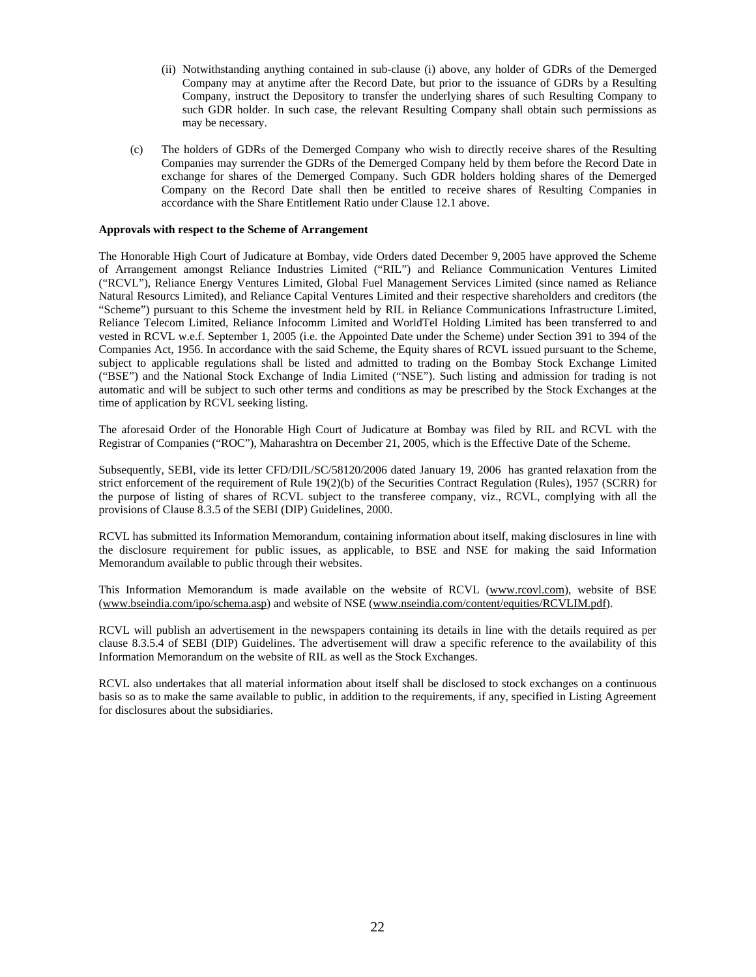- (ii) Notwithstanding anything contained in sub-clause (i) above, any holder of GDRs of the Demerged Company may at anytime after the Record Date, but prior to the issuance of GDRs by a Resulting Company, instruct the Depository to transfer the underlying shares of such Resulting Company to such GDR holder. In such case, the relevant Resulting Company shall obtain such permissions as may be necessary.
- (c) The holders of GDRs of the Demerged Company who wish to directly receive shares of the Resulting Companies may surrender the GDRs of the Demerged Company held by them before the Record Date in exchange for shares of the Demerged Company. Such GDR holders holding shares of the Demerged Company on the Record Date shall then be entitled to receive shares of Resulting Companies in accordance with the Share Entitlement Ratio under Clause 12.1 above.

#### **Approvals with respect to the Scheme of Arrangement**

The Honorable High Court of Judicature at Bombay, vide Orders dated December 9, 2005 have approved the Scheme of Arrangement amongst Reliance Industries Limited ("RIL") and Reliance Communication Ventures Limited ("RCVL"), Reliance Energy Ventures Limited, Global Fuel Management Services Limited (since named as Reliance Natural Resourcs Limited), and Reliance Capital Ventures Limited and their respective shareholders and creditors (the "Scheme") pursuant to this Scheme the investment held by RIL in Reliance Communications Infrastructure Limited, Reliance Telecom Limited, Reliance Infocomm Limited and WorldTel Holding Limited has been transferred to and vested in RCVL w.e.f. September 1, 2005 (i.e. the Appointed Date under the Scheme) under Section 391 to 394 of the Companies Act, 1956. In accordance with the said Scheme, the Equity shares of RCVL issued pursuant to the Scheme, subject to applicable regulations shall be listed and admitted to trading on the Bombay Stock Exchange Limited ("BSE") and the National Stock Exchange of India Limited ("NSE"). Such listing and admission for trading is not automatic and will be subject to such other terms and conditions as may be prescribed by the Stock Exchanges at the time of application by RCVL seeking listing.

The aforesaid Order of the Honorable High Court of Judicature at Bombay was filed by RIL and RCVL with the Registrar of Companies ("ROC"), Maharashtra on December 21, 2005, which is the Effective Date of the Scheme.

Subsequently, SEBI, vide its letter CFD/DIL/SC/58120/2006 dated January 19, 2006 has granted relaxation from the strict enforcement of the requirement of Rule 19(2)(b) of the Securities Contract Regulation (Rules), 1957 (SCRR) for the purpose of listing of shares of RCVL subject to the transferee company, viz., RCVL, complying with all the provisions of Clause 8.3.5 of the SEBI (DIP) Guidelines, 2000.

RCVL has submitted its Information Memorandum, containing information about itself, making disclosures in line with the disclosure requirement for public issues, as applicable, to BSE and NSE for making the said Information Memorandum available to public through their websites.

This Information Memorandum is made available on the website of RCVL (www.rcovl.com), website of BSE (www.bseindia.com/ipo/schema.asp) and website of NSE (www.nseindia.com/content/equities/RCVLIM.pdf).

RCVL will publish an advertisement in the newspapers containing its details in line with the details required as per clause 8.3.5.4 of SEBI (DIP) Guidelines. The advertisement will draw a specific reference to the availability of this Information Memorandum on the website of RIL as well as the Stock Exchanges.

RCVL also undertakes that all material information about itself shall be disclosed to stock exchanges on a continuous basis so as to make the same available to public, in addition to the requirements, if any, specified in Listing Agreement for disclosures about the subsidiaries.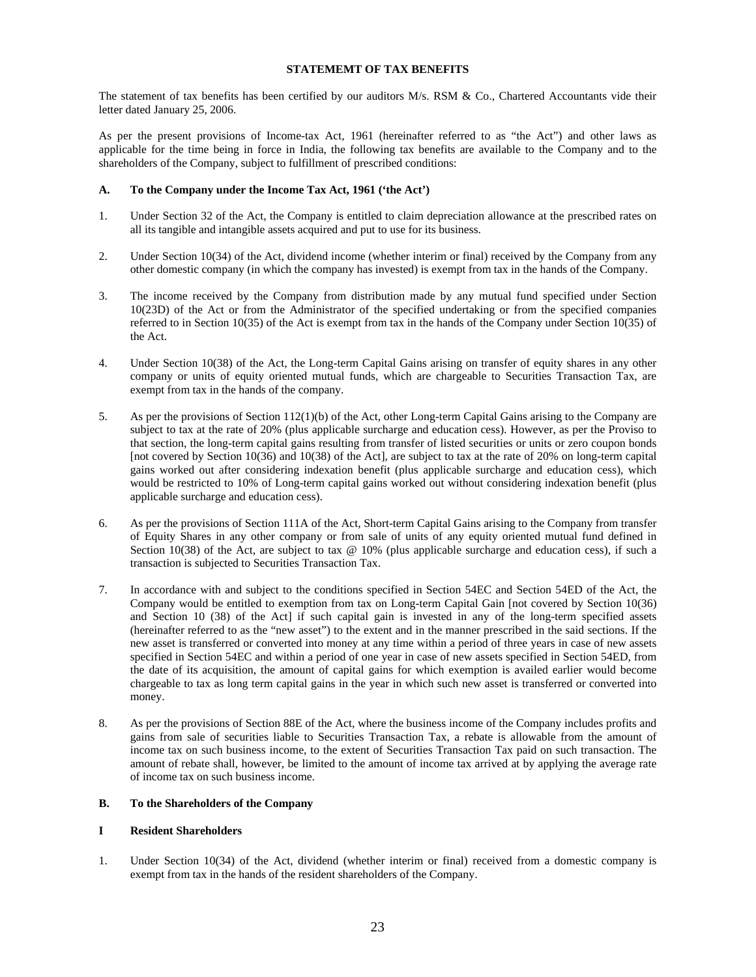## **STATEMEMT OF TAX BENEFITS**

The statement of tax benefits has been certified by our auditors M/s. RSM & Co., Chartered Accountants vide their letter dated January 25, 2006.

As per the present provisions of Income-tax Act, 1961 (hereinafter referred to as "the Act") and other laws as applicable for the time being in force in India, the following tax benefits are available to the Company and to the shareholders of the Company, subject to fulfillment of prescribed conditions:

# **A. To the Company under the Income Tax Act, 1961 ('the Act')**

- 1. Under Section 32 of the Act, the Company is entitled to claim depreciation allowance at the prescribed rates on all its tangible and intangible assets acquired and put to use for its business.
- 2. Under Section 10(34) of the Act, dividend income (whether interim or final) received by the Company from any other domestic company (in which the company has invested) is exempt from tax in the hands of the Company.
- 3. The income received by the Company from distribution made by any mutual fund specified under Section 10(23D) of the Act or from the Administrator of the specified undertaking or from the specified companies referred to in Section 10(35) of the Act is exempt from tax in the hands of the Company under Section 10(35) of the Act.
- 4. Under Section 10(38) of the Act, the Long-term Capital Gains arising on transfer of equity shares in any other company or units of equity oriented mutual funds, which are chargeable to Securities Transaction Tax, are exempt from tax in the hands of the company.
- 5. As per the provisions of Section 112(1)(b) of the Act, other Long-term Capital Gains arising to the Company are subject to tax at the rate of 20% (plus applicable surcharge and education cess). However, as per the Proviso to that section, the long-term capital gains resulting from transfer of listed securities or units or zero coupon bonds [not covered by Section 10(36) and 10(38) of the Act], are subject to tax at the rate of 20% on long-term capital gains worked out after considering indexation benefit (plus applicable surcharge and education cess), which would be restricted to 10% of Long-term capital gains worked out without considering indexation benefit (plus applicable surcharge and education cess).
- 6. As per the provisions of Section 111A of the Act, Short-term Capital Gains arising to the Company from transfer of Equity Shares in any other company or from sale of units of any equity oriented mutual fund defined in Section 10(38) of the Act, are subject to tax @ 10% (plus applicable surcharge and education cess), if such a transaction is subjected to Securities Transaction Tax.
- 7. In accordance with and subject to the conditions specified in Section 54EC and Section 54ED of the Act, the Company would be entitled to exemption from tax on Long-term Capital Gain [not covered by Section 10(36) and Section 10 (38) of the Act] if such capital gain is invested in any of the long-term specified assets (hereinafter referred to as the "new asset") to the extent and in the manner prescribed in the said sections. If the new asset is transferred or converted into money at any time within a period of three years in case of new assets specified in Section 54EC and within a period of one year in case of new assets specified in Section 54ED, from the date of its acquisition, the amount of capital gains for which exemption is availed earlier would become chargeable to tax as long term capital gains in the year in which such new asset is transferred or converted into money.
- 8. As per the provisions of Section 88E of the Act, where the business income of the Company includes profits and gains from sale of securities liable to Securities Transaction Tax, a rebate is allowable from the amount of income tax on such business income, to the extent of Securities Transaction Tax paid on such transaction. The amount of rebate shall, however, be limited to the amount of income tax arrived at by applying the average rate of income tax on such business income.

## **B. To the Shareholders of the Company**

## **I Resident Shareholders**

1. Under Section 10(34) of the Act, dividend (whether interim or final) received from a domestic company is exempt from tax in the hands of the resident shareholders of the Company.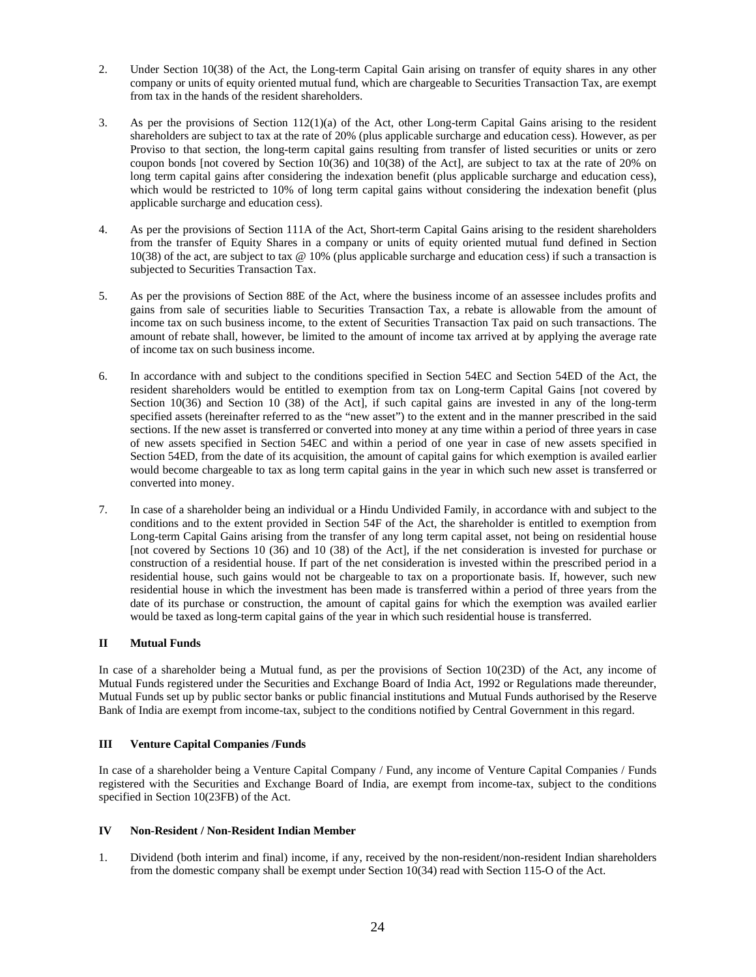- 2. Under Section 10(38) of the Act, the Long-term Capital Gain arising on transfer of equity shares in any other company or units of equity oriented mutual fund, which are chargeable to Securities Transaction Tax, are exempt from tax in the hands of the resident shareholders.
- 3. As per the provisions of Section 112(1)(a) of the Act, other Long-term Capital Gains arising to the resident shareholders are subject to tax at the rate of 20% (plus applicable surcharge and education cess). However, as per Proviso to that section, the long-term capital gains resulting from transfer of listed securities or units or zero coupon bonds [not covered by Section 10(36) and 10(38) of the Act], are subject to tax at the rate of 20% on long term capital gains after considering the indexation benefit (plus applicable surcharge and education cess), which would be restricted to 10% of long term capital gains without considering the indexation benefit (plus applicable surcharge and education cess).
- 4. As per the provisions of Section 111A of the Act, Short-term Capital Gains arising to the resident shareholders from the transfer of Equity Shares in a company or units of equity oriented mutual fund defined in Section 10(38) of the act, are subject to tax @ 10% (plus applicable surcharge and education cess) if such a transaction is subjected to Securities Transaction Tax.
- 5. As per the provisions of Section 88E of the Act, where the business income of an assessee includes profits and gains from sale of securities liable to Securities Transaction Tax, a rebate is allowable from the amount of income tax on such business income, to the extent of Securities Transaction Tax paid on such transactions. The amount of rebate shall, however, be limited to the amount of income tax arrived at by applying the average rate of income tax on such business income.
- 6. In accordance with and subject to the conditions specified in Section 54EC and Section 54ED of the Act, the resident shareholders would be entitled to exemption from tax on Long-term Capital Gains [not covered by Section 10(36) and Section 10 (38) of the Act, if such capital gains are invested in any of the long-term specified assets (hereinafter referred to as the "new asset") to the extent and in the manner prescribed in the said sections. If the new asset is transferred or converted into money at any time within a period of three years in case of new assets specified in Section 54EC and within a period of one year in case of new assets specified in Section 54ED, from the date of its acquisition, the amount of capital gains for which exemption is availed earlier would become chargeable to tax as long term capital gains in the year in which such new asset is transferred or converted into money.
- 7. In case of a shareholder being an individual or a Hindu Undivided Family, in accordance with and subject to the conditions and to the extent provided in Section 54F of the Act, the shareholder is entitled to exemption from Long-term Capital Gains arising from the transfer of any long term capital asset, not being on residential house [not covered by Sections 10 (36) and 10 (38) of the Act], if the net consideration is invested for purchase or construction of a residential house. If part of the net consideration is invested within the prescribed period in a residential house, such gains would not be chargeable to tax on a proportionate basis. If, however, such new residential house in which the investment has been made is transferred within a period of three years from the date of its purchase or construction, the amount of capital gains for which the exemption was availed earlier would be taxed as long-term capital gains of the year in which such residential house is transferred.

## **II Mutual Funds**

In case of a shareholder being a Mutual fund, as per the provisions of Section 10(23D) of the Act, any income of Mutual Funds registered under the Securities and Exchange Board of India Act, 1992 or Regulations made thereunder, Mutual Funds set up by public sector banks or public financial institutions and Mutual Funds authorised by the Reserve Bank of India are exempt from income-tax, subject to the conditions notified by Central Government in this regard.

## **III Venture Capital Companies /Funds**

In case of a shareholder being a Venture Capital Company / Fund, any income of Venture Capital Companies / Funds registered with the Securities and Exchange Board of India, are exempt from income-tax, subject to the conditions specified in Section 10(23FB) of the Act.

## **IV Non-Resident / Non-Resident Indian Member**

1. Dividend (both interim and final) income, if any, received by the non-resident/non-resident Indian shareholders from the domestic company shall be exempt under Section 10(34) read with Section 115-O of the Act.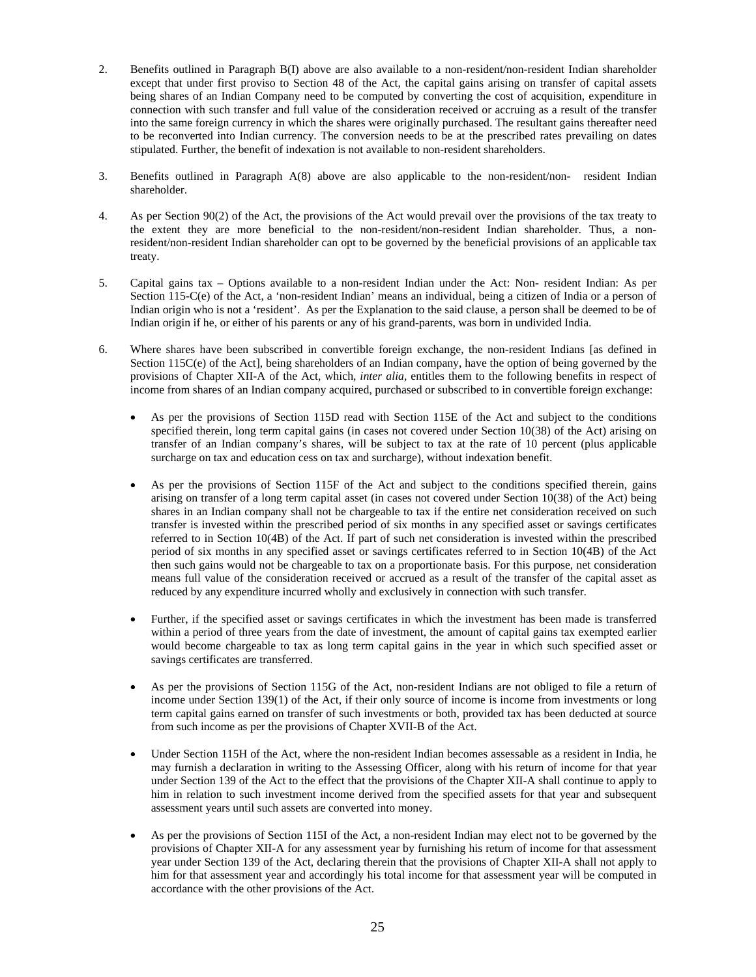- 2. Benefits outlined in Paragraph B(I) above are also available to a non-resident/non-resident Indian shareholder except that under first proviso to Section 48 of the Act, the capital gains arising on transfer of capital assets being shares of an Indian Company need to be computed by converting the cost of acquisition, expenditure in connection with such transfer and full value of the consideration received or accruing as a result of the transfer into the same foreign currency in which the shares were originally purchased. The resultant gains thereafter need to be reconverted into Indian currency. The conversion needs to be at the prescribed rates prevailing on dates stipulated. Further, the benefit of indexation is not available to non-resident shareholders.
- 3. Benefits outlined in Paragraph A(8) above are also applicable to the non-resident/non- resident Indian shareholder.
- 4. As per Section 90(2) of the Act, the provisions of the Act would prevail over the provisions of the tax treaty to the extent they are more beneficial to the non-resident/non-resident Indian shareholder. Thus, a nonresident/non-resident Indian shareholder can opt to be governed by the beneficial provisions of an applicable tax treaty.
- 5. Capital gains tax Options available to a non-resident Indian under the Act: Non- resident Indian: As per Section 115-C(e) of the Act, a 'non-resident Indian' means an individual, being a citizen of India or a person of Indian origin who is not a 'resident'. As per the Explanation to the said clause, a person shall be deemed to be of Indian origin if he, or either of his parents or any of his grand-parents, was born in undivided India.
- 6. Where shares have been subscribed in convertible foreign exchange, the non-resident Indians [as defined in Section 115C(e) of the Act], being shareholders of an Indian company, have the option of being governed by the provisions of Chapter XII-A of the Act, which, *inter alia,* entitles them to the following benefits in respect of income from shares of an Indian company acquired, purchased or subscribed to in convertible foreign exchange:
	- As per the provisions of Section 115D read with Section 115E of the Act and subject to the conditions specified therein, long term capital gains (in cases not covered under Section 10(38) of the Act) arising on transfer of an Indian company's shares, will be subject to tax at the rate of 10 percent (plus applicable surcharge on tax and education cess on tax and surcharge), without indexation benefit.
	- As per the provisions of Section 115F of the Act and subject to the conditions specified therein, gains arising on transfer of a long term capital asset (in cases not covered under Section 10(38) of the Act) being shares in an Indian company shall not be chargeable to tax if the entire net consideration received on such transfer is invested within the prescribed period of six months in any specified asset or savings certificates referred to in Section 10(4B) of the Act. If part of such net consideration is invested within the prescribed period of six months in any specified asset or savings certificates referred to in Section 10(4B) of the Act then such gains would not be chargeable to tax on a proportionate basis. For this purpose, net consideration means full value of the consideration received or accrued as a result of the transfer of the capital asset as reduced by any expenditure incurred wholly and exclusively in connection with such transfer.
	- Further, if the specified asset or savings certificates in which the investment has been made is transferred within a period of three years from the date of investment, the amount of capital gains tax exempted earlier would become chargeable to tax as long term capital gains in the year in which such specified asset or savings certificates are transferred.
	- As per the provisions of Section 115G of the Act, non-resident Indians are not obliged to file a return of income under Section 139(1) of the Act, if their only source of income is income from investments or long term capital gains earned on transfer of such investments or both, provided tax has been deducted at source from such income as per the provisions of Chapter XVII-B of the Act.
	- Under Section 115H of the Act, where the non-resident Indian becomes assessable as a resident in India, he may furnish a declaration in writing to the Assessing Officer, along with his return of income for that year under Section 139 of the Act to the effect that the provisions of the Chapter XII-A shall continue to apply to him in relation to such investment income derived from the specified assets for that year and subsequent assessment years until such assets are converted into money.
	- As per the provisions of Section 115I of the Act, a non-resident Indian may elect not to be governed by the provisions of Chapter XII-A for any assessment year by furnishing his return of income for that assessment year under Section 139 of the Act, declaring therein that the provisions of Chapter XII-A shall not apply to him for that assessment year and accordingly his total income for that assessment year will be computed in accordance with the other provisions of the Act.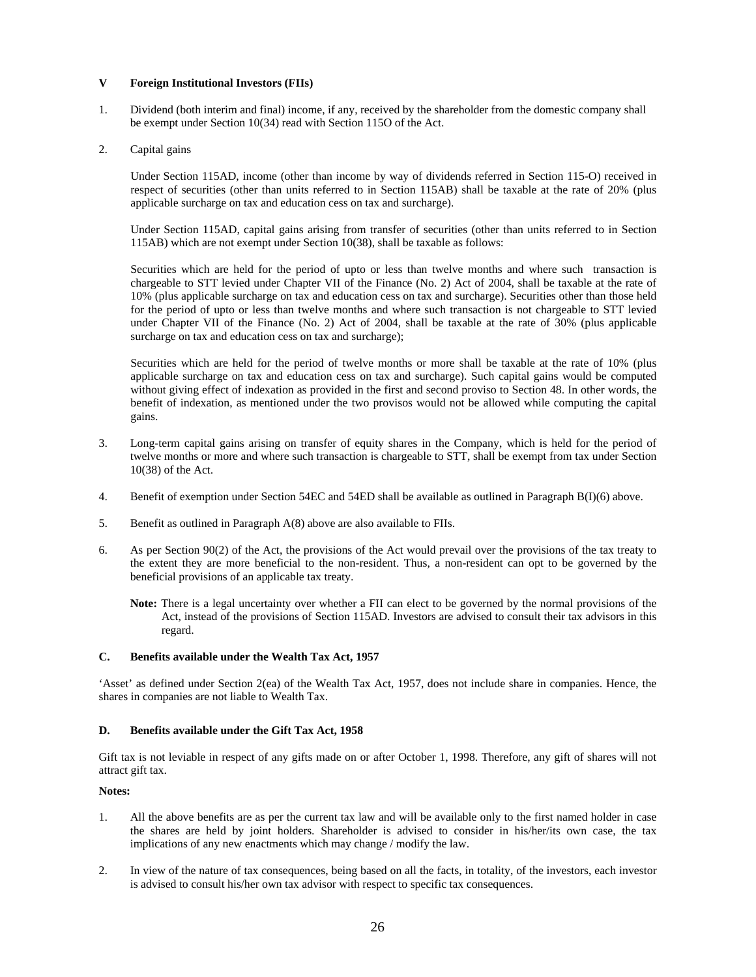## **V Foreign Institutional Investors (FIIs)**

- 1. Dividend (both interim and final) income, if any, received by the shareholder from the domestic company shall be exempt under Section 10(34) read with Section 115O of the Act.
- 2. Capital gains

Under Section 115AD, income (other than income by way of dividends referred in Section 115-O) received in respect of securities (other than units referred to in Section 115AB) shall be taxable at the rate of 20% (plus applicable surcharge on tax and education cess on tax and surcharge).

Under Section 115AD, capital gains arising from transfer of securities (other than units referred to in Section 115AB) which are not exempt under Section 10(38), shall be taxable as follows:

Securities which are held for the period of upto or less than twelve months and where such transaction is chargeable to STT levied under Chapter VII of the Finance (No. 2) Act of 2004, shall be taxable at the rate of 10% (plus applicable surcharge on tax and education cess on tax and surcharge). Securities other than those held for the period of upto or less than twelve months and where such transaction is not chargeable to STT levied under Chapter VII of the Finance (No. 2) Act of 2004, shall be taxable at the rate of 30% (plus applicable surcharge on tax and education cess on tax and surcharge);

Securities which are held for the period of twelve months or more shall be taxable at the rate of 10% (plus applicable surcharge on tax and education cess on tax and surcharge). Such capital gains would be computed without giving effect of indexation as provided in the first and second proviso to Section 48. In other words, the benefit of indexation, as mentioned under the two provisos would not be allowed while computing the capital gains.

- 3. Long-term capital gains arising on transfer of equity shares in the Company, which is held for the period of twelve months or more and where such transaction is chargeable to STT, shall be exempt from tax under Section 10(38) of the Act.
- 4. Benefit of exemption under Section 54EC and 54ED shall be available as outlined in Paragraph B(I)(6) above.
- 5. Benefit as outlined in Paragraph A(8) above are also available to FIIs.
- 6. As per Section 90(2) of the Act, the provisions of the Act would prevail over the provisions of the tax treaty to the extent they are more beneficial to the non-resident. Thus, a non-resident can opt to be governed by the beneficial provisions of an applicable tax treaty.

**Note:** There is a legal uncertainty over whether a FII can elect to be governed by the normal provisions of the Act, instead of the provisions of Section 115AD. Investors are advised to consult their tax advisors in this regard.

## **C. Benefits available under the Wealth Tax Act, 1957**

'Asset' as defined under Section 2(ea) of the Wealth Tax Act, 1957, does not include share in companies. Hence, the shares in companies are not liable to Wealth Tax.

## **D. Benefits available under the Gift Tax Act, 1958**

Gift tax is not leviable in respect of any gifts made on or after October 1, 1998. Therefore, any gift of shares will not attract gift tax.

## **Notes:**

- 1. All the above benefits are as per the current tax law and will be available only to the first named holder in case the shares are held by joint holders. Shareholder is advised to consider in his/her/its own case, the tax implications of any new enactments which may change / modify the law.
- 2. In view of the nature of tax consequences, being based on all the facts, in totality, of the investors, each investor is advised to consult his/her own tax advisor with respect to specific tax consequences.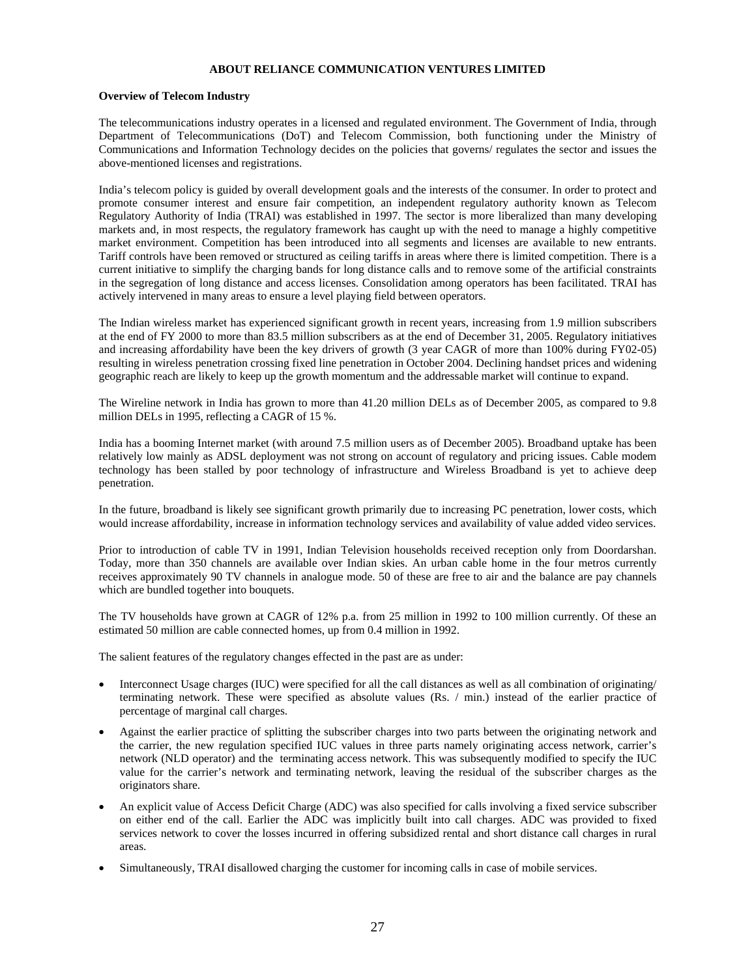## **ABOUT RELIANCE COMMUNICATION VENTURES LIMITED**

#### **Overview of Telecom Industry**

The telecommunications industry operates in a licensed and regulated environment. The Government of India, through Department of Telecommunications (DoT) and Telecom Commission, both functioning under the Ministry of Communications and Information Technology decides on the policies that governs/ regulates the sector and issues the above-mentioned licenses and registrations.

India's telecom policy is guided by overall development goals and the interests of the consumer. In order to protect and promote consumer interest and ensure fair competition, an independent regulatory authority known as Telecom Regulatory Authority of India (TRAI) was established in 1997. The sector is more liberalized than many developing markets and, in most respects, the regulatory framework has caught up with the need to manage a highly competitive market environment. Competition has been introduced into all segments and licenses are available to new entrants. Tariff controls have been removed or structured as ceiling tariffs in areas where there is limited competition. There is a current initiative to simplify the charging bands for long distance calls and to remove some of the artificial constraints in the segregation of long distance and access licenses. Consolidation among operators has been facilitated. TRAI has actively intervened in many areas to ensure a level playing field between operators.

The Indian wireless market has experienced significant growth in recent years, increasing from 1.9 million subscribers at the end of FY 2000 to more than 83.5 million subscribers as at the end of December 31, 2005. Regulatory initiatives and increasing affordability have been the key drivers of growth (3 year CAGR of more than 100% during FY02-05) resulting in wireless penetration crossing fixed line penetration in October 2004. Declining handset prices and widening geographic reach are likely to keep up the growth momentum and the addressable market will continue to expand.

The Wireline network in India has grown to more than 41.20 million DELs as of December 2005, as compared to 9.8 million DELs in 1995, reflecting a CAGR of 15 %.

India has a booming Internet market (with around 7.5 million users as of December 2005). Broadband uptake has been relatively low mainly as ADSL deployment was not strong on account of regulatory and pricing issues. Cable modem technology has been stalled by poor technology of infrastructure and Wireless Broadband is yet to achieve deep penetration.

In the future, broadband is likely see significant growth primarily due to increasing PC penetration, lower costs, which would increase affordability, increase in information technology services and availability of value added video services.

Prior to introduction of cable TV in 1991, Indian Television households received reception only from Doordarshan. Today, more than 350 channels are available over Indian skies. An urban cable home in the four metros currently receives approximately 90 TV channels in analogue mode. 50 of these are free to air and the balance are pay channels which are bundled together into bouquets.

The TV households have grown at CAGR of 12% p.a. from 25 million in 1992 to 100 million currently. Of these an estimated 50 million are cable connected homes, up from 0.4 million in 1992.

The salient features of the regulatory changes effected in the past are as under:

- Interconnect Usage charges (IUC) were specified for all the call distances as well as all combination of originating/ terminating network. These were specified as absolute values (Rs. / min.) instead of the earlier practice of percentage of marginal call charges.
- Against the earlier practice of splitting the subscriber charges into two parts between the originating network and the carrier, the new regulation specified IUC values in three parts namely originating access network, carrier's network (NLD operator) and the terminating access network. This was subsequently modified to specify the IUC value for the carrier's network and terminating network, leaving the residual of the subscriber charges as the originators share.
- An explicit value of Access Deficit Charge (ADC) was also specified for calls involving a fixed service subscriber on either end of the call. Earlier the ADC was implicitly built into call charges. ADC was provided to fixed services network to cover the losses incurred in offering subsidized rental and short distance call charges in rural areas.
- Simultaneously, TRAI disallowed charging the customer for incoming calls in case of mobile services.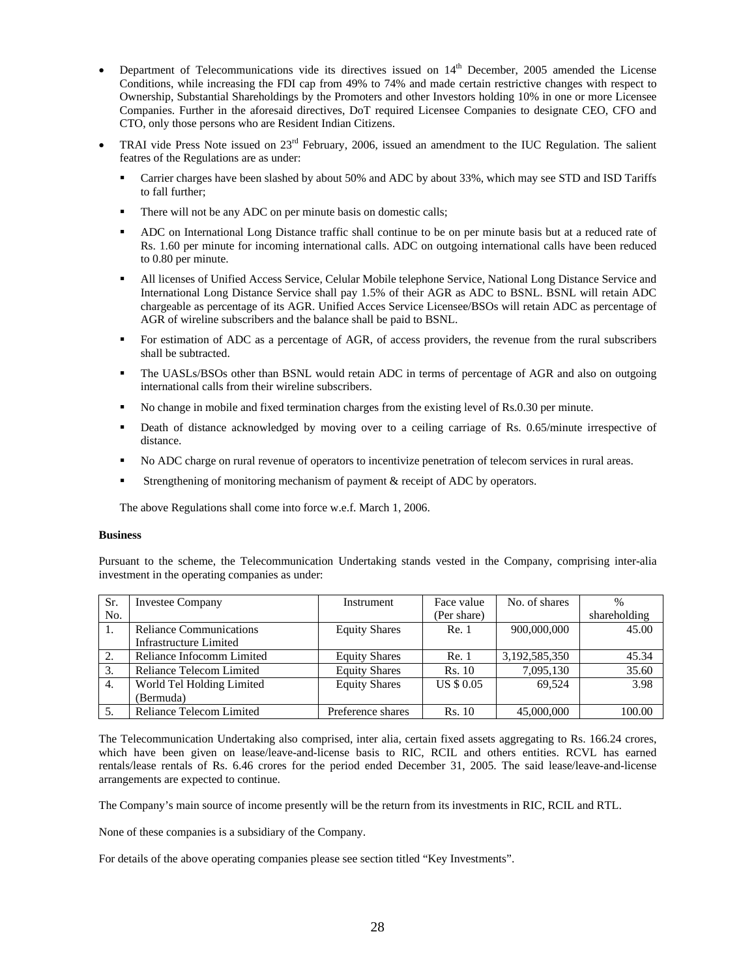- Department of Telecommunications vide its directives issued on  $14<sup>th</sup>$  December, 2005 amended the License Conditions, while increasing the FDI cap from 49% to 74% and made certain restrictive changes with respect to Ownership, Substantial Shareholdings by the Promoters and other Investors holding 10% in one or more Licensee Companies. Further in the aforesaid directives, DoT required Licensee Companies to designate CEO, CFO and CTO, only those persons who are Resident Indian Citizens.
- TRAI vide Press Note issued on  $23<sup>rd</sup>$  February, 2006, issued an amendment to the IUC Regulation. The salient featres of the Regulations are as under:
	- Carrier charges have been slashed by about 50% and ADC by about 33%, which may see STD and ISD Tariffs to fall further;
	- There will not be any ADC on per minute basis on domestic calls;
	- ADC on International Long Distance traffic shall continue to be on per minute basis but at a reduced rate of Rs. 1.60 per minute for incoming international calls. ADC on outgoing international calls have been reduced to 0.80 per minute.
	- All licenses of Unified Access Service, Celular Mobile telephone Service, National Long Distance Service and International Long Distance Service shall pay 1.5% of their AGR as ADC to BSNL. BSNL will retain ADC chargeable as percentage of its AGR. Unified Acces Service Licensee/BSOs will retain ADC as percentage of AGR of wireline subscribers and the balance shall be paid to BSNL.
	- For estimation of ADC as a percentage of AGR, of access providers, the revenue from the rural subscribers shall be subtracted.
	- The UASLs/BSOs other than BSNL would retain ADC in terms of percentage of AGR and also on outgoing international calls from their wireline subscribers.
	- No change in mobile and fixed termination charges from the existing level of Rs.0.30 per minute.
	- Death of distance acknowledged by moving over to a ceiling carriage of Rs. 0.65/minute irrespective of distance.
	- No ADC charge on rural revenue of operators to incentivize penetration of telecom services in rural areas.
	- Strengthening of monitoring mechanism of payment & receipt of ADC by operators.

The above Regulations shall come into force w.e.f. March 1, 2006.

#### **Business**

Pursuant to the scheme, the Telecommunication Undertaking stands vested in the Company, comprising inter-alia investment in the operating companies as under:

| Sr. | <b>Investee Company</b>        | Instrument           | Face value        | No. of shares | $\frac{0}{0}$ |
|-----|--------------------------------|----------------------|-------------------|---------------|---------------|
| No. |                                |                      | (Per share)       |               | shareholding  |
|     | <b>Reliance Communications</b> | <b>Equity Shares</b> | Re. 1             | 900,000,000   | 45.00         |
|     | <b>Infrastructure Limited</b>  |                      |                   |               |               |
| 2.  | Reliance Infocomm Limited      | <b>Equity Shares</b> | Re. 1             | 3,192,585,350 | 45.34         |
| 3.  | Reliance Telecom Limited       | <b>Equity Shares</b> | Rs. 10            | 7,095,130     | 35.60         |
| 4.  | World Tel Holding Limited      | <b>Equity Shares</b> | <b>US \$ 0.05</b> | 69.524        | 3.98          |
|     | (Bermuda)                      |                      |                   |               |               |
|     | Reliance Telecom Limited       | Preference shares    | Rs. 10            | 45,000,000    | 100.00        |

The Telecommunication Undertaking also comprised, inter alia, certain fixed assets aggregating to Rs. 166.24 crores, which have been given on lease/leave-and-license basis to RIC, RCIL and others entities. RCVL has earned rentals/lease rentals of Rs. 6.46 crores for the period ended December 31, 2005. The said lease/leave-and-license arrangements are expected to continue.

The Company's main source of income presently will be the return from its investments in RIC, RCIL and RTL.

None of these companies is a subsidiary of the Company.

For details of the above operating companies please see section titled "Key Investments".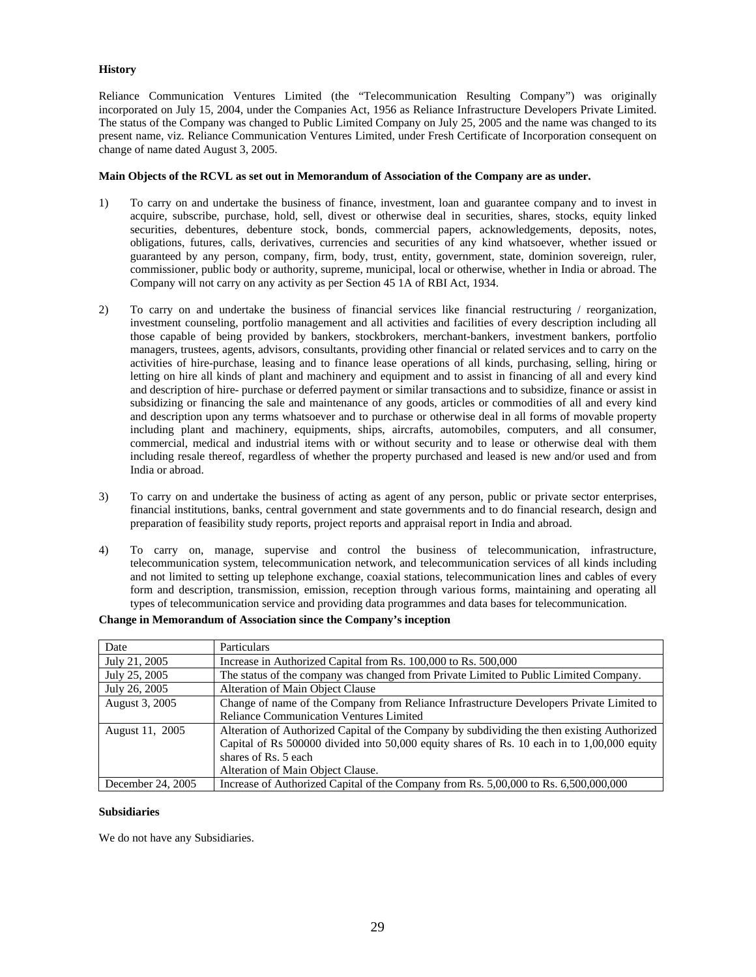## **History**

Reliance Communication Ventures Limited (the "Telecommunication Resulting Company") was originally incorporated on July 15, 2004, under the Companies Act, 1956 as Reliance Infrastructure Developers Private Limited. The status of the Company was changed to Public Limited Company on July 25, 2005 and the name was changed to its present name, viz. Reliance Communication Ventures Limited, under Fresh Certificate of Incorporation consequent on change of name dated August 3, 2005.

## **Main Objects of the RCVL as set out in Memorandum of Association of the Company are as under.**

- 1) To carry on and undertake the business of finance, investment, loan and guarantee company and to invest in acquire, subscribe, purchase, hold, sell, divest or otherwise deal in securities, shares, stocks, equity linked securities, debentures, debenture stock, bonds, commercial papers, acknowledgements, deposits, notes, obligations, futures, calls, derivatives, currencies and securities of any kind whatsoever, whether issued or guaranteed by any person, company, firm, body, trust, entity, government, state, dominion sovereign, ruler, commissioner, public body or authority, supreme, municipal, local or otherwise, whether in India or abroad. The Company will not carry on any activity as per Section 45 1A of RBI Act, 1934.
- 2) To carry on and undertake the business of financial services like financial restructuring / reorganization, investment counseling, portfolio management and all activities and facilities of every description including all those capable of being provided by bankers, stockbrokers, merchant-bankers, investment bankers, portfolio managers, trustees, agents, advisors, consultants, providing other financial or related services and to carry on the activities of hire-purchase, leasing and to finance lease operations of all kinds, purchasing, selling, hiring or letting on hire all kinds of plant and machinery and equipment and to assist in financing of all and every kind and description of hire- purchase or deferred payment or similar transactions and to subsidize, finance or assist in subsidizing or financing the sale and maintenance of any goods, articles or commodities of all and every kind and description upon any terms whatsoever and to purchase or otherwise deal in all forms of movable property including plant and machinery, equipments, ships, aircrafts, automobiles, computers, and all consumer, commercial, medical and industrial items with or without security and to lease or otherwise deal with them including resale thereof, regardless of whether the property purchased and leased is new and/or used and from India or abroad.
- 3) To carry on and undertake the business of acting as agent of any person, public or private sector enterprises, financial institutions, banks, central government and state governments and to do financial research, design and preparation of feasibility study reports, project reports and appraisal report in India and abroad.
- 4) To carry on, manage, supervise and control the business of telecommunication, infrastructure, telecommunication system, telecommunication network, and telecommunication services of all kinds including and not limited to setting up telephone exchange, coaxial stations, telecommunication lines and cables of every form and description, transmission, emission, reception through various forms, maintaining and operating all types of telecommunication service and providing data programmes and data bases for telecommunication.

| Date              | Particulars                                                                                 |
|-------------------|---------------------------------------------------------------------------------------------|
| July 21, 2005     | Increase in Authorized Capital from Rs. 100,000 to Rs. 500,000                              |
| July 25, 2005     | The status of the company was changed from Private Limited to Public Limited Company.       |
| July 26, 2005     | <b>Alteration of Main Object Clause</b>                                                     |
| August 3, 2005    | Change of name of the Company from Reliance Infrastructure Developers Private Limited to    |
|                   | <b>Reliance Communication Ventures Limited</b>                                              |
| August 11, 2005   | Alteration of Authorized Capital of the Company by subdividing the then existing Authorized |
|                   | Capital of Rs 500000 divided into 50,000 equity shares of Rs. 10 each in to 1,00,000 equity |
|                   | shares of Rs. 5 each                                                                        |
|                   | Alteration of Main Object Clause.                                                           |
| December 24, 2005 | Increase of Authorized Capital of the Company from Rs. 5,00,000 to Rs. 6,500,000,000        |

## **Change in Memorandum of Association since the Company's inception**

#### **Subsidiaries**

We do not have any Subsidiaries.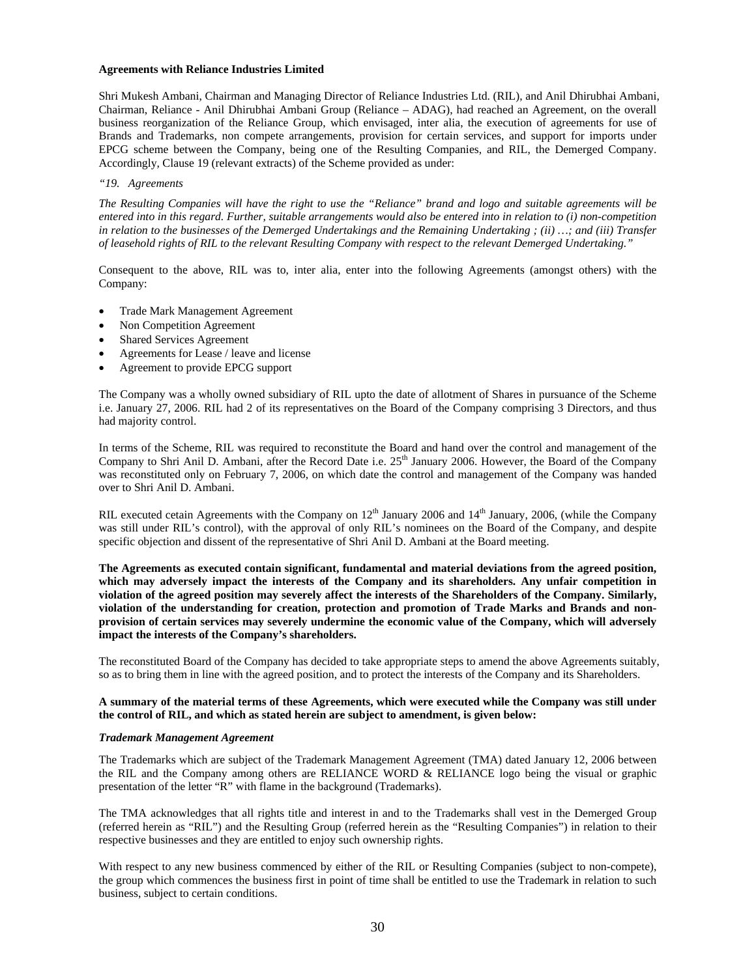#### **Agreements with Reliance Industries Limited**

Shri Mukesh Ambani, Chairman and Managing Director of Reliance Industries Ltd. (RIL), and Anil Dhirubhai Ambani, Chairman, Reliance - Anil Dhirubhai Ambani Group (Reliance – ADAG), had reached an Agreement, on the overall business reorganization of the Reliance Group, which envisaged, inter alia, the execution of agreements for use of Brands and Trademarks, non compete arrangements, provision for certain services, and support for imports under EPCG scheme between the Company, being one of the Resulting Companies, and RIL, the Demerged Company. Accordingly, Clause 19 (relevant extracts) of the Scheme provided as under:

#### *"19. Agreements*

*The Resulting Companies will have the right to use the "Reliance" brand and logo and suitable agreements will be entered into in this regard. Further, suitable arrangements would also be entered into in relation to (i) non-competition in relation to the businesses of the Demerged Undertakings and the Remaining Undertaking ; (ii) …; and (iii) Transfer of leasehold rights of RIL to the relevant Resulting Company with respect to the relevant Demerged Undertaking."* 

Consequent to the above, RIL was to, inter alia, enter into the following Agreements (amongst others) with the Company:

- Trade Mark Management Agreement
- Non Competition Agreement
- Shared Services Agreement
- Agreements for Lease / leave and license
- Agreement to provide EPCG support

The Company was a wholly owned subsidiary of RIL upto the date of allotment of Shares in pursuance of the Scheme i.e. January 27, 2006. RIL had 2 of its representatives on the Board of the Company comprising 3 Directors, and thus had majority control.

In terms of the Scheme, RIL was required to reconstitute the Board and hand over the control and management of the Company to Shri Anil D. Ambani, after the Record Date i.e. 25<sup>th</sup> January 2006. However, the Board of the Company was reconstituted only on February 7, 2006, on which date the control and management of the Company was handed over to Shri Anil D. Ambani.

RIL executed cetain Agreements with the Company on  $12<sup>th</sup>$  January 2006 and  $14<sup>th</sup>$  January, 2006, (while the Company was still under RIL's control), with the approval of only RIL's nominees on the Board of the Company, and despite specific objection and dissent of the representative of Shri Anil D. Ambani at the Board meeting.

**The Agreements as executed contain significant, fundamental and material deviations from the agreed position, which may adversely impact the interests of the Company and its shareholders. Any unfair competition in violation of the agreed position may severely affect the interests of the Shareholders of the Company. Similarly, violation of the understanding for creation, protection and promotion of Trade Marks and Brands and nonprovision of certain services may severely undermine the economic value of the Company, which will adversely impact the interests of the Company's shareholders.** 

The reconstituted Board of the Company has decided to take appropriate steps to amend the above Agreements suitably, so as to bring them in line with the agreed position, and to protect the interests of the Company and its Shareholders.

## **A summary of the material terms of these Agreements, which were executed while the Company was still under the control of RIL, and which as stated herein are subject to amendment, is given below:**

#### *Trademark Management Agreement*

The Trademarks which are subject of the Trademark Management Agreement (TMA) dated January 12, 2006 between the RIL and the Company among others are RELIANCE WORD & RELIANCE logo being the visual or graphic presentation of the letter "R" with flame in the background (Trademarks).

The TMA acknowledges that all rights title and interest in and to the Trademarks shall vest in the Demerged Group (referred herein as "RIL") and the Resulting Group (referred herein as the "Resulting Companies") in relation to their respective businesses and they are entitled to enjoy such ownership rights.

With respect to any new business commenced by either of the RIL or Resulting Companies (subject to non-compete), the group which commences the business first in point of time shall be entitled to use the Trademark in relation to such business, subject to certain conditions.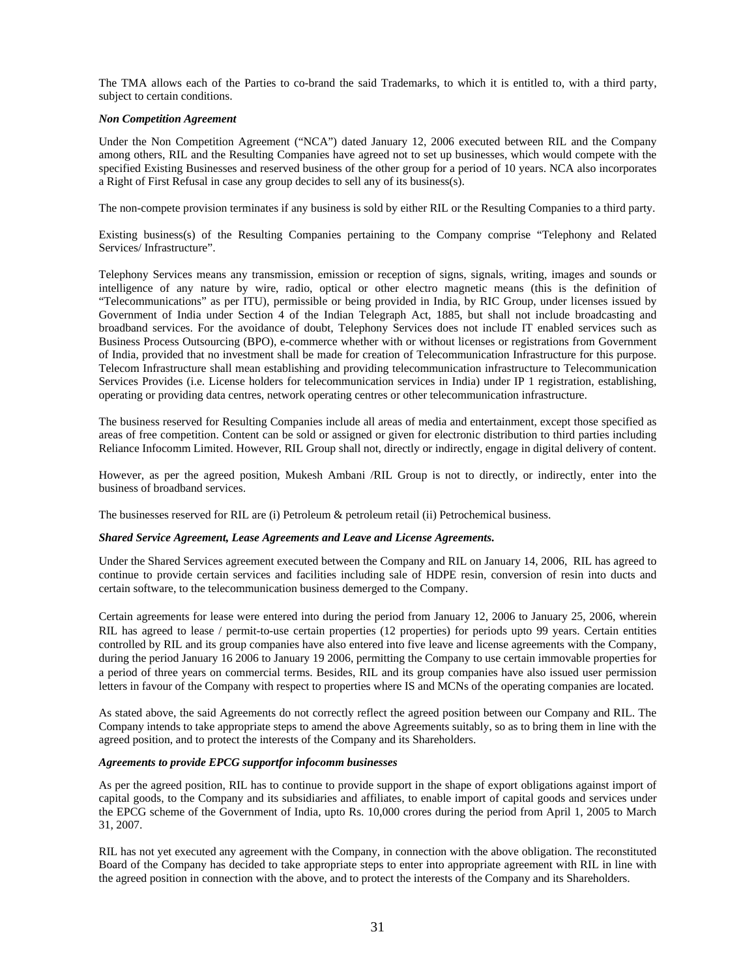The TMA allows each of the Parties to co-brand the said Trademarks, to which it is entitled to, with a third party, subject to certain conditions.

#### *Non Competition Agreement*

Under the Non Competition Agreement ("NCA") dated January 12, 2006 executed between RIL and the Company among others, RIL and the Resulting Companies have agreed not to set up businesses, which would compete with the specified Existing Businesses and reserved business of the other group for a period of 10 years. NCA also incorporates a Right of First Refusal in case any group decides to sell any of its business(s).

The non-compete provision terminates if any business is sold by either RIL or the Resulting Companies to a third party.

Existing business(s) of the Resulting Companies pertaining to the Company comprise "Telephony and Related Services/ Infrastructure".

Telephony Services means any transmission, emission or reception of signs, signals, writing, images and sounds or intelligence of any nature by wire, radio, optical or other electro magnetic means (this is the definition of "Telecommunications" as per ITU), permissible or being provided in India, by RIC Group, under licenses issued by Government of India under Section 4 of the Indian Telegraph Act, 1885, but shall not include broadcasting and broadband services. For the avoidance of doubt, Telephony Services does not include IT enabled services such as Business Process Outsourcing (BPO), e-commerce whether with or without licenses or registrations from Government of India, provided that no investment shall be made for creation of Telecommunication Infrastructure for this purpose. Telecom Infrastructure shall mean establishing and providing telecommunication infrastructure to Telecommunication Services Provides (i.e. License holders for telecommunication services in India) under IP 1 registration, establishing, operating or providing data centres, network operating centres or other telecommunication infrastructure.

The business reserved for Resulting Companies include all areas of media and entertainment, except those specified as areas of free competition. Content can be sold or assigned or given for electronic distribution to third parties including Reliance Infocomm Limited. However, RIL Group shall not, directly or indirectly, engage in digital delivery of content.

However, as per the agreed position, Mukesh Ambani /RIL Group is not to directly, or indirectly, enter into the business of broadband services.

The businesses reserved for RIL are (i) Petroleum & petroleum retail (ii) Petrochemical business.

#### *Shared Service Agreement, Lease Agreements and Leave and License Agreements.*

Under the Shared Services agreement executed between the Company and RIL on January 14, 2006, RIL has agreed to continue to provide certain services and facilities including sale of HDPE resin, conversion of resin into ducts and certain software, to the telecommunication business demerged to the Company.

Certain agreements for lease were entered into during the period from January 12, 2006 to January 25, 2006, wherein RIL has agreed to lease / permit-to-use certain properties (12 properties) for periods upto 99 years. Certain entities controlled by RIL and its group companies have also entered into five leave and license agreements with the Company, during the period January 16 2006 to January 19 2006, permitting the Company to use certain immovable properties for a period of three years on commercial terms. Besides, RIL and its group companies have also issued user permission letters in favour of the Company with respect to properties where IS and MCNs of the operating companies are located.

As stated above, the said Agreements do not correctly reflect the agreed position between our Company and RIL. The Company intends to take appropriate steps to amend the above Agreements suitably, so as to bring them in line with the agreed position, and to protect the interests of the Company and its Shareholders.

#### *Agreements to provide EPCG supportfor infocomm businesses*

As per the agreed position, RIL has to continue to provide support in the shape of export obligations against import of capital goods, to the Company and its subsidiaries and affiliates, to enable import of capital goods and services under the EPCG scheme of the Government of India, upto Rs. 10,000 crores during the period from April 1, 2005 to March 31, 2007.

RIL has not yet executed any agreement with the Company, in connection with the above obligation. The reconstituted Board of the Company has decided to take appropriate steps to enter into appropriate agreement with RIL in line with the agreed position in connection with the above, and to protect the interests of the Company and its Shareholders.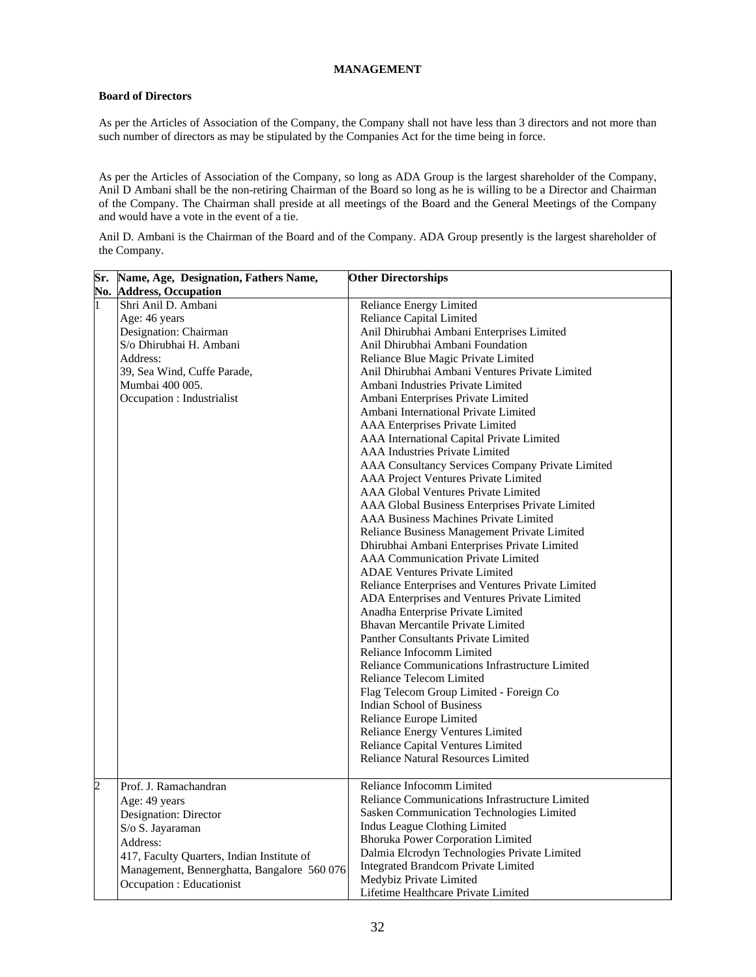## **MANAGEMENT**

# **Board of Directors**

As per the Articles of Association of the Company, the Company shall not have less than 3 directors and not more than such number of directors as may be stipulated by the Companies Act for the time being in force.

As per the Articles of Association of the Company, so long as ADA Group is the largest shareholder of the Company, Anil D Ambani shall be the non-retiring Chairman of the Board so long as he is willing to be a Director and Chairman of the Company. The Chairman shall preside at all meetings of the Board and the General Meetings of the Company and would have a vote in the event of a tie.

Anil D. Ambani is the Chairman of the Board and of the Company. ADA Group presently is the largest shareholder of the Company.

|                | Sr. Name, Age, Designation, Fathers Name,   | <b>Other Directorships</b>                        |  |
|----------------|---------------------------------------------|---------------------------------------------------|--|
|                | <b>No. Address, Occupation</b>              |                                                   |  |
| $\mathbf{1}$   | Shri Anil D. Ambani                         | <b>Reliance Energy Limited</b>                    |  |
|                | Age: 46 years                               | <b>Reliance Capital Limited</b>                   |  |
|                | Designation: Chairman                       | Anil Dhirubhai Ambani Enterprises Limited         |  |
|                | S/o Dhirubhai H. Ambani                     | Anil Dhirubhai Ambani Foundation                  |  |
|                | Address:                                    | Reliance Blue Magic Private Limited               |  |
|                | 39, Sea Wind, Cuffe Parade,                 | Anil Dhirubhai Ambani Ventures Private Limited    |  |
|                | Mumbai 400 005.                             | Ambani Industries Private Limited                 |  |
|                | Occupation : Industrialist                  | Ambani Enterprises Private Limited                |  |
|                |                                             | Ambani International Private Limited              |  |
|                |                                             | AAA Enterprises Private Limited                   |  |
|                |                                             | AAA International Capital Private Limited         |  |
|                |                                             | <b>AAA</b> Industries Private Limited             |  |
|                |                                             | AAA Consultancy Services Company Private Limited  |  |
|                |                                             | AAA Project Ventures Private Limited              |  |
|                |                                             | AAA Global Ventures Private Limited               |  |
|                |                                             | AAA Global Business Enterprises Private Limited   |  |
|                |                                             | <b>AAA Business Machines Private Limited</b>      |  |
|                |                                             | Reliance Business Management Private Limited      |  |
|                |                                             | Dhirubhai Ambani Enterprises Private Limited      |  |
|                |                                             | <b>AAA Communication Private Limited</b>          |  |
|                |                                             | <b>ADAE Ventures Private Limited</b>              |  |
|                |                                             | Reliance Enterprises and Ventures Private Limited |  |
|                |                                             | ADA Enterprises and Ventures Private Limited      |  |
|                |                                             | Anadha Enterprise Private Limited                 |  |
|                |                                             | Bhavan Mercantile Private Limited                 |  |
|                |                                             | <b>Panther Consultants Private Limited</b>        |  |
|                |                                             | Reliance Infocomm Limited                         |  |
|                |                                             | Reliance Communications Infrastructure Limited    |  |
|                |                                             | <b>Reliance Telecom Limited</b>                   |  |
|                |                                             | Flag Telecom Group Limited - Foreign Co           |  |
|                |                                             | <b>Indian School of Business</b>                  |  |
|                |                                             | Reliance Europe Limited                           |  |
|                |                                             | Reliance Energy Ventures Limited                  |  |
|                |                                             | Reliance Capital Ventures Limited                 |  |
|                |                                             | <b>Reliance Natural Resources Limited</b>         |  |
| $\overline{c}$ | Prof. J. Ramachandran                       | Reliance Infocomm Limited                         |  |
|                | Age: 49 years                               | Reliance Communications Infrastructure Limited    |  |
|                | Designation: Director                       | Sasken Communication Technologies Limited         |  |
|                | S/o S. Jayaraman                            | Indus League Clothing Limited                     |  |
|                | Address:                                    | <b>Bhoruka Power Corporation Limited</b>          |  |
|                | 417, Faculty Quarters, Indian Institute of  | Dalmia Elcrodyn Technologies Private Limited      |  |
|                | Management, Bennerghatta, Bangalore 560 076 | <b>Integrated Brandcom Private Limited</b>        |  |
|                | Occupation : Educationist                   | Medybiz Private Limited                           |  |
|                |                                             | Lifetime Healthcare Private Limited               |  |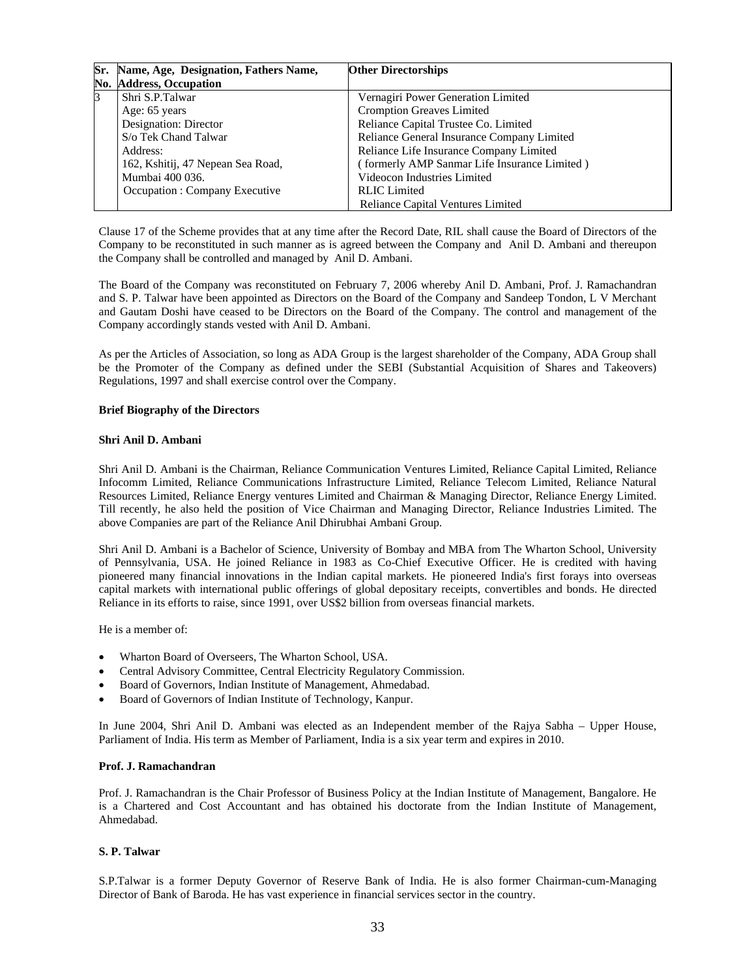| Sr.         | Name, Age, Designation, Fathers Name, | <b>Other Directorships</b>                   |
|-------------|---------------------------------------|----------------------------------------------|
| No.         | <b>Address, Occupation</b>            |                                              |
| $\mathsf B$ | Shri S.P.Talwar                       | Vernagiri Power Generation Limited           |
|             | Age: 65 years                         | Cromption Greaves Limited                    |
|             | Designation: Director                 | Reliance Capital Trustee Co. Limited         |
|             | S/o Tek Chand Talwar                  | Reliance General Insurance Company Limited   |
|             | Address:                              | Reliance Life Insurance Company Limited      |
|             | 162, Kshitij, 47 Nepean Sea Road,     | (formerly AMP Sanmar Life Insurance Limited) |
|             | Mumbai 400 036.                       | Videocon Industries Limited                  |
|             | Occupation : Company Executive        | <b>RLIC</b> Limited                          |
|             |                                       | <b>Reliance Capital Ventures Limited</b>     |

Clause 17 of the Scheme provides that at any time after the Record Date, RIL shall cause the Board of Directors of the Company to be reconstituted in such manner as is agreed between the Company and Anil D. Ambani and thereupon the Company shall be controlled and managed by Anil D. Ambani.

The Board of the Company was reconstituted on February 7, 2006 whereby Anil D. Ambani, Prof. J. Ramachandran and S. P. Talwar have been appointed as Directors on the Board of the Company and Sandeep Tondon, L V Merchant and Gautam Doshi have ceased to be Directors on the Board of the Company. The control and management of the Company accordingly stands vested with Anil D. Ambani.

As per the Articles of Association, so long as ADA Group is the largest shareholder of the Company, ADA Group shall be the Promoter of the Company as defined under the SEBI (Substantial Acquisition of Shares and Takeovers) Regulations, 1997 and shall exercise control over the Company.

#### **Brief Biography of the Directors**

## **Shri Anil D. Ambani**

Shri Anil D. Ambani is the Chairman, Reliance Communication Ventures Limited, Reliance Capital Limited, Reliance Infocomm Limited, Reliance Communications Infrastructure Limited, Reliance Telecom Limited, Reliance Natural Resources Limited, Reliance Energy ventures Limited and Chairman & Managing Director, Reliance Energy Limited. Till recently, he also held the position of Vice Chairman and Managing Director, Reliance Industries Limited. The above Companies are part of the Reliance Anil Dhirubhai Ambani Group.

Shri Anil D. Ambani is a Bachelor of Science, University of Bombay and MBA from The Wharton School, University of Pennsylvania, USA. He joined Reliance in 1983 as Co-Chief Executive Officer. He is credited with having pioneered many financial innovations in the Indian capital markets. He pioneered India's first forays into overseas capital markets with international public offerings of global depositary receipts, convertibles and bonds. He directed Reliance in its efforts to raise, since 1991, over US\$2 billion from overseas financial markets.

He is a member of:

- Wharton Board of Overseers, The Wharton School, USA.
- Central Advisory Committee, Central Electricity Regulatory Commission.
- Board of Governors, Indian Institute of Management, Ahmedabad.
- Board of Governors of Indian Institute of Technology, Kanpur.

In June 2004, Shri Anil D. Ambani was elected as an Independent member of the Rajya Sabha – Upper House, Parliament of India. His term as Member of Parliament, India is a six year term and expires in 2010.

## **Prof. J. Ramachandran**

Prof. J. Ramachandran is the Chair Professor of Business Policy at the Indian Institute of Management, Bangalore. He is a Chartered and Cost Accountant and has obtained his doctorate from the Indian Institute of Management, Ahmedabad.

## **S. P. Talwar**

S.P.Talwar is a former Deputy Governor of Reserve Bank of India. He is also former Chairman-cum-Managing Director of Bank of Baroda. He has vast experience in financial services sector in the country.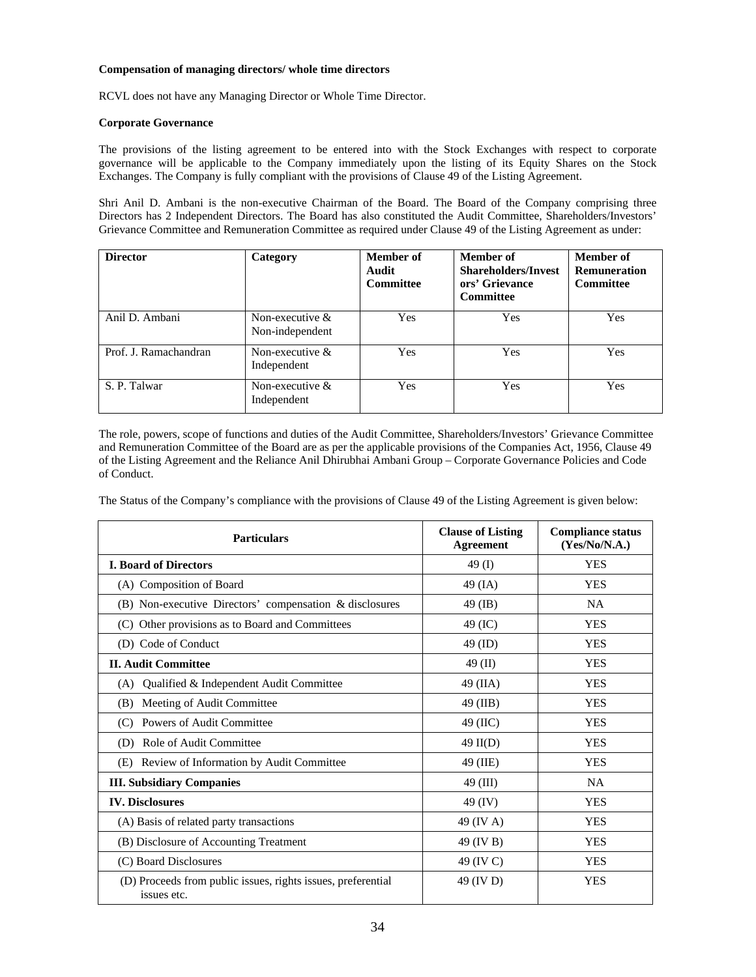## **Compensation of managing directors/ whole time directors**

RCVL does not have any Managing Director or Whole Time Director.

## **Corporate Governance**

The provisions of the listing agreement to be entered into with the Stock Exchanges with respect to corporate governance will be applicable to the Company immediately upon the listing of its Equity Shares on the Stock Exchanges. The Company is fully compliant with the provisions of Clause 49 of the Listing Agreement.

Shri Anil D. Ambani is the non-executive Chairman of the Board. The Board of the Company comprising three Directors has 2 Independent Directors. The Board has also constituted the Audit Committee, Shareholders/Investors' Grievance Committee and Remuneration Committee as required under Clause 49 of the Listing Agreement as under:

| <b>Director</b>       | Category                              | Member of<br>Audit<br><b>Committee</b> | <b>Member</b> of<br><b>Shareholders/Invest</b><br>ors' Grievance<br><b>Committee</b> | Member of<br><b>Remuneration</b><br><b>Committee</b> |
|-----------------------|---------------------------------------|----------------------------------------|--------------------------------------------------------------------------------------|------------------------------------------------------|
| Anil D. Ambani        | Non-executive $\&$<br>Non-independent | Yes                                    | Yes                                                                                  | <b>Yes</b>                                           |
| Prof. J. Ramachandran | Non-executive $\&$<br>Independent     | Yes                                    | Yes                                                                                  | Yes                                                  |
| S. P. Talwar          | Non-executive $&$<br>Independent      | Yes                                    | <b>Yes</b>                                                                           | Yes                                                  |

The role, powers, scope of functions and duties of the Audit Committee, Shareholders/Investors' Grievance Committee and Remuneration Committee of the Board are as per the applicable provisions of the Companies Act, 1956, Clause 49 of the Listing Agreement and the Reliance Anil Dhirubhai Ambani Group – Corporate Governance Policies and Code of Conduct.

The Status of the Company's compliance with the provisions of Clause 49 of the Listing Agreement is given below:

| <b>Particulars</b>                                                          | <b>Clause of Listing</b><br><b>Agreement</b> | <b>Compliance status</b><br>(Yes/No/N.A.) |
|-----------------------------------------------------------------------------|----------------------------------------------|-------------------------------------------|
| <b>I. Board of Directors</b>                                                | 49 $(I)$                                     | <b>YES</b>                                |
| (A) Composition of Board                                                    | $49$ (IA)                                    | <b>YES</b>                                |
| (B) Non-executive Directors' compensation & disclosures                     | 49 (IB)                                      | <b>NA</b>                                 |
| (C) Other provisions as to Board and Committees                             | 49 (IC)                                      | <b>YES</b>                                |
| (D) Code of Conduct                                                         | 49 (ID)                                      | <b>YES</b>                                |
| <b>II. Audit Committee</b>                                                  | 49 $(II)$                                    | <b>YES</b>                                |
| Qualified & Independent Audit Committee<br>(A)                              | $49$ (IIA)                                   | <b>YES</b>                                |
| Meeting of Audit Committee<br>(B)                                           | 49 (IIB)                                     | <b>YES</b>                                |
| Powers of Audit Committee<br>(C)                                            | 49 (IIC)                                     | <b>YES</b>                                |
| Role of Audit Committee<br>(D)                                              | $49$ II(D)                                   | <b>YES</b>                                |
| (E) Review of Information by Audit Committee                                | 49 (IIE)                                     | <b>YES</b>                                |
| <b>III. Subsidiary Companies</b>                                            | 49 (III)                                     | <b>NA</b>                                 |
| <b>IV.</b> Disclosures                                                      | 49 (IV)                                      | <b>YES</b>                                |
| (A) Basis of related party transactions                                     | 49 (IV A)                                    | <b>YES</b>                                |
| (B) Disclosure of Accounting Treatment                                      | 49 (IV B)                                    | <b>YES</b>                                |
| (C) Board Disclosures                                                       | 49 (IV C)                                    | <b>YES</b>                                |
| (D) Proceeds from public issues, rights issues, preferential<br>issues etc. | 49 (IV D)                                    | <b>YES</b>                                |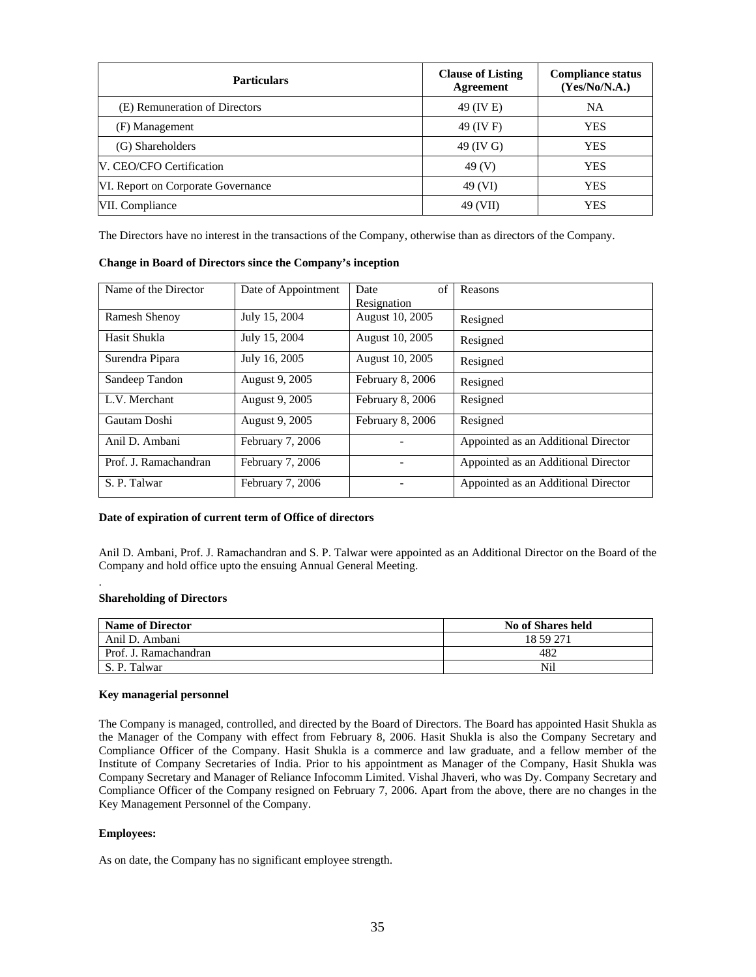| <b>Particulars</b>                 | <b>Clause of Listing</b><br>Agreement | <b>Compliance status</b><br>(Yes/No/N.A.) |
|------------------------------------|---------------------------------------|-------------------------------------------|
| (E) Remuneration of Directors      | 49 (IV E)                             | <b>NA</b>                                 |
| (F) Management                     | 49 (IV F)                             | <b>YES</b>                                |
| (G) Shareholders                   | 49 (IV G)                             | <b>YES</b>                                |
| V. CEO/CFO Certification           | 49 (V)                                | <b>YES</b>                                |
| VI. Report on Corporate Governance | 49 (VI)                               | <b>YES</b>                                |
| VII. Compliance                    | 49 (VII)                              | <b>YES</b>                                |

The Directors have no interest in the transactions of the Company, otherwise than as directors of the Company.

| <b>Change in Board of Directors since the Company's inception</b> |  |
|-------------------------------------------------------------------|--|
|-------------------------------------------------------------------|--|

| Name of the Director  | Date of Appointment | of<br>Date       | Reasons                             |
|-----------------------|---------------------|------------------|-------------------------------------|
|                       |                     | Resignation      |                                     |
| <b>Ramesh Shenoy</b>  | July 15, 2004       | August 10, 2005  | Resigned                            |
| Hasit Shukla          | July 15, 2004       | August 10, 2005  | Resigned                            |
| Surendra Pipara       | July 16, 2005       | August 10, 2005  | Resigned                            |
| Sandeep Tandon        | August 9, 2005      | February 8, 2006 | Resigned                            |
| L.V. Merchant         | August 9, 2005      | February 8, 2006 | Resigned                            |
| Gautam Doshi          | August 9, 2005      | February 8, 2006 | Resigned                            |
| Anil D. Ambani        | February 7, 2006    |                  | Appointed as an Additional Director |
| Prof. J. Ramachandran | February 7, 2006    |                  | Appointed as an Additional Director |
| S. P. Talwar          | February 7, 2006    |                  | Appointed as an Additional Director |

#### **Date of expiration of current term of Office of directors**

Anil D. Ambani, Prof. J. Ramachandran and S. P. Talwar were appointed as an Additional Director on the Board of the Company and hold office upto the ensuing Annual General Meeting.

#### **Shareholding of Directors**

.

| <b>Name of Director</b> | No of Shares held |
|-------------------------|-------------------|
| Anil D. Ambani          | 18 59 271         |
| Prof. J. Ramachandran   | 482               |
| S. P. Talwar            | Nil               |

#### **Key managerial personnel**

The Company is managed, controlled, and directed by the Board of Directors. The Board has appointed Hasit Shukla as the Manager of the Company with effect from February 8, 2006. Hasit Shukla is also the Company Secretary and Compliance Officer of the Company. Hasit Shukla is a commerce and law graduate, and a fellow member of the Institute of Company Secretaries of India. Prior to his appointment as Manager of the Company, Hasit Shukla was Company Secretary and Manager of Reliance Infocomm Limited. Vishal Jhaveri, who was Dy. Company Secretary and Compliance Officer of the Company resigned on February 7, 2006. Apart from the above, there are no changes in the Key Management Personnel of the Company.

## **Employees:**

As on date, the Company has no significant employee strength.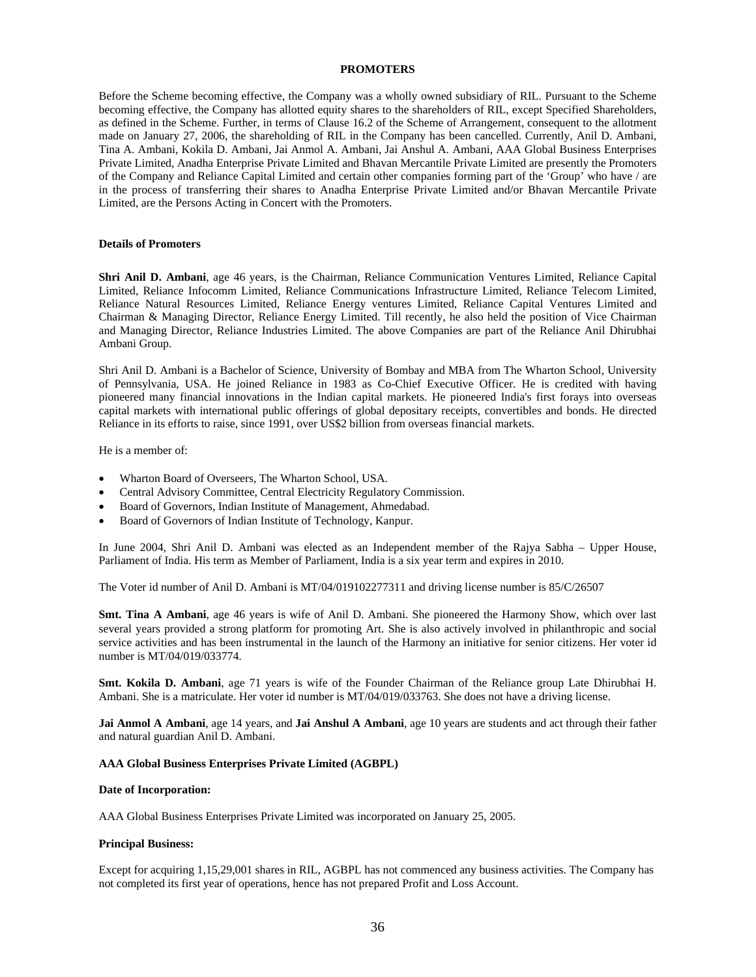# **PROMOTERS**

Before the Scheme becoming effective, the Company was a wholly owned subsidiary of RIL. Pursuant to the Scheme becoming effective, the Company has allotted equity shares to the shareholders of RIL, except Specified Shareholders, as defined in the Scheme. Further, in terms of Clause 16.2 of the Scheme of Arrangement, consequent to the allotment made on January 27, 2006, the shareholding of RIL in the Company has been cancelled. Currently, Anil D. Ambani, Tina A. Ambani, Kokila D. Ambani, Jai Anmol A. Ambani, Jai Anshul A. Ambani, AAA Global Business Enterprises Private Limited, Anadha Enterprise Private Limited and Bhavan Mercantile Private Limited are presently the Promoters of the Company and Reliance Capital Limited and certain other companies forming part of the 'Group' who have / are in the process of transferring their shares to Anadha Enterprise Private Limited and/or Bhavan Mercantile Private Limited, are the Persons Acting in Concert with the Promoters.

#### **Details of Promoters**

**Shri Anil D. Ambani**, age 46 years, is the Chairman, Reliance Communication Ventures Limited, Reliance Capital Limited, Reliance Infocomm Limited, Reliance Communications Infrastructure Limited, Reliance Telecom Limited, Reliance Natural Resources Limited, Reliance Energy ventures Limited, Reliance Capital Ventures Limited and Chairman & Managing Director, Reliance Energy Limited. Till recently, he also held the position of Vice Chairman and Managing Director, Reliance Industries Limited. The above Companies are part of the Reliance Anil Dhirubhai Ambani Group.

Shri Anil D. Ambani is a Bachelor of Science, University of Bombay and MBA from The Wharton School, University of Pennsylvania, USA. He joined Reliance in 1983 as Co-Chief Executive Officer. He is credited with having pioneered many financial innovations in the Indian capital markets. He pioneered India's first forays into overseas capital markets with international public offerings of global depositary receipts, convertibles and bonds. He directed Reliance in its efforts to raise, since 1991, over US\$2 billion from overseas financial markets.

He is a member of:

- Wharton Board of Overseers, The Wharton School, USA.
- Central Advisory Committee, Central Electricity Regulatory Commission.
- Board of Governors, Indian Institute of Management, Ahmedabad.
- Board of Governors of Indian Institute of Technology, Kanpur.

In June 2004, Shri Anil D. Ambani was elected as an Independent member of the Rajya Sabha – Upper House, Parliament of India. His term as Member of Parliament, India is a six year term and expires in 2010.

The Voter id number of Anil D. Ambani is MT/04/019102277311 and driving license number is 85/C/26507

**Smt. Tina A Ambani**, age 46 years is wife of Anil D. Ambani. She pioneered the Harmony Show, which over last several years provided a strong platform for promoting Art. She is also actively involved in philanthropic and social service activities and has been instrumental in the launch of the Harmony an initiative for senior citizens. Her voter id number is MT/04/019/033774.

**Smt. Kokila D. Ambani**, age 71 years is wife of the Founder Chairman of the Reliance group Late Dhirubhai H. Ambani. She is a matriculate. Her voter id number is MT/04/019/033763. She does not have a driving license.

**Jai Anmol A Ambani**, age 14 years, and **Jai Anshul A Ambani**, age 10 years are students and act through their father and natural guardian Anil D. Ambani.

#### **AAA Global Business Enterprises Private Limited (AGBPL)**

#### **Date of Incorporation:**

AAA Global Business Enterprises Private Limited was incorporated on January 25, 2005.

#### **Principal Business:**

Except for acquiring 1,15,29,001 shares in RIL, AGBPL has not commenced any business activities. The Company has not completed its first year of operations, hence has not prepared Profit and Loss Account.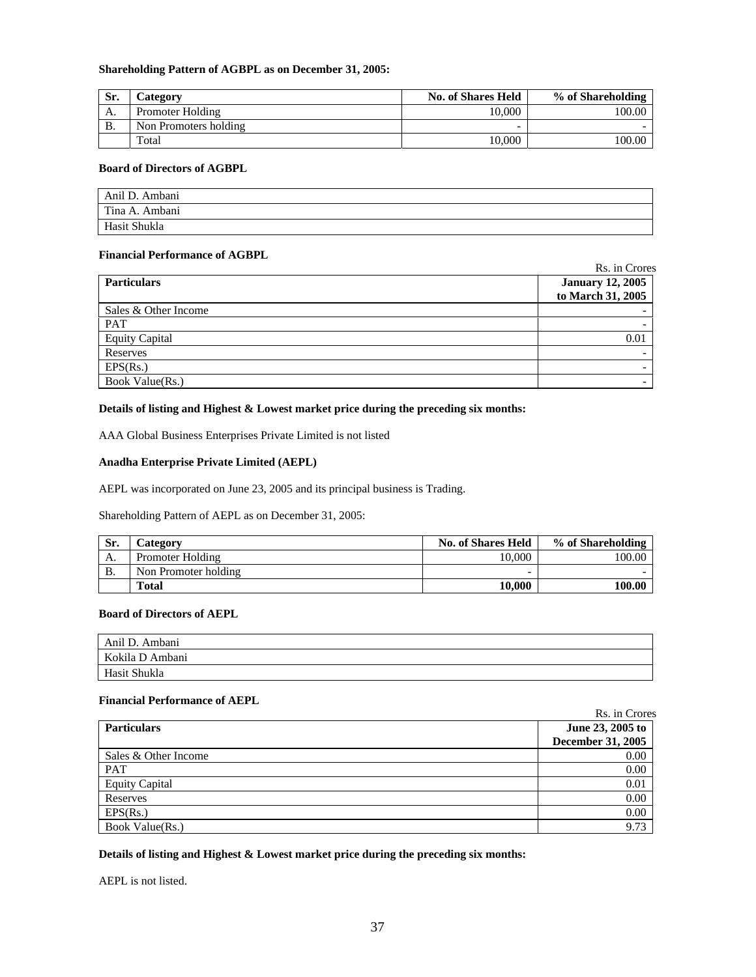# **Shareholding Pattern of AGBPL as on December 31, 2005:**

| Sr. | <b>Category</b>       | <b>No. of Shares Held</b> | % of Shareholding |
|-----|-----------------------|---------------------------|-------------------|
| А.  | Promoter Holding      | 10.000                    | 100.00            |
| В.  | Non Promoters holding |                           |                   |
|     | Total                 | 10.000                    | 100.00            |

# **Board of Directors of AGBPL**

| Anil D. Ambani |  |
|----------------|--|
| Tina A. Ambani |  |
| Hasit Shukla   |  |

# **Financial Performance of AGBPL**

 Rs. in Crores Particulars **Particulars Particulars Particulars Particulars Particulars Particulars Particulars Particular to March 31, 2005**  Sales & Other Income  $PAT$  and  $PAT$  and  $PAT$  and  $PAT$  and  $PAT$  and  $PAT$  and  $PAT$  and  $PAT$  and  $PAT$  and  $PAT$  and  $PAT$  and  $PAT$  and  $PAT$  and  $PAT$  and  $PAT$  and  $PAT$  and  $PAT$  and  $PAT$  and  $PAT$  and  $PAT$  and  $PAT$  and  $PAT$  and  $PAT$  and  $PAT$  and  $PAT$  Equity Capital 0.01 Reserves -  $\text{EPS}(\text{Rs.})$ Book Value(Rs.)

# **Details of listing and Highest & Lowest market price during the preceding six months:**

AAA Global Business Enterprises Private Limited is not listed

# **Anadha Enterprise Private Limited (AEPL)**

AEPL was incorporated on June 23, 2005 and its principal business is Trading.

Shareholding Pattern of AEPL as on December 31, 2005:

| Sr.          | <b>Category</b>      | <b>No. of Shares Held</b> | % of Shareholding |
|--------------|----------------------|---------------------------|-------------------|
| А.           | Promoter Holding     | 10.000                    | 100.00            |
| $\mathbf{B}$ | Non Promoter holding | -                         |                   |
|              | <b>Total</b>         | 10.000                    | 100.00            |

# **Board of Directors of AEPL**

| Anil D. Ambani  |  |
|-----------------|--|
| Kokila D Ambani |  |
| Hasit Shukla    |  |

# **Financial Performance of AEPL**

|                       | Rs. in Crores     |
|-----------------------|-------------------|
| <b>Particulars</b>    | June 23, 2005 to  |
|                       | December 31, 2005 |
| Sales & Other Income  | 0.00              |
| <b>PAT</b>            | 0.00              |
| <b>Equity Capital</b> | 0.01              |
| Reserves              | 0.00              |
| EPS(Rs.)              | 0.00              |
| Book Value(Rs.)       | 9.73              |

# **Details of listing and Highest & Lowest market price during the preceding six months:**

AEPL is not listed.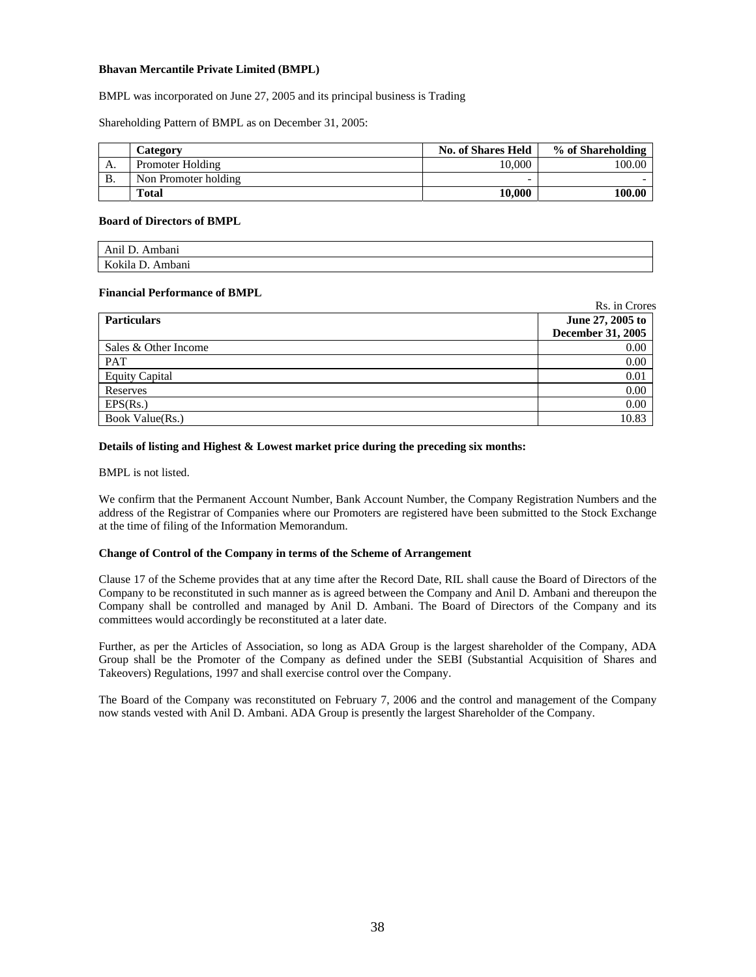# **Bhavan Mercantile Private Limited (BMPL)**

BMPL was incorporated on June 27, 2005 and its principal business is Trading

Shareholding Pattern of BMPL as on December 31, 2005:

|    | Category             | <b>No. of Shares Held</b> | % of Shareholding |
|----|----------------------|---------------------------|-------------------|
| А. | Promoter Holding     | 10.000                    | 100.00            |
| B. | Non Promoter holding |                           |                   |
|    | <b>Total</b>         | 10.000                    | 100.00            |

### **Board of Directors of BMPL**

| $A$ nil<br>Ambanı<br>AIIII<br>◡       |  |
|---------------------------------------|--|
| $\mathbf{V}$<br>.okila<br>.mbanı<br>N |  |

### **Financial Performance of BMPL**

|                       | Rs. in Crores     |
|-----------------------|-------------------|
| <b>Particulars</b>    | June 27, 2005 to  |
|                       | December 31, 2005 |
| Sales & Other Income  | 0.00              |
| <b>PAT</b>            | 0.00              |
| <b>Equity Capital</b> | 0.01              |
| Reserves              | 0.00              |
| EPS(Rs.)              | 0.00              |
| Book Value(Rs.)       | 10.83             |

# **Details of listing and Highest & Lowest market price during the preceding six months:**

BMPL is not listed.

We confirm that the Permanent Account Number, Bank Account Number, the Company Registration Numbers and the address of the Registrar of Companies where our Promoters are registered have been submitted to the Stock Exchange at the time of filing of the Information Memorandum.

# **Change of Control of the Company in terms of the Scheme of Arrangement**

Clause 17 of the Scheme provides that at any time after the Record Date, RIL shall cause the Board of Directors of the Company to be reconstituted in such manner as is agreed between the Company and Anil D. Ambani and thereupon the Company shall be controlled and managed by Anil D. Ambani. The Board of Directors of the Company and its committees would accordingly be reconstituted at a later date.

Further, as per the Articles of Association, so long as ADA Group is the largest shareholder of the Company, ADA Group shall be the Promoter of the Company as defined under the SEBI (Substantial Acquisition of Shares and Takeovers) Regulations, 1997 and shall exercise control over the Company.

The Board of the Company was reconstituted on February 7, 2006 and the control and management of the Company now stands vested with Anil D. Ambani. ADA Group is presently the largest Shareholder of the Company.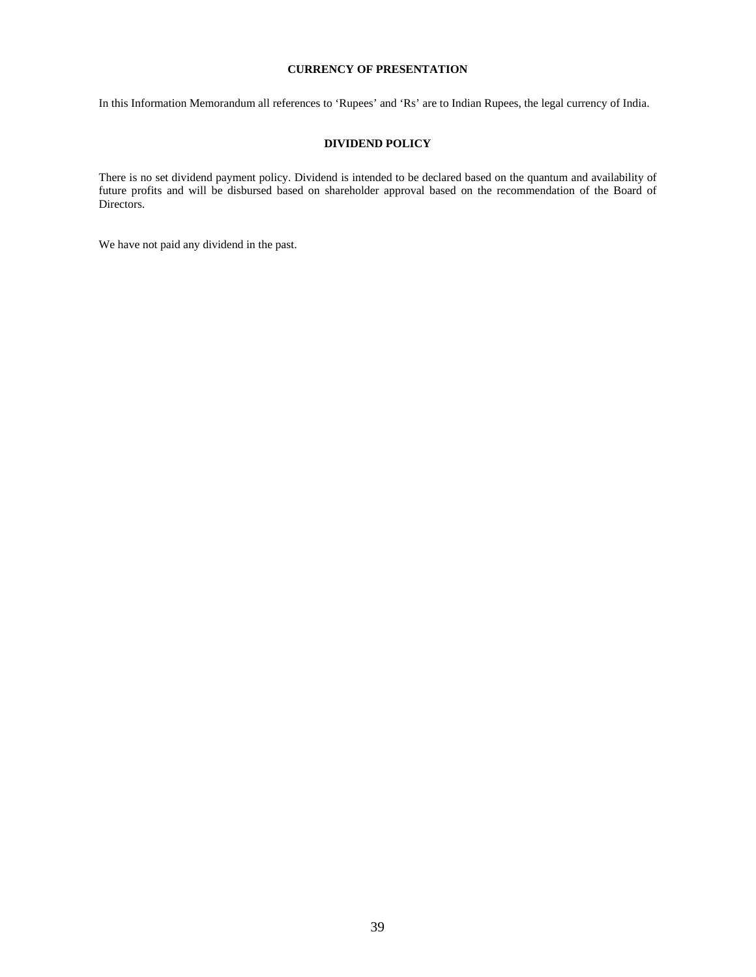# **CURRENCY OF PRESENTATION**

In this Information Memorandum all references to 'Rupees' and 'Rs' are to Indian Rupees, the legal currency of India.

# **DIVIDEND POLICY**

There is no set dividend payment policy. Dividend is intended to be declared based on the quantum and availability of future profits and will be disbursed based on shareholder approval based on the recommendation of the Board of Directors.

We have not paid any dividend in the past.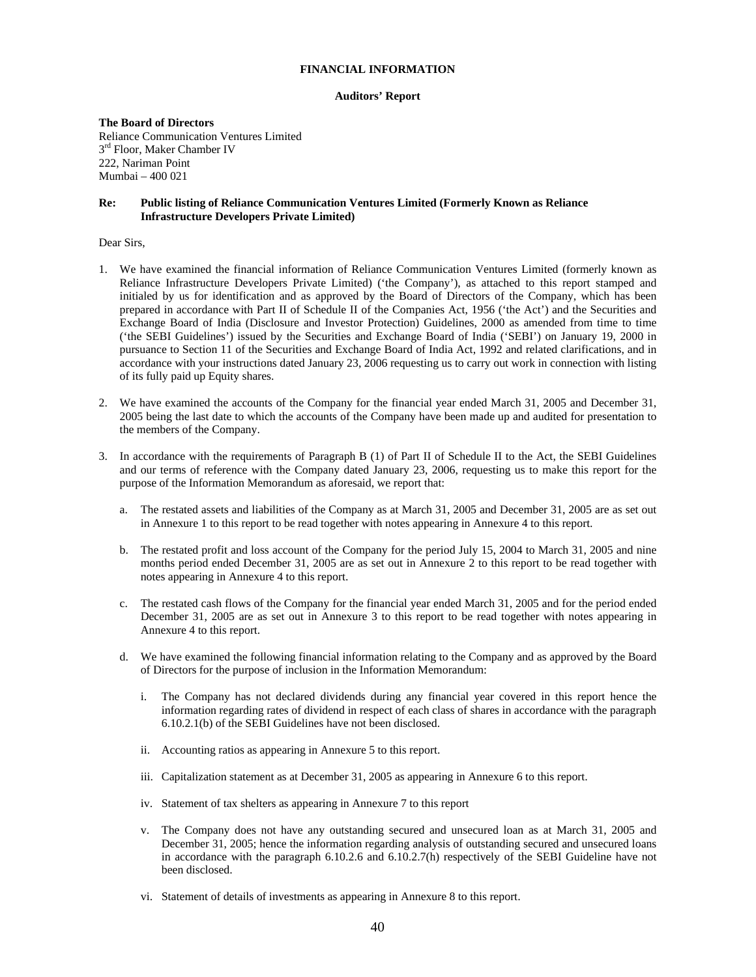# **FINANCIAL INFORMATION**

### **Auditors' Report**

**The Board of Directors**  Reliance Communication Ventures Limited  $3<sup>rd</sup>$  Floor, Maker Chamber IV 222, Nariman Point Mumbai – 400 021

### **Re: Public listing of Reliance Communication Ventures Limited (Formerly Known as Reliance Infrastructure Developers Private Limited)**

# Dear Sirs,

- 1. We have examined the financial information of Reliance Communication Ventures Limited (formerly known as Reliance Infrastructure Developers Private Limited) ('the Company'), as attached to this report stamped and initialed by us for identification and as approved by the Board of Directors of the Company, which has been prepared in accordance with Part II of Schedule II of the Companies Act, 1956 ('the Act') and the Securities and Exchange Board of India (Disclosure and Investor Protection) Guidelines, 2000 as amended from time to time ('the SEBI Guidelines') issued by the Securities and Exchange Board of India ('SEBI') on January 19, 2000 in pursuance to Section 11 of the Securities and Exchange Board of India Act, 1992 and related clarifications, and in accordance with your instructions dated January 23, 2006 requesting us to carry out work in connection with listing of its fully paid up Equity shares.
- 2. We have examined the accounts of the Company for the financial year ended March 31, 2005 and December 31, 2005 being the last date to which the accounts of the Company have been made up and audited for presentation to the members of the Company.
- 3. In accordance with the requirements of Paragraph B (1) of Part II of Schedule II to the Act, the SEBI Guidelines and our terms of reference with the Company dated January 23, 2006, requesting us to make this report for the purpose of the Information Memorandum as aforesaid, we report that:
	- a. The restated assets and liabilities of the Company as at March 31, 2005 and December 31, 2005 are as set out in Annexure 1 to this report to be read together with notes appearing in Annexure 4 to this report.
	- b. The restated profit and loss account of the Company for the period July 15, 2004 to March 31, 2005 and nine months period ended December 31, 2005 are as set out in Annexure 2 to this report to be read together with notes appearing in Annexure 4 to this report.
	- c. The restated cash flows of the Company for the financial year ended March 31, 2005 and for the period ended December 31, 2005 are as set out in Annexure 3 to this report to be read together with notes appearing in Annexure 4 to this report.
	- d. We have examined the following financial information relating to the Company and as approved by the Board of Directors for the purpose of inclusion in the Information Memorandum:
		- i. The Company has not declared dividends during any financial year covered in this report hence the information regarding rates of dividend in respect of each class of shares in accordance with the paragraph 6.10.2.1(b) of the SEBI Guidelines have not been disclosed.
		- ii. Accounting ratios as appearing in Annexure 5 to this report.
		- iii. Capitalization statement as at December 31, 2005 as appearing in Annexure 6 to this report.
		- iv. Statement of tax shelters as appearing in Annexure 7 to this report
		- The Company does not have any outstanding secured and unsecured loan as at March 31, 2005 and December 31, 2005; hence the information regarding analysis of outstanding secured and unsecured loans in accordance with the paragraph 6.10.2.6 and 6.10.2.7(h) respectively of the SEBI Guideline have not been disclosed.
		- vi. Statement of details of investments as appearing in Annexure 8 to this report.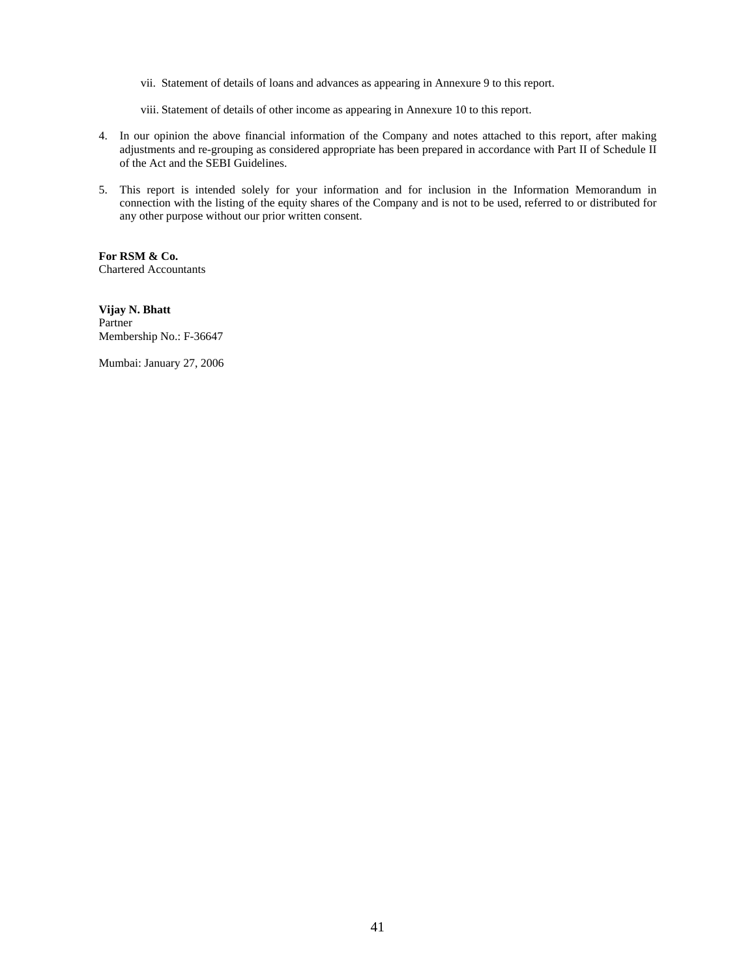- vii. Statement of details of loans and advances as appearing in Annexure 9 to this report.
- viii. Statement of details of other income as appearing in Annexure 10 to this report.
- 4. In our opinion the above financial information of the Company and notes attached to this report, after making adjustments and re-grouping as considered appropriate has been prepared in accordance with Part II of Schedule II of the Act and the SEBI Guidelines.
- 5. This report is intended solely for your information and for inclusion in the Information Memorandum in connection with the listing of the equity shares of the Company and is not to be used, referred to or distributed for any other purpose without our prior written consent.

**For RSM & Co.**  Chartered Accountants

**Vijay N. Bhatt**  Partner Membership No.: F-36647

Mumbai: January 27, 2006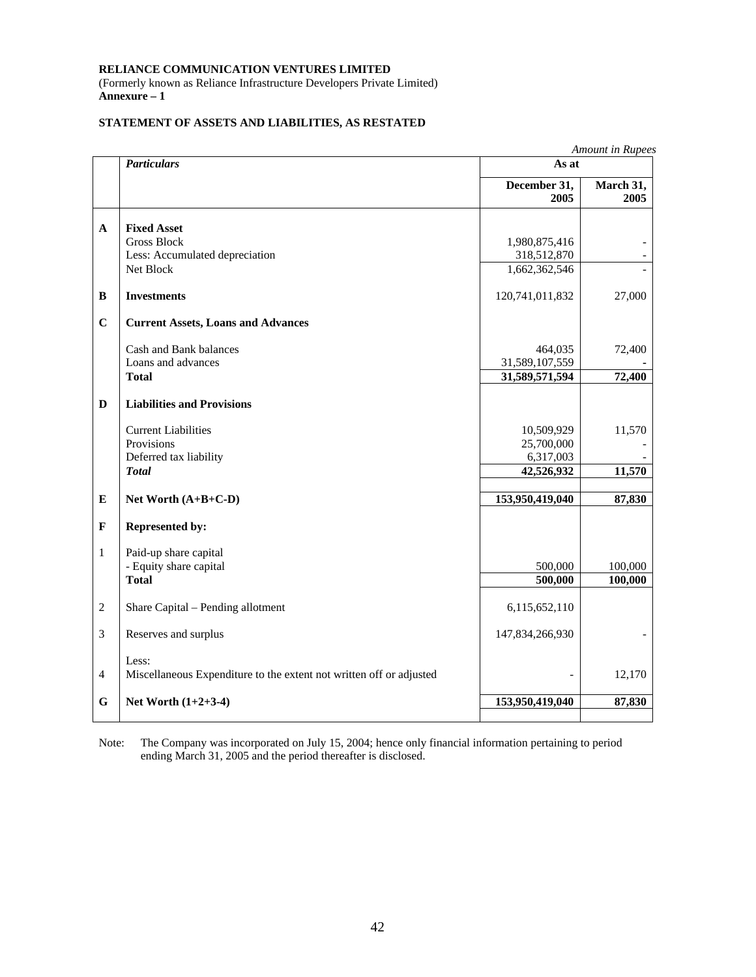(Formerly known as Reliance Infrastructure Developers Private Limited) **Annexure – 1** 

# **STATEMENT OF ASSETS AND LIABILITIES, AS RESTATED**

|                |                                                                     |                      | Amount in Rupees  |  |
|----------------|---------------------------------------------------------------------|----------------------|-------------------|--|
|                | <b>Particulars</b>                                                  | As at                |                   |  |
|                |                                                                     | December 31,<br>2005 | March 31,<br>2005 |  |
|                |                                                                     |                      |                   |  |
| $\mathbf{A}$   | <b>Fixed Asset</b><br><b>Gross Block</b>                            | 1,980,875,416        |                   |  |
|                | Less: Accumulated depreciation                                      | 318,512,870          |                   |  |
|                | Net Block                                                           | 1,662,362,546        |                   |  |
| B              | <b>Investments</b>                                                  | 120,741,011,832      | 27,000            |  |
| $\mathbf C$    | <b>Current Assets, Loans and Advances</b>                           |                      |                   |  |
|                | Cash and Bank balances                                              | 464,035              | 72,400            |  |
|                | Loans and advances                                                  | 31,589,107,559       |                   |  |
|                | <b>Total</b>                                                        | 31,589,571,594       | 72,400            |  |
| $\mathbf{D}$   | <b>Liabilities and Provisions</b>                                   |                      |                   |  |
|                | <b>Current Liabilities</b>                                          | 10,509,929           | 11,570            |  |
|                | Provisions                                                          | 25,700,000           |                   |  |
|                | Deferred tax liability                                              | 6,317,003            |                   |  |
|                | <b>Total</b>                                                        | 42,526,932           | 11,570            |  |
| E              | Net Worth $(A+B+C-D)$                                               | 153,950,419,040      | 87,830            |  |
| $\mathbf F$    | <b>Represented by:</b>                                              |                      |                   |  |
| $\mathbf{1}$   | Paid-up share capital                                               |                      |                   |  |
|                | - Equity share capital                                              | 500,000              | 100,000           |  |
|                | <b>Total</b>                                                        | 500,000              | 100,000           |  |
| $\overline{2}$ | Share Capital - Pending allotment                                   | 6,115,652,110        |                   |  |
| $\mathfrak{Z}$ | Reserves and surplus                                                | 147,834,266,930      |                   |  |
|                | Less:                                                               |                      |                   |  |
| $\overline{4}$ | Miscellaneous Expenditure to the extent not written off or adjusted |                      | 12,170            |  |
| $\mathbf G$    | Net Worth $(1+2+3-4)$                                               | 153,950,419,040      | 87,830            |  |
|                |                                                                     |                      |                   |  |

Note: The Company was incorporated on July 15, 2004; hence only financial information pertaining to period ending March 31, 2005 and the period thereafter is disclosed.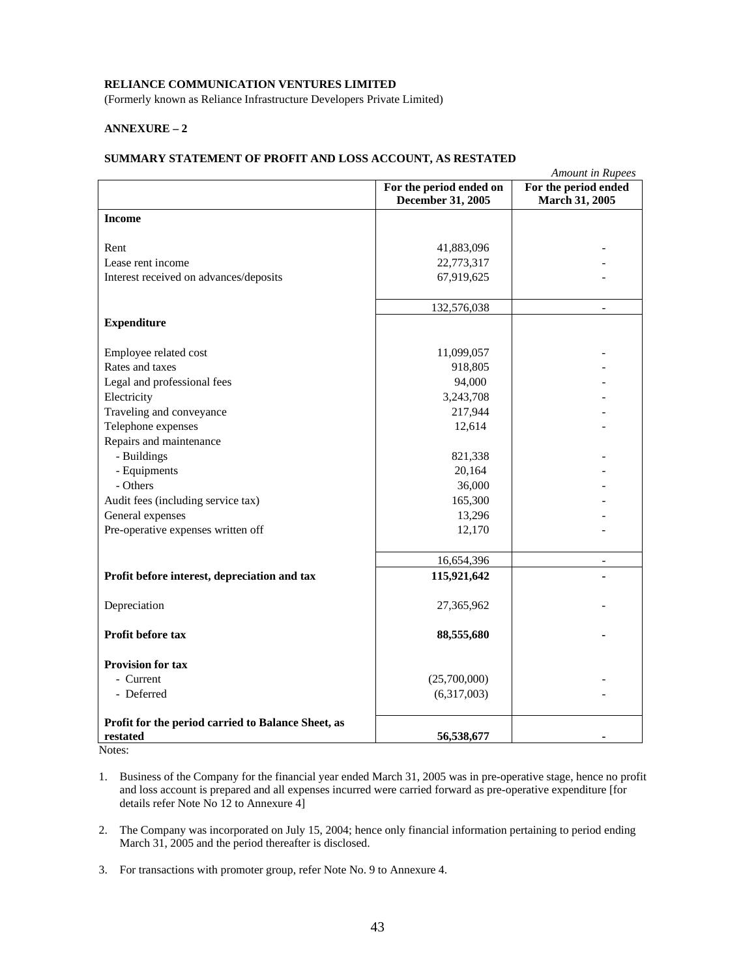(Formerly known as Reliance Infrastructure Developers Private Limited)

# **ANNEXURE – 2**

# **SUMMARY STATEMENT OF PROFIT AND LOSS ACCOUNT, AS RESTATED**

|                                                    |                             | <b>Amount</b> in Rupees |
|----------------------------------------------------|-----------------------------|-------------------------|
|                                                    | For the period ended on     | For the period ended    |
|                                                    | December 31, 2005           | March 31, 2005          |
| <b>Income</b>                                      |                             |                         |
|                                                    |                             |                         |
| Rent                                               | 41,883,096                  |                         |
| Lease rent income                                  | 22,773,317                  |                         |
| Interest received on advances/deposits             | 67,919,625                  |                         |
|                                                    | 132,576,038                 | $\overline{a}$          |
| <b>Expenditure</b>                                 |                             |                         |
|                                                    |                             |                         |
| Employee related cost                              | 11,099,057                  |                         |
| Rates and taxes                                    | 918,805                     |                         |
| Legal and professional fees                        | 94,000                      |                         |
| Electricity                                        | 3,243,708                   |                         |
| Traveling and conveyance                           | 217,944                     |                         |
| Telephone expenses                                 | 12,614                      |                         |
| Repairs and maintenance                            |                             |                         |
| - Buildings                                        | 821,338                     |                         |
| - Equipments                                       | 20,164                      |                         |
| - Others                                           | 36,000                      |                         |
| Audit fees (including service tax)                 | 165,300                     |                         |
| General expenses                                   | 13,296                      |                         |
| Pre-operative expenses written off                 | 12,170                      |                         |
|                                                    |                             |                         |
|                                                    | 16,654,396                  | $\overline{a}$          |
| Profit before interest, depreciation and tax       | 115,921,642                 |                         |
|                                                    |                             |                         |
| Depreciation                                       | 27,365,962                  |                         |
| Profit before tax                                  | 88,555,680                  |                         |
| <b>Provision for tax</b>                           |                             |                         |
| - Current                                          |                             |                         |
| - Deferred                                         | (25,700,000)<br>(6,317,003) |                         |
|                                                    |                             |                         |
| Profit for the period carried to Balance Sheet, as |                             |                         |
| restated                                           | 56,538,677                  |                         |

Notes:

- 2. The Company was incorporated on July 15, 2004; hence only financial information pertaining to period ending March 31, 2005 and the period thereafter is disclosed.
- 3. For transactions with promoter group, refer Note No. 9 to Annexure 4.

<sup>1.</sup> Business of the Company for the financial year ended March 31, 2005 was in pre-operative stage, hence no profit and loss account is prepared and all expenses incurred were carried forward as pre-operative expenditure [for details refer Note No 12 to Annexure 4]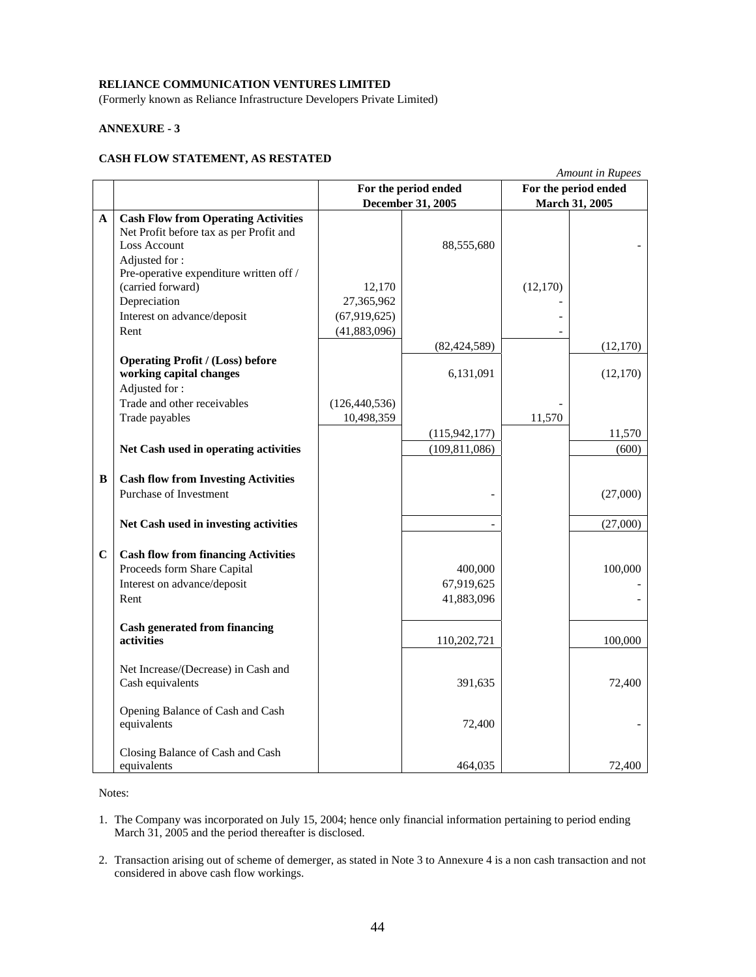(Formerly known as Reliance Infrastructure Developers Private Limited)

# **ANNEXURE - 3**

# **CASH FLOW STATEMENT, AS RESTATED**

|             |                                                                                                                                                                          |                                     |                                     |          | <b>Amount in Rupees</b> |
|-------------|--------------------------------------------------------------------------------------------------------------------------------------------------------------------------|-------------------------------------|-------------------------------------|----------|-------------------------|
|             |                                                                                                                                                                          |                                     | For the period ended                |          | For the period ended    |
|             |                                                                                                                                                                          | December 31, 2005<br>March 31, 2005 |                                     |          |                         |
| A           | <b>Cash Flow from Operating Activities</b><br>Net Profit before tax as per Profit and<br><b>Loss Account</b><br>Adjusted for:<br>Pre-operative expenditure written off / |                                     | 88,555,680                          |          |                         |
|             | (carried forward)                                                                                                                                                        | 12,170                              |                                     | (12,170) |                         |
|             | Depreciation                                                                                                                                                             | 27,365,962                          |                                     |          |                         |
|             | Interest on advance/deposit                                                                                                                                              | (67,919,625)                        |                                     |          |                         |
|             | Rent                                                                                                                                                                     | (41,883,096)                        |                                     |          |                         |
|             |                                                                                                                                                                          |                                     | (82, 424, 589)                      |          | (12,170)                |
|             | <b>Operating Profit / (Loss) before</b><br>working capital changes<br>Adjusted for:                                                                                      |                                     | 6,131,091                           |          | (12, 170)               |
|             | Trade and other receivables                                                                                                                                              | (126, 440, 536)                     |                                     |          |                         |
|             | Trade payables                                                                                                                                                           | 10,498,359                          |                                     | 11,570   |                         |
|             |                                                                                                                                                                          |                                     | (115, 942, 177)                     |          | 11,570                  |
|             | Net Cash used in operating activities                                                                                                                                    |                                     | (109, 811, 086)                     |          | (600)                   |
| B           | <b>Cash flow from Investing Activities</b><br>Purchase of Investment                                                                                                     |                                     |                                     |          | (27,000)                |
|             | Net Cash used in investing activities                                                                                                                                    |                                     |                                     |          | (27,000)                |
| $\mathbf C$ | <b>Cash flow from financing Activities</b><br>Proceeds form Share Capital<br>Interest on advance/deposit<br>Rent                                                         |                                     | 400,000<br>67,919,625<br>41,883,096 |          | 100,000                 |
|             | <b>Cash generated from financing</b><br><b>activities</b>                                                                                                                |                                     | 110,202,721                         |          | 100,000                 |
|             | Net Increase/(Decrease) in Cash and<br>Cash equivalents                                                                                                                  |                                     | 391,635                             |          | 72,400                  |
|             | Opening Balance of Cash and Cash<br>equivalents                                                                                                                          |                                     | 72,400                              |          |                         |
|             | Closing Balance of Cash and Cash<br>equivalents                                                                                                                          |                                     | 464,035                             |          | 72,400                  |

Notes:

- 1. The Company was incorporated on July 15, 2004; hence only financial information pertaining to period ending March 31, 2005 and the period thereafter is disclosed.
- 2. Transaction arising out of scheme of demerger, as stated in Note 3 to Annexure 4 is a non cash transaction and not considered in above cash flow workings.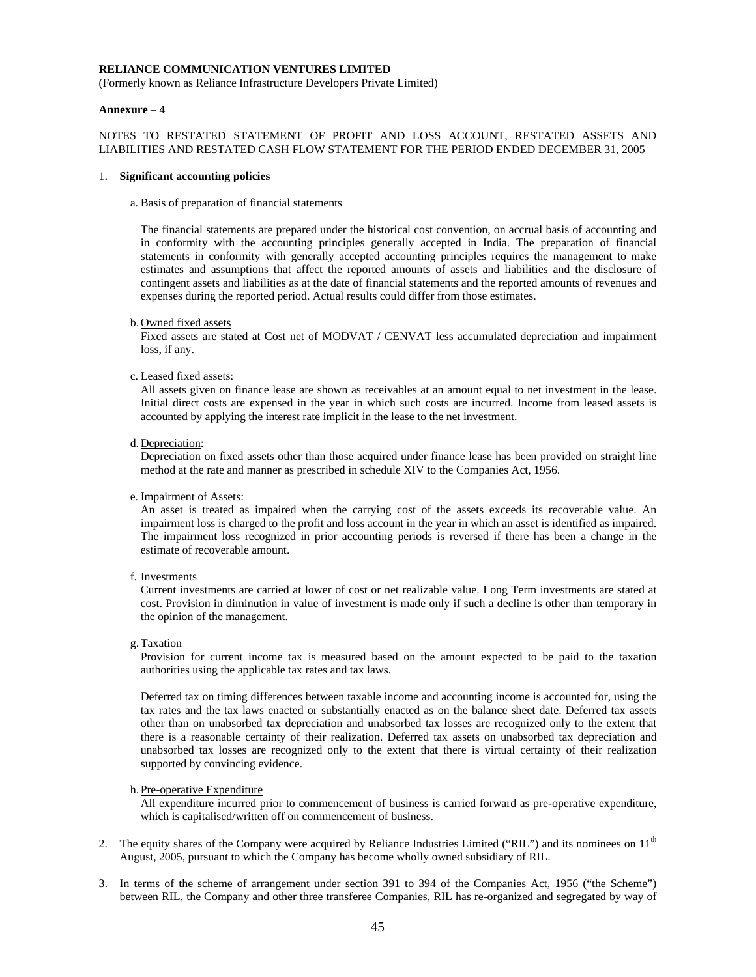(Formerly known as Reliance Infrastructure Developers Private Limited)

#### **Annexure – 4**

# NOTES TO RESTATED STATEMENT OF PROFIT AND LOSS ACCOUNT, RESTATED ASSETS AND LIABILITIES AND RESTATED CASH FLOW STATEMENT FOR THE PERIOD ENDED DECEMBER 31, 2005

#### 1. **Significant accounting policies**

#### a. Basis of preparation of financial statements

The financial statements are prepared under the historical cost convention, on accrual basis of accounting and in conformity with the accounting principles generally accepted in India. The preparation of financial statements in conformity with generally accepted accounting principles requires the management to make estimates and assumptions that affect the reported amounts of assets and liabilities and the disclosure of contingent assets and liabilities as at the date of financial statements and the reported amounts of revenues and expenses during the reported period. Actual results could differ from those estimates.

#### b. Owned fixed assets

Fixed assets are stated at Cost net of MODVAT / CENVAT less accumulated depreciation and impairment loss, if any.

#### c. Leased fixed assets:

All assets given on finance lease are shown as receivables at an amount equal to net investment in the lease. Initial direct costs are expensed in the year in which such costs are incurred. Income from leased assets is accounted by applying the interest rate implicit in the lease to the net investment.

#### d. Depreciation:

Depreciation on fixed assets other than those acquired under finance lease has been provided on straight line method at the rate and manner as prescribed in schedule XIV to the Companies Act, 1956.

#### e. Impairment of Assets:

An asset is treated as impaired when the carrying cost of the assets exceeds its recoverable value. An impairment loss is charged to the profit and loss account in the year in which an asset is identified as impaired. The impairment loss recognized in prior accounting periods is reversed if there has been a change in the estimate of recoverable amount.

f. Investments

Current investments are carried at lower of cost or net realizable value. Long Term investments are stated at cost. Provision in diminution in value of investment is made only if such a decline is other than temporary in the opinion of the management.

g.Taxation

Provision for current income tax is measured based on the amount expected to be paid to the taxation authorities using the applicable tax rates and tax laws.

Deferred tax on timing differences between taxable income and accounting income is accounted for, using the tax rates and the tax laws enacted or substantially enacted as on the balance sheet date. Deferred tax assets other than on unabsorbed tax depreciation and unabsorbed tax losses are recognized only to the extent that there is a reasonable certainty of their realization. Deferred tax assets on unabsorbed tax depreciation and unabsorbed tax losses are recognized only to the extent that there is virtual certainty of their realization supported by convincing evidence.

#### h. Pre-operative Expenditure

All expenditure incurred prior to commencement of business is carried forward as pre-operative expenditure, which is capitalised/written off on commencement of business.

- 2. The equity shares of the Company were acquired by Reliance Industries Limited ("RIL") and its nominees on 11<sup>th</sup> August, 2005, pursuant to which the Company has become wholly owned subsidiary of RIL.
- 3. In terms of the scheme of arrangement under section 391 to 394 of the Companies Act, 1956 ("the Scheme") between RIL, the Company and other three transferee Companies, RIL has re-organized and segregated by way of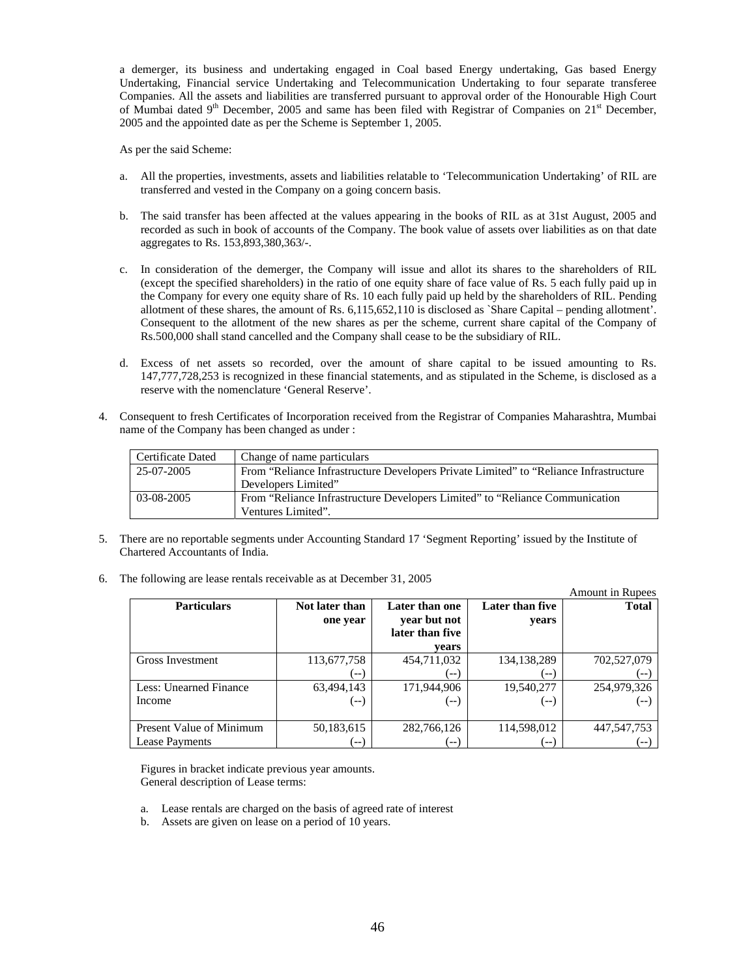a demerger, its business and undertaking engaged in Coal based Energy undertaking, Gas based Energy Undertaking, Financial service Undertaking and Telecommunication Undertaking to four separate transferee Companies. All the assets and liabilities are transferred pursuant to approval order of the Honourable High Court of Mumbai dated 9<sup>th</sup> December, 2005 and same has been filed with Registrar of Companies on 21<sup>st</sup> December, 2005 and the appointed date as per the Scheme is September 1, 2005.

As per the said Scheme:

- a. All the properties, investments, assets and liabilities relatable to 'Telecommunication Undertaking' of RIL are transferred and vested in the Company on a going concern basis.
- b. The said transfer has been affected at the values appearing in the books of RIL as at 31st August, 2005 and recorded as such in book of accounts of the Company. The book value of assets over liabilities as on that date aggregates to Rs. 153,893,380,363/-.
- c. In consideration of the demerger, the Company will issue and allot its shares to the shareholders of RIL (except the specified shareholders) in the ratio of one equity share of face value of Rs. 5 each fully paid up in the Company for every one equity share of Rs. 10 each fully paid up held by the shareholders of RIL. Pending allotment of these shares, the amount of Rs. 6,115,652,110 is disclosed as `Share Capital – pending allotment'. Consequent to the allotment of the new shares as per the scheme, current share capital of the Company of Rs.500,000 shall stand cancelled and the Company shall cease to be the subsidiary of RIL.
- d. Excess of net assets so recorded, over the amount of share capital to be issued amounting to Rs. 147,777,728,253 is recognized in these financial statements, and as stipulated in the Scheme, is disclosed as a reserve with the nomenclature 'General Reserve'.
- 4. Consequent to fresh Certificates of Incorporation received from the Registrar of Companies Maharashtra, Mumbai name of the Company has been changed as under :

| Certificate Dated | Change of name particulars                                                             |
|-------------------|----------------------------------------------------------------------------------------|
| 25-07-2005        | From "Reliance Infrastructure Developers Private Limited" to "Reliance Infrastructure" |
|                   | Developers Limited"                                                                    |
| 03-08-2005        | From "Reliance Infrastructure Developers Limited" to "Reliance Communication"          |
|                   | Ventures Limited".                                                                     |

- 5. There are no reportable segments under Accounting Standard 17 'Segment Reporting' issued by the Institute of Chartered Accountants of India.
- 6. The following are lease rentals receivable as at December 31, 2005

|                                 |                |                 |                 | <b>Amount in Rupees</b> |
|---------------------------------|----------------|-----------------|-----------------|-------------------------|
| <b>Particulars</b>              | Not later than | Later than one  | Later than five | <b>Total</b>            |
|                                 | one year       | year but not    | years           |                         |
|                                 |                | later than five |                 |                         |
|                                 |                | vears           |                 |                         |
| Gross Investment                | 113,677,758    | 454,711,032     | 134,138,289     | 702,527,079             |
|                                 | $---$          | -- 1            | $- -$           | $- -$                   |
| Less: Unearned Finance          | 63,494,143     | 171,944,906     | 19,540,277      | 254,979,326             |
| Income                          | (--)           | (-- )           | ( -- )          |                         |
|                                 |                |                 |                 |                         |
| <b>Present Value of Minimum</b> | 50,183,615     | 282,766,126     | 114,598,012     | 447, 547, 753           |
| <b>Lease Payments</b>           | $--$           | $--$            | $--$            |                         |

Figures in bracket indicate previous year amounts. General description of Lease terms:

- a. Lease rentals are charged on the basis of agreed rate of interest
- b. Assets are given on lease on a period of 10 years.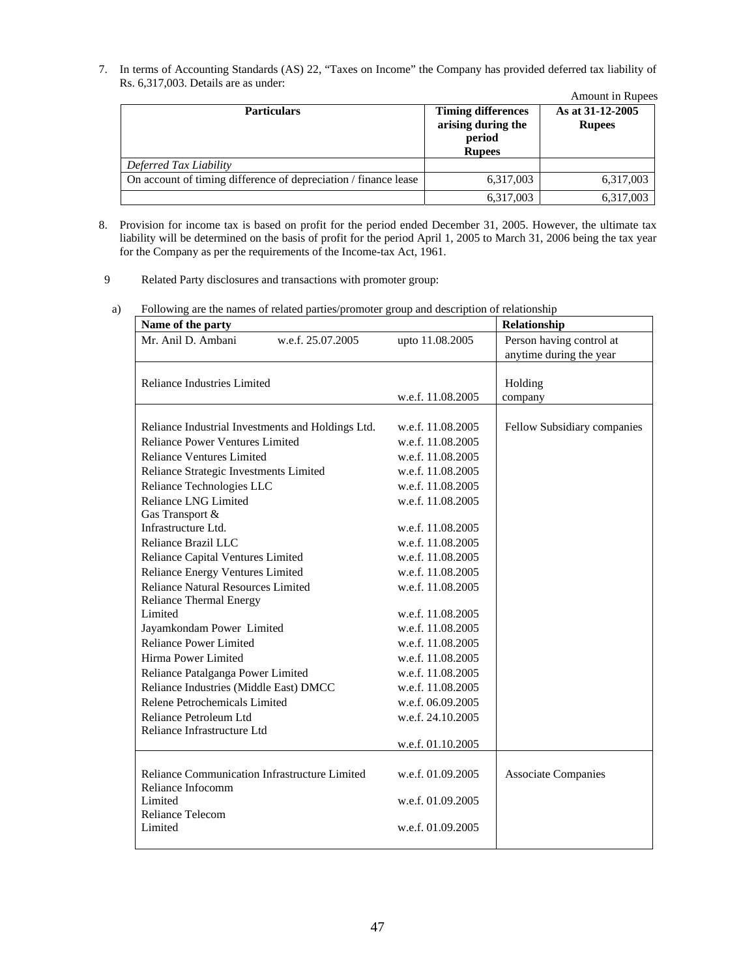7. In terms of Accounting Standards (AS) 22, "Taxes on Income" the Company has provided deferred tax liability of Rs. 6,317,003. Details are as under:

|                                                                 |                                                                            | <b>Amount in Rupees</b>           |
|-----------------------------------------------------------------|----------------------------------------------------------------------------|-----------------------------------|
| <b>Particulars</b>                                              | <b>Timing differences</b><br>arising during the<br>period<br><b>Rupees</b> | As at 31-12-2005<br><b>Rupees</b> |
| Deferred Tax Liability                                          |                                                                            |                                   |
| On account of timing difference of depreciation / finance lease | 6,317,003                                                                  | 6,317,003                         |
|                                                                 | 6,317,003                                                                  | 6,317,003                         |

- 8. Provision for income tax is based on profit for the period ended December 31, 2005. However, the ultimate tax liability will be determined on the basis of profit for the period April 1, 2005 to March 31, 2006 being the tax year for the Company as per the requirements of the Income-tax Act, 1961.
- 9 Related Party disclosures and transactions with promoter group:
- a) Following are the names of related parties/promoter group and description of relationship

| Name of the party                                 |                   | Relationship                |
|---------------------------------------------------|-------------------|-----------------------------|
| Mr. Anil D. Ambani<br>w.e.f. 25.07.2005           | upto 11.08.2005   | Person having control at    |
|                                                   |                   | anytime during the year     |
|                                                   |                   |                             |
| Reliance Industries Limited                       |                   | Holding                     |
|                                                   | w.e.f. 11.08.2005 | company                     |
| Reliance Industrial Investments and Holdings Ltd. | w.e.f. 11.08.2005 | Fellow Subsidiary companies |
| Reliance Power Ventures Limited                   | w.e.f. 11.08.2005 |                             |
| <b>Reliance Ventures Limited</b>                  | w.e.f. 11.08.2005 |                             |
| Reliance Strategic Investments Limited            | w.e.f. 11.08.2005 |                             |
| Reliance Technologies LLC                         | w.e.f. 11.08.2005 |                             |
| Reliance LNG Limited                              | w.e.f. 11.08.2005 |                             |
| Gas Transport &                                   |                   |                             |
| Infrastructure Ltd.                               | w.e.f. 11.08.2005 |                             |
| Reliance Brazil LLC                               | w.e.f. 11.08.2005 |                             |
| Reliance Capital Ventures Limited                 | w.e.f. 11.08.2005 |                             |
| Reliance Energy Ventures Limited                  | w.e.f. 11.08.2005 |                             |
| Reliance Natural Resources Limited                | w.e.f. 11.08.2005 |                             |
| <b>Reliance Thermal Energy</b>                    |                   |                             |
| Limited                                           | w.e.f. 11.08.2005 |                             |
| Jayamkondam Power Limited                         | w.e.f. 11.08.2005 |                             |
| <b>Reliance Power Limited</b>                     | w.e.f. 11.08.2005 |                             |
| Hirma Power Limited                               | w.e.f. 11.08.2005 |                             |
| Reliance Patalganga Power Limited                 | w.e.f. 11.08.2005 |                             |
| Reliance Industries (Middle East) DMCC            | w.e.f. 11.08.2005 |                             |
| Relene Petrochemicals Limited                     | w.e.f. 06.09.2005 |                             |
| Reliance Petroleum Ltd                            | w.e.f. 24.10.2005 |                             |
| Reliance Infrastructure Ltd                       |                   |                             |
|                                                   | w.e.f. 01.10.2005 |                             |
| Reliance Communication Infrastructure Limited     | w.e.f. 01.09.2005 | <b>Associate Companies</b>  |
| Reliance Infocomm                                 |                   |                             |
| Limited                                           | w.e.f. 01.09.2005 |                             |
| Reliance Telecom                                  |                   |                             |
|                                                   | w.e.f. 01.09.2005 |                             |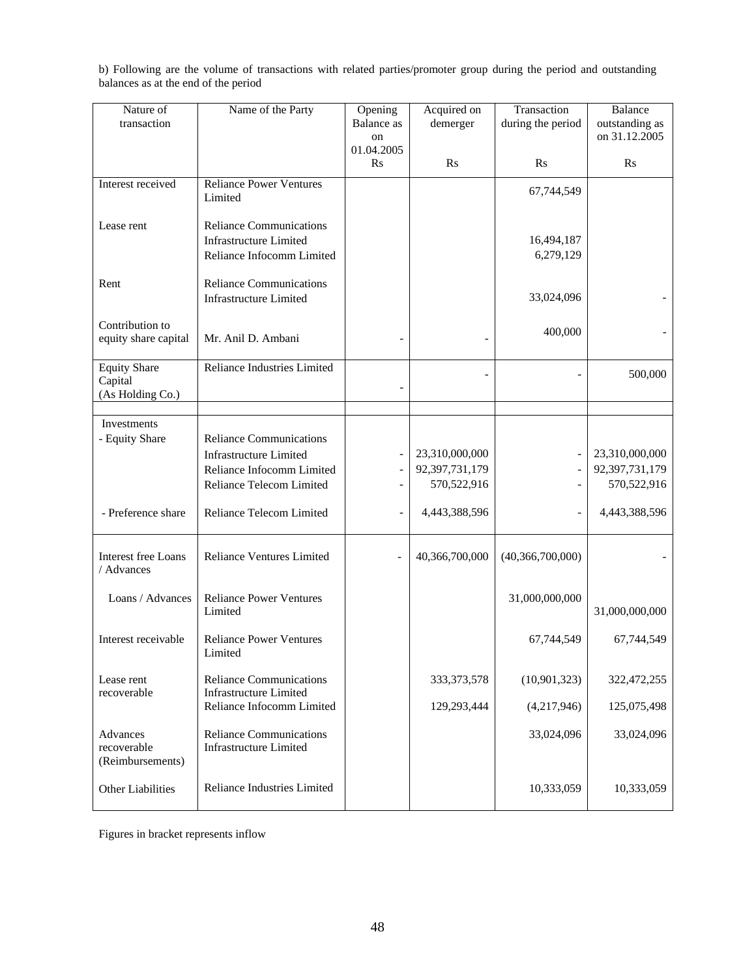| Nature of                  | Name of the Party                                               | Opening           | Acquired on    | Transaction       | <b>Balance</b> |
|----------------------------|-----------------------------------------------------------------|-------------------|----------------|-------------------|----------------|
| transaction                |                                                                 | <b>Balance</b> as | demerger       | during the period | outstanding as |
|                            |                                                                 | on<br>01.04.2005  |                |                   | on 31.12.2005  |
|                            |                                                                 | $\rm Rs$          | R <sub>S</sub> | Rs                | $\mathbf{R}$ s |
|                            |                                                                 |                   |                |                   |                |
| Interest received          | <b>Reliance Power Ventures</b><br>Limited                       |                   |                | 67,744,549        |                |
|                            |                                                                 |                   |                |                   |                |
| Lease rent                 | <b>Reliance Communications</b>                                  |                   |                |                   |                |
|                            | <b>Infrastructure Limited</b>                                   |                   |                | 16,494,187        |                |
|                            | Reliance Infocomm Limited                                       |                   |                | 6,279,129         |                |
|                            |                                                                 |                   |                |                   |                |
| Rent                       | <b>Reliance Communications</b>                                  |                   |                |                   |                |
|                            | <b>Infrastructure Limited</b>                                   |                   |                | 33,024,096        |                |
| Contribution to            |                                                                 |                   |                |                   |                |
| equity share capital       | Mr. Anil D. Ambani                                              |                   |                | 400,000           |                |
|                            |                                                                 |                   |                |                   |                |
| <b>Equity Share</b>        | Reliance Industries Limited                                     |                   |                |                   | 500,000        |
| Capital                    |                                                                 |                   |                |                   |                |
| (As Holding Co.)           |                                                                 |                   |                |                   |                |
| <b>Investments</b>         |                                                                 |                   |                |                   |                |
| - Equity Share             | <b>Reliance Communications</b>                                  |                   |                |                   |                |
|                            | <b>Infrastructure Limited</b>                                   |                   | 23,310,000,000 |                   | 23,310,000,000 |
|                            | Reliance Infocomm Limited                                       |                   | 92,397,731,179 |                   | 92,397,731,179 |
|                            | Reliance Telecom Limited                                        |                   | 570,522,916    |                   | 570,522,916    |
|                            |                                                                 |                   |                |                   |                |
| - Preference share         | Reliance Telecom Limited                                        |                   | 4,443,388,596  |                   | 4,443,388,596  |
|                            |                                                                 |                   |                |                   |                |
|                            |                                                                 |                   |                |                   |                |
| <b>Interest free Loans</b> | <b>Reliance Ventures Limited</b>                                |                   | 40,366,700,000 | (40,366,700,000)  |                |
| / Advances                 |                                                                 |                   |                |                   |                |
| Loans / Advances           | <b>Reliance Power Ventures</b>                                  |                   |                | 31,000,000,000    |                |
|                            | Limited                                                         |                   |                |                   | 31,000,000,000 |
|                            |                                                                 |                   |                |                   |                |
| Interest receivable        | <b>Reliance Power Ventures</b>                                  |                   |                | 67,744,549        | 67,744,549     |
|                            | Limited                                                         |                   |                |                   |                |
| Lease rent                 | <b>Reliance Communications</b>                                  |                   | 333, 373, 578  | (10, 901, 323)    | 322,472,255    |
| recoverable                | <b>Infrastructure Limited</b>                                   |                   |                |                   |                |
|                            | Reliance Infocomm Limited                                       |                   | 129,293,444    | (4,217,946)       | 125,075,498    |
|                            |                                                                 |                   |                |                   |                |
| Advances<br>recoverable    | <b>Reliance Communications</b><br><b>Infrastructure Limited</b> |                   |                | 33,024,096        | 33,024,096     |
| (Reimbursements)           |                                                                 |                   |                |                   |                |
|                            |                                                                 |                   |                |                   |                |
| Other Liabilities          | Reliance Industries Limited                                     |                   |                | 10,333,059        | 10,333,059     |

b) Following are the volume of transactions with related parties/promoter group during the period and outstanding balances as at the end of the period

Figures in bracket represents inflow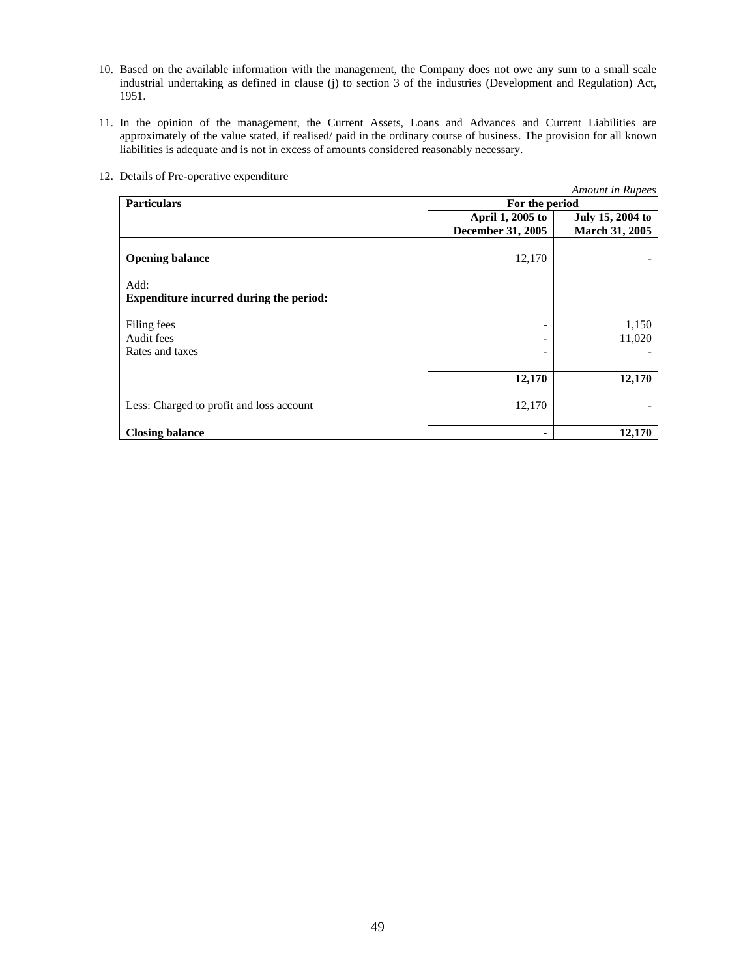- 10. Based on the available information with the management, the Company does not owe any sum to a small scale industrial undertaking as defined in clause (j) to section 3 of the industries (Development and Regulation) Act, 1951.
- 11. In the opinion of the management, the Current Assets, Loans and Advances and Current Liabilities are approximately of the value stated, if realised/ paid in the ordinary course of business. The provision for all known liabilities is adequate and is not in excess of amounts considered reasonably necessary.

|                                                        |                          | Amount in Rupees |
|--------------------------------------------------------|--------------------------|------------------|
| <b>Particulars</b>                                     | For the period           |                  |
|                                                        | April 1, 2005 to         | July 15, 2004 to |
|                                                        | <b>December 31, 2005</b> | March 31, 2005   |
| <b>Opening balance</b>                                 | 12,170                   |                  |
| Add:<br><b>Expenditure incurred during the period:</b> |                          |                  |
| Filing fees                                            |                          | 1,150            |
| Audit fees                                             |                          | 11,020           |
| Rates and taxes                                        |                          |                  |
|                                                        | 12,170                   | 12,170           |
| Less: Charged to profit and loss account               | 12,170                   |                  |
| <b>Closing balance</b>                                 |                          | 12,170           |

12. Details of Pre-operative expenditure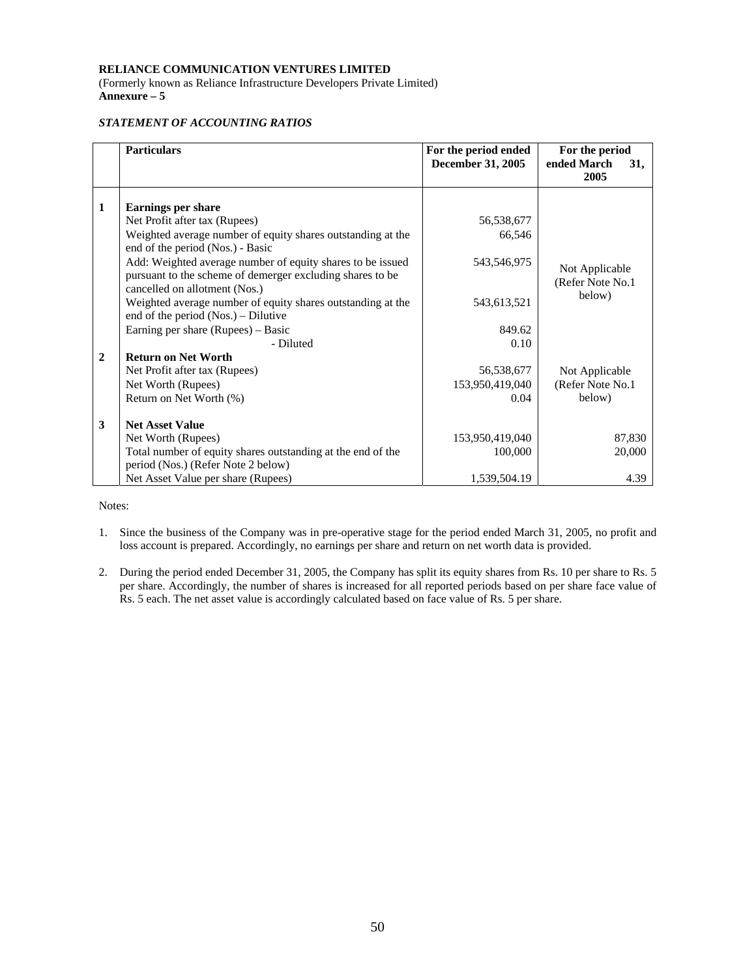(Formerly known as Reliance Infrastructure Developers Private Limited) **Annexure – 5** 

# *STATEMENT OF ACCOUNTING RATIOS*

|              | <b>Particulars</b>                                                                                                                                       | For the period ended | For the period                     |
|--------------|----------------------------------------------------------------------------------------------------------------------------------------------------------|----------------------|------------------------------------|
|              |                                                                                                                                                          | December 31, 2005    | ended March<br>31,                 |
|              |                                                                                                                                                          |                      | 2005                               |
| 1            | <b>Earnings per share</b>                                                                                                                                |                      |                                    |
|              | Net Profit after tax (Rupees)                                                                                                                            | 56,538,677           |                                    |
|              | Weighted average number of equity shares outstanding at the                                                                                              | 66,546               |                                    |
|              | end of the period (Nos.) - Basic                                                                                                                         |                      |                                    |
|              | Add: Weighted average number of equity shares to be issued<br>pursuant to the scheme of demerger excluding shares to be<br>cancelled on allotment (Nos.) | 543,546,975          | Not Applicable<br>(Refer Note No.1 |
|              | Weighted average number of equity shares outstanding at the                                                                                              | 543,613,521          | below)                             |
|              | end of the period $(Nos.)$ – Dilutive                                                                                                                    | 849.62               |                                    |
|              | Earning per share (Rupees) – Basic                                                                                                                       |                      |                                    |
| $\mathbf{2}$ | - Diluted<br><b>Return on Net Worth</b>                                                                                                                  | 0.10                 |                                    |
|              |                                                                                                                                                          |                      |                                    |
|              | Net Profit after tax (Rupees)                                                                                                                            | 56,538,677           | Not Applicable                     |
|              | Net Worth (Rupees)                                                                                                                                       | 153,950,419,040      | (Refer Note No.1)                  |
|              | Return on Net Worth (%)                                                                                                                                  | 0.04                 | below)                             |
| 3            | <b>Net Asset Value</b>                                                                                                                                   |                      |                                    |
|              | Net Worth (Rupees)                                                                                                                                       | 153,950,419,040      | 87,830                             |
|              | Total number of equity shares outstanding at the end of the<br>period (Nos.) (Refer Note 2 below)                                                        | 100,000              | 20,000                             |
|              | Net Asset Value per share (Rupees)                                                                                                                       | 1,539,504.19         | 4.39                               |

Notes:

- 1. Since the business of the Company was in pre-operative stage for the period ended March 31, 2005, no profit and loss account is prepared. Accordingly, no earnings per share and return on net worth data is provided.
- 2. During the period ended December 31, 2005, the Company has split its equity shares from Rs. 10 per share to Rs. 5 per share. Accordingly, the number of shares is increased for all reported periods based on per share face value of Rs. 5 each. The net asset value is accordingly calculated based on face value of Rs. 5 per share.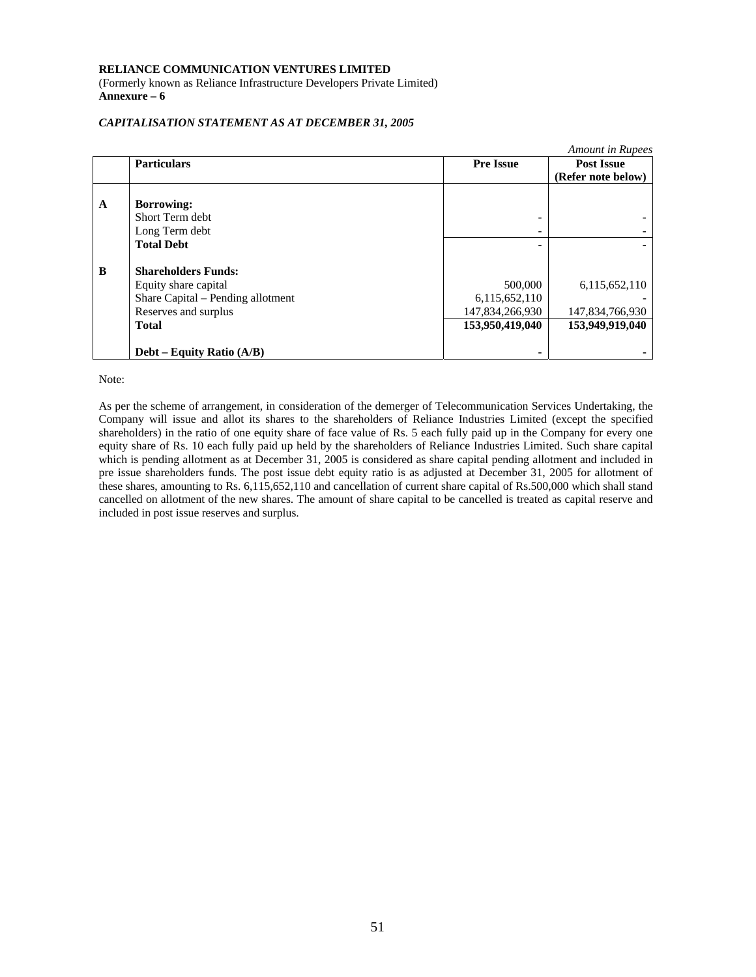(Formerly known as Reliance Infrastructure Developers Private Limited) **Annexure – 6** 

# *CAPITALISATION STATEMENT AS AT DECEMBER 31, 2005*

|   |                                   |                  | Amount in Rupees   |
|---|-----------------------------------|------------------|--------------------|
|   | <b>Particulars</b>                | <b>Pre Issue</b> | <b>Post Issue</b>  |
|   |                                   |                  | (Refer note below) |
|   |                                   |                  |                    |
| A | <b>Borrowing:</b>                 |                  |                    |
|   | Short Term debt                   |                  |                    |
|   | Long Term debt                    | -                |                    |
|   | <b>Total Debt</b>                 |                  |                    |
|   |                                   |                  |                    |
| B | <b>Shareholders Funds:</b>        |                  |                    |
|   | Equity share capital              | 500,000          | 6,115,652,110      |
|   | Share Capital - Pending allotment | 6,115,652,110    |                    |
|   | Reserves and surplus              | 147,834,266,930  | 147,834,766,930    |
|   | <b>Total</b>                      | 153,950,419,040  | 153,949,919,040    |
|   |                                   |                  |                    |
|   | Debt – Equity Ratio (A/B)         |                  |                    |

Note:

As per the scheme of arrangement, in consideration of the demerger of Telecommunication Services Undertaking, the Company will issue and allot its shares to the shareholders of Reliance Industries Limited (except the specified shareholders) in the ratio of one equity share of face value of Rs. 5 each fully paid up in the Company for every one equity share of Rs. 10 each fully paid up held by the shareholders of Reliance Industries Limited. Such share capital which is pending allotment as at December 31, 2005 is considered as share capital pending allotment and included in pre issue shareholders funds. The post issue debt equity ratio is as adjusted at December 31, 2005 for allotment of these shares, amounting to Rs. 6,115,652,110 and cancellation of current share capital of Rs.500,000 which shall stand cancelled on allotment of the new shares. The amount of share capital to be cancelled is treated as capital reserve and included in post issue reserves and surplus.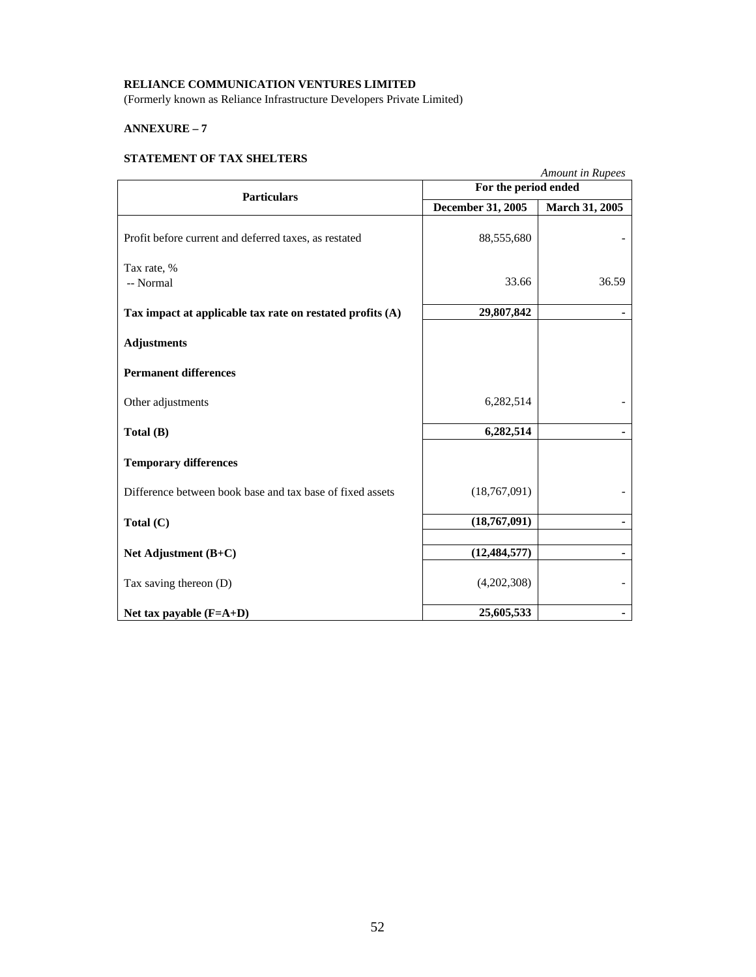(Formerly known as Reliance Infrastructure Developers Private Limited)

# **ANNEXURE – 7**

# **STATEMENT OF TAX SHELTERS**

|                                                           |                          | <b>Amount in Rupees</b> |  |
|-----------------------------------------------------------|--------------------------|-------------------------|--|
| <b>Particulars</b>                                        |                          | For the period ended    |  |
|                                                           | <b>December 31, 2005</b> | <b>March 31, 2005</b>   |  |
| Profit before current and deferred taxes, as restated     | 88,555,680               |                         |  |
| Tax rate, %                                               |                          |                         |  |
| -- Normal                                                 | 33.66                    | 36.59                   |  |
| Tax impact at applicable tax rate on restated profits (A) | 29,807,842               |                         |  |
| <b>Adjustments</b>                                        |                          |                         |  |
| <b>Permanent differences</b>                              |                          |                         |  |
| Other adjustments                                         | 6,282,514                |                         |  |
| Total (B)                                                 | 6,282,514                |                         |  |
| <b>Temporary differences</b>                              |                          |                         |  |
| Difference between book base and tax base of fixed assets | (18,767,091)             |                         |  |
| Total $(C)$                                               | (18,767,091)             |                         |  |
| Net Adjustment (B+C)                                      | (12, 484, 577)           |                         |  |
| Tax saving thereon $(D)$                                  | (4,202,308)              |                         |  |
| Net tax payable $(F=A+D)$                                 | 25,605,533               |                         |  |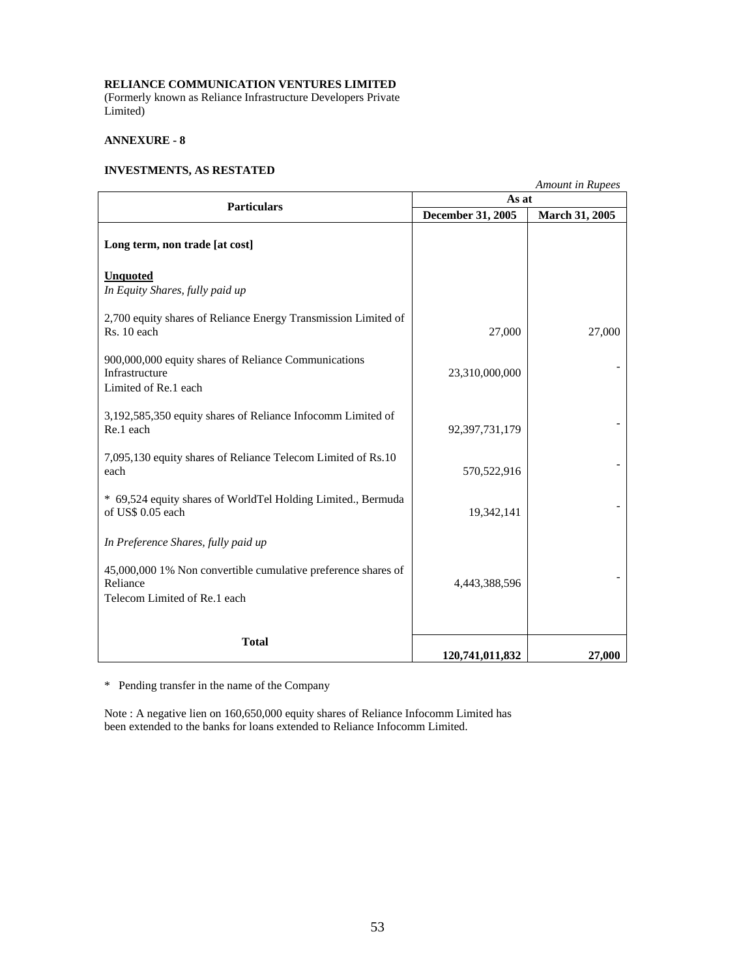(Formerly known as Reliance Infrastructure Developers Private Limited)

# **ANNEXURE - 8**

# **INVESTMENTS, AS RESTATED**

| <b>Amount in Rupees</b>                                                                                   |                   |                       |  |
|-----------------------------------------------------------------------------------------------------------|-------------------|-----------------------|--|
| <b>Particulars</b>                                                                                        | As at             |                       |  |
|                                                                                                           | December 31, 2005 | <b>March 31, 2005</b> |  |
| Long term, non trade [at cost]                                                                            |                   |                       |  |
| <b>Unquoted</b><br>In Equity Shares, fully paid up                                                        |                   |                       |  |
| 2,700 equity shares of Reliance Energy Transmission Limited of<br>Rs. 10 each                             | 27,000            | 27,000                |  |
| 900,000,000 equity shares of Reliance Communications<br>Infrastructure<br>Limited of Re.1 each            | 23,310,000,000    |                       |  |
| 3,192,585,350 equity shares of Reliance Infocomm Limited of<br>Re.1 each                                  | 92, 397, 731, 179 |                       |  |
| 7,095,130 equity shares of Reliance Telecom Limited of Rs.10<br>each                                      | 570,522,916       |                       |  |
| * 69,524 equity shares of WorldTel Holding Limited., Bermuda<br>of US\$ 0.05 each                         | 19,342,141        |                       |  |
| In Preference Shares, fully paid up                                                                       |                   |                       |  |
| 45,000,000 1% Non convertible cumulative preference shares of<br>Reliance<br>Telecom Limited of Re.1 each | 4,443,388,596     |                       |  |
| <b>Total</b>                                                                                              | 120,741,011,832   | 27,000                |  |

\* Pending transfer in the name of the Company

Note : A negative lien on 160,650,000 equity shares of Reliance Infocomm Limited has been extended to the banks for loans extended to Reliance Infocomm Limited.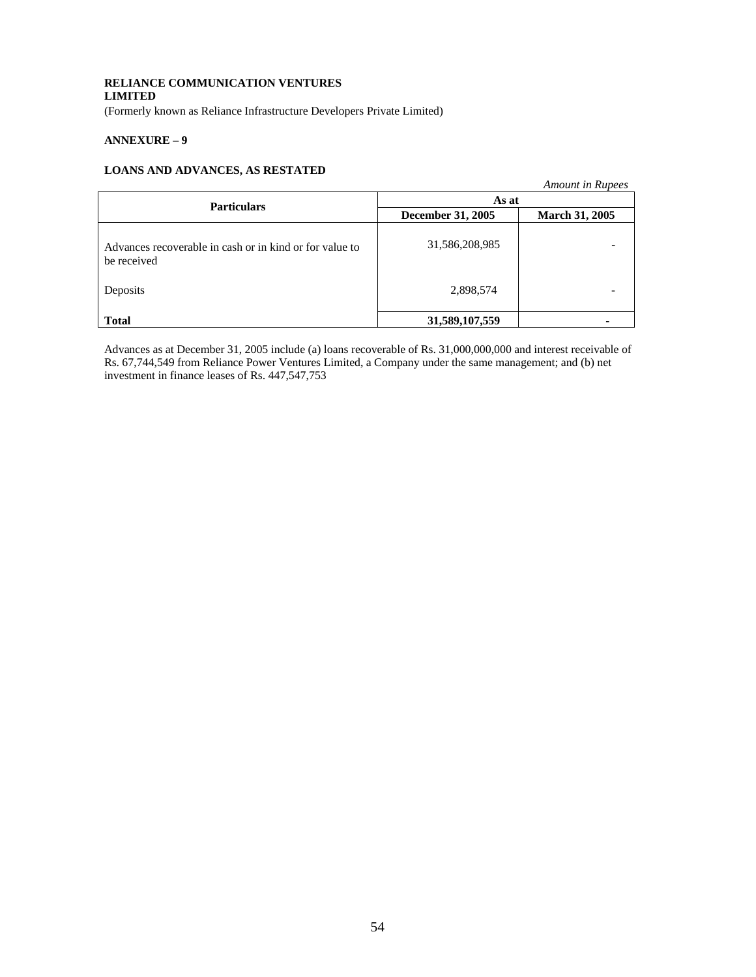(Formerly known as Reliance Infrastructure Developers Private Limited)

# **ANNEXURE – 9**

# **LOANS AND ADVANCES, AS RESTATED**

|                                                                        |                   | <b>Amount in Rupees</b> |
|------------------------------------------------------------------------|-------------------|-------------------------|
| <b>Particulars</b>                                                     | As at             |                         |
|                                                                        | December 31, 2005 | <b>March 31, 2005</b>   |
| Advances recoverable in cash or in kind or for value to<br>be received | 31,586,208,985    |                         |
| Deposits                                                               | 2,898,574         |                         |
| <b>Total</b>                                                           | 31,589,107,559    |                         |

Advances as at December 31, 2005 include (a) loans recoverable of Rs. 31,000,000,000 and interest receivable of Rs. 67,744,549 from Reliance Power Ventures Limited, a Company under the same management; and (b) net investment in finance leases of Rs. 447,547,753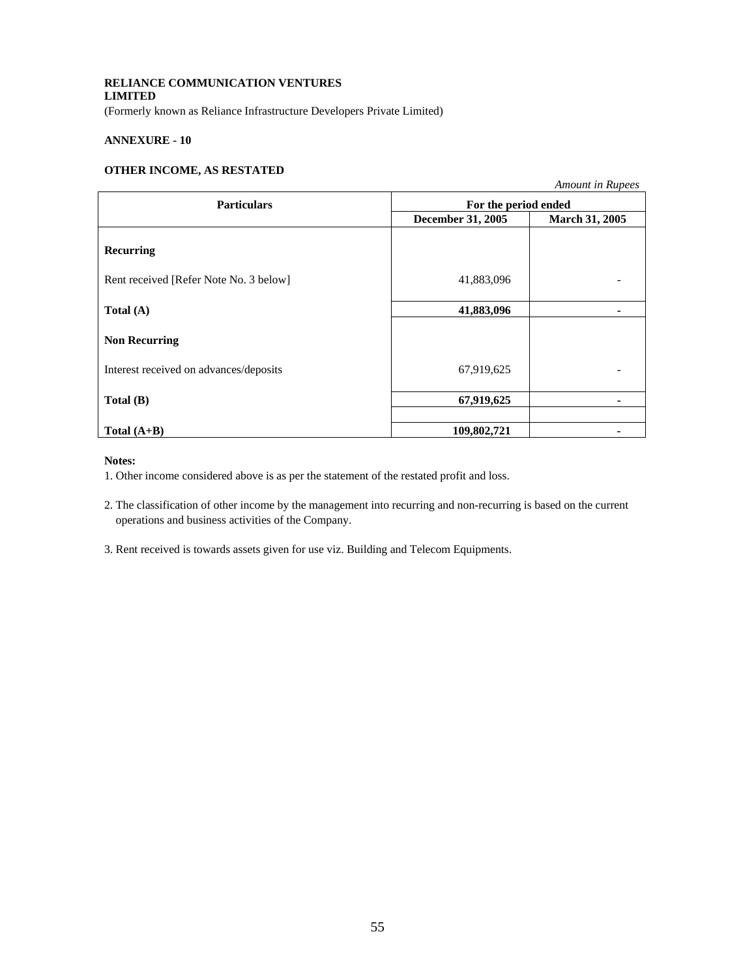(Formerly known as Reliance Infrastructure Developers Private Limited)

# **ANNEXURE - 10**

# **OTHER INCOME, AS RESTATED**

|                                        |                      | Amount in Rupees |
|----------------------------------------|----------------------|------------------|
| <b>Particulars</b>                     | For the period ended |                  |
|                                        | December 31, 2005    | March 31, 2005   |
| Recurring                              |                      |                  |
| Rent received [Refer Note No. 3 below] | 41,883,096           |                  |
| Total $(A)$                            | 41,883,096           |                  |
| <b>Non Recurring</b>                   |                      |                  |
| Interest received on advances/deposits | 67,919,625           |                  |
| Total (B)                              | 67,919,625           |                  |
| Total $(A+B)$                          | 109,802,721          |                  |

### **Notes:**

1. Other income considered above is as per the statement of the restated profit and loss.

2. The classification of other income by the management into recurring and non-recurring is based on the current operations and business activities of the Company.

3. Rent received is towards assets given for use viz. Building and Telecom Equipments.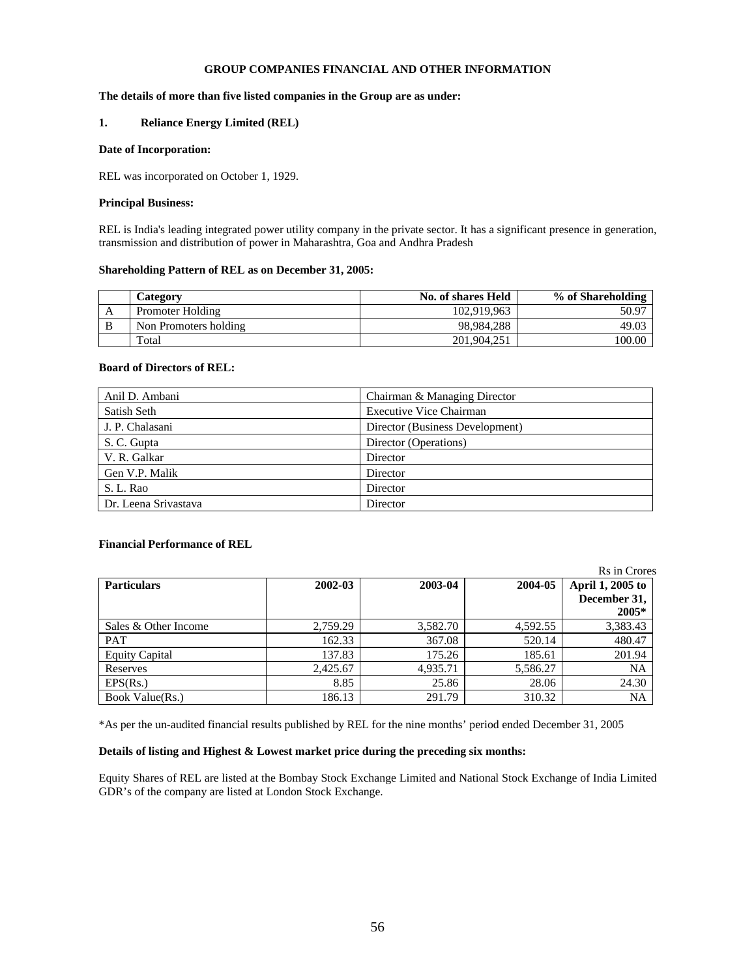# **GROUP COMPANIES FINANCIAL AND OTHER INFORMATION**

# **The details of more than five listed companies in the Group are as under:**

# **1. Reliance Energy Limited (REL)**

# **Date of Incorporation:**

REL was incorporated on October 1, 1929.

### **Principal Business:**

REL is India's leading integrated power utility company in the private sector. It has a significant presence in generation, transmission and distribution of power in Maharashtra, Goa and Andhra Pradesh

### **Shareholding Pattern of REL as on December 31, 2005:**

|   | Category              | No. of shares Held | % of Shareholding |
|---|-----------------------|--------------------|-------------------|
| A | Promoter Holding      | 102.919.963        | 50.97             |
| B | Non Promoters holding | 98.984.288         | 49.03             |
|   | Total                 | 201,904,251        | 100.00            |

# **Board of Directors of REL:**

| Anil D. Ambani       | Chairman & Managing Director    |
|----------------------|---------------------------------|
| Satish Seth          | <b>Executive Vice Chairman</b>  |
| J. P. Chalasani      | Director (Business Development) |
| S. C. Gupta          | Director (Operations)           |
| V. R. Galkar         | Director                        |
| Gen V.P. Malik       | Director                        |
| S. L. Rao            | Director                        |
| Dr. Leena Srivastava | Director                        |

### **Financial Performance of REL**

|                       |          |          |          | Rs in Crores     |
|-----------------------|----------|----------|----------|------------------|
| <b>Particulars</b>    | 2002-03  | 2003-04  | 2004-05  | April 1, 2005 to |
|                       |          |          |          | December 31,     |
|                       |          |          |          | 2005*            |
| Sales & Other Income  | 2,759.29 | 3,582.70 | 4,592.55 | 3,383.43         |
| <b>PAT</b>            | 162.33   | 367.08   | 520.14   | 480.47           |
| <b>Equity Capital</b> | 137.83   | 175.26   | 185.61   | 201.94           |
| Reserves              | 2,425.67 | 4,935.71 | 5,586.27 | NA               |
| EPS(Rs.)              | 8.85     | 25.86    | 28.06    | 24.30            |
| Book Value(Rs.)       | 186.13   | 291.79   | 310.32   | NA               |

\*As per the un-audited financial results published by REL for the nine months' period ended December 31, 2005

# **Details of listing and Highest & Lowest market price during the preceding six months:**

Equity Shares of REL are listed at the Bombay Stock Exchange Limited and National Stock Exchange of India Limited GDR's of the company are listed at London Stock Exchange.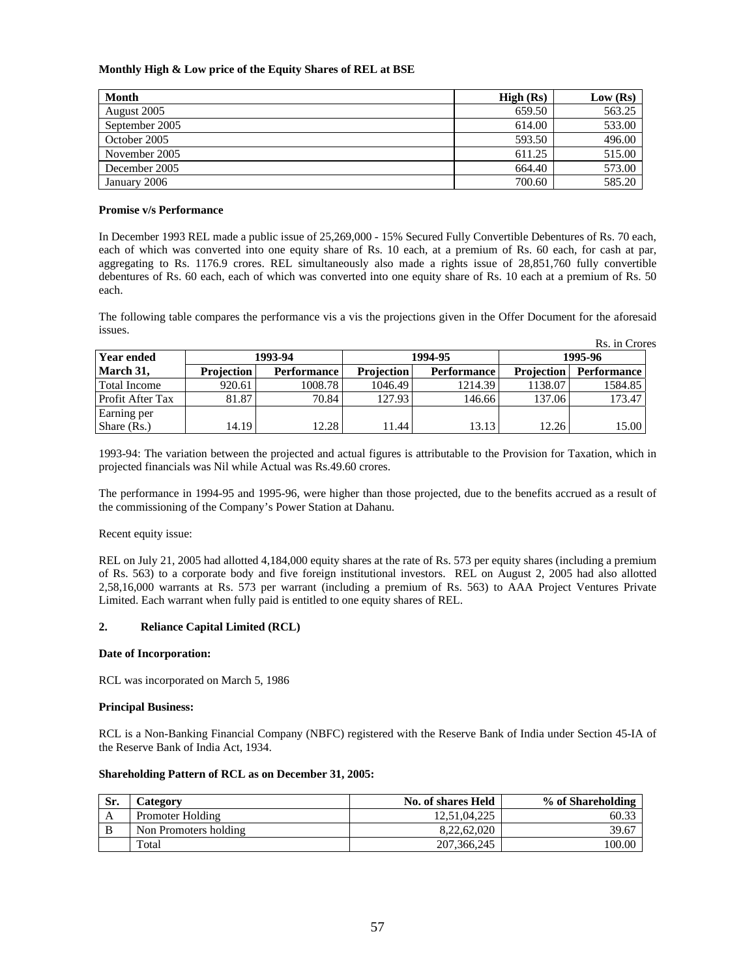# **Monthly High & Low price of the Equity Shares of REL at BSE**

| Month          | High (Rs) | Low (Rs) |
|----------------|-----------|----------|
| August 2005    | 659.50    | 563.25   |
| September 2005 | 614.00    | 533.00   |
| October 2005   | 593.50    | 496.00   |
| November 2005  | 611.25    | 515.00   |
| December 2005  | 664.40    | 573.00   |
| January 2006   | 700.60    | 585.20   |

# **Promise v/s Performance**

In December 1993 REL made a public issue of 25,269,000 - 15% Secured Fully Convertible Debentures of Rs. 70 each, each of which was converted into one equity share of Rs. 10 each, at a premium of Rs. 60 each, for cash at par, aggregating to Rs. 1176.9 crores. REL simultaneously also made a rights issue of 28,851,760 fully convertible debentures of Rs. 60 each, each of which was converted into one equity share of Rs. 10 each at a premium of Rs. 50 each.

The following table compares the performance vis a vis the projections given in the Offer Document for the aforesaid issues.

| -------             |                   |                    |                   |                    |                   |                    |  |
|---------------------|-------------------|--------------------|-------------------|--------------------|-------------------|--------------------|--|
|                     |                   |                    |                   |                    |                   | Rs. in Crores      |  |
| <b>Year ended</b>   |                   | 1993-94            |                   | 1994-95            |                   | 1995-96            |  |
| March 31,           | <b>Projection</b> | <b>Performance</b> | <b>Projection</b> | <b>Performance</b> | <b>Projection</b> | <b>Performance</b> |  |
| <b>Total Income</b> | 920.61            | 1008.78            | 1046.49           | 1214.39            | 1138.07           | 1584.85            |  |
| Profit After Tax    | 81.87             | 70.84              | 127.93            | 146.66             | 137.06            | 173.47             |  |
| Earning per         |                   |                    |                   |                    |                   |                    |  |
| Share (Rs.)         | 14.19             | 12.28              | 11.44             | 13.13              | 12.26             | 15.00              |  |

1993-94: The variation between the projected and actual figures is attributable to the Provision for Taxation, which in projected financials was Nil while Actual was Rs.49.60 crores.

The performance in 1994-95 and 1995-96, were higher than those projected, due to the benefits accrued as a result of the commissioning of the Company's Power Station at Dahanu.

Recent equity issue:

REL on July 21, 2005 had allotted 4,184,000 equity shares at the rate of Rs. 573 per equity shares (including a premium of Rs. 563) to a corporate body and five foreign institutional investors. REL on August 2, 2005 had also allotted 2,58,16,000 warrants at Rs. 573 per warrant (including a premium of Rs. 563) to AAA Project Ventures Private Limited. Each warrant when fully paid is entitled to one equity shares of REL.

# **2. Reliance Capital Limited (RCL)**

# **Date of Incorporation:**

RCL was incorporated on March 5, 1986

# **Principal Business:**

RCL is a Non-Banking Financial Company (NBFC) registered with the Reserve Bank of India under Section 45-IA of the Reserve Bank of India Act, 1934.

# **Shareholding Pattern of RCL as on December 31, 2005:**

| Sr. | <b>lategory</b>       | No. of shares Held | % of Shareholding |
|-----|-----------------------|--------------------|-------------------|
| A   | Promoter Holding      | 12.51.04.225       | 60.33             |
| B   | Non Promoters holding | 8.22.62.020        | 39.67             |
|     | Total                 | 207, 366, 245      | 100.00            |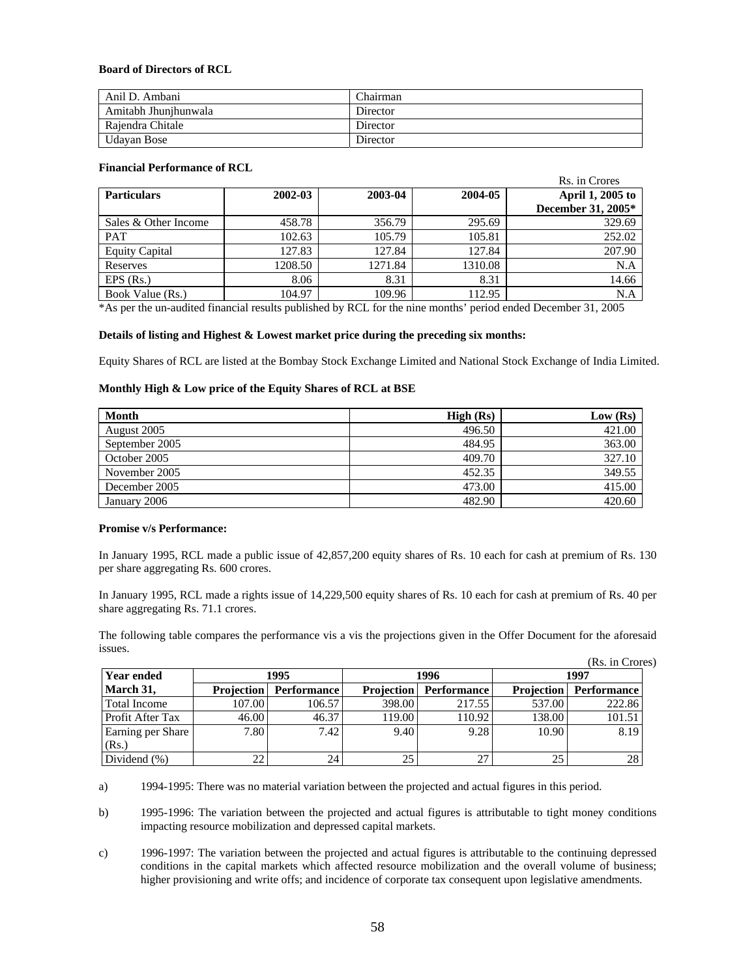# **Board of Directors of RCL**

| Anil D. Ambani       | <b>Chairman</b> |
|----------------------|-----------------|
| Amitabh Jhunihunwala | Director        |
| Raiendra Chitale     | Director        |
| Udavan Bose          | Director        |

### **Financial Performance of RCL**

|                       |         |         |         | Rs. in Crores      |
|-----------------------|---------|---------|---------|--------------------|
| <b>Particulars</b>    | 2002-03 | 2003-04 | 2004-05 | April 1, 2005 to   |
|                       |         |         |         | December 31, 2005* |
| Sales & Other Income  | 458.78  | 356.79  | 295.69  | 329.69             |
| PAT                   | 102.63  | 105.79  | 105.81  | 252.02             |
| <b>Equity Capital</b> | 127.83  | 127.84  | 127.84  | 207.90             |
| Reserves              | 1208.50 | 1271.84 | 1310.08 | N.A                |
| $EPS$ (Rs.)           | 8.06    | 8.31    | 8.31    | 14.66              |
| Book Value (Rs.)      | 104.97  | 109.96  | 112.95  | N.A                |

\*As per the un-audited financial results published by RCL for the nine months' period ended December 31, 2005

### **Details of listing and Highest & Lowest market price during the preceding six months:**

Equity Shares of RCL are listed at the Bombay Stock Exchange Limited and National Stock Exchange of India Limited.

### **Monthly High & Low price of the Equity Shares of RCL at BSE**

| Month          | High (Rs) | Low (Rs) |
|----------------|-----------|----------|
| August 2005    | 496.50    | 421.00   |
| September 2005 | 484.95    | 363.00   |
| October 2005   | 409.70    | 327.10   |
| November 2005  | 452.35    | 349.55   |
| December 2005  | 473.00    | 415.00   |
| January 2006   | 482.90    | 420.60   |

### **Promise v/s Performance:**

In January 1995, RCL made a public issue of 42,857,200 equity shares of Rs. 10 each for cash at premium of Rs. 130 per share aggregating Rs. 600 crores.

In January 1995, RCL made a rights issue of 14,229,500 equity shares of Rs. 10 each for cash at premium of Rs. 40 per share aggregating Rs. 71.1 crores.

The following table compares the performance vis a vis the projections given in the Offer Document for the aforesaid issues.

|                         |                   |                    |                   |                    |                   | (Rs. in Crores)    |
|-------------------------|-------------------|--------------------|-------------------|--------------------|-------------------|--------------------|
| <b>Year ended</b>       |                   | 1995               |                   | 1996               |                   | 1997               |
| March 31,               | <b>Projection</b> | <b>Performance</b> | <b>Projection</b> | <b>Performance</b> | <b>Projection</b> | <b>Performance</b> |
| Total Income            | 107.00            | 106.57             | 398.00            | 217.55             | 537.00            | 222.86             |
| <b>Profit After Tax</b> | 46.00             | 46.37              | 119.00            | 110.92             | 138.00            | 101.51             |
| Earning per Share       | 7.80              | 7.42               | 9.40              | 9.28               | 10.90             | 8.19               |
| (Rs.)                   |                   |                    |                   |                    |                   |                    |
| Dividend $(\%)$         | 22                | 24                 | 25                | 27                 | 25                | 28                 |

a) 1994-1995: There was no material variation between the projected and actual figures in this period.

b) 1995-1996: The variation between the projected and actual figures is attributable to tight money conditions impacting resource mobilization and depressed capital markets.

c) 1996-1997: The variation between the projected and actual figures is attributable to the continuing depressed conditions in the capital markets which affected resource mobilization and the overall volume of business; higher provisioning and write offs; and incidence of corporate tax consequent upon legislative amendments.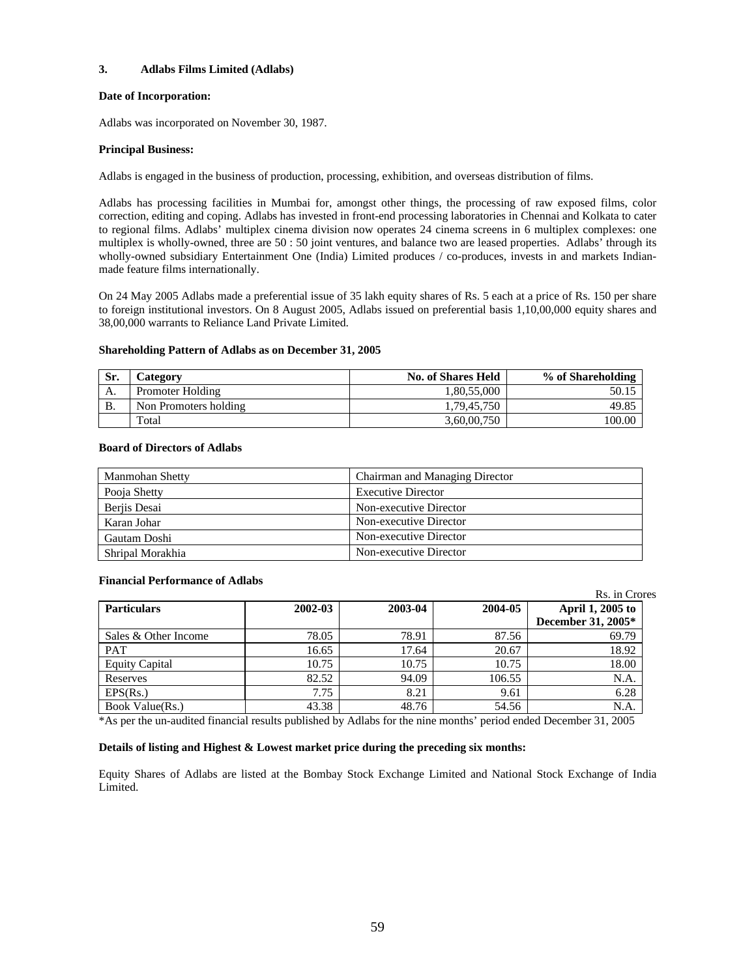# **3. Adlabs Films Limited (Adlabs)**

# **Date of Incorporation:**

Adlabs was incorporated on November 30, 1987.

# **Principal Business:**

Adlabs is engaged in the business of production, processing, exhibition, and overseas distribution of films.

Adlabs has processing facilities in Mumbai for, amongst other things, the processing of raw exposed films, color correction, editing and coping. Adlabs has invested in front-end processing laboratories in Chennai and Kolkata to cater to regional films. Adlabs' multiplex cinema division now operates 24 cinema screens in 6 multiplex complexes: one multiplex is wholly-owned, three are 50 : 50 joint ventures, and balance two are leased properties. Adlabs' through its wholly-owned subsidiary Entertainment One (India) Limited produces / co-produces, invests in and markets Indianmade feature films internationally.

On 24 May 2005 Adlabs made a preferential issue of 35 lakh equity shares of Rs. 5 each at a price of Rs. 150 per share to foreign institutional investors. On 8 August 2005, Adlabs issued on preferential basis 1,10,00,000 equity shares and 38,00,000 warrants to Reliance Land Private Limited.

# **Shareholding Pattern of Adlabs as on December 31, 2005**

| Sr. | Category              | <b>No. of Shares Held</b> | % of Shareholding |
|-----|-----------------------|---------------------------|-------------------|
| А.  | Promoter Holding      | 1.80.55.000               |                   |
| В.  | Non Promoters holding | 1.79.45.750               | 49.85             |
|     | Total                 | 3,60,00,750               | 100.00            |

# **Board of Directors of Adlabs**

| Manmohan Shetty  | Chairman and Managing Director |
|------------------|--------------------------------|
| Pooja Shetty     | <b>Executive Director</b>      |
| Berjis Desai     | Non-executive Director         |
| Karan Johar      | Non-executive Director         |
| Gautam Doshi     | Non-executive Director         |
| Shripal Morakhia | Non-executive Director         |

# **Financial Performance of Adlabs**

| <b>Particulars</b>    | 2002-03 | 2003-04 | 2004-05 | April 1, 2005 to<br>December 31, 2005* |
|-----------------------|---------|---------|---------|----------------------------------------|
| Sales & Other Income  | 78.05   | 78.91   | 87.56   | 69.79                                  |
| <b>PAT</b>            | 16.65   | 17.64   | 20.67   | 18.92                                  |
| <b>Equity Capital</b> | 10.75   | 10.75   | 10.75   | 18.00                                  |
| Reserves              | 82.52   | 94.09   | 106.55  | N.A.                                   |
| EPS(Rs.)              | 7.75    | 8.21    | 9.61    | 6.28                                   |
| Book Value(Rs.)       | 43.38   | 48.76   | 54.56   | N.A.                                   |

Rs. in Crores

\*As per the un-audited financial results published by Adlabs for the nine months' period ended December 31, 2005

# **Details of listing and Highest & Lowest market price during the preceding six months:**

Equity Shares of Adlabs are listed at the Bombay Stock Exchange Limited and National Stock Exchange of India Limited.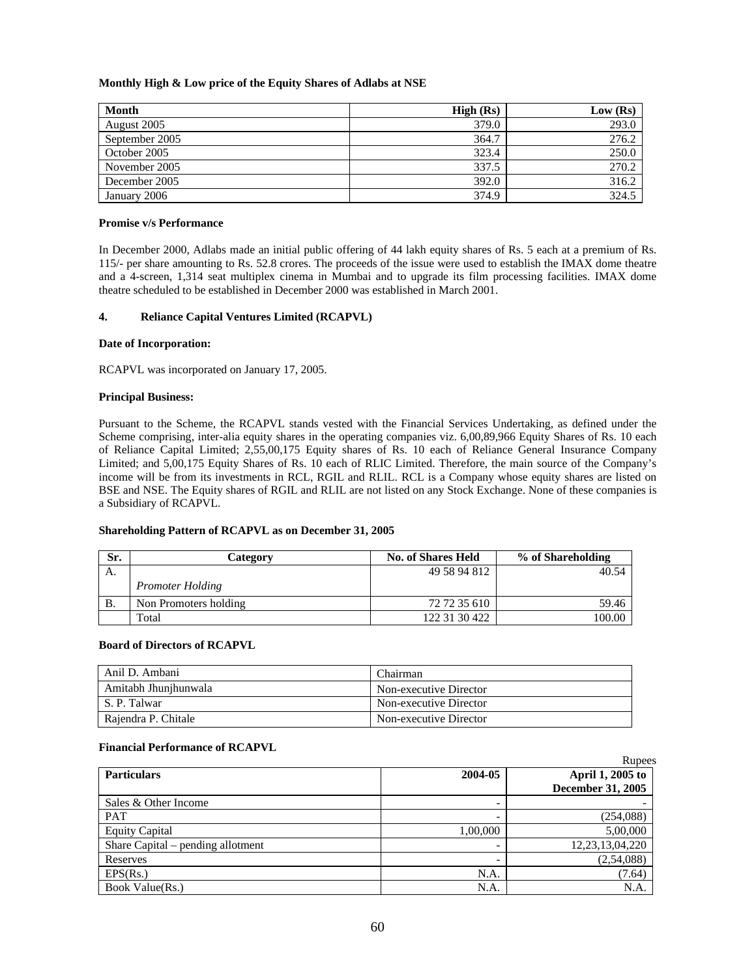# **Monthly High & Low price of the Equity Shares of Adlabs at NSE**

| Month          | High (Rs) | Low (Rs) |
|----------------|-----------|----------|
| August 2005    | 379.0     | 293.0    |
| September 2005 | 364.7     | 276.2    |
| October 2005   | 323.4     | 250.0    |
| November 2005  | 337.5     | 270.2    |
| December 2005  | 392.0     | 316.2    |
| January 2006   | 374.9     | 324.5    |

### **Promise v/s Performance**

In December 2000, Adlabs made an initial public offering of 44 lakh equity shares of Rs. 5 each at a premium of Rs. 115/- per share amounting to Rs. 52.8 crores. The proceeds of the issue were used to establish the IMAX dome theatre and a 4-screen, 1,314 seat multiplex cinema in Mumbai and to upgrade its film processing facilities. IMAX dome theatre scheduled to be established in December 2000 was established in March 2001.

# **4. Reliance Capital Ventures Limited (RCAPVL)**

# **Date of Incorporation:**

RCAPVL was incorporated on January 17, 2005.

# **Principal Business:**

Pursuant to the Scheme, the RCAPVL stands vested with the Financial Services Undertaking, as defined under the Scheme comprising, inter-alia equity shares in the operating companies viz. 6,00,89,966 Equity Shares of Rs. 10 each of Reliance Capital Limited; 2,55,00,175 Equity shares of Rs. 10 each of Reliance General Insurance Company Limited; and 5,00,175 Equity Shares of Rs. 10 each of RLIC Limited. Therefore, the main source of the Company's income will be from its investments in RCL, RGIL and RLIL. RCL is a Company whose equity shares are listed on BSE and NSE. The Equity shares of RGIL and RLIL are not listed on any Stock Exchange. None of these companies is a Subsidiary of RCAPVL.

# **Shareholding Pattern of RCAPVL as on December 31, 2005**

| Sr.       | Category                | <b>No. of Shares Held</b> | % of Shareholding |
|-----------|-------------------------|---------------------------|-------------------|
| А.        |                         | 49 58 94 812              | 40.54             |
|           | <b>Promoter Holding</b> |                           |                   |
| <b>B.</b> | Non Promoters holding   | 72 72 35 610              | 59.46             |
|           | Total                   | 122 31 30 422             | 100.00            |

# **Board of Directors of RCAPVL**

| Anil D. Ambani       | Chairman               |
|----------------------|------------------------|
| Amitabh Jhunjhunwala | Non-executive Director |
| S. P. Talwar         | Non-executive Director |
| Raiendra P. Chitale  | Non-executive Director |

# **Financial Performance of RCAPVL**

|                                   |          | <b>Rupees</b>            |
|-----------------------------------|----------|--------------------------|
| <b>Particulars</b>                | 2004-05  | April 1, 2005 to         |
|                                   |          | <b>December 31, 2005</b> |
| Sales & Other Income              |          |                          |
| <b>PAT</b>                        |          | (254,088)                |
| <b>Equity Capital</b>             | 1,00,000 | 5,00,000                 |
| Share Capital – pending allotment |          | 12, 23, 13, 04, 220      |
| Reserves                          |          | (2,54,088)               |
| EPS(Rs.)                          | N.A.     | (7.64)                   |
| Book Value(Rs.)                   | N.A.     | N.A                      |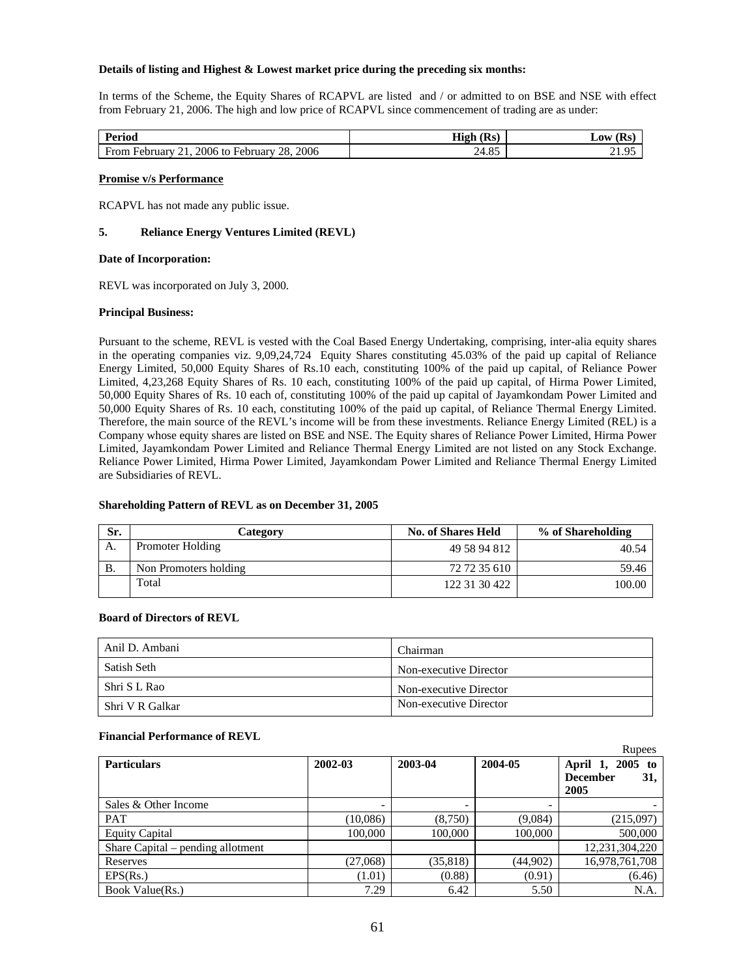# **Details of listing and Highest & Lowest market price during the preceding six months:**

In terms of the Scheme, the Equity Shares of RCAPVL are listed and / or admitted to on BSE and NSE with effect from February 21, 2006. The high and low price of RCAPVL since commencement of trading are as under:

| Perioa                                                               | $\sqrt{12}$<br>High<br>l Rs | Low                   |
|----------------------------------------------------------------------|-----------------------------|-----------------------|
| 2006<br>2006<br>Ē<br>28<br><b>From</b><br>February<br>⊣ebruarv<br>to | 24.85                       | . $\alpha$<br>ر ر د ۱ |

### **Promise v/s Performance**

RCAPVL has not made any public issue.

# **5. Reliance Energy Ventures Limited (REVL)**

### **Date of Incorporation:**

REVL was incorporated on July 3, 2000.

### **Principal Business:**

Pursuant to the scheme, REVL is vested with the Coal Based Energy Undertaking, comprising, inter-alia equity shares in the operating companies viz. 9,09,24,724 Equity Shares constituting 45.03% of the paid up capital of Reliance Energy Limited, 50,000 Equity Shares of Rs.10 each, constituting 100% of the paid up capital, of Reliance Power Limited, 4,23,268 Equity Shares of Rs. 10 each, constituting 100% of the paid up capital, of Hirma Power Limited, 50,000 Equity Shares of Rs. 10 each of, constituting 100% of the paid up capital of Jayamkondam Power Limited and 50,000 Equity Shares of Rs. 10 each, constituting 100% of the paid up capital, of Reliance Thermal Energy Limited. Therefore, the main source of the REVL's income will be from these investments. Reliance Energy Limited (REL) is a Company whose equity shares are listed on BSE and NSE. The Equity shares of Reliance Power Limited, Hirma Power Limited, Jayamkondam Power Limited and Reliance Thermal Energy Limited are not listed on any Stock Exchange. Reliance Power Limited, Hirma Power Limited, Jayamkondam Power Limited and Reliance Thermal Energy Limited are Subsidiaries of REVL.

# **Shareholding Pattern of REVL as on December 31, 2005**

| Sr. | Category              | <b>No. of Shares Held</b> | % of Shareholding |
|-----|-----------------------|---------------------------|-------------------|
| А.  | Promoter Holding      | 49 58 94 812              | 40.54             |
| В.  | Non Promoters holding | 72 72 35 610              | 59.46             |
|     | Total                 | 122 31 30 422             | 100.00            |

# **Board of Directors of REVL**

| Anil D. Ambani  | Chairman               |
|-----------------|------------------------|
| Satish Seth     | Non-executive Director |
| Shri S L Rao    | Non-executive Director |
| Shri V R Galkar | Non-executive Director |

#### **Financial Performance of REVL**

|                                   |          |           |          | Rupees                                          |
|-----------------------------------|----------|-----------|----------|-------------------------------------------------|
| <b>Particulars</b>                | 2002-03  | 2003-04   | 2004-05  | $2005$ to<br>April 1,<br><b>December</b><br>31, |
|                                   |          |           |          | 2005                                            |
| Sales & Other Income              |          |           |          |                                                 |
| <b>PAT</b>                        | (10,086) | (8,750)   | (9,084)  | (215,097)                                       |
| <b>Equity Capital</b>             | 100,000  | 100,000   | 100,000  | 500,000                                         |
| Share Capital – pending allotment |          |           |          | 12.231.304.220                                  |
| Reserves                          | (27,068) | (35, 818) | (44,902) | 16,978,761,708                                  |
| EPS(Rs.)                          | (1.01)   | (0.88)    | (0.91)   | (6.46)                                          |
| Book Value(Rs.)                   | 7.29     | 6.42      | 5.50     | N.A.                                            |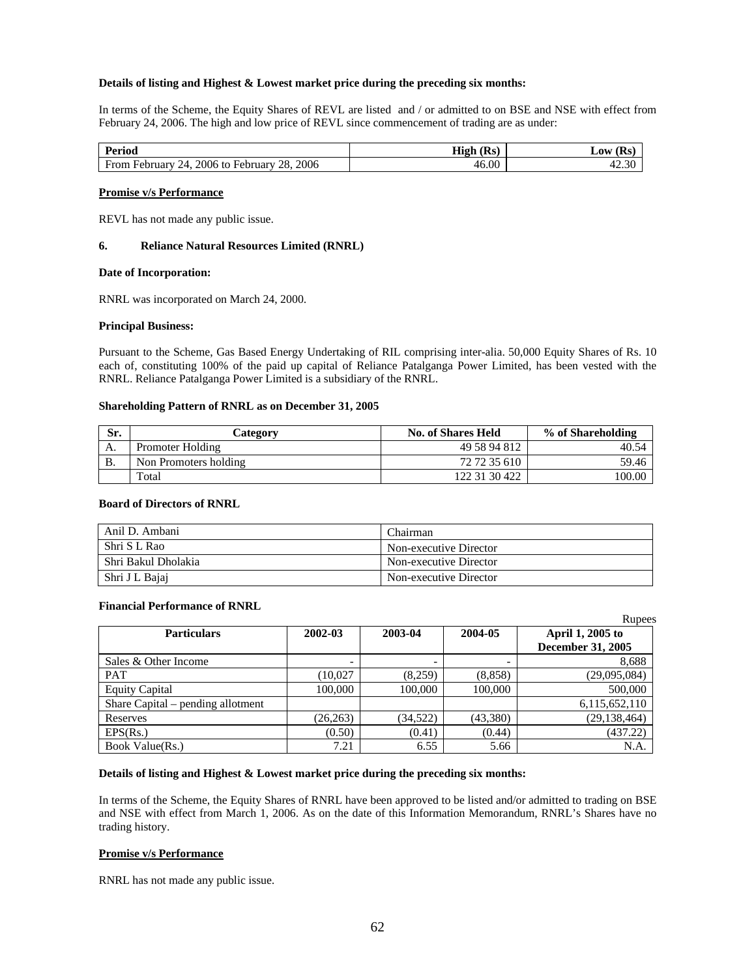### **Details of listing and Highest & Lowest market price during the preceding six months:**

In terms of the Scheme, the Equity Shares of REVL are listed and / or admitted to on BSE and NSE with effect from February 24, 2006. The high and low price of REVL since commencement of trading are as under:

| Period                                                               | Rs.<br>High | (Rs<br>Low        |
|----------------------------------------------------------------------|-------------|-------------------|
| 2006<br>2006 to<br>28.<br>From<br>February<br>February<br>, <u>д</u> | 46.00       | $\Omega$<br>42.3C |

#### **Promise v/s Performance**

REVL has not made any public issue.

### **6. Reliance Natural Resources Limited (RNRL)**

### **Date of Incorporation:**

RNRL was incorporated on March 24, 2000.

### **Principal Business:**

Pursuant to the Scheme, Gas Based Energy Undertaking of RIL comprising inter-alia. 50,000 Equity Shares of Rs. 10 each of, constituting 100% of the paid up capital of Reliance Patalganga Power Limited, has been vested with the RNRL. Reliance Patalganga Power Limited is a subsidiary of the RNRL.

### **Shareholding Pattern of RNRL as on December 31, 2005**

| Sr. | Category              | <b>No. of Shares Held</b> | % of Shareholding |
|-----|-----------------------|---------------------------|-------------------|
| А.  | Promoter Holding      | 49 58 94 812              | 40.54             |
| Β.  | Non Promoters holding | 72 72 35 610              | 59.46             |
|     | Total                 | 122 31 30 422             | 100.00            |

#### **Board of Directors of RNRL**

| Anil D. Ambani      | Chairman               |
|---------------------|------------------------|
| Shri S L Rao        | Non-executive Director |
| Shri Bakul Dholakia | Non-executive Director |
| Shri J L Bajaj      | Non-executive Director |

#### **Financial Performance of RNRL**

|                                   |           |           |          | Rupees                   |
|-----------------------------------|-----------|-----------|----------|--------------------------|
| <b>Particulars</b>                | 2002-03   | 2003-04   | 2004-05  | April 1, 2005 to         |
|                                   |           |           |          | <b>December 31, 2005</b> |
| Sales & Other Income              |           |           |          | 8,688                    |
| <b>PAT</b>                        | (10.027)  | (8,259)   | (8, 858) | (29,095,084)             |
| <b>Equity Capital</b>             | 100,000   | 100,000   | 100,000  | 500,000                  |
| Share Capital – pending allotment |           |           |          | 6,115,652,110            |
| Reserves                          | (26, 263) | (34, 522) | (43,380) | (29, 138, 464)           |
| EPS(Rs.)                          | (0.50)    | (0.41)    | (0.44)   | (437.22)                 |
| Book Value(Rs.)                   | 7.21      | 6.55      | 5.66     | N.A                      |

#### **Details of listing and Highest & Lowest market price during the preceding six months:**

In terms of the Scheme, the Equity Shares of RNRL have been approved to be listed and/or admitted to trading on BSE and NSE with effect from March 1, 2006. As on the date of this Information Memorandum, RNRL's Shares have no trading history.

# **Promise v/s Performance**

RNRL has not made any public issue.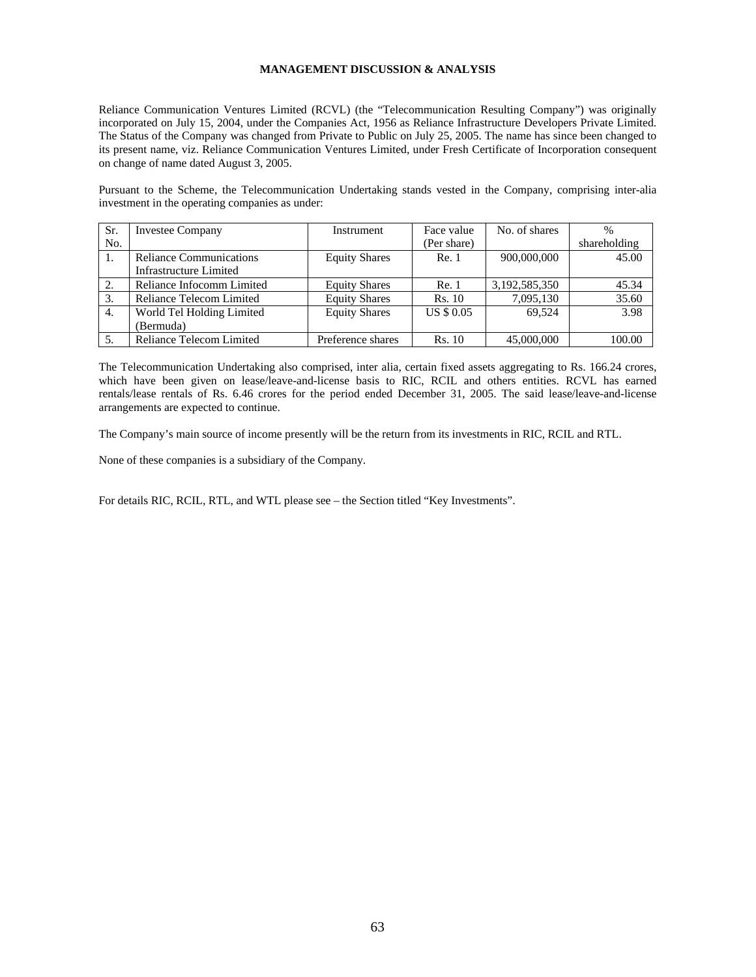# **MANAGEMENT DISCUSSION & ANALYSIS**

Reliance Communication Ventures Limited (RCVL) (the "Telecommunication Resulting Company") was originally incorporated on July 15, 2004, under the Companies Act, 1956 as Reliance Infrastructure Developers Private Limited. The Status of the Company was changed from Private to Public on July 25, 2005. The name has since been changed to its present name, viz. Reliance Communication Ventures Limited, under Fresh Certificate of Incorporation consequent on change of name dated August 3, 2005.

Pursuant to the Scheme, the Telecommunication Undertaking stands vested in the Company, comprising inter-alia investment in the operating companies as under:

| Sr. | <b>Investee Company</b>        | Instrument           | Face value        | No. of shares | $\frac{0}{0}$ |
|-----|--------------------------------|----------------------|-------------------|---------------|---------------|
| No. |                                |                      | (Per share)       |               | shareholding  |
| -1. | <b>Reliance Communications</b> | <b>Equity Shares</b> | Re. 1             | 900,000,000   | 45.00         |
|     | <b>Infrastructure Limited</b>  |                      |                   |               |               |
| 2.  | Reliance Infocomm Limited      | <b>Equity Shares</b> | Re. 1             | 3,192,585,350 | 45.34         |
| 3.  | Reliance Telecom Limited       | <b>Equity Shares</b> | <b>Rs. 10</b>     | 7,095,130     | 35.60         |
| 4.  | World Tel Holding Limited      | <b>Equity Shares</b> | <b>US \$ 0.05</b> | 69.524        | 3.98          |
|     | (Bermuda)                      |                      |                   |               |               |
| 5.  | Reliance Telecom Limited       | Preference shares    | Rs. 10            | 45,000,000    | 100.00        |

The Telecommunication Undertaking also comprised, inter alia, certain fixed assets aggregating to Rs. 166.24 crores, which have been given on lease/leave-and-license basis to RIC, RCIL and others entities. RCVL has earned rentals/lease rentals of Rs. 6.46 crores for the period ended December 31, 2005. The said lease/leave-and-license arrangements are expected to continue.

The Company's main source of income presently will be the return from its investments in RIC, RCIL and RTL.

None of these companies is a subsidiary of the Company.

For details RIC, RCIL, RTL, and WTL please see – the Section titled "Key Investments".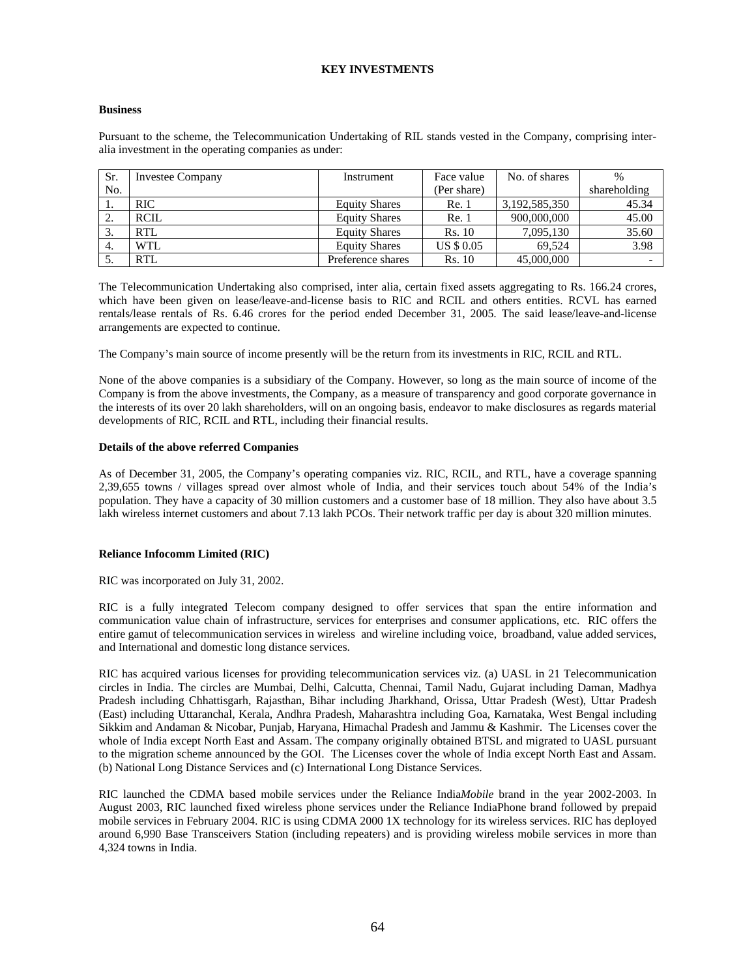# **KEY INVESTMENTS**

### **Business**

Pursuant to the scheme, the Telecommunication Undertaking of RIL stands vested in the Company, comprising interalia investment in the operating companies as under:

| Sr. | <b>Investee Company</b> | Instrument           | Face value        | No. of shares | $\%$         |
|-----|-------------------------|----------------------|-------------------|---------------|--------------|
| No. |                         |                      | (Per share)       |               | shareholding |
|     | <b>RIC</b>              | <b>Equity Shares</b> | Re. 1             | 3,192,585,350 | 45.34        |
| ٠.  | <b>RCIL</b>             | <b>Equity Shares</b> | Re. 1             | 900,000,000   | 45.00        |
| 3.  | RTL                     | <b>Equity Shares</b> | Rs. 10            | 7,095,130     | 35.60        |
| -4. | WTL                     | <b>Equity Shares</b> | <b>US \$ 0.05</b> | 69.524        | 3.98         |
| . ب | <b>RTL</b>              | Preference shares    | <b>Rs.</b> 10     | 45,000,000    |              |

The Telecommunication Undertaking also comprised, inter alia, certain fixed assets aggregating to Rs. 166.24 crores, which have been given on lease/leave-and-license basis to RIC and RCIL and others entities. RCVL has earned rentals/lease rentals of Rs. 6.46 crores for the period ended December 31, 2005. The said lease/leave-and-license arrangements are expected to continue.

The Company's main source of income presently will be the return from its investments in RIC, RCIL and RTL.

None of the above companies is a subsidiary of the Company. However, so long as the main source of income of the Company is from the above investments, the Company, as a measure of transparency and good corporate governance in the interests of its over 20 lakh shareholders, will on an ongoing basis, endeavor to make disclosures as regards material developments of RIC, RCIL and RTL, including their financial results.

### **Details of the above referred Companies**

As of December 31, 2005, the Company's operating companies viz. RIC, RCIL, and RTL, have a coverage spanning 2,39,655 towns / villages spread over almost whole of India, and their services touch about 54% of the India's population. They have a capacity of 30 million customers and a customer base of 18 million. They also have about 3.5 lakh wireless internet customers and about 7.13 lakh PCOs. Their network traffic per day is about 320 million minutes.

# **Reliance Infocomm Limited (RIC)**

RIC was incorporated on July 31, 2002.

RIC is a fully integrated Telecom company designed to offer services that span the entire information and communication value chain of infrastructure, services for enterprises and consumer applications, etc. RIC offers the entire gamut of telecommunication services in wireless and wireline including voice, broadband, value added services, and International and domestic long distance services.

RIC has acquired various licenses for providing telecommunication services viz. (a) UASL in 21 Telecommunication circles in India. The circles are Mumbai, Delhi, Calcutta, Chennai, Tamil Nadu, Gujarat including Daman, Madhya Pradesh including Chhattisgarh, Rajasthan, Bihar including Jharkhand, Orissa, Uttar Pradesh (West), Uttar Pradesh (East) including Uttaranchal, Kerala, Andhra Pradesh, Maharashtra including Goa, Karnataka, West Bengal including Sikkim and Andaman & Nicobar, Punjab, Haryana, Himachal Pradesh and Jammu & Kashmir. The Licenses cover the whole of India except North East and Assam. The company originally obtained BTSL and migrated to UASL pursuant to the migration scheme announced by the GOI. The Licenses cover the whole of India except North East and Assam. (b) National Long Distance Services and (c) International Long Distance Services.

RIC launched the CDMA based mobile services under the Reliance India*Mobile* brand in the year 2002-2003. In August 2003, RIC launched fixed wireless phone services under the Reliance IndiaPhone brand followed by prepaid mobile services in February 2004. RIC is using CDMA 2000 1X technology for its wireless services. RIC has deployed around 6,990 Base Transceivers Station (including repeaters) and is providing wireless mobile services in more than 4,324 towns in India.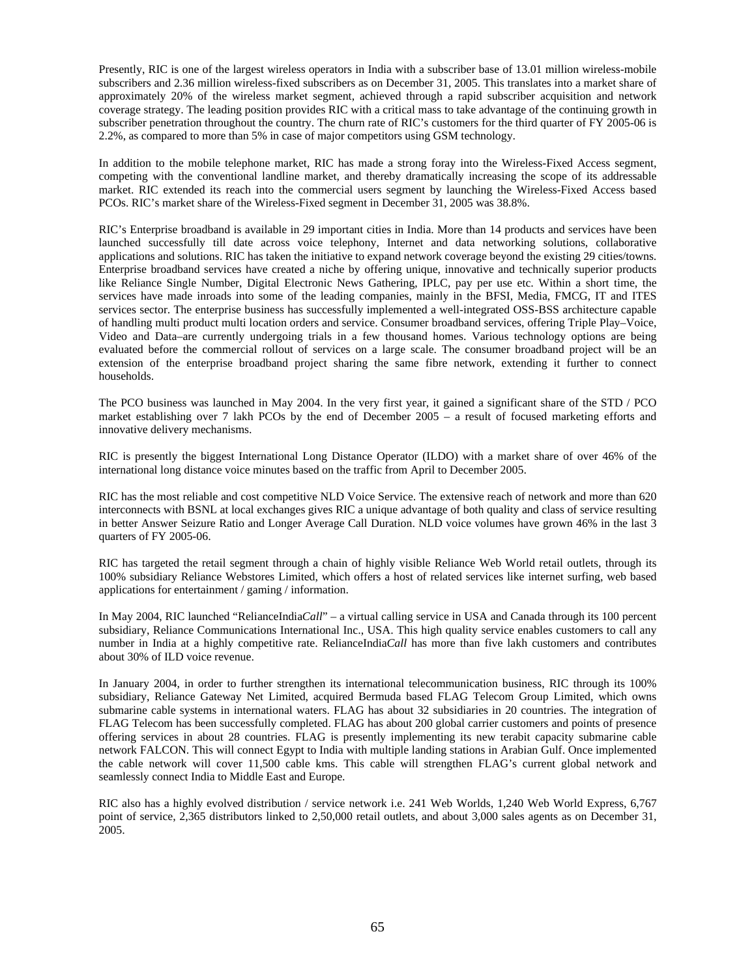Presently, RIC is one of the largest wireless operators in India with a subscriber base of 13.01 million wireless-mobile subscribers and 2.36 million wireless-fixed subscribers as on December 31, 2005. This translates into a market share of approximately 20% of the wireless market segment, achieved through a rapid subscriber acquisition and network coverage strategy. The leading position provides RIC with a critical mass to take advantage of the continuing growth in subscriber penetration throughout the country. The churn rate of RIC's customers for the third quarter of FY 2005-06 is 2.2%, as compared to more than 5% in case of major competitors using GSM technology.

In addition to the mobile telephone market, RIC has made a strong foray into the Wireless-Fixed Access segment, competing with the conventional landline market, and thereby dramatically increasing the scope of its addressable market. RIC extended its reach into the commercial users segment by launching the Wireless-Fixed Access based PCOs. RIC's market share of the Wireless-Fixed segment in December 31, 2005 was 38.8%.

RIC's Enterprise broadband is available in 29 important cities in India. More than 14 products and services have been launched successfully till date across voice telephony, Internet and data networking solutions, collaborative applications and solutions. RIC has taken the initiative to expand network coverage beyond the existing 29 cities/towns. Enterprise broadband services have created a niche by offering unique, innovative and technically superior products like Reliance Single Number, Digital Electronic News Gathering, IPLC, pay per use etc. Within a short time, the services have made inroads into some of the leading companies, mainly in the BFSI, Media, FMCG, IT and ITES services sector. The enterprise business has successfully implemented a well-integrated OSS-BSS architecture capable of handling multi product multi location orders and service. Consumer broadband services, offering Triple Play–Voice, Video and Data–are currently undergoing trials in a few thousand homes. Various technology options are being evaluated before the commercial rollout of services on a large scale. The consumer broadband project will be an extension of the enterprise broadband project sharing the same fibre network, extending it further to connect households.

The PCO business was launched in May 2004. In the very first year, it gained a significant share of the STD / PCO market establishing over 7 lakh PCOs by the end of December 2005 – a result of focused marketing efforts and innovative delivery mechanisms.

RIC is presently the biggest International Long Distance Operator (ILDO) with a market share of over 46% of the international long distance voice minutes based on the traffic from April to December 2005.

RIC has the most reliable and cost competitive NLD Voice Service. The extensive reach of network and more than 620 interconnects with BSNL at local exchanges gives RIC a unique advantage of both quality and class of service resulting in better Answer Seizure Ratio and Longer Average Call Duration. NLD voice volumes have grown 46% in the last 3 quarters of FY 2005-06.

RIC has targeted the retail segment through a chain of highly visible Reliance Web World retail outlets, through its 100% subsidiary Reliance Webstores Limited, which offers a host of related services like internet surfing, web based applications for entertainment / gaming / information.

In May 2004, RIC launched "RelianceIndia*Call*" – a virtual calling service in USA and Canada through its 100 percent subsidiary, Reliance Communications International Inc., USA. This high quality service enables customers to call any number in India at a highly competitive rate. RelianceIndia*Call* has more than five lakh customers and contributes about 30% of ILD voice revenue.

In January 2004, in order to further strengthen its international telecommunication business, RIC through its 100% subsidiary, Reliance Gateway Net Limited, acquired Bermuda based FLAG Telecom Group Limited, which owns submarine cable systems in international waters. FLAG has about 32 subsidiaries in 20 countries. The integration of FLAG Telecom has been successfully completed. FLAG has about 200 global carrier customers and points of presence offering services in about 28 countries. FLAG is presently implementing its new terabit capacity submarine cable network FALCON. This will connect Egypt to India with multiple landing stations in Arabian Gulf. Once implemented the cable network will cover 11,500 cable kms. This cable will strengthen FLAG's current global network and seamlessly connect India to Middle East and Europe.

RIC also has a highly evolved distribution / service network i.e. 241 Web Worlds, 1,240 Web World Express, 6,767 point of service, 2,365 distributors linked to 2,50,000 retail outlets, and about 3,000 sales agents as on December 31, 2005.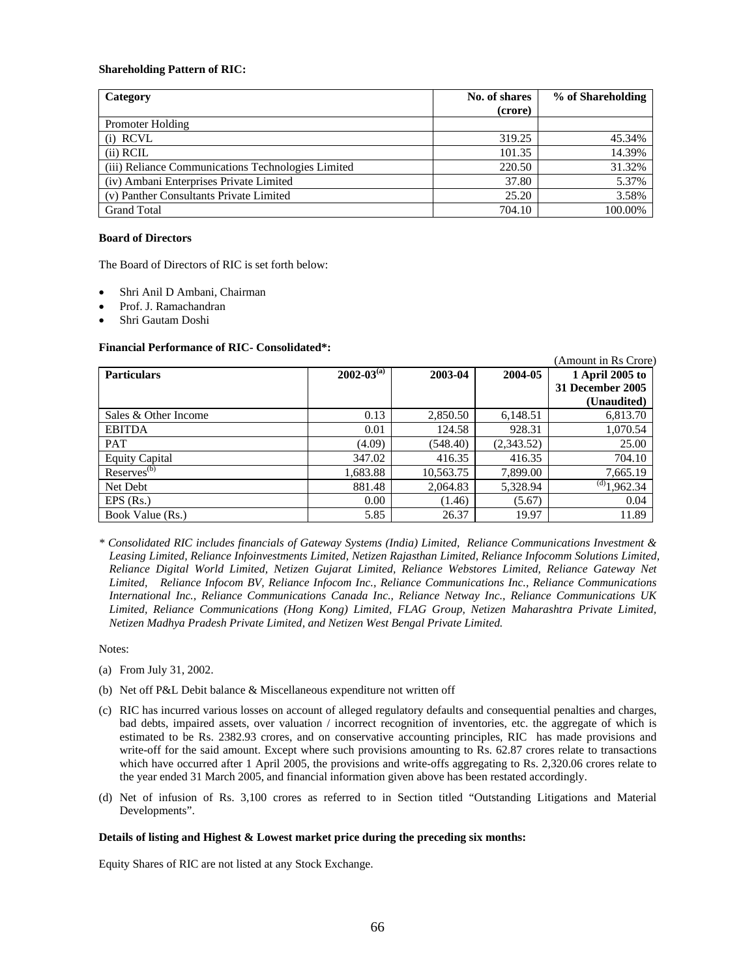### **Shareholding Pattern of RIC:**

| Category                                           | No. of shares | % of Shareholding |
|----------------------------------------------------|---------------|-------------------|
|                                                    | (crore)       |                   |
| Promoter Holding                                   |               |                   |
| $(i)$ RCVL                                         | 319.25        | 45.34%            |
| $(ii)$ RCIL                                        | 101.35        | 14.39%            |
| (iii) Reliance Communications Technologies Limited | 220.50        | 31.32%            |
| (iv) Ambani Enterprises Private Limited            | 37.80         | 5.37%             |
| (v) Panther Consultants Private Limited            | 25.20         | 3.58%             |
| <b>Grand Total</b>                                 | 704.10        | 100.00%           |

# **Board of Directors**

The Board of Directors of RIC is set forth below:

- Shri Anil D Ambani, Chairman
- Prof. J. Ramachandran
- Shri Gautam Doshi

# **Financial Performance of RIC- Consolidated\*:**

| <b>Particulars</b>    | $2002 - 03^{(a)}$ | 2003-04   | 2004-05    | 1 April 2005 to                 |
|-----------------------|-------------------|-----------|------------|---------------------------------|
|                       |                   |           |            | 31 December 2005<br>(Unaudited) |
| Sales & Other Income  | 0.13              | 2,850.50  | 6,148.51   | 6,813.70                        |
| <b>EBITDA</b>         | 0.01              | 124.58    | 928.31     | 1,070.54                        |
| <b>PAT</b>            | (4.09)            | (548.40)  | (2,343.52) | 25.00                           |
| <b>Equity Capital</b> | 347.02            | 416.35    | 416.35     | 704.10                          |
| Reserves $^{(b)}$     | 1,683.88          | 10,563.75 | 7,899.00   | 7,665.19                        |
| Net Debt              | 881.48            | 2,064.83  | 5,328.94   | $\overline{^{(d)}}$ 1,962.34    |
| $EPS$ (Rs.)           | 0.00              | (1.46)    | (5.67)     | 0.04                            |
| Book Value (Rs.)      | 5.85              | 26.37     | 19.97      | 11.89                           |

 $\lambda$  in Rs  $\alpha$ 

*\* Consolidated RIC includes financials of Gateway Systems (India) Limited, Reliance Communications Investment & Leasing Limited, Reliance Infoinvestments Limited, Netizen Rajasthan Limited, Reliance Infocomm Solutions Limited, Reliance Digital World Limited, Netizen Gujarat Limited, Reliance Webstores Limited, Reliance Gateway Net Limited, Reliance Infocom BV, Reliance Infocom Inc., Reliance Communications Inc., Reliance Communications International Inc., Reliance Communications Canada Inc., Reliance Netway Inc., Reliance Communications UK Limited, Reliance Communications (Hong Kong) Limited, FLAG Group, Netizen Maharashtra Private Limited, Netizen Madhya Pradesh Private Limited, and Netizen West Bengal Private Limited.* 

Notes:

- (a) From July 31, 2002.
- (b) Net off P&L Debit balance & Miscellaneous expenditure not written off
- (c) RIC has incurred various losses on account of alleged regulatory defaults and consequential penalties and charges, bad debts, impaired assets, over valuation / incorrect recognition of inventories, etc. the aggregate of which is estimated to be Rs. 2382.93 crores, and on conservative accounting principles, RIC has made provisions and write-off for the said amount. Except where such provisions amounting to Rs. 62.87 crores relate to transactions which have occurred after 1 April 2005, the provisions and write-offs aggregating to Rs. 2,320.06 crores relate to the year ended 31 March 2005, and financial information given above has been restated accordingly.
- (d) Net of infusion of Rs. 3,100 crores as referred to in Section titled "Outstanding Litigations and Material Developments".

# **Details of listing and Highest & Lowest market price during the preceding six months:**

Equity Shares of RIC are not listed at any Stock Exchange.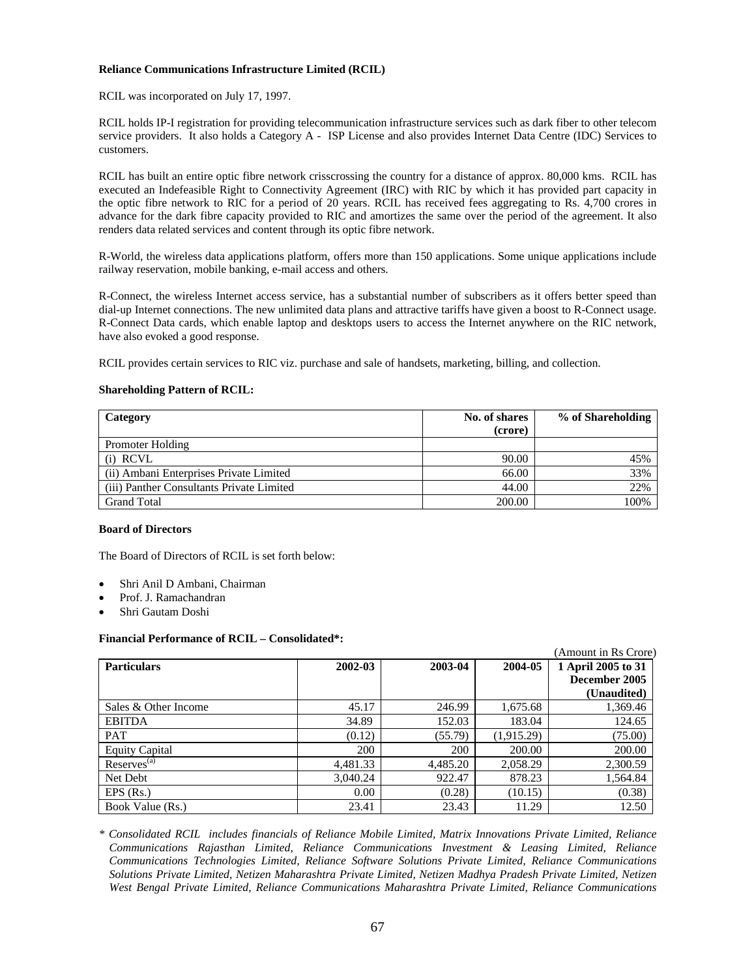# **Reliance Communications Infrastructure Limited (RCIL)**

RCIL was incorporated on July 17, 1997.

RCIL holds IP-I registration for providing telecommunication infrastructure services such as dark fiber to other telecom service providers. It also holds a Category A - ISP License and also provides Internet Data Centre (IDC) Services to customers.

RCIL has built an entire optic fibre network crisscrossing the country for a distance of approx. 80,000 kms. RCIL has executed an Indefeasible Right to Connectivity Agreement (IRC) with RIC by which it has provided part capacity in the optic fibre network to RIC for a period of 20 years. RCIL has received fees aggregating to Rs. 4,700 crores in advance for the dark fibre capacity provided to RIC and amortizes the same over the period of the agreement. It also renders data related services and content through its optic fibre network.

R-World, the wireless data applications platform, offers more than 150 applications. Some unique applications include railway reservation, mobile banking, e-mail access and others.

R-Connect, the wireless Internet access service, has a substantial number of subscribers as it offers better speed than dial-up Internet connections. The new unlimited data plans and attractive tariffs have given a boost to R-Connect usage. R-Connect Data cards, which enable laptop and desktops users to access the Internet anywhere on the RIC network, have also evoked a good response.

RCIL provides certain services to RIC viz. purchase and sale of handsets, marketing, billing, and collection.

### **Shareholding Pattern of RCIL:**

| Category                                  | No. of shares | % of Shareholding |
|-------------------------------------------|---------------|-------------------|
|                                           | (crore)       |                   |
| <b>Promoter Holding</b>                   |               |                   |
| $(i)$ RCVL                                | 90.00         | 45%               |
| (ii) Ambani Enterprises Private Limited   | 66.00         | 33%               |
| (iii) Panther Consultants Private Limited | 44.00         | 22%               |
| <b>Grand Total</b>                        | 200.00        | 100%              |

### **Board of Directors**

The Board of Directors of RCIL is set forth below:

- Shri Anil D Ambani, Chairman
- Prof. J. Ramachandran
- Shri Gautam Doshi

#### **Financial Performance of RCIL – Consolidated\*:**

|                       |          |          |            | (Amount in Rs Crore) |
|-----------------------|----------|----------|------------|----------------------|
| <b>Particulars</b>    | 2002-03  | 2003-04  | 2004-05    | 1 April 2005 to 31   |
|                       |          |          |            | December 2005        |
|                       |          |          |            | (Unaudited)          |
| Sales & Other Income  | 45.17    | 246.99   | 1,675.68   | 1,369.46             |
| <b>EBITDA</b>         | 34.89    | 152.03   | 183.04     | 124.65               |
| <b>PAT</b>            | (0.12)   | (55.79)  | (1,915.29) | (75.00)              |
| <b>Equity Capital</b> | 200      | 200      | 200.00     | 200.00               |
| $Reserves^{(a)}$      | 4,481.33 | 4,485.20 | 2,058.29   | 2,300.59             |
| Net Debt              | 3,040.24 | 922.47   | 878.23     | 1,564.84             |
| $EPS$ (Rs.)           | 0.00     | (0.28)   | (10.15)    | (0.38)               |
| Book Value (Rs.)      | 23.41    | 23.43    | 11.29      | 12.50                |

*\* Consolidated RCIL includes financials of Reliance Mobile Limited, Matrix Innovations Private Limited, Reliance Communications Rajasthan Limited, Reliance Communications Investment & Leasing Limited, Reliance Communications Technologies Limited, Reliance Software Solutions Private Limited, Reliance Communications Solutions Private Limited, Netizen Maharashtra Private Limited, Netizen Madhya Pradesh Private Limited, Netizen West Bengal Private Limited, Reliance Communications Maharashtra Private Limited, Reliance Communications*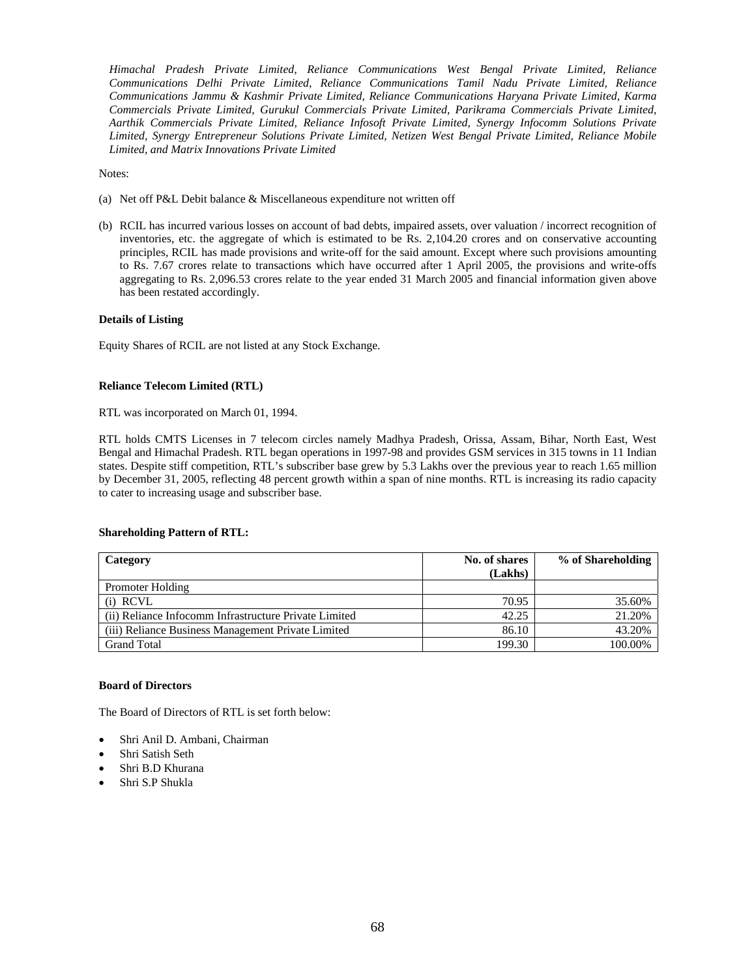*Himachal Pradesh Private Limited, Reliance Communications West Bengal Private Limited, Reliance Communications Delhi Private Limited, Reliance Communications Tamil Nadu Private Limited, Reliance Communications Jammu & Kashmir Private Limited, Reliance Communications Haryana Private Limited, Karma Commercials Private Limited, Gurukul Commercials Private Limited, Parikrama Commercials Private Limited, Aarthik Commercials Private Limited, Reliance Infosoft Private Limited, Synergy Infocomm Solutions Private Limited, Synergy Entrepreneur Solutions Private Limited, Netizen West Bengal Private Limited, Reliance Mobile Limited, and Matrix Innovations Private Limited* 

Notes:

- (a) Net off P&L Debit balance & Miscellaneous expenditure not written off
- (b) RCIL has incurred various losses on account of bad debts, impaired assets, over valuation / incorrect recognition of inventories, etc. the aggregate of which is estimated to be Rs. 2,104.20 crores and on conservative accounting principles, RCIL has made provisions and write-off for the said amount. Except where such provisions amounting to Rs. 7.67 crores relate to transactions which have occurred after 1 April 2005, the provisions and write-offs aggregating to Rs. 2,096.53 crores relate to the year ended 31 March 2005 and financial information given above has been restated accordingly.

# **Details of Listing**

Equity Shares of RCIL are not listed at any Stock Exchange.

# **Reliance Telecom Limited (RTL)**

RTL was incorporated on March 01, 1994.

RTL holds CMTS Licenses in 7 telecom circles namely Madhya Pradesh, Orissa, Assam, Bihar, North East, West Bengal and Himachal Pradesh. RTL began operations in 1997-98 and provides GSM services in 315 towns in 11 Indian states. Despite stiff competition, RTL's subscriber base grew by 5.3 Lakhs over the previous year to reach 1.65 million by December 31, 2005, reflecting 48 percent growth within a span of nine months. RTL is increasing its radio capacity to cater to increasing usage and subscriber base.

# **Shareholding Pattern of RTL:**

| Category                                              | No. of shares | % of Shareholding |
|-------------------------------------------------------|---------------|-------------------|
|                                                       | (Lakhs)       |                   |
| <b>Promoter Holding</b>                               |               |                   |
| (i) RCVL                                              | 70.95         | 35.60%            |
| (ii) Reliance Infocomm Infrastructure Private Limited | 42.25         | 21.20%            |
| (iii) Reliance Business Management Private Limited    | 86.10         | 43.20%            |
| <b>Grand Total</b>                                    | 199.30        | 100.00%           |

# **Board of Directors**

The Board of Directors of RTL is set forth below:

- Shri Anil D. Ambani, Chairman
- Shri Satish Seth
- Shri B.D Khurana
- Shri S.P Shukla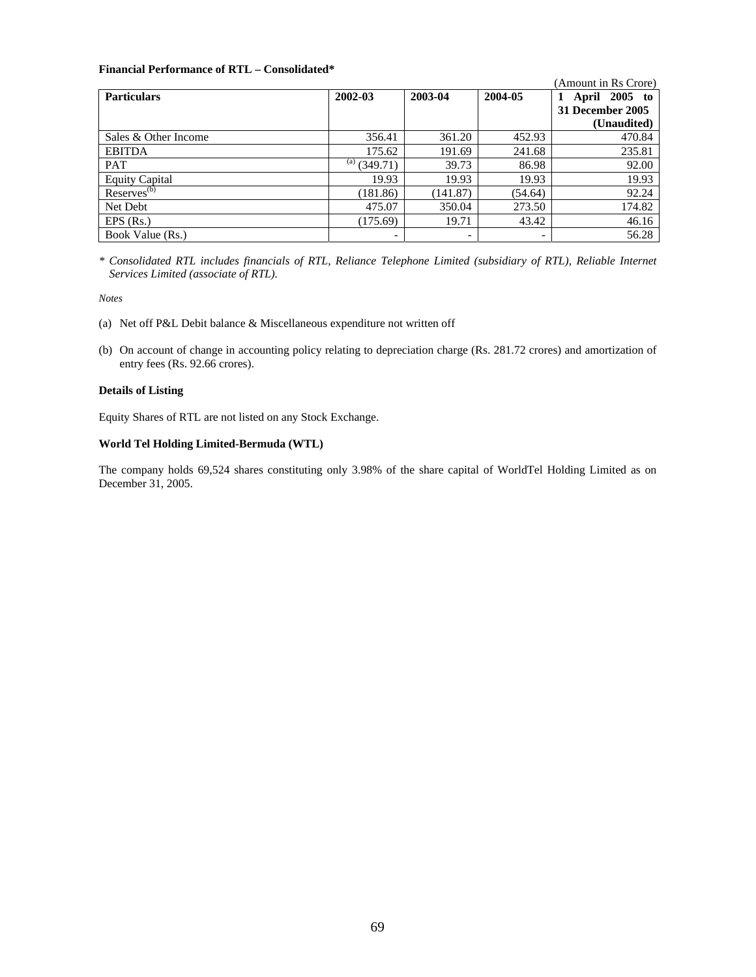# **Financial Performance of RTL – Consolidated\***

|                       |                 |                          |                          | (Amount in Rs Crore) |
|-----------------------|-----------------|--------------------------|--------------------------|----------------------|
| <b>Particulars</b>    | 2002-03         | 2003-04                  | 2004-05                  | April 2005 to        |
|                       |                 |                          |                          | 31 December 2005     |
|                       |                 |                          |                          | (Unaudited)          |
| Sales & Other Income  | 356.41          | 361.20                   | 452.93                   | 470.84               |
| <b>EBITDA</b>         | 175.62          | 191.69                   | 241.68                   | 235.81               |
| <b>PAT</b>            | (a)<br>(349.71) | 39.73                    | 86.98                    | 92.00                |
| <b>Equity Capital</b> | 19.93           | 19.93                    | 19.93                    | 19.93                |
| $Reserves^{(b)}$      | (181.86)        | (141.87)                 | (54.64)                  | 92.24                |
| Net Debt              | 475.07          | 350.04                   | 273.50                   | 174.82               |
| $EPS$ (Rs.)           | (175.69)        | 19.71                    | 43.42                    | 46.16                |
| Book Value (Rs.)      | -               | $\overline{\phantom{a}}$ | $\overline{\phantom{0}}$ | 56.28                |

*\* Consolidated RTL includes financials of RTL, Reliance Telephone Limited (subsidiary of RTL), Reliable Internet Services Limited (associate of RTL).* 

*Notes* 

- (a) Net off P&L Debit balance & Miscellaneous expenditure not written off
- (b) On account of change in accounting policy relating to depreciation charge (Rs. 281.72 crores) and amortization of entry fees (Rs. 92.66 crores).

# **Details of Listing**

Equity Shares of RTL are not listed on any Stock Exchange.

# **World Tel Holding Limited-Bermuda (WTL)**

The company holds 69,524 shares constituting only 3.98% of the share capital of WorldTel Holding Limited as on December 31, 2005.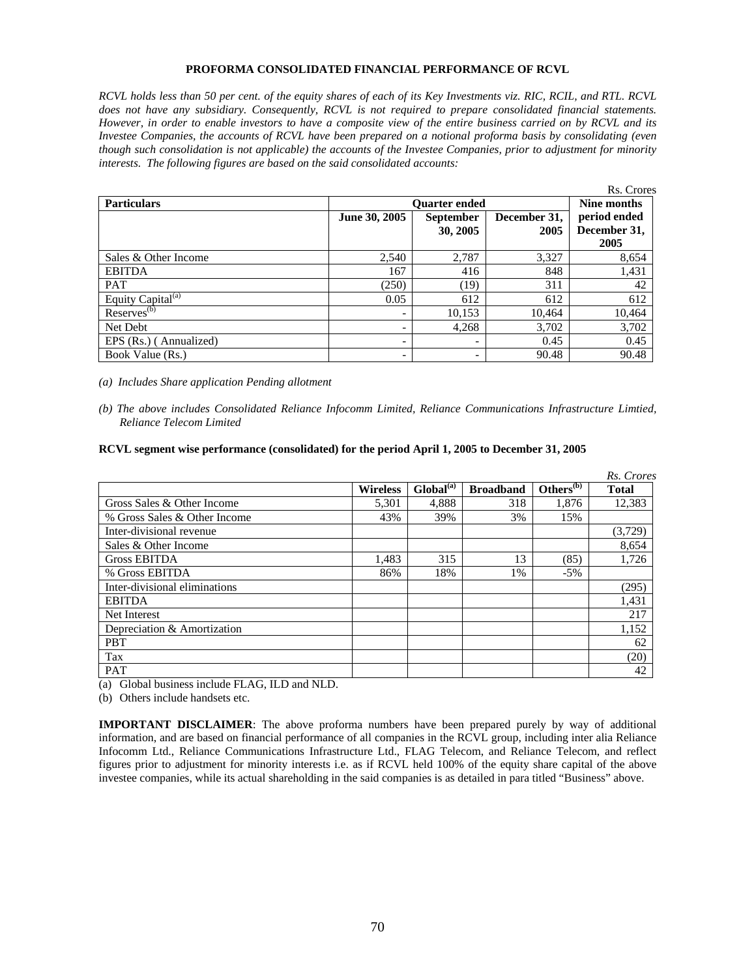# **PROFORMA CONSOLIDATED FINANCIAL PERFORMANCE OF RCVL**

*RCVL holds less than 50 per cent. of the equity shares of each of its Key Investments viz. RIC, RCIL, and RTL. RCVL does not have any subsidiary. Consequently, RCVL is not required to prepare consolidated financial statements. However, in order to enable investors to have a composite view of the entire business carried on by RCVL and its Investee Companies, the accounts of RCVL have been prepared on a notional proforma basis by consolidating (even though such consolidation is not applicable) the accounts of the Investee Companies, prior to adjustment for minority interests. The following figures are based on the said consolidated accounts:* 

|                               |               |                              |                      | Rs. Crores                           |  |  |
|-------------------------------|---------------|------------------------------|----------------------|--------------------------------------|--|--|
| <b>Particulars</b>            |               | <b>Ouarter ended</b>         |                      |                                      |  |  |
|                               | June 30, 2005 | <b>September</b><br>30, 2005 | December 31,<br>2005 | period ended<br>December 31,<br>2005 |  |  |
| Sales & Other Income          | 2,540         | 2,787                        | 3,327                | 8,654                                |  |  |
| <b>EBITDA</b>                 | 167           | 416                          | 848                  | 1,431                                |  |  |
| <b>PAT</b>                    | (250)         | (19)                         | 311                  | 42                                   |  |  |
| Equity Capital <sup>(a)</sup> | 0.05          | 612                          | 612                  | 612                                  |  |  |
| $Reserves^{(b)}$              |               | 10,153                       | 10,464               | 10,464                               |  |  |
| Net Debt                      |               | 4,268                        | 3,702                | 3,702                                |  |  |
| EPS (Rs.) (Annualized)        |               | $\overline{\phantom{a}}$     | 0.45                 | 0.45                                 |  |  |
| Book Value (Rs.)              |               | $\overline{\phantom{0}}$     | 90.48                | 90.48                                |  |  |

*(a) Includes Share application Pending allotment* 

# **RCVL segment wise performance (consolidated) for the period April 1, 2005 to December 31, 2005**

|                               |                 |                    |                  |                       | Rs. Crores   |
|-------------------------------|-----------------|--------------------|------------------|-----------------------|--------------|
|                               | <b>Wireless</b> | $G$ lobal $^{(a)}$ | <b>Broadband</b> | Others <sup>(b)</sup> | <b>Total</b> |
| Gross Sales & Other Income    | 5.301           | 4.888              | 318              | 1.876                 | 12,383       |
| % Gross Sales & Other Income  | 43%             | 39%                | 3%               | 15%                   |              |
| Inter-divisional revenue      |                 |                    |                  |                       | (3,729)      |
| Sales & Other Income          |                 |                    |                  |                       | 8,654        |
| Gross EBITDA                  | 1.483           | 315                | 13               | (85)                  | 1.726        |
| % Gross EBITDA                | 86%             | 18%                | 1%               | $-5%$                 |              |
| Inter-divisional eliminations |                 |                    |                  |                       | (295)        |
| <b>EBITDA</b>                 |                 |                    |                  |                       | 1,431        |
| Net Interest                  |                 |                    |                  |                       | 217          |
| Depreciation & Amortization   |                 |                    |                  |                       | 1,152        |
| <b>PBT</b>                    |                 |                    |                  |                       | 62           |
| Tax                           |                 |                    |                  |                       | (20)         |
| <b>PAT</b>                    |                 |                    |                  |                       | 42           |

(a) Global business include FLAG, ILD and NLD.

(b) Others include handsets etc.

**IMPORTANT DISCLAIMER**: The above proforma numbers have been prepared purely by way of additional information, and are based on financial performance of all companies in the RCVL group, including inter alia Reliance Infocomm Ltd., Reliance Communications Infrastructure Ltd., FLAG Telecom, and Reliance Telecom, and reflect figures prior to adjustment for minority interests i.e. as if RCVL held 100% of the equity share capital of the above investee companies, while its actual shareholding in the said companies is as detailed in para titled "Business" above.

*<sup>(</sup>b) The above includes Consolidated Reliance Infocomm Limited, Reliance Communications Infrastructure Limtied, Reliance Telecom Limited*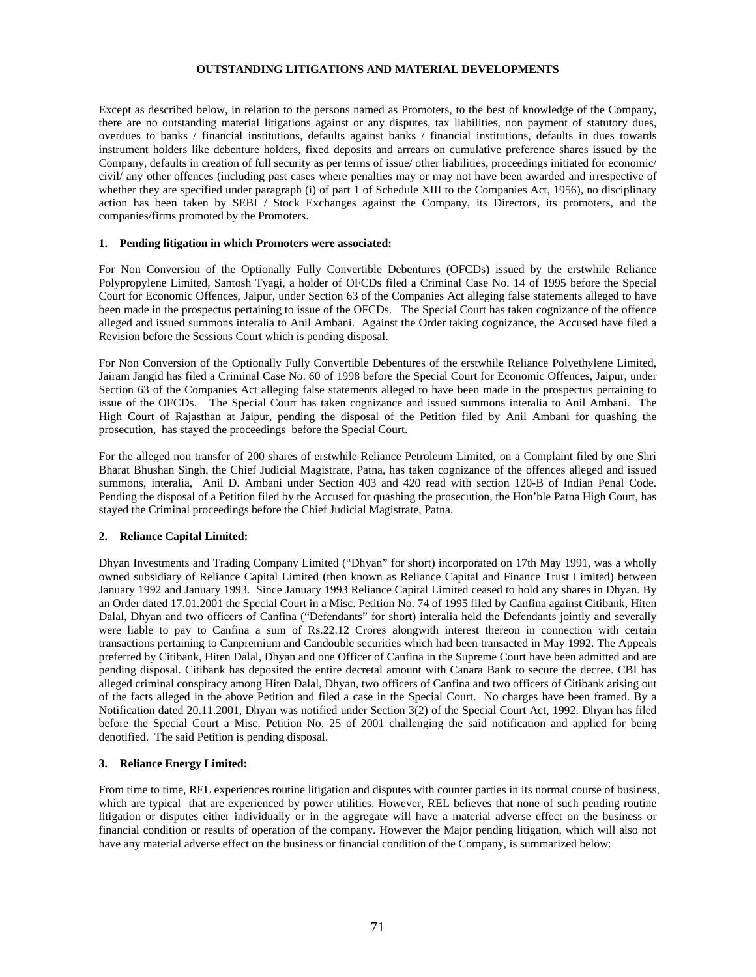# **OUTSTANDING LITIGATIONS AND MATERIAL DEVELOPMENTS**

Except as described below, in relation to the persons named as Promoters, to the best of knowledge of the Company, there are no outstanding material litigations against or any disputes, tax liabilities, non payment of statutory dues, overdues to banks / financial institutions, defaults against banks / financial institutions, defaults in dues towards instrument holders like debenture holders, fixed deposits and arrears on cumulative preference shares issued by the Company, defaults in creation of full security as per terms of issue/ other liabilities, proceedings initiated for economic/ civil/ any other offences (including past cases where penalties may or may not have been awarded and irrespective of whether they are specified under paragraph (i) of part 1 of Schedule XIII to the Companies Act, 1956), no disciplinary action has been taken by SEBI / Stock Exchanges against the Company, its Directors, its promoters, and the companies/firms promoted by the Promoters.

### **1. Pending litigation in which Promoters were associated:**

For Non Conversion of the Optionally Fully Convertible Debentures (OFCDs) issued by the erstwhile Reliance Polypropylene Limited, Santosh Tyagi, a holder of OFCDs filed a Criminal Case No. 14 of 1995 before the Special Court for Economic Offences, Jaipur, under Section 63 of the Companies Act alleging false statements alleged to have been made in the prospectus pertaining to issue of the OFCDs. The Special Court has taken cognizance of the offence alleged and issued summons interalia to Anil Ambani. Against the Order taking cognizance, the Accused have filed a Revision before the Sessions Court which is pending disposal.

For Non Conversion of the Optionally Fully Convertible Debentures of the erstwhile Reliance Polyethylene Limited, Jairam Jangid has filed a Criminal Case No. 60 of 1998 before the Special Court for Economic Offences, Jaipur, under Section 63 of the Companies Act alleging false statements alleged to have been made in the prospectus pertaining to issue of the OFCDs. The Special Court has taken cognizance and issued summons interalia to Anil Ambani. The High Court of Rajasthan at Jaipur, pending the disposal of the Petition filed by Anil Ambani for quashing the prosecution, has stayed the proceedings before the Special Court.

For the alleged non transfer of 200 shares of erstwhile Reliance Petroleum Limited, on a Complaint filed by one Shri Bharat Bhushan Singh, the Chief Judicial Magistrate, Patna, has taken cognizance of the offences alleged and issued summons, interalia, Anil D. Ambani under Section 403 and 420 read with section 120-B of Indian Penal Code. Pending the disposal of a Petition filed by the Accused for quashing the prosecution, the Hon'ble Patna High Court, has stayed the Criminal proceedings before the Chief Judicial Magistrate, Patna.

# **2. Reliance Capital Limited:**

Dhyan Investments and Trading Company Limited ("Dhyan" for short) incorporated on 17th May 1991, was a wholly owned subsidiary of Reliance Capital Limited (then known as Reliance Capital and Finance Trust Limited) between January 1992 and January 1993. Since January 1993 Reliance Capital Limited ceased to hold any shares in Dhyan. By an Order dated 17.01.2001 the Special Court in a Misc. Petition No. 74 of 1995 filed by Canfina against Citibank, Hiten Dalal, Dhyan and two officers of Canfina ("Defendants" for short) interalia held the Defendants jointly and severally were liable to pay to Canfina a sum of Rs.22.12 Crores alongwith interest thereon in connection with certain transactions pertaining to Canpremium and Candouble securities which had been transacted in May 1992. The Appeals preferred by Citibank, Hiten Dalal, Dhyan and one Officer of Canfina in the Supreme Court have been admitted and are pending disposal. Citibank has deposited the entire decretal amount with Canara Bank to secure the decree. CBI has alleged criminal conspiracy among Hiten Dalal, Dhyan, two officers of Canfina and two officers of Citibank arising out of the facts alleged in the above Petition and filed a case in the Special Court. No charges have been framed. By a Notification dated 20.11.2001, Dhyan was notified under Section 3(2) of the Special Court Act, 1992. Dhyan has filed before the Special Court a Misc. Petition No. 25 of 2001 challenging the said notification and applied for being denotified. The said Petition is pending disposal.

# **3. Reliance Energy Limited:**

From time to time, REL experiences routine litigation and disputes with counter parties in its normal course of business, which are typical that are experienced by power utilities. However, REL believes that none of such pending routine litigation or disputes either individually or in the aggregate will have a material adverse effect on the business or financial condition or results of operation of the company. However the Major pending litigation, which will also not have any material adverse effect on the business or financial condition of the Company, is summarized below: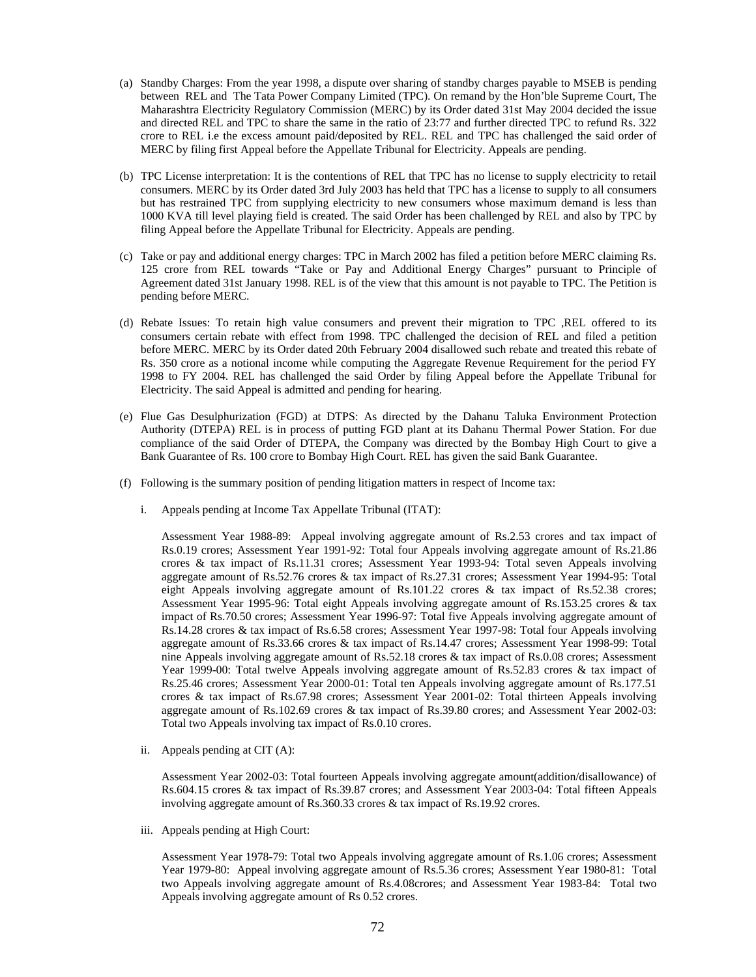- (a) Standby Charges: From the year 1998, a dispute over sharing of standby charges payable to MSEB is pending between REL and The Tata Power Company Limited (TPC). On remand by the Hon'ble Supreme Court, The Maharashtra Electricity Regulatory Commission (MERC) by its Order dated 31st May 2004 decided the issue and directed REL and TPC to share the same in the ratio of 23:77 and further directed TPC to refund Rs. 322 crore to REL i.e the excess amount paid/deposited by REL. REL and TPC has challenged the said order of MERC by filing first Appeal before the Appellate Tribunal for Electricity. Appeals are pending.
- (b) TPC License interpretation: It is the contentions of REL that TPC has no license to supply electricity to retail consumers. MERC by its Order dated 3rd July 2003 has held that TPC has a license to supply to all consumers but has restrained TPC from supplying electricity to new consumers whose maximum demand is less than 1000 KVA till level playing field is created. The said Order has been challenged by REL and also by TPC by filing Appeal before the Appellate Tribunal for Electricity. Appeals are pending.
- (c) Take or pay and additional energy charges: TPC in March 2002 has filed a petition before MERC claiming Rs. 125 crore from REL towards "Take or Pay and Additional Energy Charges" pursuant to Principle of Agreement dated 31st January 1998. REL is of the view that this amount is not payable to TPC. The Petition is pending before MERC.
- (d) Rebate Issues: To retain high value consumers and prevent their migration to TPC ,REL offered to its consumers certain rebate with effect from 1998. TPC challenged the decision of REL and filed a petition before MERC. MERC by its Order dated 20th February 2004 disallowed such rebate and treated this rebate of Rs. 350 crore as a notional income while computing the Aggregate Revenue Requirement for the period FY 1998 to FY 2004. REL has challenged the said Order by filing Appeal before the Appellate Tribunal for Electricity. The said Appeal is admitted and pending for hearing.
- (e) Flue Gas Desulphurization (FGD) at DTPS: As directed by the Dahanu Taluka Environment Protection Authority (DTEPA) REL is in process of putting FGD plant at its Dahanu Thermal Power Station. For due compliance of the said Order of DTEPA, the Company was directed by the Bombay High Court to give a Bank Guarantee of Rs. 100 crore to Bombay High Court. REL has given the said Bank Guarantee.
- (f) Following is the summary position of pending litigation matters in respect of Income tax:
	- i. Appeals pending at Income Tax Appellate Tribunal (ITAT):

Assessment Year 1988-89: Appeal involving aggregate amount of Rs.2.53 crores and tax impact of Rs.0.19 crores; Assessment Year 1991-92: Total four Appeals involving aggregate amount of Rs.21.86 crores & tax impact of Rs.11.31 crores; Assessment Year 1993-94: Total seven Appeals involving aggregate amount of Rs.52.76 crores & tax impact of Rs.27.31 crores; Assessment Year 1994-95: Total eight Appeals involving aggregate amount of Rs.101.22 crores & tax impact of Rs.52.38 crores; Assessment Year 1995-96: Total eight Appeals involving aggregate amount of Rs.153.25 crores & tax impact of Rs.70.50 crores; Assessment Year 1996-97: Total five Appeals involving aggregate amount of Rs.14.28 crores & tax impact of Rs.6.58 crores; Assessment Year 1997-98: Total four Appeals involving aggregate amount of Rs.33.66 crores & tax impact of Rs.14.47 crores; Assessment Year 1998-99: Total nine Appeals involving aggregate amount of Rs.52.18 crores & tax impact of Rs.0.08 crores; Assessment Year 1999-00: Total twelve Appeals involving aggregate amount of Rs.52.83 crores & tax impact of Rs.25.46 crores; Assessment Year 2000-01: Total ten Appeals involving aggregate amount of Rs.177.51 crores & tax impact of Rs.67.98 crores; Assessment Year 2001-02: Total thirteen Appeals involving aggregate amount of Rs.102.69 crores & tax impact of Rs.39.80 crores; and Assessment Year 2002-03: Total two Appeals involving tax impact of Rs.0.10 crores.

ii. Appeals pending at CIT (A):

Assessment Year 2002-03: Total fourteen Appeals involving aggregate amount(addition/disallowance) of Rs.604.15 crores & tax impact of Rs.39.87 crores; and Assessment Year 2003-04: Total fifteen Appeals involving aggregate amount of Rs.360.33 crores & tax impact of Rs.19.92 crores.

iii. Appeals pending at High Court:

Assessment Year 1978-79: Total two Appeals involving aggregate amount of Rs.1.06 crores; Assessment Year 1979-80: Appeal involving aggregate amount of Rs.5.36 crores; Assessment Year 1980-81: Total two Appeals involving aggregate amount of Rs.4.08crores; and Assessment Year 1983-84: Total two Appeals involving aggregate amount of Rs 0.52 crores.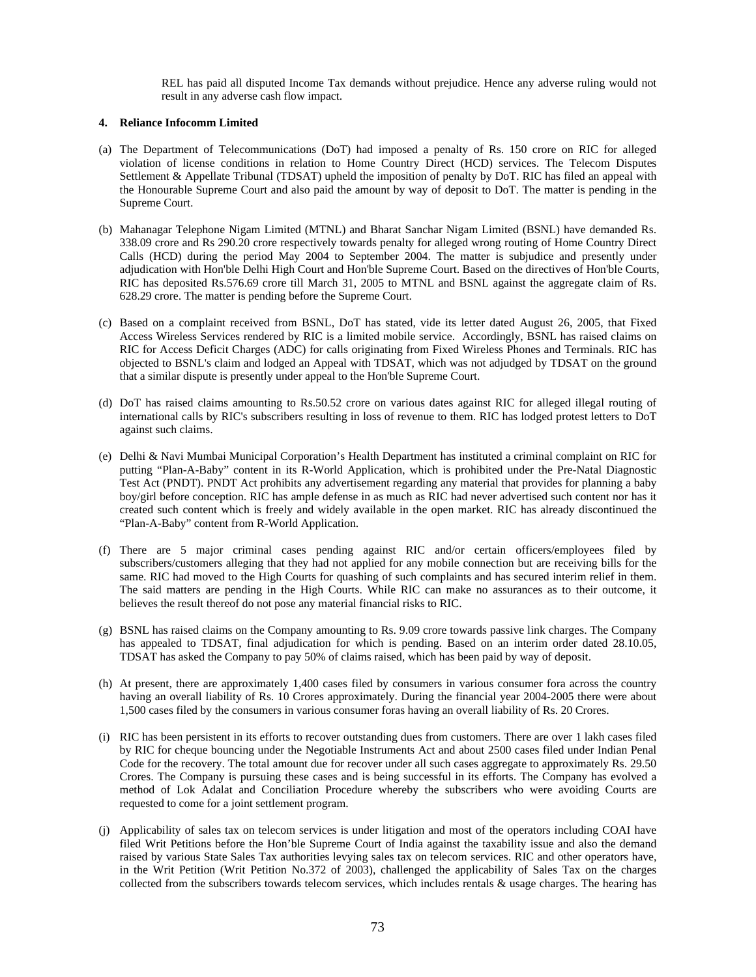REL has paid all disputed Income Tax demands without prejudice. Hence any adverse ruling would not result in any adverse cash flow impact.

#### **4. Reliance Infocomm Limited**

- (a) The Department of Telecommunications (DoT) had imposed a penalty of Rs. 150 crore on RIC for alleged violation of license conditions in relation to Home Country Direct (HCD) services. The Telecom Disputes Settlement & Appellate Tribunal (TDSAT) upheld the imposition of penalty by DoT. RIC has filed an appeal with the Honourable Supreme Court and also paid the amount by way of deposit to DoT. The matter is pending in the Supreme Court.
- (b) Mahanagar Telephone Nigam Limited (MTNL) and Bharat Sanchar Nigam Limited (BSNL) have demanded Rs. 338.09 crore and Rs 290.20 crore respectively towards penalty for alleged wrong routing of Home Country Direct Calls (HCD) during the period May 2004 to September 2004. The matter is subjudice and presently under adjudication with Hon'ble Delhi High Court and Hon'ble Supreme Court. Based on the directives of Hon'ble Courts, RIC has deposited Rs.576.69 crore till March 31, 2005 to MTNL and BSNL against the aggregate claim of Rs. 628.29 crore. The matter is pending before the Supreme Court.
- (c) Based on a complaint received from BSNL, DoT has stated, vide its letter dated August 26, 2005, that Fixed Access Wireless Services rendered by RIC is a limited mobile service. Accordingly, BSNL has raised claims on RIC for Access Deficit Charges (ADC) for calls originating from Fixed Wireless Phones and Terminals. RIC has objected to BSNL's claim and lodged an Appeal with TDSAT, which was not adjudged by TDSAT on the ground that a similar dispute is presently under appeal to the Hon'ble Supreme Court.
- (d) DoT has raised claims amounting to Rs.50.52 crore on various dates against RIC for alleged illegal routing of international calls by RIC's subscribers resulting in loss of revenue to them. RIC has lodged protest letters to DoT against such claims.
- (e) Delhi & Navi Mumbai Municipal Corporation's Health Department has instituted a criminal complaint on RIC for putting "Plan-A-Baby" content in its R-World Application, which is prohibited under the Pre-Natal Diagnostic Test Act (PNDT). PNDT Act prohibits any advertisement regarding any material that provides for planning a baby boy/girl before conception. RIC has ample defense in as much as RIC had never advertised such content nor has it created such content which is freely and widely available in the open market. RIC has already discontinued the "Plan-A-Baby" content from R-World Application.
- (f) There are 5 major criminal cases pending against RIC and/or certain officers/employees filed by subscribers/customers alleging that they had not applied for any mobile connection but are receiving bills for the same. RIC had moved to the High Courts for quashing of such complaints and has secured interim relief in them. The said matters are pending in the High Courts. While RIC can make no assurances as to their outcome, it believes the result thereof do not pose any material financial risks to RIC.
- (g) BSNL has raised claims on the Company amounting to Rs. 9.09 crore towards passive link charges. The Company has appealed to TDSAT, final adjudication for which is pending. Based on an interim order dated 28.10.05, TDSAT has asked the Company to pay 50% of claims raised, which has been paid by way of deposit.
- (h) At present, there are approximately 1,400 cases filed by consumers in various consumer fora across the country having an overall liability of Rs. 10 Crores approximately. During the financial year 2004-2005 there were about 1,500 cases filed by the consumers in various consumer foras having an overall liability of Rs. 20 Crores.
- (i) RIC has been persistent in its efforts to recover outstanding dues from customers. There are over 1 lakh cases filed by RIC for cheque bouncing under the Negotiable Instruments Act and about 2500 cases filed under Indian Penal Code for the recovery. The total amount due for recover under all such cases aggregate to approximately Rs. 29.50 Crores. The Company is pursuing these cases and is being successful in its efforts. The Company has evolved a method of Lok Adalat and Conciliation Procedure whereby the subscribers who were avoiding Courts are requested to come for a joint settlement program.
- (j) Applicability of sales tax on telecom services is under litigation and most of the operators including COAI have filed Writ Petitions before the Hon'ble Supreme Court of India against the taxability issue and also the demand raised by various State Sales Tax authorities levying sales tax on telecom services. RIC and other operators have, in the Writ Petition (Writ Petition No.372 of 2003), challenged the applicability of Sales Tax on the charges collected from the subscribers towards telecom services, which includes rentals & usage charges. The hearing has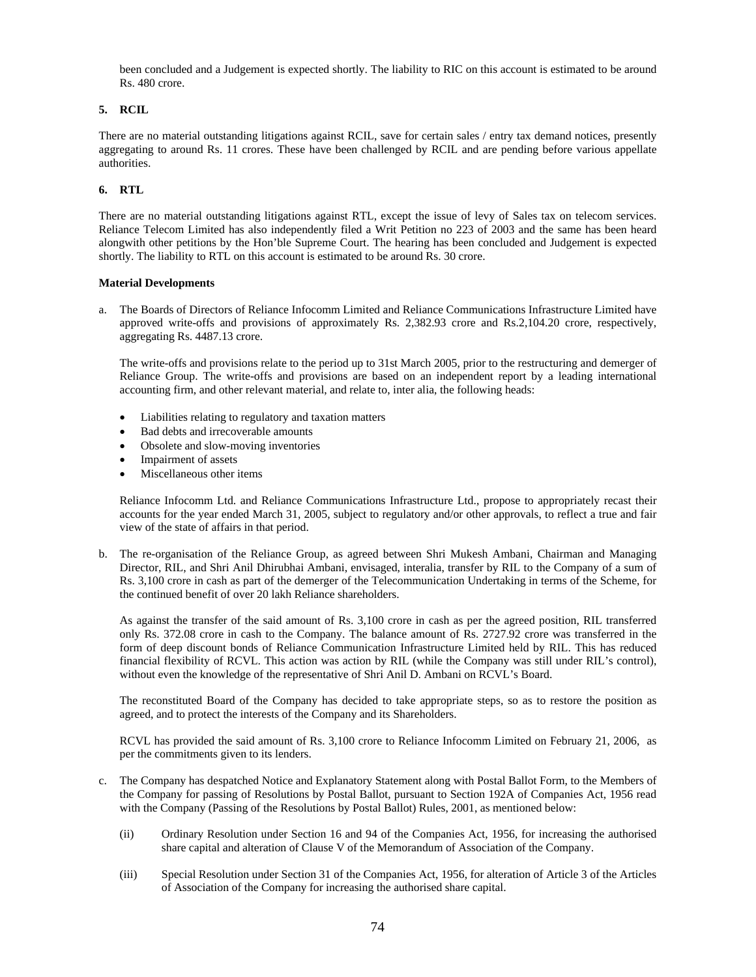been concluded and a Judgement is expected shortly. The liability to RIC on this account is estimated to be around Rs. 480 crore.

# **5. RCIL**

There are no material outstanding litigations against RCIL, save for certain sales / entry tax demand notices, presently aggregating to around Rs. 11 crores. These have been challenged by RCIL and are pending before various appellate authorities.

# **6. RTL**

There are no material outstanding litigations against RTL, except the issue of levy of Sales tax on telecom services. Reliance Telecom Limited has also independently filed a Writ Petition no 223 of 2003 and the same has been heard alongwith other petitions by the Hon'ble Supreme Court. The hearing has been concluded and Judgement is expected shortly. The liability to RTL on this account is estimated to be around Rs. 30 crore.

## **Material Developments**

a. The Boards of Directors of Reliance Infocomm Limited and Reliance Communications Infrastructure Limited have approved write-offs and provisions of approximately Rs. 2,382.93 crore and Rs.2,104.20 crore, respectively, aggregating Rs. 4487.13 crore.

The write-offs and provisions relate to the period up to 31st March 2005, prior to the restructuring and demerger of Reliance Group. The write-offs and provisions are based on an independent report by a leading international accounting firm, and other relevant material, and relate to, inter alia, the following heads:

- Liabilities relating to regulatory and taxation matters
- Bad debts and irrecoverable amounts
- Obsolete and slow-moving inventories
- Impairment of assets
- Miscellaneous other items

Reliance Infocomm Ltd. and Reliance Communications Infrastructure Ltd., propose to appropriately recast their accounts for the year ended March 31, 2005, subject to regulatory and/or other approvals, to reflect a true and fair view of the state of affairs in that period.

b. The re-organisation of the Reliance Group, as agreed between Shri Mukesh Ambani, Chairman and Managing Director, RIL, and Shri Anil Dhirubhai Ambani, envisaged, interalia, transfer by RIL to the Company of a sum of Rs. 3,100 crore in cash as part of the demerger of the Telecommunication Undertaking in terms of the Scheme, for the continued benefit of over 20 lakh Reliance shareholders.

As against the transfer of the said amount of Rs. 3,100 crore in cash as per the agreed position, RIL transferred only Rs. 372.08 crore in cash to the Company. The balance amount of Rs. 2727.92 crore was transferred in the form of deep discount bonds of Reliance Communication Infrastructure Limited held by RIL. This has reduced financial flexibility of RCVL. This action was action by RIL (while the Company was still under RIL's control), without even the knowledge of the representative of Shri Anil D. Ambani on RCVL's Board.

The reconstituted Board of the Company has decided to take appropriate steps, so as to restore the position as agreed, and to protect the interests of the Company and its Shareholders.

RCVL has provided the said amount of Rs. 3,100 crore to Reliance Infocomm Limited on February 21, 2006, as per the commitments given to its lenders.

- c. The Company has despatched Notice and Explanatory Statement along with Postal Ballot Form, to the Members of the Company for passing of Resolutions by Postal Ballot, pursuant to Section 192A of Companies Act, 1956 read with the Company (Passing of the Resolutions by Postal Ballot) Rules, 2001, as mentioned below:
	- (ii) Ordinary Resolution under Section 16 and 94 of the Companies Act, 1956, for increasing the authorised share capital and alteration of Clause V of the Memorandum of Association of the Company.
	- (iii) Special Resolution under Section 31 of the Companies Act, 1956, for alteration of Article 3 of the Articles of Association of the Company for increasing the authorised share capital.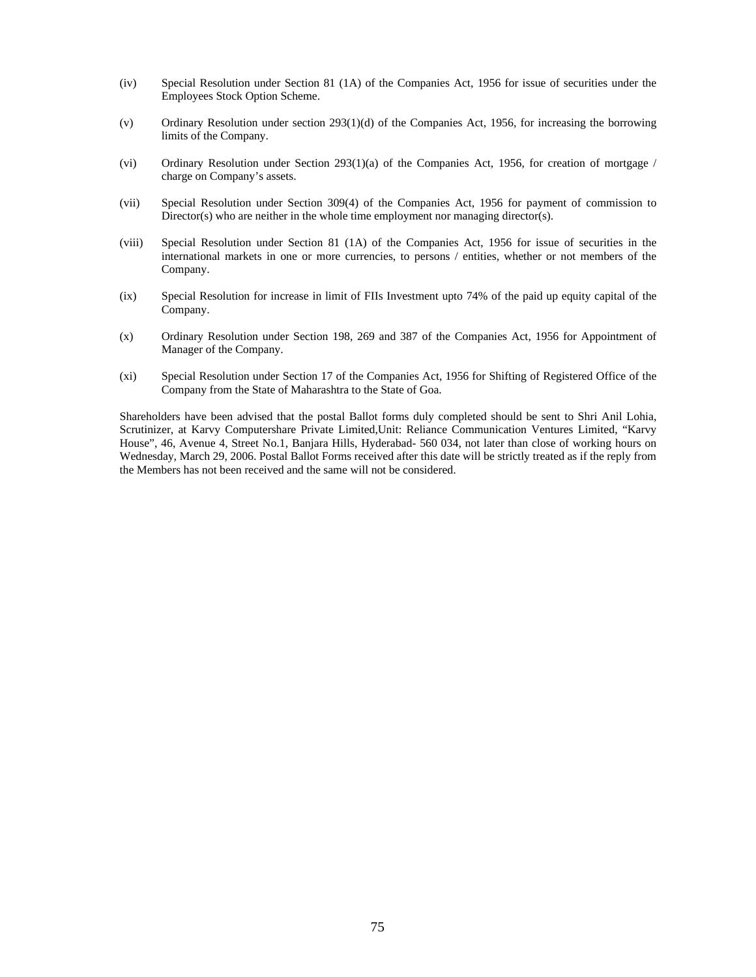- (iv) Special Resolution under Section 81 (1A) of the Companies Act, 1956 for issue of securities under the Employees Stock Option Scheme.
- (v) Ordinary Resolution under section 293(1)(d) of the Companies Act, 1956, for increasing the borrowing limits of the Company.
- (vi) Ordinary Resolution under Section 293(1)(a) of the Companies Act, 1956, for creation of mortgage / charge on Company's assets.
- (vii) Special Resolution under Section 309(4) of the Companies Act, 1956 for payment of commission to Director(s) who are neither in the whole time employment nor managing director(s).
- (viii) Special Resolution under Section 81 (1A) of the Companies Act, 1956 for issue of securities in the international markets in one or more currencies, to persons / entities, whether or not members of the Company.
- (ix) Special Resolution for increase in limit of FIIs Investment upto 74% of the paid up equity capital of the Company.
- (x) Ordinary Resolution under Section 198, 269 and 387 of the Companies Act, 1956 for Appointment of Manager of the Company.
- (xi) Special Resolution under Section 17 of the Companies Act, 1956 for Shifting of Registered Office of the Company from the State of Maharashtra to the State of Goa.

Shareholders have been advised that the postal Ballot forms duly completed should be sent to Shri Anil Lohia, Scrutinizer, at Karvy Computershare Private Limited,Unit: Reliance Communication Ventures Limited, "Karvy House", 46, Avenue 4, Street No.1, Banjara Hills, Hyderabad- 560 034, not later than close of working hours on Wednesday, March 29, 2006. Postal Ballot Forms received after this date will be strictly treated as if the reply from the Members has not been received and the same will not be considered.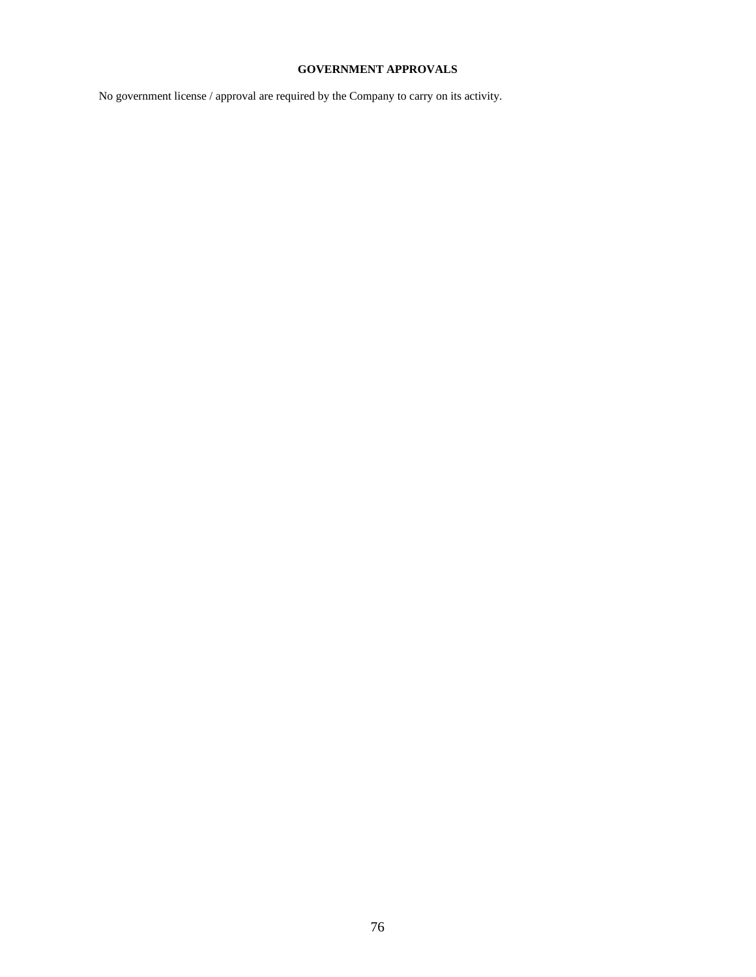# **GOVERNMENT APPROVALS**

No government license / approval are required by the Company to carry on its activity.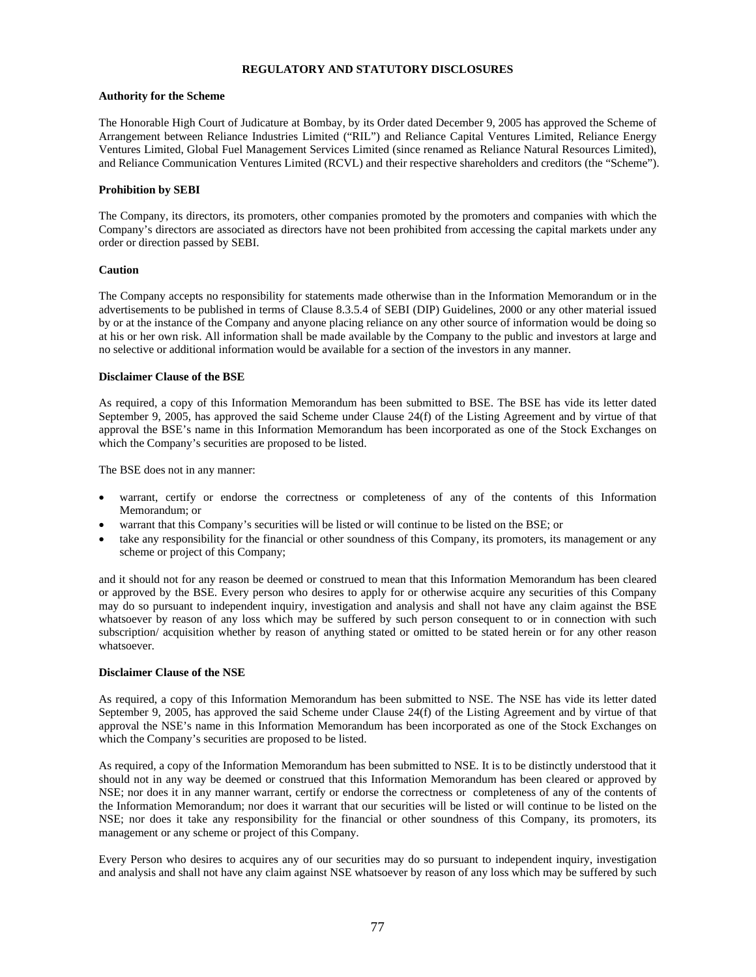# **REGULATORY AND STATUTORY DISCLOSURES**

#### **Authority for the Scheme**

The Honorable High Court of Judicature at Bombay, by its Order dated December 9, 2005 has approved the Scheme of Arrangement between Reliance Industries Limited ("RIL") and Reliance Capital Ventures Limited, Reliance Energy Ventures Limited, Global Fuel Management Services Limited (since renamed as Reliance Natural Resources Limited), and Reliance Communication Ventures Limited (RCVL) and their respective shareholders and creditors (the "Scheme").

## **Prohibition by SEBI**

The Company, its directors, its promoters, other companies promoted by the promoters and companies with which the Company's directors are associated as directors have not been prohibited from accessing the capital markets under any order or direction passed by SEBI.

## **Caution**

The Company accepts no responsibility for statements made otherwise than in the Information Memorandum or in the advertisements to be published in terms of Clause 8.3.5.4 of SEBI (DIP) Guidelines, 2000 or any other material issued by or at the instance of the Company and anyone placing reliance on any other source of information would be doing so at his or her own risk. All information shall be made available by the Company to the public and investors at large and no selective or additional information would be available for a section of the investors in any manner.

## **Disclaimer Clause of the BSE**

As required, a copy of this Information Memorandum has been submitted to BSE. The BSE has vide its letter dated September 9, 2005, has approved the said Scheme under Clause 24(f) of the Listing Agreement and by virtue of that approval the BSE's name in this Information Memorandum has been incorporated as one of the Stock Exchanges on which the Company's securities are proposed to be listed.

The BSE does not in any manner:

- warrant, certify or endorse the correctness or completeness of any of the contents of this Information Memorandum; or
- warrant that this Company's securities will be listed or will continue to be listed on the BSE; or
- take any responsibility for the financial or other soundness of this Company, its promoters, its management or any scheme or project of this Company;

and it should not for any reason be deemed or construed to mean that this Information Memorandum has been cleared or approved by the BSE. Every person who desires to apply for or otherwise acquire any securities of this Company may do so pursuant to independent inquiry, investigation and analysis and shall not have any claim against the BSE whatsoever by reason of any loss which may be suffered by such person consequent to or in connection with such subscription/ acquisition whether by reason of anything stated or omitted to be stated herein or for any other reason whatsoever.

# **Disclaimer Clause of the NSE**

As required, a copy of this Information Memorandum has been submitted to NSE. The NSE has vide its letter dated September 9, 2005, has approved the said Scheme under Clause 24(f) of the Listing Agreement and by virtue of that approval the NSE's name in this Information Memorandum has been incorporated as one of the Stock Exchanges on which the Company's securities are proposed to be listed.

As required, a copy of the Information Memorandum has been submitted to NSE. It is to be distinctly understood that it should not in any way be deemed or construed that this Information Memorandum has been cleared or approved by NSE; nor does it in any manner warrant, certify or endorse the correctness or completeness of any of the contents of the Information Memorandum; nor does it warrant that our securities will be listed or will continue to be listed on the NSE; nor does it take any responsibility for the financial or other soundness of this Company, its promoters, its management or any scheme or project of this Company.

Every Person who desires to acquires any of our securities may do so pursuant to independent inquiry, investigation and analysis and shall not have any claim against NSE whatsoever by reason of any loss which may be suffered by such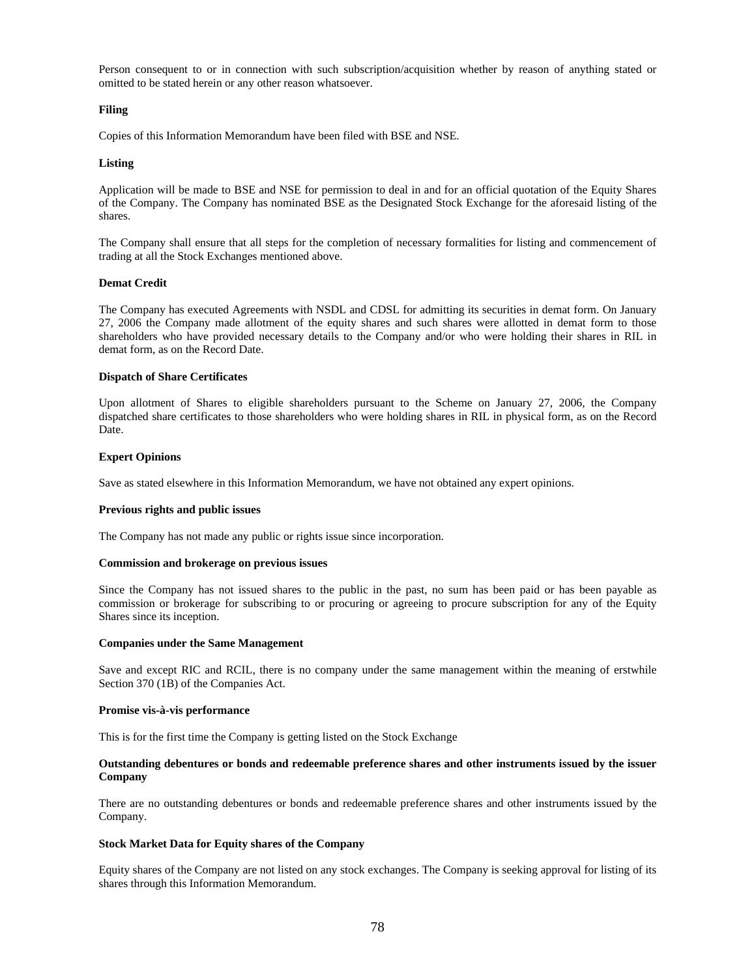Person consequent to or in connection with such subscription/acquisition whether by reason of anything stated or omitted to be stated herein or any other reason whatsoever.

#### **Filing**

Copies of this Information Memorandum have been filed with BSE and NSE.

#### **Listing**

Application will be made to BSE and NSE for permission to deal in and for an official quotation of the Equity Shares of the Company. The Company has nominated BSE as the Designated Stock Exchange for the aforesaid listing of the shares.

The Company shall ensure that all steps for the completion of necessary formalities for listing and commencement of trading at all the Stock Exchanges mentioned above.

#### **Demat Credit**

The Company has executed Agreements with NSDL and CDSL for admitting its securities in demat form. On January 27, 2006 the Company made allotment of the equity shares and such shares were allotted in demat form to those shareholders who have provided necessary details to the Company and/or who were holding their shares in RIL in demat form, as on the Record Date.

#### **Dispatch of Share Certificates**

Upon allotment of Shares to eligible shareholders pursuant to the Scheme on January 27, 2006, the Company dispatched share certificates to those shareholders who were holding shares in RIL in physical form, as on the Record Date.

#### **Expert Opinions**

Save as stated elsewhere in this Information Memorandum, we have not obtained any expert opinions.

#### **Previous rights and public issues**

The Company has not made any public or rights issue since incorporation.

#### **Commission and brokerage on previous issues**

Since the Company has not issued shares to the public in the past, no sum has been paid or has been payable as commission or brokerage for subscribing to or procuring or agreeing to procure subscription for any of the Equity Shares since its inception.

#### **Companies under the Same Management**

Save and except RIC and RCIL, there is no company under the same management within the meaning of erstwhile Section 370 (1B) of the Companies Act.

#### **Promise vis-à-vis performance**

This is for the first time the Company is getting listed on the Stock Exchange

#### **Outstanding debentures or bonds and redeemable preference shares and other instruments issued by the issuer Company**

There are no outstanding debentures or bonds and redeemable preference shares and other instruments issued by the Company.

#### **Stock Market Data for Equity shares of the Company**

Equity shares of the Company are not listed on any stock exchanges. The Company is seeking approval for listing of its shares through this Information Memorandum.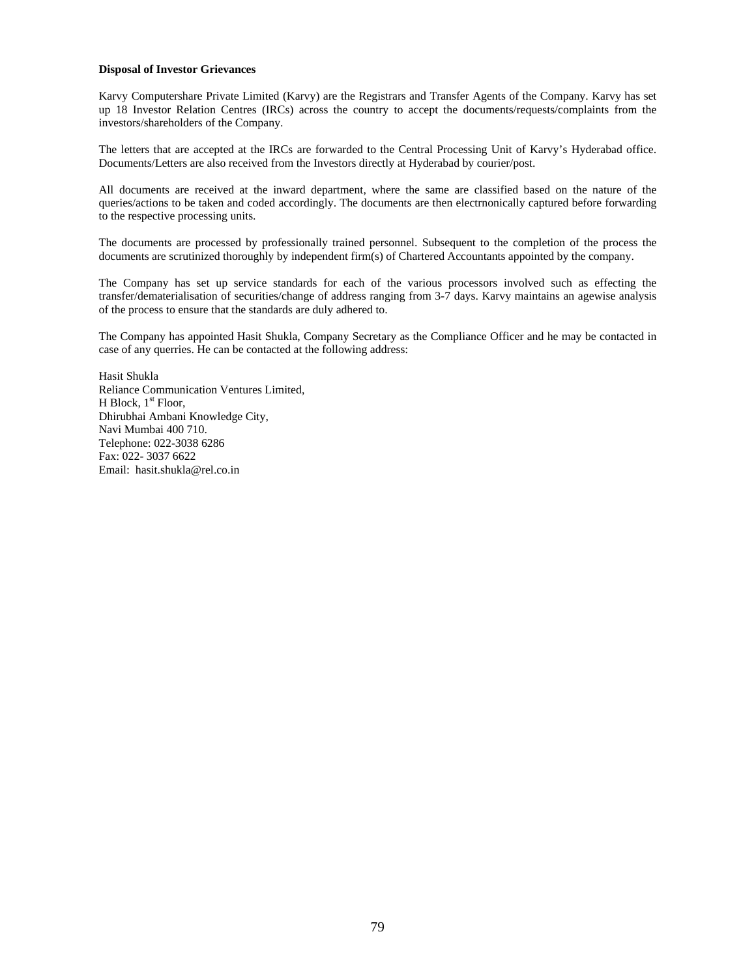#### **Disposal of Investor Grievances**

Karvy Computershare Private Limited (Karvy) are the Registrars and Transfer Agents of the Company. Karvy has set up 18 Investor Relation Centres (IRCs) across the country to accept the documents/requests/complaints from the investors/shareholders of the Company.

The letters that are accepted at the IRCs are forwarded to the Central Processing Unit of Karvy's Hyderabad office. Documents/Letters are also received from the Investors directly at Hyderabad by courier/post.

All documents are received at the inward department, where the same are classified based on the nature of the queries/actions to be taken and coded accordingly. The documents are then electrnonically captured before forwarding to the respective processing units.

The documents are processed by professionally trained personnel. Subsequent to the completion of the process the documents are scrutinized thoroughly by independent firm(s) of Chartered Accountants appointed by the company.

The Company has set up service standards for each of the various processors involved such as effecting the transfer/dematerialisation of securities/change of address ranging from 3-7 days. Karvy maintains an agewise analysis of the process to ensure that the standards are duly adhered to.

The Company has appointed Hasit Shukla, Company Secretary as the Compliance Officer and he may be contacted in case of any querries. He can be contacted at the following address:

Hasit Shukla Reliance Communication Ventures Limited, H Block,  $1<sup>st</sup>$  Floor, Dhirubhai Ambani Knowledge City, Navi Mumbai 400 710. Telephone: 022-3038 6286 Fax: 022- 3037 6622 Email: hasit.shukla@rel.co.in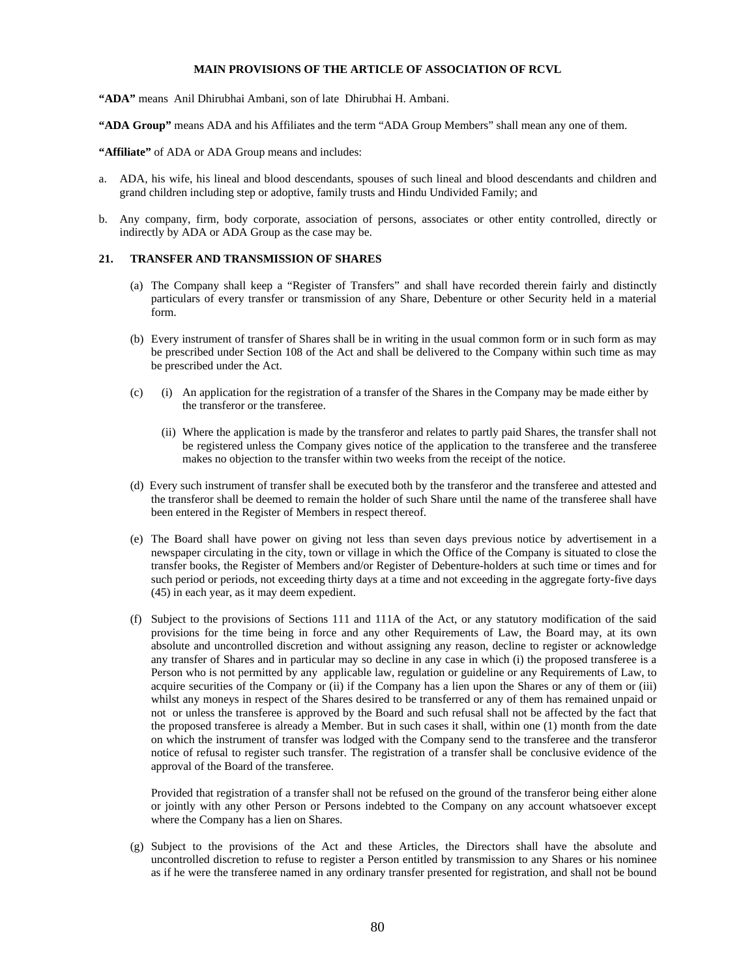# **MAIN PROVISIONS OF THE ARTICLE OF ASSOCIATION OF RCVL**

**"ADA"** means Anil Dhirubhai Ambani, son of late Dhirubhai H. Ambani.

**"ADA Group"** means ADA and his Affiliates and the term "ADA Group Members" shall mean any one of them.

"Affiliate" of ADA or ADA Group means and includes:

- a. ADA, his wife, his lineal and blood descendants, spouses of such lineal and blood descendants and children and grand children including step or adoptive, family trusts and Hindu Undivided Family; and
- b. Any company, firm, body corporate, association of persons, associates or other entity controlled, directly or indirectly by ADA or ADA Group as the case may be.

# **21. TRANSFER AND TRANSMISSION OF SHARES**

- (a) The Company shall keep a "Register of Transfers" and shall have recorded therein fairly and distinctly particulars of every transfer or transmission of any Share, Debenture or other Security held in a material form.
- (b) Every instrument of transfer of Shares shall be in writing in the usual common form or in such form as may be prescribed under Section 108 of the Act and shall be delivered to the Company within such time as may be prescribed under the Act.
- (c) (i) An application for the registration of a transfer of the Shares in the Company may be made either by the transferor or the transferee.
	- (ii) Where the application is made by the transferor and relates to partly paid Shares, the transfer shall not be registered unless the Company gives notice of the application to the transferee and the transferee makes no objection to the transfer within two weeks from the receipt of the notice.
- (d) Every such instrument of transfer shall be executed both by the transferor and the transferee and attested and the transferor shall be deemed to remain the holder of such Share until the name of the transferee shall have been entered in the Register of Members in respect thereof.
- (e) The Board shall have power on giving not less than seven days previous notice by advertisement in a newspaper circulating in the city, town or village in which the Office of the Company is situated to close the transfer books, the Register of Members and/or Register of Debenture-holders at such time or times and for such period or periods, not exceeding thirty days at a time and not exceeding in the aggregate forty-five days (45) in each year, as it may deem expedient.
- (f) Subject to the provisions of Sections 111 and 111A of the Act, or any statutory modification of the said provisions for the time being in force and any other Requirements of Law, the Board may, at its own absolute and uncontrolled discretion and without assigning any reason, decline to register or acknowledge any transfer of Shares and in particular may so decline in any case in which (i) the proposed transferee is a Person who is not permitted by any applicable law, regulation or guideline or any Requirements of Law, to acquire securities of the Company or (ii) if the Company has a lien upon the Shares or any of them or (iii) whilst any moneys in respect of the Shares desired to be transferred or any of them has remained unpaid or not or unless the transferee is approved by the Board and such refusal shall not be affected by the fact that the proposed transferee is already a Member. But in such cases it shall, within one (1) month from the date on which the instrument of transfer was lodged with the Company send to the transferee and the transferor notice of refusal to register such transfer. The registration of a transfer shall be conclusive evidence of the approval of the Board of the transferee.

 Provided that registration of a transfer shall not be refused on the ground of the transferor being either alone or jointly with any other Person or Persons indebted to the Company on any account whatsoever except where the Company has a lien on Shares.

(g) Subject to the provisions of the Act and these Articles, the Directors shall have the absolute and uncontrolled discretion to refuse to register a Person entitled by transmission to any Shares or his nominee as if he were the transferee named in any ordinary transfer presented for registration, and shall not be bound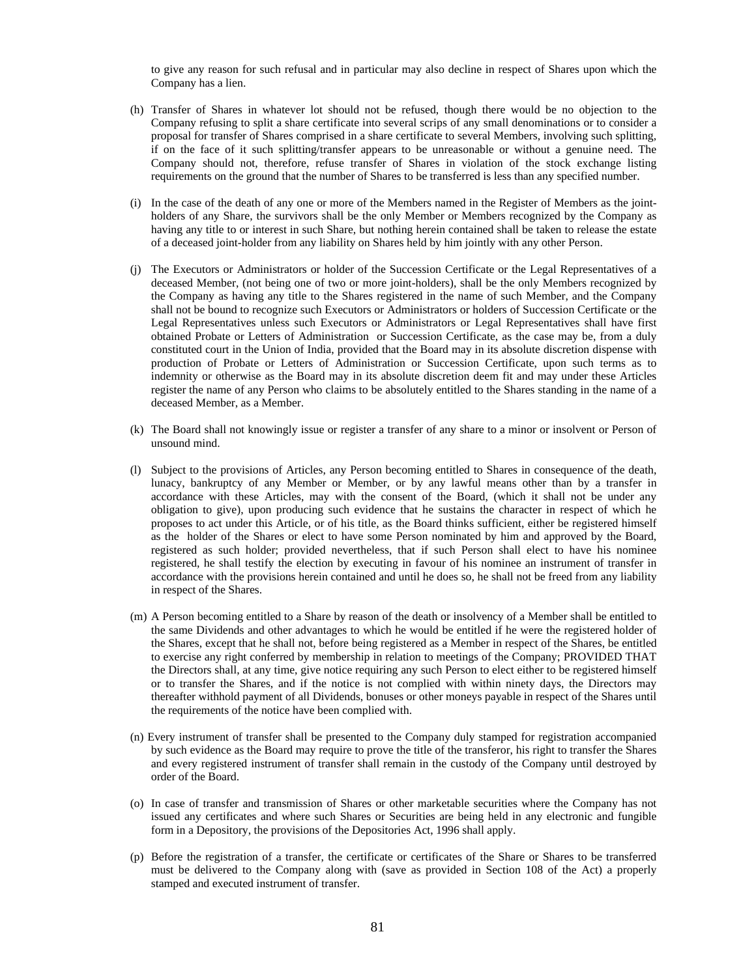to give any reason for such refusal and in particular may also decline in respect of Shares upon which the Company has a lien.

- (h) Transfer of Shares in whatever lot should not be refused, though there would be no objection to the Company refusing to split a share certificate into several scrips of any small denominations or to consider a proposal for transfer of Shares comprised in a share certificate to several Members, involving such splitting, if on the face of it such splitting/transfer appears to be unreasonable or without a genuine need. The Company should not, therefore, refuse transfer of Shares in violation of the stock exchange listing requirements on the ground that the number of Shares to be transferred is less than any specified number.
- (i) In the case of the death of any one or more of the Members named in the Register of Members as the jointholders of any Share, the survivors shall be the only Member or Members recognized by the Company as having any title to or interest in such Share, but nothing herein contained shall be taken to release the estate of a deceased joint-holder from any liability on Shares held by him jointly with any other Person.
- (j) The Executors or Administrators or holder of the Succession Certificate or the Legal Representatives of a deceased Member, (not being one of two or more joint-holders), shall be the only Members recognized by the Company as having any title to the Shares registered in the name of such Member, and the Company shall not be bound to recognize such Executors or Administrators or holders of Succession Certificate or the Legal Representatives unless such Executors or Administrators or Legal Representatives shall have first obtained Probate or Letters of Administration or Succession Certificate, as the case may be, from a duly constituted court in the Union of India, provided that the Board may in its absolute discretion dispense with production of Probate or Letters of Administration or Succession Certificate, upon such terms as to indemnity or otherwise as the Board may in its absolute discretion deem fit and may under these Articles register the name of any Person who claims to be absolutely entitled to the Shares standing in the name of a deceased Member, as a Member.
- (k) The Board shall not knowingly issue or register a transfer of any share to a minor or insolvent or Person of unsound mind.
- (l) Subject to the provisions of Articles, any Person becoming entitled to Shares in consequence of the death, lunacy, bankruptcy of any Member or Member, or by any lawful means other than by a transfer in accordance with these Articles, may with the consent of the Board, (which it shall not be under any obligation to give), upon producing such evidence that he sustains the character in respect of which he proposes to act under this Article, or of his title, as the Board thinks sufficient, either be registered himself as the holder of the Shares or elect to have some Person nominated by him and approved by the Board, registered as such holder; provided nevertheless, that if such Person shall elect to have his nominee registered, he shall testify the election by executing in favour of his nominee an instrument of transfer in accordance with the provisions herein contained and until he does so, he shall not be freed from any liability in respect of the Shares.
- (m) A Person becoming entitled to a Share by reason of the death or insolvency of a Member shall be entitled to the same Dividends and other advantages to which he would be entitled if he were the registered holder of the Shares, except that he shall not, before being registered as a Member in respect of the Shares, be entitled to exercise any right conferred by membership in relation to meetings of the Company; PROVIDED THAT the Directors shall, at any time, give notice requiring any such Person to elect either to be registered himself or to transfer the Shares, and if the notice is not complied with within ninety days, the Directors may thereafter withhold payment of all Dividends, bonuses or other moneys payable in respect of the Shares until the requirements of the notice have been complied with.
- (n) Every instrument of transfer shall be presented to the Company duly stamped for registration accompanied by such evidence as the Board may require to prove the title of the transferor, his right to transfer the Shares and every registered instrument of transfer shall remain in the custody of the Company until destroyed by order of the Board.
- (o) In case of transfer and transmission of Shares or other marketable securities where the Company has not issued any certificates and where such Shares or Securities are being held in any electronic and fungible form in a Depository, the provisions of the Depositories Act, 1996 shall apply.
- (p) Before the registration of a transfer, the certificate or certificates of the Share or Shares to be transferred must be delivered to the Company along with (save as provided in Section 108 of the Act) a properly stamped and executed instrument of transfer.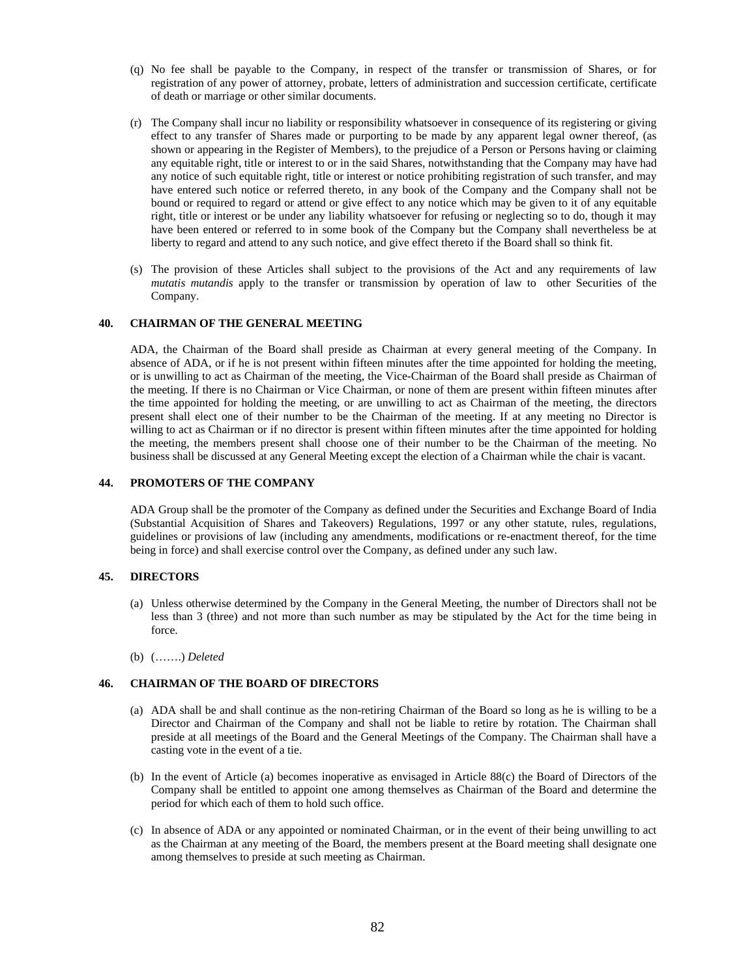- (q) No fee shall be payable to the Company, in respect of the transfer or transmission of Shares, or for registration of any power of attorney, probate, letters of administration and succession certificate, certificate of death or marriage or other similar documents.
- (r) The Company shall incur no liability or responsibility whatsoever in consequence of its registering or giving effect to any transfer of Shares made or purporting to be made by any apparent legal owner thereof, (as shown or appearing in the Register of Members), to the prejudice of a Person or Persons having or claiming any equitable right, title or interest to or in the said Shares, notwithstanding that the Company may have had any notice of such equitable right, title or interest or notice prohibiting registration of such transfer, and may have entered such notice or referred thereto, in any book of the Company and the Company shall not be bound or required to regard or attend or give effect to any notice which may be given to it of any equitable right, title or interest or be under any liability whatsoever for refusing or neglecting so to do, though it may have been entered or referred to in some book of the Company but the Company shall nevertheless be at liberty to regard and attend to any such notice, and give effect thereto if the Board shall so think fit.
- (s) The provision of these Articles shall subject to the provisions of the Act and any requirements of law *mutatis mutandis* apply to the transfer or transmission by operation of law to other Securities of the Company.

#### **40. CHAIRMAN OF THE GENERAL MEETING**

ADA, the Chairman of the Board shall preside as Chairman at every general meeting of the Company. In absence of ADA, or if he is not present within fifteen minutes after the time appointed for holding the meeting, or is unwilling to act as Chairman of the meeting, the Vice-Chairman of the Board shall preside as Chairman of the meeting. If there is no Chairman or Vice Chairman, or none of them are present within fifteen minutes after the time appointed for holding the meeting, or are unwilling to act as Chairman of the meeting, the directors present shall elect one of their number to be the Chairman of the meeting. If at any meeting no Director is willing to act as Chairman or if no director is present within fifteen minutes after the time appointed for holding the meeting, the members present shall choose one of their number to be the Chairman of the meeting. No business shall be discussed at any General Meeting except the election of a Chairman while the chair is vacant.

# **44. PROMOTERS OF THE COMPANY**

ADA Group shall be the promoter of the Company as defined under the Securities and Exchange Board of India (Substantial Acquisition of Shares and Takeovers) Regulations, 1997 or any other statute, rules, regulations, guidelines or provisions of law (including any amendments, modifications or re-enactment thereof, for the time being in force) and shall exercise control over the Company, as defined under any such law.

#### **45. DIRECTORS**

- (a) Unless otherwise determined by the Company in the General Meeting, the number of Directors shall not be less than 3 (three) and not more than such number as may be stipulated by the Act for the time being in force.
- (b) (…….) *Deleted*

## **46. CHAIRMAN OF THE BOARD OF DIRECTORS**

- (a) ADA shall be and shall continue as the non-retiring Chairman of the Board so long as he is willing to be a Director and Chairman of the Company and shall not be liable to retire by rotation. The Chairman shall preside at all meetings of the Board and the General Meetings of the Company. The Chairman shall have a casting vote in the event of a tie.
- (b) In the event of Article (a) becomes inoperative as envisaged in Article 88(c) the Board of Directors of the Company shall be entitled to appoint one among themselves as Chairman of the Board and determine the period for which each of them to hold such office.
- (c) In absence of ADA or any appointed or nominated Chairman, or in the event of their being unwilling to act as the Chairman at any meeting of the Board, the members present at the Board meeting shall designate one among themselves to preside at such meeting as Chairman.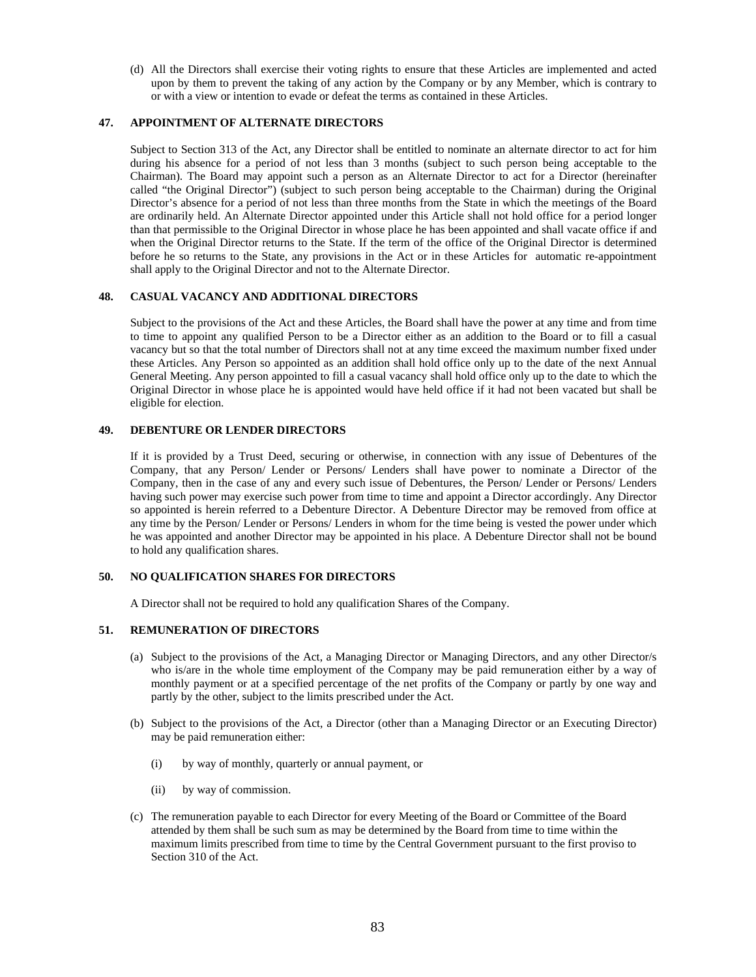(d) All the Directors shall exercise their voting rights to ensure that these Articles are implemented and acted upon by them to prevent the taking of any action by the Company or by any Member, which is contrary to or with a view or intention to evade or defeat the terms as contained in these Articles.

# **47. APPOINTMENT OF ALTERNATE DIRECTORS**

Subject to Section 313 of the Act, any Director shall be entitled to nominate an alternate director to act for him during his absence for a period of not less than 3 months (subject to such person being acceptable to the Chairman). The Board may appoint such a person as an Alternate Director to act for a Director (hereinafter called "the Original Director") (subject to such person being acceptable to the Chairman) during the Original Director's absence for a period of not less than three months from the State in which the meetings of the Board are ordinarily held. An Alternate Director appointed under this Article shall not hold office for a period longer than that permissible to the Original Director in whose place he has been appointed and shall vacate office if and when the Original Director returns to the State. If the term of the office of the Original Director is determined before he so returns to the State, any provisions in the Act or in these Articles for automatic re-appointment shall apply to the Original Director and not to the Alternate Director.

#### **48. CASUAL VACANCY AND ADDITIONAL DIRECTORS**

Subject to the provisions of the Act and these Articles, the Board shall have the power at any time and from time to time to appoint any qualified Person to be a Director either as an addition to the Board or to fill a casual vacancy but so that the total number of Directors shall not at any time exceed the maximum number fixed under these Articles. Any Person so appointed as an addition shall hold office only up to the date of the next Annual General Meeting. Any person appointed to fill a casual vacancy shall hold office only up to the date to which the Original Director in whose place he is appointed would have held office if it had not been vacated but shall be eligible for election.

#### **49. DEBENTURE OR LENDER DIRECTORS**

If it is provided by a Trust Deed, securing or otherwise, in connection with any issue of Debentures of the Company, that any Person/ Lender or Persons/ Lenders shall have power to nominate a Director of the Company, then in the case of any and every such issue of Debentures, the Person/ Lender or Persons/ Lenders having such power may exercise such power from time to time and appoint a Director accordingly. Any Director so appointed is herein referred to a Debenture Director. A Debenture Director may be removed from office at any time by the Person/ Lender or Persons/ Lenders in whom for the time being is vested the power under which he was appointed and another Director may be appointed in his place. A Debenture Director shall not be bound to hold any qualification shares.

# **50. NO QUALIFICATION SHARES FOR DIRECTORS**

A Director shall not be required to hold any qualification Shares of the Company.

# **51. REMUNERATION OF DIRECTORS**

- (a) Subject to the provisions of the Act, a Managing Director or Managing Directors, and any other Director/s who is/are in the whole time employment of the Company may be paid remuneration either by a way of monthly payment or at a specified percentage of the net profits of the Company or partly by one way and partly by the other, subject to the limits prescribed under the Act.
- (b) Subject to the provisions of the Act, a Director (other than a Managing Director or an Executing Director) may be paid remuneration either:
	- (i) by way of monthly, quarterly or annual payment, or
	- (ii) by way of commission.
- (c) The remuneration payable to each Director for every Meeting of the Board or Committee of the Board attended by them shall be such sum as may be determined by the Board from time to time within the maximum limits prescribed from time to time by the Central Government pursuant to the first proviso to Section 310 of the Act.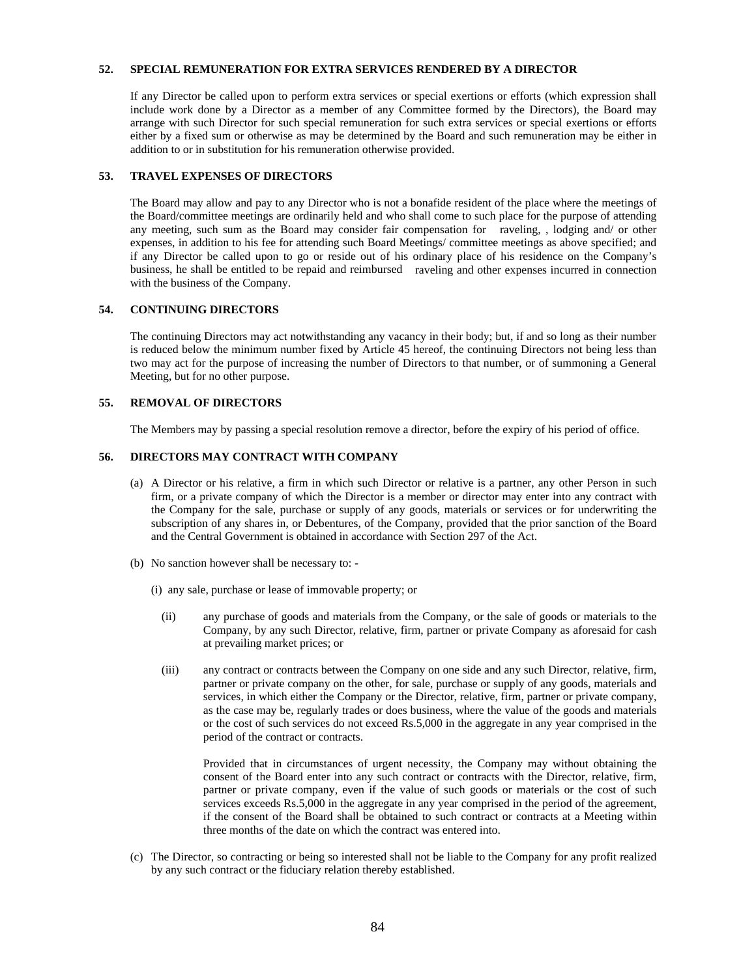# **52. SPECIAL REMUNERATION FOR EXTRA SERVICES RENDERED BY A DIRECTOR**

If any Director be called upon to perform extra services or special exertions or efforts (which expression shall include work done by a Director as a member of any Committee formed by the Directors), the Board may arrange with such Director for such special remuneration for such extra services or special exertions or efforts either by a fixed sum or otherwise as may be determined by the Board and such remuneration may be either in addition to or in substitution for his remuneration otherwise provided.

# **53. TRAVEL EXPENSES OF DIRECTORS**

The Board may allow and pay to any Director who is not a bonafide resident of the place where the meetings of the Board/committee meetings are ordinarily held and who shall come to such place for the purpose of attending any meeting, such sum as the Board may consider fair compensation for raveling, , lodging and/ or other expenses, in addition to his fee for attending such Board Meetings/ committee meetings as above specified; and if any Director be called upon to go or reside out of his ordinary place of his residence on the Company's business, he shall be entitled to be repaid and reimbursed raveling and other expenses incurred in connection with the business of the Company.

## **54. CONTINUING DIRECTORS**

The continuing Directors may act notwithstanding any vacancy in their body; but, if and so long as their number is reduced below the minimum number fixed by Article 45 hereof, the continuing Directors not being less than two may act for the purpose of increasing the number of Directors to that number, or of summoning a General Meeting, but for no other purpose.

#### **55. REMOVAL OF DIRECTORS**

The Members may by passing a special resolution remove a director, before the expiry of his period of office.

# **56. DIRECTORS MAY CONTRACT WITH COMPANY**

- (a) A Director or his relative, a firm in which such Director or relative is a partner, any other Person in such firm, or a private company of which the Director is a member or director may enter into any contract with the Company for the sale, purchase or supply of any goods, materials or services or for underwriting the subscription of any shares in, or Debentures, of the Company, provided that the prior sanction of the Board and the Central Government is obtained in accordance with Section 297 of the Act.
- (b) No sanction however shall be necessary to:
	- (i) any sale, purchase or lease of immovable property; or
		- (ii) any purchase of goods and materials from the Company, or the sale of goods or materials to the Company, by any such Director, relative, firm, partner or private Company as aforesaid for cash at prevailing market prices; or
		- (iii) any contract or contracts between the Company on one side and any such Director, relative, firm, partner or private company on the other, for sale, purchase or supply of any goods, materials and services, in which either the Company or the Director, relative, firm, partner or private company, as the case may be, regularly trades or does business, where the value of the goods and materials or the cost of such services do not exceed Rs.5,000 in the aggregate in any year comprised in the period of the contract or contracts.

 Provided that in circumstances of urgent necessity, the Company may without obtaining the consent of the Board enter into any such contract or contracts with the Director, relative, firm, partner or private company, even if the value of such goods or materials or the cost of such services exceeds Rs.5,000 in the aggregate in any year comprised in the period of the agreement, if the consent of the Board shall be obtained to such contract or contracts at a Meeting within three months of the date on which the contract was entered into.

(c) The Director, so contracting or being so interested shall not be liable to the Company for any profit realized by any such contract or the fiduciary relation thereby established.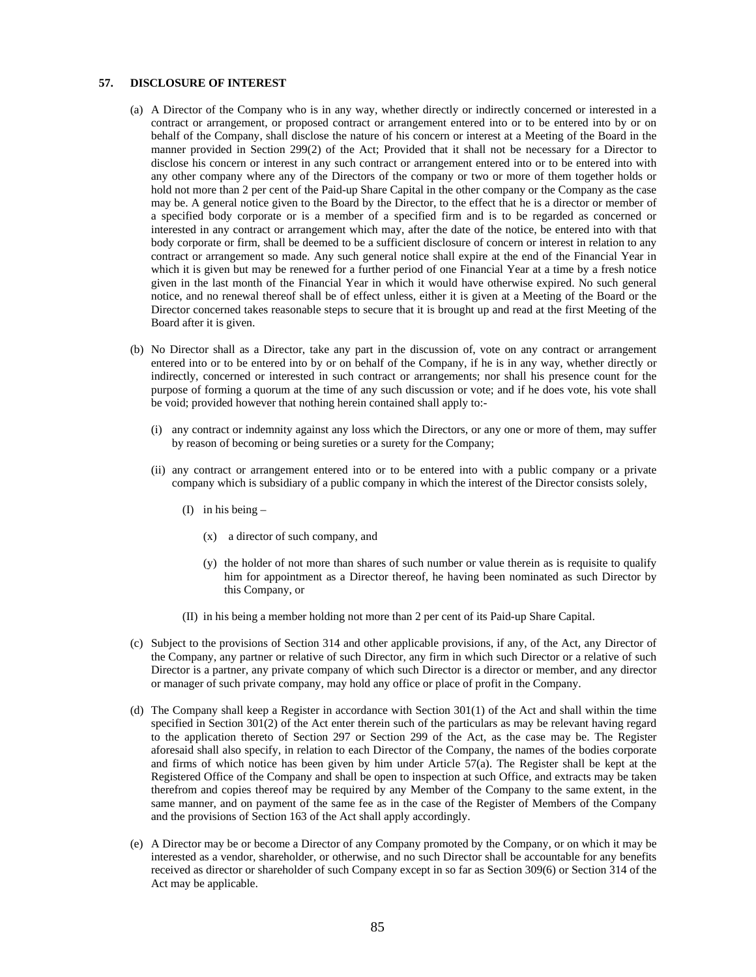# **57. DISCLOSURE OF INTEREST**

- (a) A Director of the Company who is in any way, whether directly or indirectly concerned or interested in a contract or arrangement, or proposed contract or arrangement entered into or to be entered into by or on behalf of the Company, shall disclose the nature of his concern or interest at a Meeting of the Board in the manner provided in Section 299(2) of the Act; Provided that it shall not be necessary for a Director to disclose his concern or interest in any such contract or arrangement entered into or to be entered into with any other company where any of the Directors of the company or two or more of them together holds or hold not more than 2 per cent of the Paid-up Share Capital in the other company or the Company as the case may be. A general notice given to the Board by the Director, to the effect that he is a director or member of a specified body corporate or is a member of a specified firm and is to be regarded as concerned or interested in any contract or arrangement which may, after the date of the notice, be entered into with that body corporate or firm, shall be deemed to be a sufficient disclosure of concern or interest in relation to any contract or arrangement so made. Any such general notice shall expire at the end of the Financial Year in which it is given but may be renewed for a further period of one Financial Year at a time by a fresh notice given in the last month of the Financial Year in which it would have otherwise expired. No such general notice, and no renewal thereof shall be of effect unless, either it is given at a Meeting of the Board or the Director concerned takes reasonable steps to secure that it is brought up and read at the first Meeting of the Board after it is given.
- (b) No Director shall as a Director, take any part in the discussion of, vote on any contract or arrangement entered into or to be entered into by or on behalf of the Company, if he is in any way, whether directly or indirectly, concerned or interested in such contract or arrangements; nor shall his presence count for the purpose of forming a quorum at the time of any such discussion or vote; and if he does vote, his vote shall be void; provided however that nothing herein contained shall apply to:-
	- (i) any contract or indemnity against any loss which the Directors, or any one or more of them, may suffer by reason of becoming or being sureties or a surety for the Company;
	- (ii) any contract or arrangement entered into or to be entered into with a public company or a private company which is subsidiary of a public company in which the interest of the Director consists solely,
		- (I) in his being
			- (x) a director of such company, and
			- (y) the holder of not more than shares of such number or value therein as is requisite to qualify him for appointment as a Director thereof, he having been nominated as such Director by this Company, or
		- (II) in his being a member holding not more than 2 per cent of its Paid-up Share Capital.
- (c) Subject to the provisions of Section 314 and other applicable provisions, if any, of the Act, any Director of the Company, any partner or relative of such Director, any firm in which such Director or a relative of such Director is a partner, any private company of which such Director is a director or member, and any director or manager of such private company, may hold any office or place of profit in the Company.
- (d) The Company shall keep a Register in accordance with Section 301(1) of the Act and shall within the time specified in Section 301(2) of the Act enter therein such of the particulars as may be relevant having regard to the application thereto of Section 297 or Section 299 of the Act, as the case may be. The Register aforesaid shall also specify, in relation to each Director of the Company, the names of the bodies corporate and firms of which notice has been given by him under Article 57(a). The Register shall be kept at the Registered Office of the Company and shall be open to inspection at such Office, and extracts may be taken therefrom and copies thereof may be required by any Member of the Company to the same extent, in the same manner, and on payment of the same fee as in the case of the Register of Members of the Company and the provisions of Section 163 of the Act shall apply accordingly.
- (e) A Director may be or become a Director of any Company promoted by the Company, or on which it may be interested as a vendor, shareholder, or otherwise, and no such Director shall be accountable for any benefits received as director or shareholder of such Company except in so far as Section 309(6) or Section 314 of the Act may be applicable.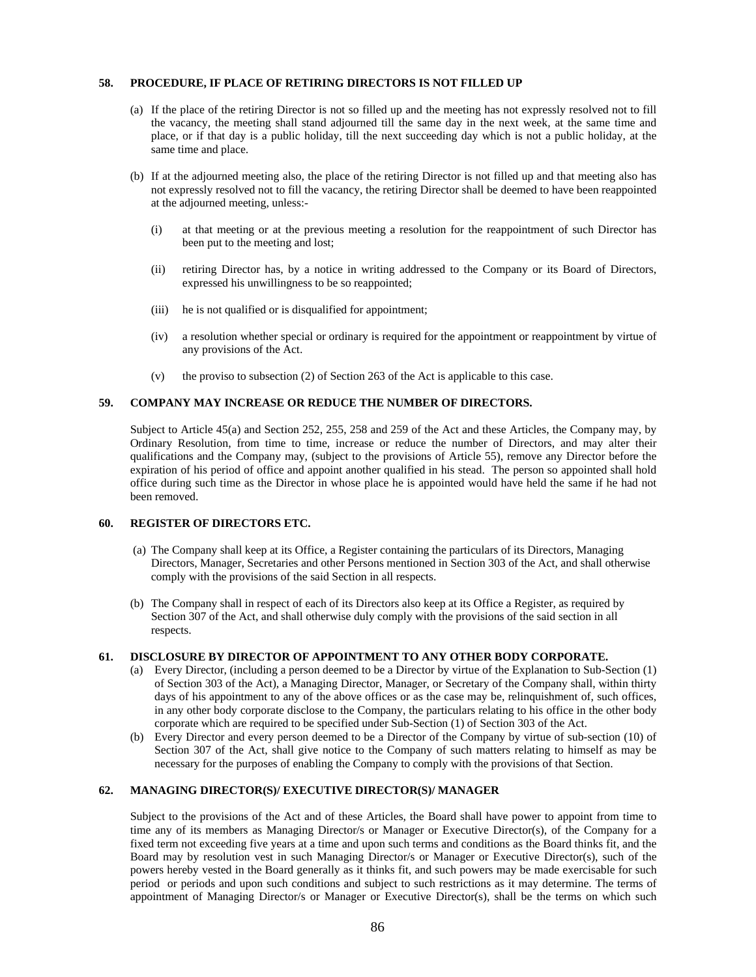#### **58. PROCEDURE, IF PLACE OF RETIRING DIRECTORS IS NOT FILLED UP**

- (a) If the place of the retiring Director is not so filled up and the meeting has not expressly resolved not to fill the vacancy, the meeting shall stand adjourned till the same day in the next week, at the same time and place, or if that day is a public holiday, till the next succeeding day which is not a public holiday, at the same time and place.
- (b) If at the adjourned meeting also, the place of the retiring Director is not filled up and that meeting also has not expressly resolved not to fill the vacancy, the retiring Director shall be deemed to have been reappointed at the adjourned meeting, unless:-
	- (i) at that meeting or at the previous meeting a resolution for the reappointment of such Director has been put to the meeting and lost;
	- (ii) retiring Director has, by a notice in writing addressed to the Company or its Board of Directors, expressed his unwillingness to be so reappointed;
	- (iii) he is not qualified or is disqualified for appointment;
	- (iv) a resolution whether special or ordinary is required for the appointment or reappointment by virtue of any provisions of the Act.
	- (v) the proviso to subsection (2) of Section 263 of the Act is applicable to this case.

#### **59. COMPANY MAY INCREASE OR REDUCE THE NUMBER OF DIRECTORS.**

Subject to Article 45(a) and Section 252, 255, 258 and 259 of the Act and these Articles, the Company may, by Ordinary Resolution, from time to time, increase or reduce the number of Directors, and may alter their qualifications and the Company may, (subject to the provisions of Article 55), remove any Director before the expiration of his period of office and appoint another qualified in his stead. The person so appointed shall hold office during such time as the Director in whose place he is appointed would have held the same if he had not been removed.

# **60. REGISTER OF DIRECTORS ETC.**

- (a) The Company shall keep at its Office, a Register containing the particulars of its Directors, Managing Directors, Manager, Secretaries and other Persons mentioned in Section 303 of the Act, and shall otherwise comply with the provisions of the said Section in all respects.
- (b) The Company shall in respect of each of its Directors also keep at its Office a Register, as required by Section 307 of the Act, and shall otherwise duly comply with the provisions of the said section in all respects.

#### **61. DISCLOSURE BY DIRECTOR OF APPOINTMENT TO ANY OTHER BODY CORPORATE.**

- (a) Every Director, (including a person deemed to be a Director by virtue of the Explanation to Sub-Section (1) of Section 303 of the Act), a Managing Director, Manager, or Secretary of the Company shall, within thirty days of his appointment to any of the above offices or as the case may be, relinquishment of, such offices, in any other body corporate disclose to the Company, the particulars relating to his office in the other body corporate which are required to be specified under Sub-Section (1) of Section 303 of the Act.
- (b) Every Director and every person deemed to be a Director of the Company by virtue of sub-section (10) of Section 307 of the Act, shall give notice to the Company of such matters relating to himself as may be necessary for the purposes of enabling the Company to comply with the provisions of that Section.

# **62. MANAGING DIRECTOR(S)/ EXECUTIVE DIRECTOR(S)/ MANAGER**

Subject to the provisions of the Act and of these Articles, the Board shall have power to appoint from time to time any of its members as Managing Director/s or Manager or Executive Director(s), of the Company for a fixed term not exceeding five years at a time and upon such terms and conditions as the Board thinks fit, and the Board may by resolution vest in such Managing Director/s or Manager or Executive Director(s), such of the powers hereby vested in the Board generally as it thinks fit, and such powers may be made exercisable for such period or periods and upon such conditions and subject to such restrictions as it may determine. The terms of appointment of Managing Director/s or Manager or Executive Director(s), shall be the terms on which such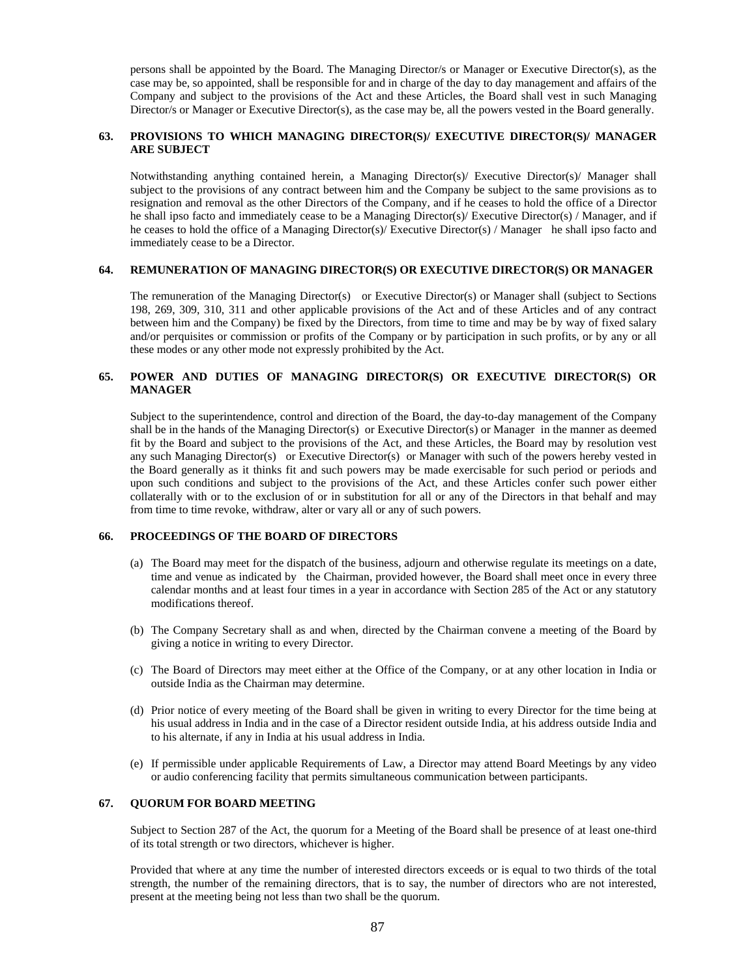persons shall be appointed by the Board. The Managing Director/s or Manager or Executive Director(s), as the case may be, so appointed, shall be responsible for and in charge of the day to day management and affairs of the Company and subject to the provisions of the Act and these Articles, the Board shall vest in such Managing Director/s or Manager or Executive Director(s), as the case may be, all the powers vested in the Board generally.

#### **63. PROVISIONS TO WHICH MANAGING DIRECTOR(S)/ EXECUTIVE DIRECTOR(S)/ MANAGER ARE SUBJECT**

Notwithstanding anything contained herein, a Managing Director(s)/ Executive Director(s)/ Manager shall subject to the provisions of any contract between him and the Company be subject to the same provisions as to resignation and removal as the other Directors of the Company, and if he ceases to hold the office of a Director he shall ipso facto and immediately cease to be a Managing Director(s)/ Executive Director(s) / Manager, and if he ceases to hold the office of a Managing Director(s)/ Executive Director(s) / Manager he shall ipso facto and immediately cease to be a Director.

#### **64. REMUNERATION OF MANAGING DIRECTOR(S) OR EXECUTIVE DIRECTOR(S) OR MANAGER**

The remuneration of the Managing Director(s) or Executive Director(s) or Manager shall (subject to Sections 198, 269, 309, 310, 311 and other applicable provisions of the Act and of these Articles and of any contract between him and the Company) be fixed by the Directors, from time to time and may be by way of fixed salary and/or perquisites or commission or profits of the Company or by participation in such profits, or by any or all these modes or any other mode not expressly prohibited by the Act.

# **65. POWER AND DUTIES OF MANAGING DIRECTOR(S) OR EXECUTIVE DIRECTOR(S) OR MANAGER**

Subject to the superintendence, control and direction of the Board, the day-to-day management of the Company shall be in the hands of the Managing Director(s) or Executive Director(s) or Manager in the manner as deemed fit by the Board and subject to the provisions of the Act, and these Articles, the Board may by resolution vest any such Managing Director(s) or Executive Director(s) or Manager with such of the powers hereby vested in the Board generally as it thinks fit and such powers may be made exercisable for such period or periods and upon such conditions and subject to the provisions of the Act, and these Articles confer such power either collaterally with or to the exclusion of or in substitution for all or any of the Directors in that behalf and may from time to time revoke, withdraw, alter or vary all or any of such powers.

# **66. PROCEEDINGS OF THE BOARD OF DIRECTORS**

- (a) The Board may meet for the dispatch of the business, adjourn and otherwise regulate its meetings on a date, time and venue as indicated by the Chairman, provided however, the Board shall meet once in every three calendar months and at least four times in a year in accordance with Section 285 of the Act or any statutory modifications thereof.
- (b) The Company Secretary shall as and when, directed by the Chairman convene a meeting of the Board by giving a notice in writing to every Director.
- (c) The Board of Directors may meet either at the Office of the Company, or at any other location in India or outside India as the Chairman may determine.
- (d) Prior notice of every meeting of the Board shall be given in writing to every Director for the time being at his usual address in India and in the case of a Director resident outside India, at his address outside India and to his alternate, if any in India at his usual address in India.
- (e) If permissible under applicable Requirements of Law, a Director may attend Board Meetings by any video or audio conferencing facility that permits simultaneous communication between participants.

#### **67. QUORUM FOR BOARD MEETING**

Subject to Section 287 of the Act, the quorum for a Meeting of the Board shall be presence of at least one-third of its total strength or two directors, whichever is higher.

Provided that where at any time the number of interested directors exceeds or is equal to two thirds of the total strength, the number of the remaining directors, that is to say, the number of directors who are not interested, present at the meeting being not less than two shall be the quorum.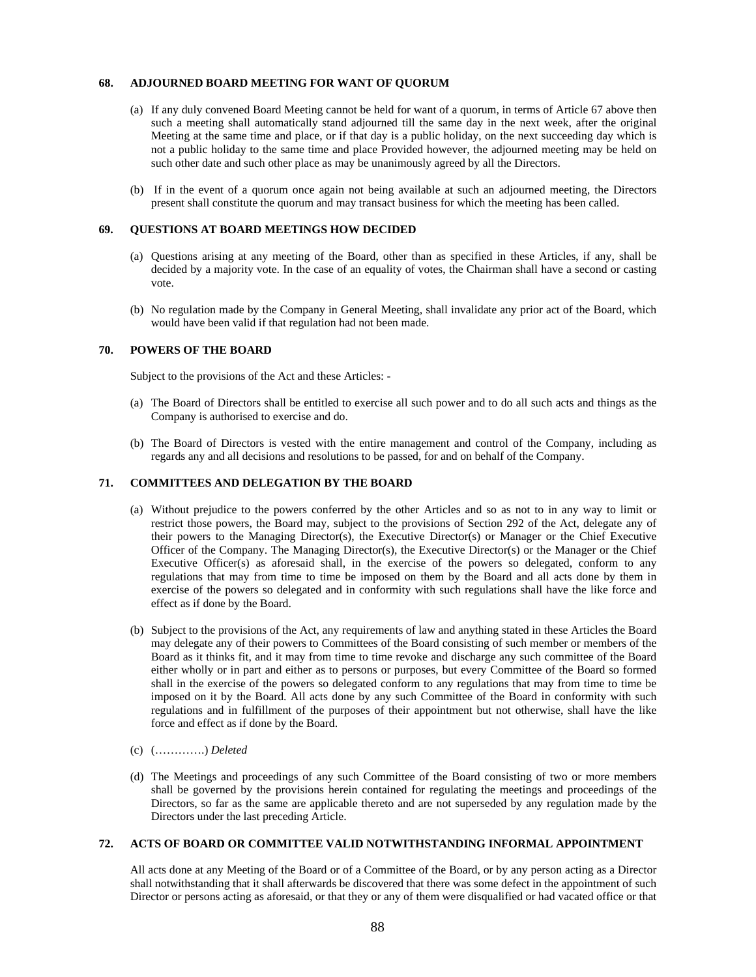# **68. ADJOURNED BOARD MEETING FOR WANT OF QUORUM**

- (a) If any duly convened Board Meeting cannot be held for want of a quorum, in terms of Article 67 above then such a meeting shall automatically stand adjourned till the same day in the next week, after the original Meeting at the same time and place, or if that day is a public holiday, on the next succeeding day which is not a public holiday to the same time and place Provided however, the adjourned meeting may be held on such other date and such other place as may be unanimously agreed by all the Directors.
- (b) If in the event of a quorum once again not being available at such an adjourned meeting, the Directors present shall constitute the quorum and may transact business for which the meeting has been called.

# **69. QUESTIONS AT BOARD MEETINGS HOW DECIDED**

- (a) Questions arising at any meeting of the Board, other than as specified in these Articles, if any, shall be decided by a majority vote. In the case of an equality of votes, the Chairman shall have a second or casting vote.
- (b) No regulation made by the Company in General Meeting, shall invalidate any prior act of the Board, which would have been valid if that regulation had not been made.

# **70. POWERS OF THE BOARD**

Subject to the provisions of the Act and these Articles: -

- (a) The Board of Directors shall be entitled to exercise all such power and to do all such acts and things as the Company is authorised to exercise and do.
- (b) The Board of Directors is vested with the entire management and control of the Company, including as regards any and all decisions and resolutions to be passed, for and on behalf of the Company.

# **71. COMMITTEES AND DELEGATION BY THE BOARD**

- (a) Without prejudice to the powers conferred by the other Articles and so as not to in any way to limit or restrict those powers, the Board may, subject to the provisions of Section 292 of the Act, delegate any of their powers to the Managing Director(s), the Executive Director(s) or Manager or the Chief Executive Officer of the Company. The Managing Director(s), the Executive Director(s) or the Manager or the Chief Executive Officer(s) as aforesaid shall, in the exercise of the powers so delegated, conform to any regulations that may from time to time be imposed on them by the Board and all acts done by them in exercise of the powers so delegated and in conformity with such regulations shall have the like force and effect as if done by the Board.
- (b) Subject to the provisions of the Act, any requirements of law and anything stated in these Articles the Board may delegate any of their powers to Committees of the Board consisting of such member or members of the Board as it thinks fit, and it may from time to time revoke and discharge any such committee of the Board either wholly or in part and either as to persons or purposes, but every Committee of the Board so formed shall in the exercise of the powers so delegated conform to any regulations that may from time to time be imposed on it by the Board. All acts done by any such Committee of the Board in conformity with such regulations and in fulfillment of the purposes of their appointment but not otherwise, shall have the like force and effect as if done by the Board.
- (c) (………….) *Deleted*
- (d) The Meetings and proceedings of any such Committee of the Board consisting of two or more members shall be governed by the provisions herein contained for regulating the meetings and proceedings of the Directors, so far as the same are applicable thereto and are not superseded by any regulation made by the Directors under the last preceding Article.

### **72. ACTS OF BOARD OR COMMITTEE VALID NOTWITHSTANDING INFORMAL APPOINTMENT**

All acts done at any Meeting of the Board or of a Committee of the Board, or by any person acting as a Director shall notwithstanding that it shall afterwards be discovered that there was some defect in the appointment of such Director or persons acting as aforesaid, or that they or any of them were disqualified or had vacated office or that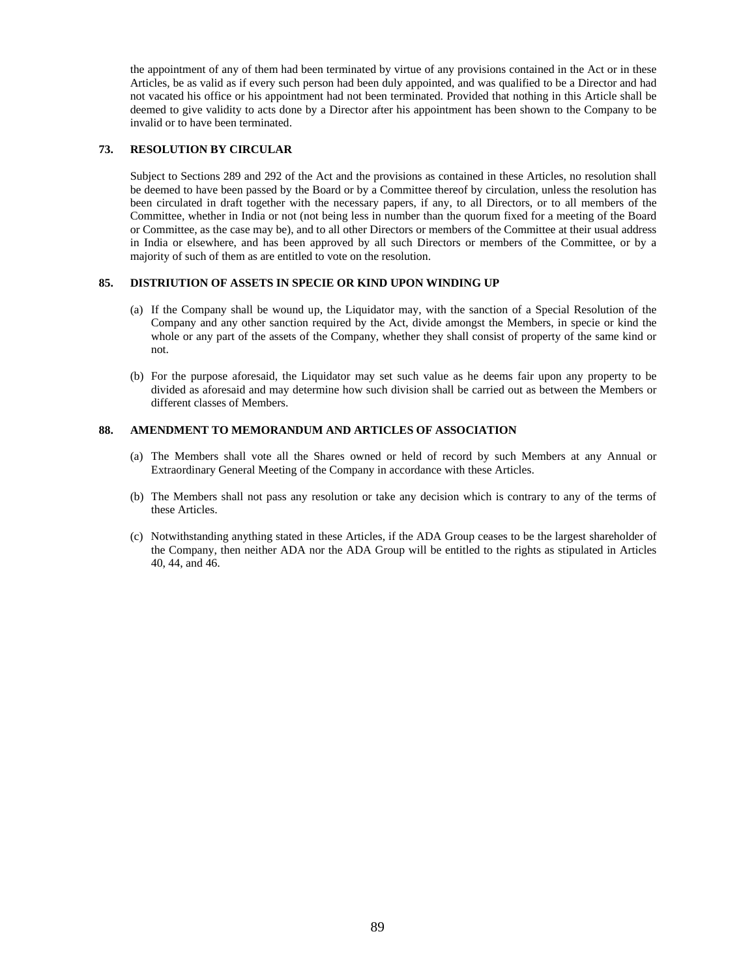the appointment of any of them had been terminated by virtue of any provisions contained in the Act or in these Articles, be as valid as if every such person had been duly appointed, and was qualified to be a Director and had not vacated his office or his appointment had not been terminated. Provided that nothing in this Article shall be deemed to give validity to acts done by a Director after his appointment has been shown to the Company to be invalid or to have been terminated.

# **73. RESOLUTION BY CIRCULAR**

Subject to Sections 289 and 292 of the Act and the provisions as contained in these Articles, no resolution shall be deemed to have been passed by the Board or by a Committee thereof by circulation, unless the resolution has been circulated in draft together with the necessary papers, if any, to all Directors, or to all members of the Committee, whether in India or not (not being less in number than the quorum fixed for a meeting of the Board or Committee, as the case may be), and to all other Directors or members of the Committee at their usual address in India or elsewhere, and has been approved by all such Directors or members of the Committee, or by a majority of such of them as are entitled to vote on the resolution.

#### **85. DISTRIUTION OF ASSETS IN SPECIE OR KIND UPON WINDING UP**

- (a) If the Company shall be wound up, the Liquidator may, with the sanction of a Special Resolution of the Company and any other sanction required by the Act, divide amongst the Members, in specie or kind the whole or any part of the assets of the Company, whether they shall consist of property of the same kind or not.
- (b) For the purpose aforesaid, the Liquidator may set such value as he deems fair upon any property to be divided as aforesaid and may determine how such division shall be carried out as between the Members or different classes of Members.

# **88. AMENDMENT TO MEMORANDUM AND ARTICLES OF ASSOCIATION**

- (a) The Members shall vote all the Shares owned or held of record by such Members at any Annual or Extraordinary General Meeting of the Company in accordance with these Articles.
- (b) The Members shall not pass any resolution or take any decision which is contrary to any of the terms of these Articles.
- (c) Notwithstanding anything stated in these Articles, if the ADA Group ceases to be the largest shareholder of the Company, then neither ADA nor the ADA Group will be entitled to the rights as stipulated in Articles 40, 44, and 46.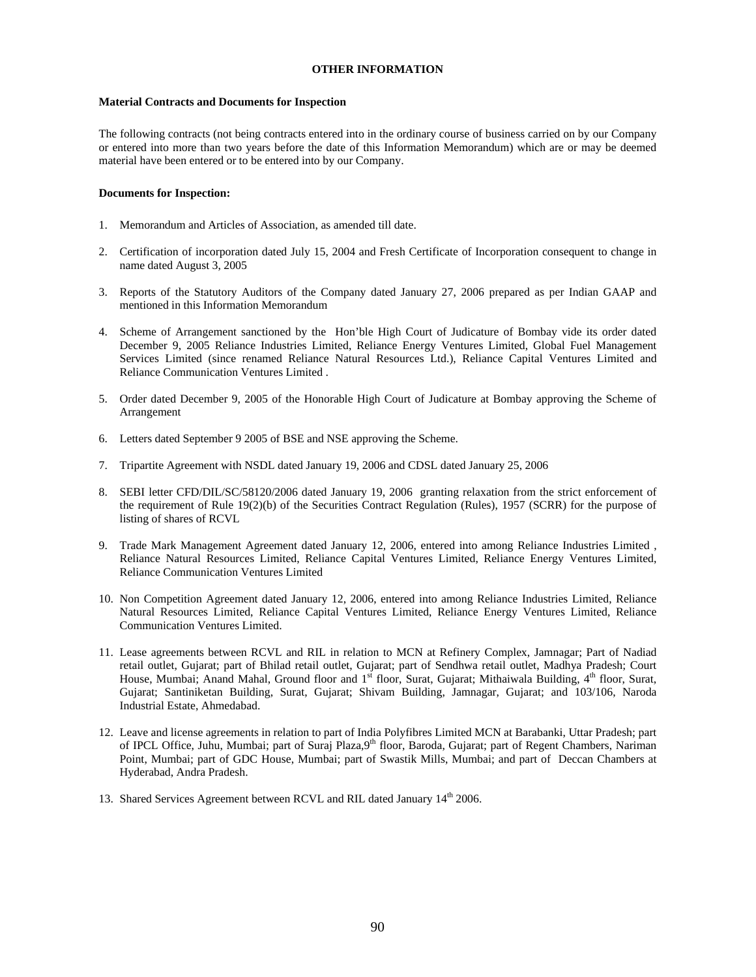# **OTHER INFORMATION**

#### **Material Contracts and Documents for Inspection**

The following contracts (not being contracts entered into in the ordinary course of business carried on by our Company or entered into more than two years before the date of this Information Memorandum) which are or may be deemed material have been entered or to be entered into by our Company.

#### **Documents for Inspection:**

- 1. Memorandum and Articles of Association, as amended till date.
- 2. Certification of incorporation dated July 15, 2004 and Fresh Certificate of Incorporation consequent to change in name dated August 3, 2005
- 3. Reports of the Statutory Auditors of the Company dated January 27, 2006 prepared as per Indian GAAP and mentioned in this Information Memorandum
- 4. Scheme of Arrangement sanctioned by the Hon'ble High Court of Judicature of Bombay vide its order dated December 9, 2005 Reliance Industries Limited, Reliance Energy Ventures Limited, Global Fuel Management Services Limited (since renamed Reliance Natural Resources Ltd.), Reliance Capital Ventures Limited and Reliance Communication Ventures Limited .
- 5. Order dated December 9, 2005 of the Honorable High Court of Judicature at Bombay approving the Scheme of Arrangement
- 6. Letters dated September 9 2005 of BSE and NSE approving the Scheme.
- 7. Tripartite Agreement with NSDL dated January 19, 2006 and CDSL dated January 25, 2006
- 8. SEBI letter CFD/DIL/SC/58120/2006 dated January 19, 2006 granting relaxation from the strict enforcement of the requirement of Rule 19(2)(b) of the Securities Contract Regulation (Rules), 1957 (SCRR) for the purpose of listing of shares of RCVL
- 9. Trade Mark Management Agreement dated January 12, 2006, entered into among Reliance Industries Limited , Reliance Natural Resources Limited, Reliance Capital Ventures Limited, Reliance Energy Ventures Limited, Reliance Communication Ventures Limited
- 10. Non Competition Agreement dated January 12, 2006, entered into among Reliance Industries Limited, Reliance Natural Resources Limited, Reliance Capital Ventures Limited, Reliance Energy Ventures Limited, Reliance Communication Ventures Limited.
- 11. Lease agreements between RCVL and RIL in relation to MCN at Refinery Complex, Jamnagar; Part of Nadiad retail outlet, Gujarat; part of Bhilad retail outlet, Gujarat; part of Sendhwa retail outlet, Madhya Pradesh; Court House, Mumbai; Anand Mahal, Ground floor and 1<sup>st</sup> floor, Surat, Gujarat; Mithaiwala Building, 4<sup>th</sup> floor, Surat, Gujarat; Santiniketan Building, Surat, Gujarat; Shivam Building, Jamnagar, Gujarat; and 103/106, Naroda Industrial Estate, Ahmedabad.
- 12. Leave and license agreements in relation to part of India Polyfibres Limited MCN at Barabanki, Uttar Pradesh; part of IPCL Office, Juhu, Mumbai; part of Suraj Plaza,9<sup>th</sup> floor, Baroda, Gujarat; part of Regent Chambers, Nariman Point, Mumbai; part of GDC House, Mumbai; part of Swastik Mills, Mumbai; and part of Deccan Chambers at Hyderabad, Andra Pradesh.
- 13. Shared Services Agreement between RCVL and RIL dated January 14<sup>th</sup> 2006.